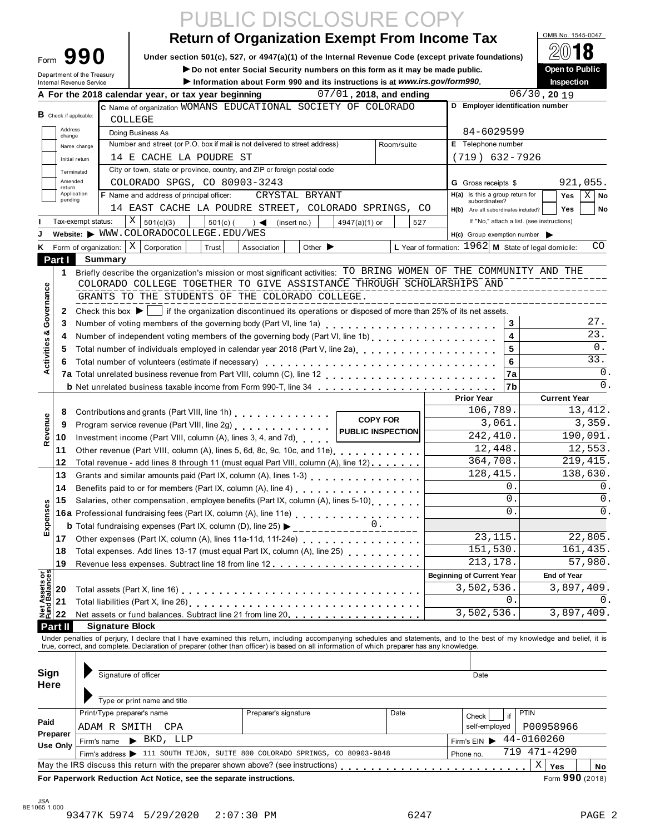|                                                        | UBLIC DISCLOSURE CO                                                                                                                                                                                                                                                                                                                                  |                                                        |                                          |
|--------------------------------------------------------|------------------------------------------------------------------------------------------------------------------------------------------------------------------------------------------------------------------------------------------------------------------------------------------------------------------------------------------------------|--------------------------------------------------------|------------------------------------------|
|                                                        | <b>Return of Organization Exempt From Income Tax</b>                                                                                                                                                                                                                                                                                                 |                                                        | OMB No. 1545-0047                        |
| 990                                                    | Under section 501(c), 527, or 4947(a)(1) of the Internal Revenue Code (except private foundations)                                                                                                                                                                                                                                                   |                                                        |                                          |
| Form                                                   | Do not enter Social Security numbers on this form as it may be made public.                                                                                                                                                                                                                                                                          |                                                        | Open to Public                           |
| Department of the Treasury<br>Internal Revenue Service | Information about Form 990 and its instructions is at www.irs.gov/form990.                                                                                                                                                                                                                                                                           |                                                        | Inspection                               |
|                                                        | A For the 2018 calendar year, or tax year beginning<br>$07/01$ , 2018, and ending                                                                                                                                                                                                                                                                    |                                                        | $\frac{06}{30}$ , 20 19                  |
| <b>B</b> Check if applicable:                          | C Name of organization WOMANS EDUCATIONAL SOCIETY OF COLORADO                                                                                                                                                                                                                                                                                        | D Employer identification number                       |                                          |
|                                                        | COLLEGE                                                                                                                                                                                                                                                                                                                                              |                                                        |                                          |
| Address<br>change                                      | Doing Business As                                                                                                                                                                                                                                                                                                                                    | 84-6029599                                             |                                          |
| Name change                                            | Number and street (or P.O. box if mail is not delivered to street address)<br>Room/suite<br>14 E CACHE LA POUDRE ST                                                                                                                                                                                                                                  | E Telephone number<br>$(719)$ 632-7926                 |                                          |
| Initial return                                         | City or town, state or province, country, and ZIP or foreign postal code                                                                                                                                                                                                                                                                             |                                                        |                                          |
| Terminated<br>Amended                                  | COLORADO SPGS, CO 80903-3243                                                                                                                                                                                                                                                                                                                         | <b>G</b> Gross receipts \$                             | 921,055.                                 |
| return<br>Application                                  | <b>F</b> Name and address of principal officer:<br>CRYSTAL BRYANT                                                                                                                                                                                                                                                                                    | H(a) Is this a group return for                        | $X$ No<br>Yes                            |
| pending                                                | 14 EAST CACHE LA POUDRE STREET, COLORADO SPRINGS, CO                                                                                                                                                                                                                                                                                                 | subordinates?<br>H(b) Are all subordinates included?   | <b>Yes</b><br>No                         |
| Tax-exempt status:                                     | X   501(c)(3)<br>$501(c)$ (<br>4947(a)(1) or<br>$) \triangleleft$ (insert no.)<br>527                                                                                                                                                                                                                                                                | If "No," attach a list. (see instructions)             |                                          |
|                                                        | Website: WWW.COLORADOCOLLEGE.EDU/WES                                                                                                                                                                                                                                                                                                                 | $H(c)$ Group exemption number                          |                                          |
|                                                        | Form of organization: $\mid X \mid$ Corporation<br>Trust<br>Other $\blacktriangleright$<br>Association                                                                                                                                                                                                                                               | L Year of formation: $1962$ M State of legal domicile: | CO                                       |
| Part I<br>Summary                                      |                                                                                                                                                                                                                                                                                                                                                      |                                                        |                                          |
| 1                                                      | Briefly describe the organization's mission or most significant activities: TO BRING WOMEN OF THE COMMUNITY AND THE                                                                                                                                                                                                                                  |                                                        |                                          |
| Governance                                             | COLORADO COLLEGE TOGETHER TO GIVE ASSISTANCE THROUGH SCHOLARSHIPS AND<br>GRANTS TO THE STUDENTS OF THE COLORADO COLLEGE.                                                                                                                                                                                                                             |                                                        |                                          |
| 2                                                      | Check this box $\blacktriangleright$   if the organization discontinued its operations or disposed of more than 25% of its net assets.                                                                                                                                                                                                               | _________________________                              |                                          |
| 3                                                      |                                                                                                                                                                                                                                                                                                                                                      | 3                                                      | 27.                                      |
| 4                                                      | Number of independent voting members of the governing body (Part VI, line 1b)                                                                                                                                                                                                                                                                        | 4                                                      | 23.                                      |
| 5                                                      | Total number of individuals employed in calendar year 2018 (Part V, line 2a)<br>The 2a)                                                                                                                                                                                                                                                              | 5                                                      | 0.                                       |
| 6                                                      | Total number of volunteers (estimate if necessary)                                                                                                                                                                                                                                                                                                   | 6                                                      | $\overline{33}$ .                        |
|                                                        |                                                                                                                                                                                                                                                                                                                                                      | 7a                                                     | 0.                                       |
|                                                        | <b>b</b> Net unrelated business taxable income from Form 990-T, line 34                                                                                                                                                                                                                                                                              | 7b                                                     | 0.                                       |
|                                                        |                                                                                                                                                                                                                                                                                                                                                      | <b>Prior Year</b>                                      | <b>Current Year</b>                      |
| 8                                                      | Contributions and grants (Part VIII, line 1h)<br><b>COPY FOR</b>                                                                                                                                                                                                                                                                                     | 106,789.                                               | 13, 412.                                 |
| 9                                                      | Program service revenue (Part VIII, line 2g)<br>public INSPECTION                                                                                                                                                                                                                                                                                    | 3,061.                                                 | 3,359.                                   |
| 10                                                     | Investment income (Part VIII, column (A), lines 3, 4, and 7d)                                                                                                                                                                                                                                                                                        | 242,410.<br>12,448.                                    | 190,091.<br>12,553.                      |
| 11                                                     | Other revenue (Part VIII, column (A), lines 5, 6d, 8c, 9c, 10c, and 11e)                                                                                                                                                                                                                                                                             | 364,708.                                               | 219, 415.                                |
| 12<br>13                                               | Total revenue - add lines 8 through 11 (must equal Part VIII, column (A), line 12)<br>Grants and similar amounts paid (Part IX, column (A), lines 1-3) [10] [20] Canada in the state of the state of                                                                                                                                                 | 128,415.                                               | 138,630.                                 |
| 14                                                     | Benefits paid to or for members (Part IX, column (A), line 4) [10] [20] [20] $\ldots$ [20] $\ldots$ [20] $\ldots$ [20] $\ldots$ [20] $\ldots$ [20] $\ldots$ [20] $\ldots$ [20] $\ldots$ [20] $\ldots$ [20] $\ldots$ [20] $\ldots$ [20] $\ldots$ [20] $\ldots$ [20] $\$                                                                               | Ο.                                                     | 0.                                       |
| 15                                                     | Salaries, other compensation, employee benefits (Part IX, column (A), lines 5-10)                                                                                                                                                                                                                                                                    | $\Omega$                                               | 0.                                       |
|                                                        | <b>16a</b> Professional fundraising fees (Part IX, column (A), line 11e)<br>$\begin{array}{ccc}\n\bullet & \bullet & \bullet & \bullet & \bullet & \bullet \\ \bullet & \bullet & \bullet & \bullet & \bullet & \bullet & \bullet & \bullet \\ \bullet & \bullet & \bullet & \bullet & \bullet & \bullet & \bullet & \bullet & \bullet\n\end{array}$ | 0                                                      | 0.                                       |
|                                                        | <b>b</b> Total fundraising expenses (Part IX, column (D), line 25) $\blacktriangleright$<br>-------------                                                                                                                                                                                                                                            |                                                        |                                          |
| 17                                                     |                                                                                                                                                                                                                                                                                                                                                      | 23, 115.                                               | 22,805.                                  |
| 18                                                     |                                                                                                                                                                                                                                                                                                                                                      | 151,530.                                               | 161,435.                                 |
| 19                                                     |                                                                                                                                                                                                                                                                                                                                                      | 213, 178.                                              | 57,980.                                  |
| <b>Net Assets or<br/>Fund Balances</b>                 |                                                                                                                                                                                                                                                                                                                                                      | <b>Beginning of Current Year</b>                       | <b>End of Year</b>                       |
| 20                                                     |                                                                                                                                                                                                                                                                                                                                                      | 3,502,536.                                             | 3,897,409.                               |
| 21                                                     |                                                                                                                                                                                                                                                                                                                                                      | 0.<br>3,502,536.                                       | 0.<br>3,897,409.                         |
| 22<br>Part II                                          | <b>Signature Block</b>                                                                                                                                                                                                                                                                                                                               |                                                        |                                          |
|                                                        | Under penalties of perjury, I declare that I have examined this return, including accompanying schedules and statements, and to the best of my knowledge and belief, it is                                                                                                                                                                           |                                                        |                                          |
|                                                        | true, correct, and complete. Declaration of preparer (other than officer) is based on all information of which preparer has any knowledge.                                                                                                                                                                                                           |                                                        |                                          |
|                                                        |                                                                                                                                                                                                                                                                                                                                                      |                                                        |                                          |
| Sign                                                   | Signature of officer                                                                                                                                                                                                                                                                                                                                 | Date                                                   |                                          |
| Here                                                   |                                                                                                                                                                                                                                                                                                                                                      |                                                        |                                          |
|                                                        | Type or print name and title                                                                                                                                                                                                                                                                                                                         |                                                        |                                          |
|                                                        | Print/Type preparer's name<br>Preparer's signature<br>Date                                                                                                                                                                                                                                                                                           | if<br>Check                                            | <b>PTIN</b>                              |
|                                                        | ADAM R SMITH<br>CPA                                                                                                                                                                                                                                                                                                                                  | self-employed                                          | P00958966                                |
|                                                        |                                                                                                                                                                                                                                                                                                                                                      | Firm's EIN                                             | 44-0160260                               |
| Firm's name                                            | $\blacktriangleright$ BKD, LLP                                                                                                                                                                                                                                                                                                                       |                                                        |                                          |
| Paid<br>Preparer<br>Use Only                           | Firm's address > 111 SOUTH TEJON, SUITE 800 COLORADO SPRINGS, CO 80903-9848<br>May the IRS discuss this return with the preparer shown above? (see instructions)                                                                                                                                                                                     | Phone no.                                              | 719 471-4290<br>$\mathbf X$<br>Yes<br>No |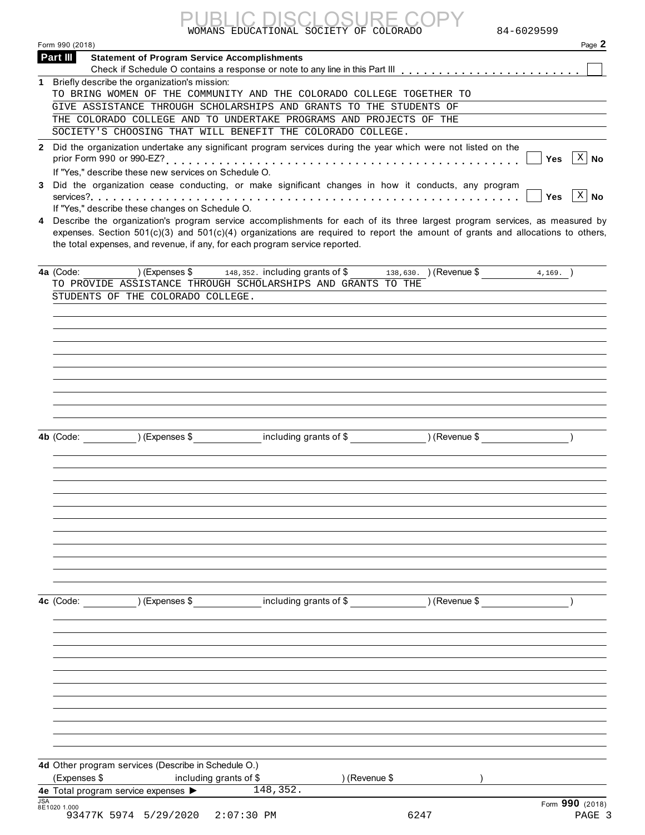| <b>PUBLIC DISCLOSURE COPY</b>          |  |
|----------------------------------------|--|
| WOMANS EDUCATIONAL SOCIETY OF COLORADO |  |

|            | 84-6029599<br>WOMANS EDUCATIONAL SOCIETY OF COLORADO                                                                                                                                                                                                                                                                                                                                             |
|------------|--------------------------------------------------------------------------------------------------------------------------------------------------------------------------------------------------------------------------------------------------------------------------------------------------------------------------------------------------------------------------------------------------|
|            | Page 2<br>Form 990 (2018)                                                                                                                                                                                                                                                                                                                                                                        |
|            | Part III<br><b>Statement of Program Service Accomplishments</b>                                                                                                                                                                                                                                                                                                                                  |
|            | 1 Briefly describe the organization's mission:                                                                                                                                                                                                                                                                                                                                                   |
|            | TO BRING WOMEN OF THE COMMUNITY AND THE COLORADO COLLEGE TOGETHER TO                                                                                                                                                                                                                                                                                                                             |
|            | GIVE ASSISTANCE THROUGH SCHOLARSHIPS AND GRANTS TO THE STUDENTS OF                                                                                                                                                                                                                                                                                                                               |
|            | THE COLORADO COLLEGE AND TO UNDERTAKE PROGRAMS AND PROJECTS OF THE                                                                                                                                                                                                                                                                                                                               |
|            | SOCIETY'S CHOOSING THAT WILL BENEFIT THE COLORADO COLLEGE.                                                                                                                                                                                                                                                                                                                                       |
|            | 2 Did the organization undertake any significant program services during the year which were not listed on the<br>$\overline{\mathbf{x}}$   No<br><b>Yes</b>                                                                                                                                                                                                                                     |
|            | If "Yes," describe these new services on Schedule O.                                                                                                                                                                                                                                                                                                                                             |
|            | 3 Did the organization cease conducting, or make significant changes in how it conducts, any program<br>$X \mid No$<br>Yes                                                                                                                                                                                                                                                                       |
|            | If "Yes," describe these changes on Schedule O.<br>4 Describe the organization's program service accomplishments for each of its three largest program services, as measured by<br>expenses. Section 501(c)(3) and 501(c)(4) organizations are required to report the amount of grants and allocations to others,<br>the total expenses, and revenue, if any, for each program service reported. |
|            | 4a (Code:<br>) (Expenses \$<br>148,352. including grants of \$<br>138,630. ) (Revenue \$<br>4.169.                                                                                                                                                                                                                                                                                               |
|            | TO PROVIDE ASSISTANCE THROUGH SCHOLARSHIPS AND GRANTS TO THE                                                                                                                                                                                                                                                                                                                                     |
|            | STUDENTS OF THE COLORADO COLLEGE.                                                                                                                                                                                                                                                                                                                                                                |
|            |                                                                                                                                                                                                                                                                                                                                                                                                  |
|            |                                                                                                                                                                                                                                                                                                                                                                                                  |
|            |                                                                                                                                                                                                                                                                                                                                                                                                  |
|            |                                                                                                                                                                                                                                                                                                                                                                                                  |
|            |                                                                                                                                                                                                                                                                                                                                                                                                  |
|            |                                                                                                                                                                                                                                                                                                                                                                                                  |
|            |                                                                                                                                                                                                                                                                                                                                                                                                  |
|            |                                                                                                                                                                                                                                                                                                                                                                                                  |
|            |                                                                                                                                                                                                                                                                                                                                                                                                  |
|            |                                                                                                                                                                                                                                                                                                                                                                                                  |
|            | ) (Expenses \$<br>including grants of \$<br>4b (Code:<br>) (Revenue \$                                                                                                                                                                                                                                                                                                                           |
|            |                                                                                                                                                                                                                                                                                                                                                                                                  |
|            |                                                                                                                                                                                                                                                                                                                                                                                                  |
|            |                                                                                                                                                                                                                                                                                                                                                                                                  |
|            |                                                                                                                                                                                                                                                                                                                                                                                                  |
|            |                                                                                                                                                                                                                                                                                                                                                                                                  |
|            |                                                                                                                                                                                                                                                                                                                                                                                                  |
|            |                                                                                                                                                                                                                                                                                                                                                                                                  |
|            |                                                                                                                                                                                                                                                                                                                                                                                                  |
|            |                                                                                                                                                                                                                                                                                                                                                                                                  |
|            |                                                                                                                                                                                                                                                                                                                                                                                                  |
|            |                                                                                                                                                                                                                                                                                                                                                                                                  |
|            |                                                                                                                                                                                                                                                                                                                                                                                                  |
|            | ) (Expenses \$<br>including grants of \$<br>) (Revenue \$<br>4c (Code:                                                                                                                                                                                                                                                                                                                           |
|            |                                                                                                                                                                                                                                                                                                                                                                                                  |
|            |                                                                                                                                                                                                                                                                                                                                                                                                  |
|            |                                                                                                                                                                                                                                                                                                                                                                                                  |
|            |                                                                                                                                                                                                                                                                                                                                                                                                  |
|            |                                                                                                                                                                                                                                                                                                                                                                                                  |
|            |                                                                                                                                                                                                                                                                                                                                                                                                  |
|            |                                                                                                                                                                                                                                                                                                                                                                                                  |
|            |                                                                                                                                                                                                                                                                                                                                                                                                  |
|            |                                                                                                                                                                                                                                                                                                                                                                                                  |
|            |                                                                                                                                                                                                                                                                                                                                                                                                  |
|            |                                                                                                                                                                                                                                                                                                                                                                                                  |
|            |                                                                                                                                                                                                                                                                                                                                                                                                  |
|            | 4d Other program services (Describe in Schedule O.)                                                                                                                                                                                                                                                                                                                                              |
|            | (Expenses \$<br>including grants of \$<br>) (Revenue \$<br>148,352.                                                                                                                                                                                                                                                                                                                              |
| <b>JSA</b> | 4e Total program service expenses >                                                                                                                                                                                                                                                                                                                                                              |
|            | Form 990 (2018)<br>8E1020 1.000                                                                                                                                                                                                                                                                                                                                                                  |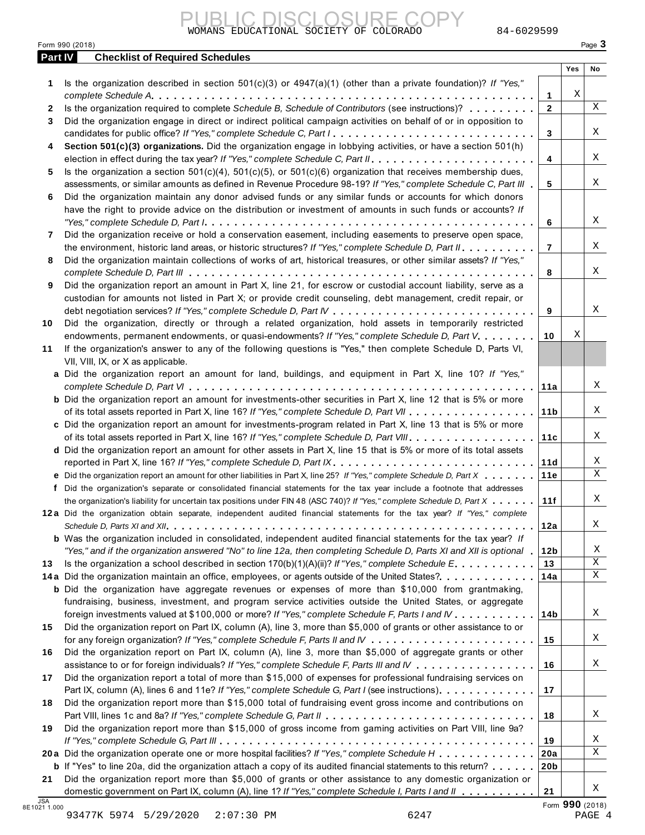|                | WOMANS EDUCATIONAL SOCIETY OF COLORADO<br>84-6029599                                                                                                                                                                                              |                 |     |                          |
|----------------|---------------------------------------------------------------------------------------------------------------------------------------------------------------------------------------------------------------------------------------------------|-----------------|-----|--------------------------|
| <b>Part IV</b> | Form 990 (2018)<br><b>Checklist of Required Schedules</b>                                                                                                                                                                                         |                 |     | Page 3                   |
|                |                                                                                                                                                                                                                                                   |                 | Yes | No                       |
| 1              | Is the organization described in section $501(c)(3)$ or $4947(a)(1)$ (other than a private foundation)? If "Yes,"                                                                                                                                 |                 |     |                          |
|                |                                                                                                                                                                                                                                                   | 1               | Χ   |                          |
| 2              | Is the organization required to complete Schedule B, Schedule of Contributors (see instructions)?                                                                                                                                                 | $\mathbf 2$     |     | $\mathbf X$              |
| 3              | Did the organization engage in direct or indirect political campaign activities on behalf of or in opposition to                                                                                                                                  |                 |     |                          |
|                | candidates for public office? If "Yes," complete Schedule C, Part I                                                                                                                                                                               | 3               |     | Χ                        |
| 4              | Section 501(c)(3) organizations. Did the organization engage in lobbying activities, or have a section 501(h)                                                                                                                                     |                 |     |                          |
|                |                                                                                                                                                                                                                                                   | 4               |     | Χ                        |
| 5              | Is the organization a section $501(c)(4)$ , $501(c)(5)$ , or $501(c)(6)$ organization that receives membership dues,                                                                                                                              |                 |     |                          |
|                | assessments, or similar amounts as defined in Revenue Procedure 98-19? If "Yes," complete Schedule C, Part III                                                                                                                                    | 5               |     | Χ                        |
| 6              | Did the organization maintain any donor advised funds or any similar funds or accounts for which donors                                                                                                                                           |                 |     |                          |
|                | have the right to provide advice on the distribution or investment of amounts in such funds or accounts? If                                                                                                                                       | 6               |     | Χ                        |
| 7              | Did the organization receive or hold a conservation easement, including easements to preserve open space,                                                                                                                                         |                 |     |                          |
|                | the environment, historic land areas, or historic structures? If "Yes," complete Schedule D, Part II.                                                                                                                                             | $\overline{7}$  |     | Χ                        |
| 8              | Did the organization maintain collections of works of art, historical treasures, or other similar assets? If "Yes,"                                                                                                                               |                 |     |                          |
|                |                                                                                                                                                                                                                                                   | 8               |     | Χ                        |
| 9              | Did the organization report an amount in Part X, line 21, for escrow or custodial account liability, serve as a                                                                                                                                   |                 |     |                          |
|                | custodian for amounts not listed in Part X; or provide credit counseling, debt management, credit repair, or                                                                                                                                      |                 |     |                          |
|                |                                                                                                                                                                                                                                                   | 9               |     | Χ                        |
| 10             | Did the organization, directly or through a related organization, hold assets in temporarily restricted                                                                                                                                           |                 |     |                          |
|                | endowments, permanent endowments, or quasi-endowments? If "Yes," complete Schedule D, Part V.                                                                                                                                                     | 10              | Χ   |                          |
| 11             | If the organization's answer to any of the following questions is "Yes," then complete Schedule D, Parts VI,                                                                                                                                      |                 |     |                          |
|                | VII, VIII, IX, or X as applicable.                                                                                                                                                                                                                |                 |     |                          |
|                | a Did the organization report an amount for land, buildings, and equipment in Part X, line 10? If "Yes,"                                                                                                                                          |                 |     |                          |
|                |                                                                                                                                                                                                                                                   | 11a             |     | Χ                        |
|                | <b>b</b> Did the organization report an amount for investments-other securities in Part X, line 12 that is 5% or more                                                                                                                             |                 |     |                          |
|                | of its total assets reported in Part X, line 16? If "Yes," complete Schedule D, Part VII                                                                                                                                                          | 11 <sub>b</sub> |     | Χ                        |
|                | c Did the organization report an amount for investments-program related in Part X, line 13 that is 5% or more                                                                                                                                     |                 |     |                          |
|                | of its total assets reported in Part X, line 16? If "Yes," complete Schedule D, Part VIII                                                                                                                                                         | 11c             |     | X                        |
|                | d Did the organization report an amount for other assets in Part X, line 15 that is 5% or more of its total assets                                                                                                                                |                 |     |                          |
|                | reported in Part X, line 16? If "Yes," complete Schedule D, Part IX.                                                                                                                                                                              | 11d             |     | Χ<br>$\mathbf X$         |
|                | e Did the organization report an amount for other liabilities in Part X, line 25? If "Yes," complete Schedule D, Part X                                                                                                                           | 11e             |     |                          |
|                | f Did the organization's separate or consolidated financial statements for the tax year include a footnote that addresses                                                                                                                         |                 |     | Χ                        |
|                | the organization's liability for uncertain tax positions under FIN 48 (ASC 740)? If "Yes," complete Schedule D, Part X<br>12a Did the organization obtain separate, independent audited financial statements for the tax year? If "Yes," complete | 11f             |     |                          |
|                |                                                                                                                                                                                                                                                   | 12a             |     | Χ                        |
|                | <b>b</b> Was the organization included in consolidated, independent audited financial statements for the tax year? If                                                                                                                             |                 |     |                          |
|                | "Yes," and if the organization answered "No" to line 12a, then completing Schedule D, Parts XI and XII is optional                                                                                                                                | 12 <sub>b</sub> |     | Χ                        |
| 13             | Is the organization a school described in section $170(b)(1)(A)(ii)?$ If "Yes," complete Schedule E.                                                                                                                                              | 13              |     | X                        |
|                | 14a Did the organization maintain an office, employees, or agents outside of the United States?                                                                                                                                                   | 14a             |     | X                        |
|                | <b>b</b> Did the organization have aggregate revenues or expenses of more than \$10,000 from grantmaking,                                                                                                                                         |                 |     |                          |
|                | fundraising, business, investment, and program service activities outside the United States, or aggregate                                                                                                                                         |                 |     |                          |
|                | foreign investments valued at \$100,000 or more? If "Yes," complete Schedule F, Parts I and IV                                                                                                                                                    | 14b             |     | Χ                        |
| 15             | Did the organization report on Part IX, column (A), line 3, more than \$5,000 of grants or other assistance to or                                                                                                                                 |                 |     |                          |
|                |                                                                                                                                                                                                                                                   | 15              |     | Χ                        |
| 16             | Did the organization report on Part IX, column (A), line 3, more than \$5,000 of aggregate grants or other                                                                                                                                        |                 |     |                          |
|                | assistance to or for foreign individuals? If "Yes," complete Schedule F, Parts III and IV                                                                                                                                                         | 16              |     | Χ                        |
| 17             | Did the organization report a total of more than \$15,000 of expenses for professional fundraising services on                                                                                                                                    |                 |     |                          |
|                | Part IX, column (A), lines 6 and 11e? If "Yes," complete Schedule G, Part I (see instructions)                                                                                                                                                    | 17              |     |                          |
| 18             | Did the organization report more than \$15,000 total of fundraising event gross income and contributions on                                                                                                                                       |                 |     |                          |
|                |                                                                                                                                                                                                                                                   | 18              |     | Χ                        |
| 19             | Did the organization report more than \$15,000 of gross income from gaming activities on Part VIII, line 9a?                                                                                                                                      |                 |     |                          |
|                |                                                                                                                                                                                                                                                   | 19              |     | Χ                        |
|                | 20a Did the organization operate one or more hospital facilities? If "Yes," complete Schedule H                                                                                                                                                   | 20a             |     | Χ                        |
|                | <b>b</b> If "Yes" to line 20a, did the organization attach a copy of its audited financial statements to this return?                                                                                                                             | 20 <sub>b</sub> |     |                          |
| 21             | Did the organization report more than \$5,000 of grants or other assistance to any domestic organization or                                                                                                                                       |                 |     | Χ                        |
| <b>JSA</b>     | domestic government on Part IX, column (A), line 1? If "Yes," complete Schedule I, Parts I and II                                                                                                                                                 | 21              |     |                          |
| 021 1.000      | $0.2477x$ 5074 5/20/2020 2:07:20 DM<br>C <sub>2</sub> 17                                                                                                                                                                                          |                 |     | Form 990 (2018)<br>DA CE |

8E1021 1.000 Form **990** (2018) 93477K 5974 5/29/2020 2:07:30 PM 6247 PAGE 4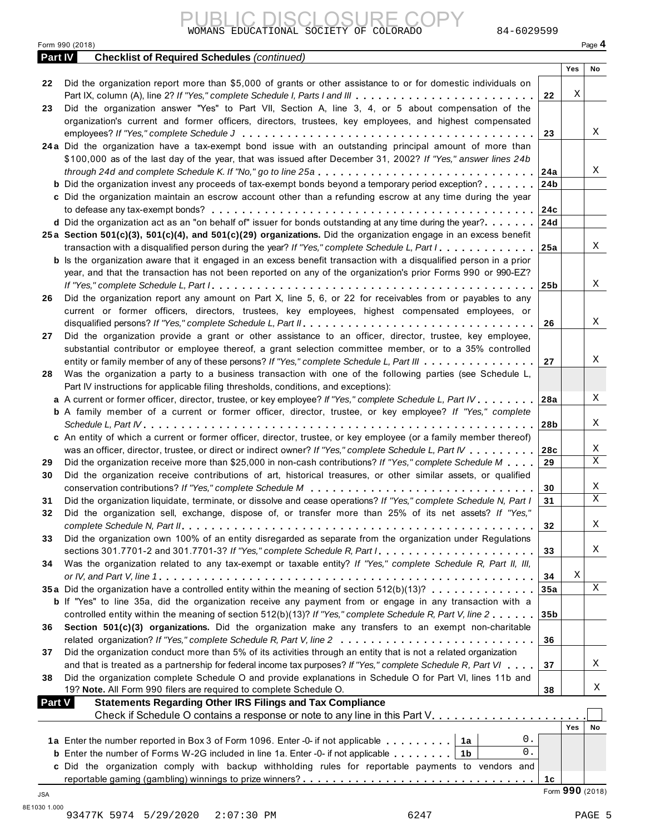|         | Form 990 (2018)                                                                                                             |                 |     | Page 4 |
|---------|-----------------------------------------------------------------------------------------------------------------------------|-----------------|-----|--------|
| Part IV | <b>Checklist of Required Schedules (continued)</b>                                                                          |                 | Yes | No     |
| 22      | Did the organization report more than \$5,000 of grants or other assistance to or for domestic individuals on               |                 |     |        |
|         | Part IX, column (A), line 2? If "Yes," complete Schedule I, Parts I and III                                                 | 22              | Χ   |        |
| 23      | Did the organization answer "Yes" to Part VII, Section A, line 3, 4, or 5 about compensation of the                         |                 |     |        |
|         | organization's current and former officers, directors, trustees, key employees, and highest compensated                     |                 |     |        |
|         |                                                                                                                             | 23              |     | X      |
|         | 24a Did the organization have a tax-exempt bond issue with an outstanding principal amount of more than                     |                 |     |        |
|         | \$100,000 as of the last day of the year, that was issued after December 31, 2002? If "Yes," answer lines 24b               |                 |     |        |
|         | through 24d and complete Schedule K. If "No," go to line 25a $\ldots$ ,                                                     | 24a             |     | Χ      |
|         | <b>b</b> Did the organization invest any proceeds of tax-exempt bonds beyond a temporary period exception?                  | 24b             |     |        |
|         | c Did the organization maintain an escrow account other than a refunding escrow at any time during the year                 |                 |     |        |
|         |                                                                                                                             | 24c             |     |        |
|         | <b>d</b> Did the organization act as an "on behalf of" issuer for bonds outstanding at any time during the year? $\ldots$ , | 24d             |     |        |
|         | 25a Section 501(c)(3), 501(c)(4), and 501(c)(29) organizations. Did the organization engage in an excess benefit            |                 |     |        |
|         | transaction with a disqualified person during the year? If "Yes," complete Schedule L, Part I.                              | 25a             |     | Χ      |
|         | <b>b</b> Is the organization aware that it engaged in an excess benefit transaction with a disqualified person in a prior   |                 |     |        |
|         | year, and that the transaction has not been reported on any of the organization's prior Forms 990 or 990-EZ?                |                 |     |        |
|         |                                                                                                                             | 25 <sub>b</sub> |     | Χ      |
| 26      | Did the organization report any amount on Part X, line 5, 6, or 22 for receivables from or payables to any                  |                 |     |        |
|         | current or former officers, directors, trustees, key employees, highest compensated employees, or                           |                 |     |        |
|         |                                                                                                                             | 26              |     | X      |
| 27      | Did the organization provide a grant or other assistance to an officer, director, trustee, key employee,                    |                 |     |        |
|         | substantial contributor or employee thereof, a grant selection committee member, or to a 35% controlled                     |                 |     |        |
|         | entity or family member of any of these persons? If "Yes," complete Schedule L, Part III                                    | 27              |     | Χ      |
| 28      | Was the organization a party to a business transaction with one of the following parties (see Schedule L,                   |                 |     |        |
|         | Part IV instructions for applicable filing thresholds, conditions, and exceptions):                                         |                 |     |        |
|         | a A current or former officer, director, trustee, or key employee? If "Yes," complete Schedule L, Part IV.                  | 28a             |     | Χ      |
|         | <b>b</b> A family member of a current or former officer, director, trustee, or key employee? If "Yes," complete             |                 |     |        |
|         |                                                                                                                             |                 |     | Χ      |
|         | c An entity of which a current or former officer, director, trustee, or key employee (or a family member thereof)           | 28b             |     |        |
|         |                                                                                                                             |                 |     | X      |
|         | was an officer, director, trustee, or direct or indirect owner? If "Yes," complete Schedule L, Part IV                      | 28c             |     | Χ      |
| 29      | Did the organization receive more than \$25,000 in non-cash contributions? If "Yes," complete Schedule M                    | 29              |     |        |
| 30      | Did the organization receive contributions of art, historical treasures, or other similar assets, or qualified              |                 |     |        |
|         |                                                                                                                             | 30              |     | Χ      |
| 31      | Did the organization liquidate, terminate, or dissolve and cease operations? If "Yes," complete Schedule N, Part I          | 31              |     | Χ      |
| 32      | Did the organization sell, exchange, dispose of, or transfer more than 25% of its net assets? If "Yes,"                     |                 |     |        |
|         |                                                                                                                             | 32              |     | Χ      |
| 33      | Did the organization own 100% of an entity disregarded as separate from the organization under Regulations                  |                 |     |        |
|         | sections 301.7701-2 and 301.7701-3? If "Yes," complete Schedule R, Part /                                                   | 33              |     | Χ      |
| 34      | Was the organization related to any tax-exempt or taxable entity? If "Yes," complete Schedule R, Part II, III,              |                 |     |        |
|         |                                                                                                                             | 34              | Χ   |        |
|         | 35a Did the organization have a controlled entity within the meaning of section $512(b)(13)? \ldots \ldots \ldots \ldots$   | 35a             |     | X      |
|         | <b>b</b> If "Yes" to line 35a, did the organization receive any payment from or engage in any transaction with a            |                 |     |        |
|         | controlled entity within the meaning of section 512(b)(13)? If "Yes," complete Schedule R, Part V, line 2                   | 35 <sub>b</sub> |     |        |
| 36      | Section 501(c)(3) organizations. Did the organization make any transfers to an exempt non-charitable                        |                 |     |        |
|         |                                                                                                                             | 36              |     |        |
| 37      | Did the organization conduct more than 5% of its activities through an entity that is not a related organization            |                 |     |        |
|         | and that is treated as a partnership for federal income tax purposes? If "Yes," complete Schedule R, Part VI                | 37              |     | Χ      |
| 38      | Did the organization complete Schedule O and provide explanations in Schedule O for Part VI, lines 11b and                  |                 |     |        |
|         | 19? Note. All Form 990 filers are required to complete Schedule O.                                                          | 38              |     | X      |
|         | <b>Statements Regarding Other IRS Filings and Tax Compliance</b><br><b>Part V</b>                                           |                 |     |        |
|         | Check if Schedule O contains a response or note to any line in this Part V.                                                 |                 |     |        |
|         |                                                                                                                             |                 | Yes | No     |
|         | 0.<br>1a Enter the number reported in Box 3 of Form 1096. Enter -0- if not applicable $\dots \dots$                         |                 |     |        |
|         | 0.<br><b>b</b> Enter the number of Forms W-2G included in line 1a. Enter -0- if not applicable $\ldots \ldots$   1b         |                 |     |        |
|         | c Did the organization comply with backup withholding rules for reportable payments to vendors and                          |                 |     |        |
|         |                                                                                                                             |                 |     |        |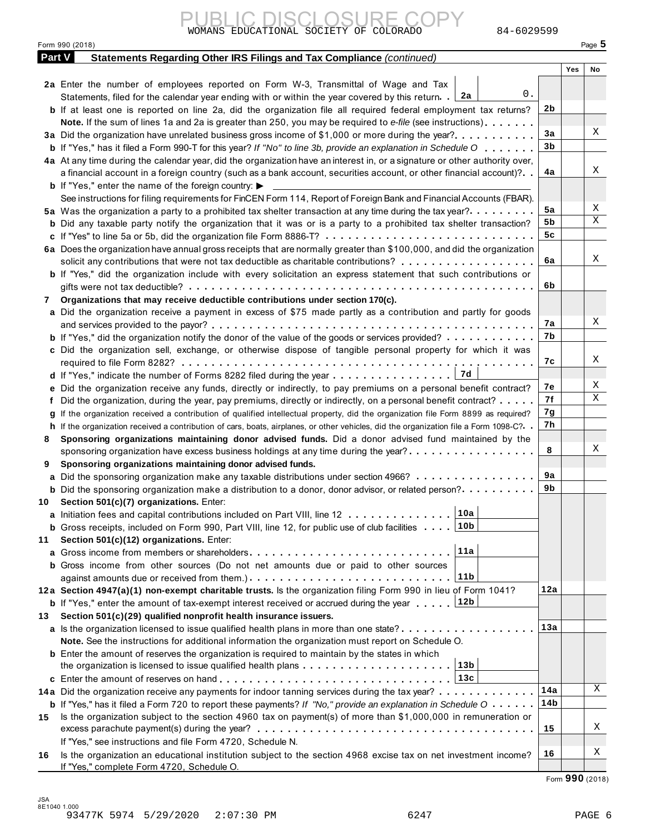| Form 990 (2018)      |                                                                       | $P$ aqe $\sim$ |
|----------------------|-----------------------------------------------------------------------|----------------|
| $D_{\text{out}}$ $M$ | Ctotomonto Bogording Other IDC Eilings and Tay Campliance (continued) |                |

|        | WOMANS EDUCATIONAL SOCIETY OF COLORADO<br>84-6029599                                                                                                                                                                            |                |     |          |
|--------|---------------------------------------------------------------------------------------------------------------------------------------------------------------------------------------------------------------------------------|----------------|-----|----------|
|        | Form 990 (2018)                                                                                                                                                                                                                 |                |     | Page $5$ |
| Part V | Statements Regarding Other IRS Filings and Tax Compliance (continued)                                                                                                                                                           |                |     |          |
|        |                                                                                                                                                                                                                                 |                | Yes | No       |
|        | 2a Enter the number of employees reported on Form W-3, Transmittal of Wage and Tax                                                                                                                                              |                |     |          |
|        | 0.<br>Statements, filed for the calendar year ending with or within the year covered by this return. [2a                                                                                                                        |                |     |          |
|        | <b>b</b> If at least one is reported on line 2a, did the organization file all required federal employment tax returns?                                                                                                         | 2b             |     |          |
|        | Note. If the sum of lines 1a and 2a is greater than 250, you may be required to e-file (see instructions)                                                                                                                       |                |     |          |
|        | 3a Did the organization have unrelated business gross income of \$1,000 or more during the year?                                                                                                                                | 3a             |     | Χ        |
|        | <b>b</b> If "Yes," has it filed a Form 990-T for this year? If "No" to line 3b, provide an explanation in Schedule O                                                                                                            | 3 <sub>b</sub> |     |          |
|        | 4a At any time during the calendar year, did the organization have an interest in, or a signature or other authority over,                                                                                                      |                |     |          |
|        | a financial account in a foreign country (such as a bank account, securities account, or other financial account)?                                                                                                              | 4a             |     | Χ        |
|        | <b>b</b> If "Yes," enter the name of the foreign country: $\blacktriangleright$                                                                                                                                                 |                |     |          |
|        | See instructions for filing requirements for FinCEN Form 114, Report of Foreign Bank and Financial Accounts (FBAR).                                                                                                             |                |     |          |
|        | 5a Was the organization a party to a prohibited tax shelter transaction at any time during the tax year?                                                                                                                        | 5a             |     | X        |
|        | <b>b</b> Did any taxable party notify the organization that it was or is a party to a prohibited tax shelter transaction?                                                                                                       | 5b             |     | Χ        |
|        | c If "Yes" to line 5a or 5b, did the organization file Form 8886-T?                                                                                                                                                             | 5c             |     |          |
|        | 6a Does the organization have annual gross receipts that are normally greater than \$100,000, and did the organization                                                                                                          |                |     |          |
|        | solicit any contributions that were not tax deductible as charitable contributions?                                                                                                                                             | 6a             |     | Χ        |
|        | b If "Yes," did the organization include with every solicitation an express statement that such contributions or                                                                                                                |                |     |          |
|        |                                                                                                                                                                                                                                 | 6b             |     |          |
| 7      | Organizations that may receive deductible contributions under section 170(c).                                                                                                                                                   |                |     |          |
|        | a Did the organization receive a payment in excess of \$75 made partly as a contribution and partly for goods                                                                                                                   |                |     | Χ        |
|        |                                                                                                                                                                                                                                 | 7a             |     |          |
|        | <b>b</b> If "Yes," did the organization notify the donor of the value of the goods or services provided?                                                                                                                        | 7b             |     |          |
|        | c Did the organization sell, exchange, or otherwise dispose of tangible personal property for which it was                                                                                                                      |                |     | X        |
|        |                                                                                                                                                                                                                                 | 7c             |     |          |
|        |                                                                                                                                                                                                                                 | 7e             |     | X        |
|        | Did the organization receive any funds, directly or indirectly, to pay premiums on a personal benefit contract?<br>Did the organization, during the year, pay premiums, directly or indirectly, on a personal benefit contract? | 7f             |     | Χ        |
|        | If the organization received a contribution of qualified intellectual property, did the organization file Form 8899 as required?                                                                                                | 7g             |     |          |
|        | h If the organization received a contribution of cars, boats, airplanes, or other vehicles, did the organization file a Form 1098-C?. .                                                                                         | 7h             |     |          |
| 8      | Sponsoring organizations maintaining donor advised funds. Did a donor advised fund maintained by the                                                                                                                            |                |     |          |
|        | sponsoring organization have excess business holdings at any time during the year?                                                                                                                                              | 8              |     | Χ        |
| 9      | Sponsoring organizations maintaining donor advised funds.                                                                                                                                                                       |                |     |          |
| a      | Did the sponsoring organization make any taxable distributions under section 4966?                                                                                                                                              | 9а             |     |          |
|        | <b>b</b> Did the sponsoring organization make a distribution to a donor, donor advisor, or related person?                                                                                                                      | 9b             |     |          |
| 10     | Section 501(c)(7) organizations. Enter:                                                                                                                                                                                         |                |     |          |
| a      | 10a<br>Initiation fees and capital contributions included on Part VIII, line 12                                                                                                                                                 |                |     |          |
|        | 10 <sub>b</sub><br><b>b</b> Gross receipts, included on Form 990, Part VIII, line 12, for public use of club facilities                                                                                                         |                |     |          |
| 11     | Section 501(c)(12) organizations. Enter:                                                                                                                                                                                        |                |     |          |
| a      | 11a                                                                                                                                                                                                                             |                |     |          |
|        | <b>b</b> Gross income from other sources (Do not net amounts due or paid to other sources                                                                                                                                       |                |     |          |
|        | 11 <sub>b</sub>                                                                                                                                                                                                                 |                |     |          |
|        | 12a Section 4947(a)(1) non-exempt charitable trusts. Is the organization filing Form 990 in lieu of Form 1041?                                                                                                                  | 12a            |     |          |
|        | 12b<br><b>b</b> If "Yes," enter the amount of tax-exempt interest received or accrued during the year                                                                                                                           |                |     |          |
| 13     | Section 501(c)(29) qualified nonprofit health insurance issuers.                                                                                                                                                                |                |     |          |
|        | a Is the organization licensed to issue qualified health plans in more than one state?                                                                                                                                          | 13a            |     |          |
|        | Note. See the instructions for additional information the organization must report on Schedule O.                                                                                                                               |                |     |          |
|        | <b>b</b> Enter the amount of reserves the organization is required to maintain by the states in which<br>13 <sub>b</sub>                                                                                                        |                |     |          |
|        | 13c                                                                                                                                                                                                                             |                |     |          |
|        | 14a Did the organization receive any payments for indoor tanning services during the tax year?                                                                                                                                  | 14a            |     | X        |
|        | <b>b</b> If "Yes," has it filed a Form 720 to report these payments? If "No," provide an explanation in Schedule $0 \cdot \cdot \cdot \cdot$                                                                                    | 14b            |     |          |
| 15     | Is the organization subject to the section 4960 tax on payment(s) of more than \$1,000,000 in remuneration or                                                                                                                   |                |     |          |
|        | excess parachute payment(s) during the year?                                                                                                                                                                                    | 15             |     | Χ        |
|        | If "Yes," see instructions and file Form 4720, Schedule N.                                                                                                                                                                      |                |     |          |
| 16     | Is the organization an educational institution subject to the section 4968 excise tax on net investment income?                                                                                                                 | 16             |     | Χ        |
|        | If "Yes," complete Form 4720, Schedule O.                                                                                                                                                                                       |                |     |          |
|        |                                                                                                                                                                                                                                 |                |     |          |

Form **990** (2018)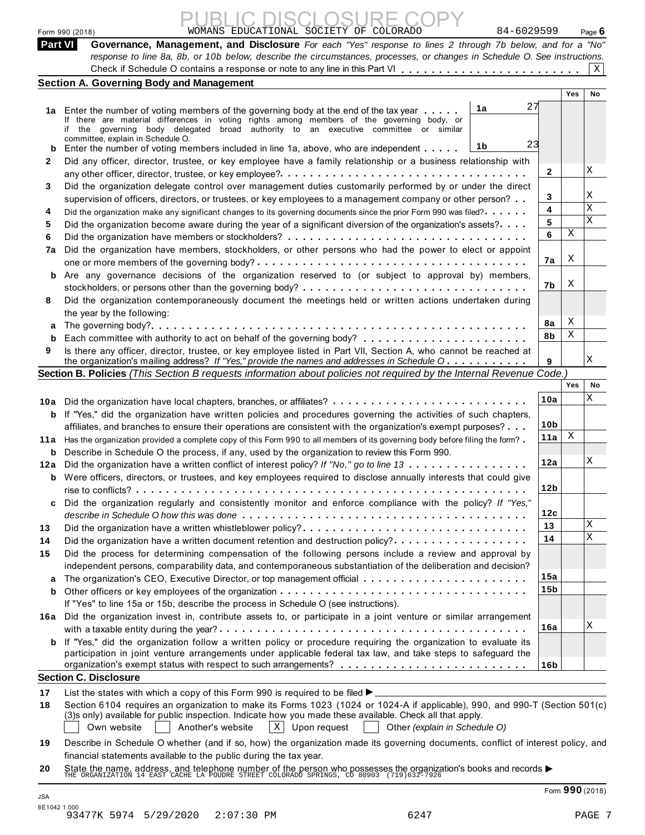|         | WOMANS EDUCATIONAL SOCIETY OF COLORADO<br>84-6029599<br>Form 990 (2018)                                                                                                                                                                 |                 |     | Page $6$ |
|---------|-----------------------------------------------------------------------------------------------------------------------------------------------------------------------------------------------------------------------------------------|-----------------|-----|----------|
| Part VI | Governance, Management, and Disclosure For each "Yes" response to lines 2 through 7b below, and for a "No"<br>response to line 8a, 8b, or 10b below, describe the circumstances, processes, or changes in Schedule O. See instructions. |                 |     |          |
|         |                                                                                                                                                                                                                                         |                 |     | X        |
|         | <b>Section A. Governing Body and Management</b>                                                                                                                                                                                         |                 |     |          |
|         |                                                                                                                                                                                                                                         |                 | Yes | No       |
|         | 27<br>1a<br>1a Enter the number of voting members of the governing body at the end of the tax year                                                                                                                                      |                 |     |          |
|         | If there are material differences in voting rights among members of the governing body, or                                                                                                                                              |                 |     |          |
|         | if the governing body delegated broad authority to an executive committee or similar<br>committee, explain in Schedule O.                                                                                                               |                 |     |          |
| b       | 23<br>1b<br>Enter the number of voting members included in line 1a, above, who are independent                                                                                                                                          |                 |     |          |
| 2       | Did any officer, director, trustee, or key employee have a family relationship or a business relationship with                                                                                                                          |                 |     |          |
|         |                                                                                                                                                                                                                                         | 2               |     | X        |
| 3       | Did the organization delegate control over management duties customarily performed by or under the direct                                                                                                                               |                 |     |          |
|         | supervision of officers, directors, or trustees, or key employees to a management company or other person?                                                                                                                              | 3               |     | Χ        |
| 4       | Did the organization make any significant changes to its governing documents since the prior Form 990 was filed?                                                                                                                        | 4               |     | X        |
| 5       | Did the organization become aware during the year of a significant diversion of the organization's assets?                                                                                                                              | 5               |     | X        |
| 6       |                                                                                                                                                                                                                                         | 6               | Χ   |          |
| 7a      | Did the organization have members, stockholders, or other persons who had the power to elect or appoint                                                                                                                                 |                 |     |          |
|         |                                                                                                                                                                                                                                         | 7a              | Χ   |          |
| b       | Are any governance decisions of the organization reserved to (or subject to approval by) members,                                                                                                                                       |                 |     |          |
|         |                                                                                                                                                                                                                                         | 7b              | Χ   |          |
| 8       | Did the organization contemporaneously document the meetings held or written actions undertaken during                                                                                                                                  |                 |     |          |
|         | the year by the following:                                                                                                                                                                                                              |                 | Χ   |          |
| а       |                                                                                                                                                                                                                                         | 8a<br>8b        | Χ   |          |
| b       |                                                                                                                                                                                                                                         |                 |     |          |
| 9       | Is there any officer, director, trustee, or key employee listed in Part VII, Section A, who cannot be reached at<br>the organization's mailing address? If "Yes," provide the names and addresses in Schedule O                         | 9               |     | Χ        |
|         | Section B. Policies (This Section B requests information about policies not required by the Internal Revenue Code.)                                                                                                                     |                 |     |          |
|         |                                                                                                                                                                                                                                         |                 | Yes | No       |
|         |                                                                                                                                                                                                                                         | 10a             |     | Χ        |
|         | 10a Did the organization have local chapters, branches, or affiliates?<br><b>b</b> If "Yes," did the organization have written policies and procedures governing the activities of such chapters,                                       |                 |     |          |
|         | affiliates, and branches to ensure their operations are consistent with the organization's exempt purposes?                                                                                                                             | 10 <sub>b</sub> |     |          |
|         | 11a Has the organization provided a complete copy of this Form 990 to all members of its governing body before filing the form?                                                                                                         | 11a             | Χ   |          |
|         | <b>b</b> Describe in Schedule O the process, if any, used by the organization to review this Form 990.                                                                                                                                  |                 |     |          |
|         | 12a Did the organization have a written conflict of interest policy? If "No," go to line 13                                                                                                                                             | 12a             |     | X        |
|         | <b>b</b> Were officers, directors, or trustees, and key employees required to disclose annually interests that could give                                                                                                               |                 |     |          |
|         |                                                                                                                                                                                                                                         | 12 <sub>b</sub> |     |          |
| c       | Did the organization regularly and consistently monitor and enforce compliance with the policy? If "Yes,"                                                                                                                               |                 |     |          |
|         |                                                                                                                                                                                                                                         | 12с             |     |          |
| 13      | Did the organization have a written whistleblower policy?                                                                                                                                                                               | 13              |     | Χ        |
| 14      | Did the organization have a written document retention and destruction policy?                                                                                                                                                          | 14              |     | Χ        |
| 15      | Did the process for determining compensation of the following persons include a review and approval by                                                                                                                                  |                 |     |          |
|         | independent persons, comparability data, and contemporaneous substantiation of the deliberation and decision?                                                                                                                           |                 |     |          |
| a       |                                                                                                                                                                                                                                         | 15a             |     |          |
| b       |                                                                                                                                                                                                                                         | 15 <sub>b</sub> |     |          |
|         | If "Yes" to line 15a or 15b, describe the process in Schedule O (see instructions).                                                                                                                                                     |                 |     |          |
|         | 16a Did the organization invest in, contribute assets to, or participate in a joint venture or similar arrangement                                                                                                                      |                 |     |          |
|         |                                                                                                                                                                                                                                         | 16a             |     | Χ        |
|         | If "Yes," did the organization follow a written policy or procedure requiring the organization to evaluate its                                                                                                                          |                 |     |          |
| b       |                                                                                                                                                                                                                                         |                 |     |          |
|         | participation in joint venture arrangements under applicable federal tax law, and take steps to safeguard the                                                                                                                           |                 |     |          |
|         |                                                                                                                                                                                                                                         | 16b             |     |          |
|         | <b>Section C. Disclosure</b>                                                                                                                                                                                                            |                 |     |          |
| 17      | List the states with which a copy of this Form 990 is required to be filed $\blacktriangleright$                                                                                                                                        |                 |     |          |
| 18      | Section 6104 requires an organization to make its Forms 1023 (1024 or 1024-A if applicable), 990, and 990-T (Section 501(c)                                                                                                             |                 |     |          |
|         | (3)s only) available for public inspection. Indicate how you made these available. Check all that apply.                                                                                                                                |                 |     |          |
|         | $ X $ Upon request<br>$\vert$ Other (explain in Schedule O)<br>Own website<br>Another's website                                                                                                                                         |                 |     |          |
| 19      | Describe in Schedule O whether (and if so, how) the organization made its governing documents, conflict of interest policy, and<br>financial statements available to the public during the tax year.                                    |                 |     |          |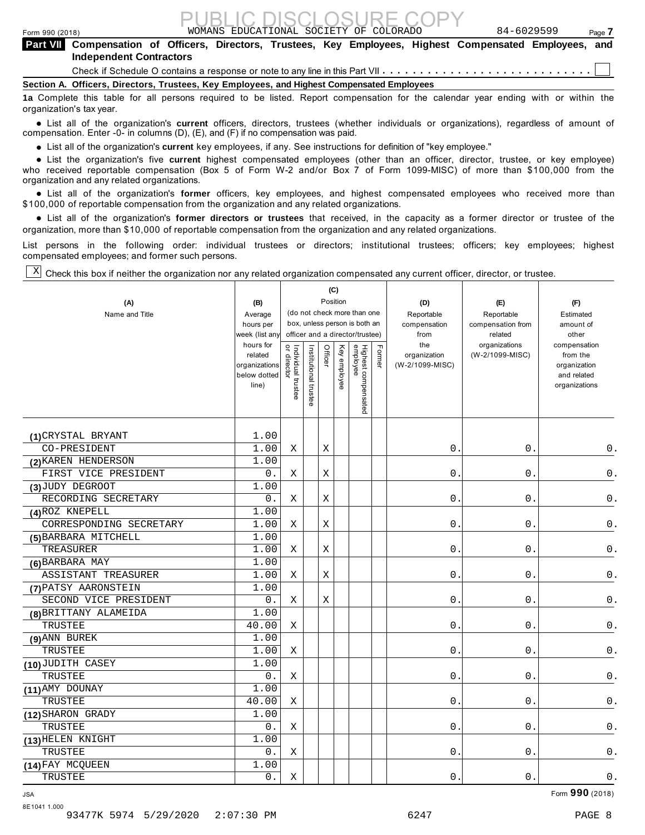| Form 990 (2018)                                                                                                                             |  |  |  |  | <b>PUBLIC DISCLOSURE COPY</b><br>WOMANS EDUCATIONAL SOCIETY OF COLORADO |  | 84-6029599 |  | Page 7   |  |
|---------------------------------------------------------------------------------------------------------------------------------------------|--|--|--|--|-------------------------------------------------------------------------|--|------------|--|----------|--|
| Part VII Compensation of Officers, Directors, Trustees, Key Employees, Highest Compensated Employees, and<br><b>Independent Contractors</b> |  |  |  |  |                                                                         |  |            |  |          |  |
|                                                                                                                                             |  |  |  |  |                                                                         |  |            |  |          |  |
| Section A. Officers, Directors, Trustees, Key Employees, and Highest Compensated Employees                                                  |  |  |  |  |                                                                         |  |            |  |          |  |
|                                                                                                                                             |  |  |  |  |                                                                         |  | $\cdots$   |  | $\cdots$ |  |

**1a** Complete this table for all persons required to be listed. Report compensation for the calendar year ending with or within the organization's tax year.

anization's lax year.<br>● List all of the organization's **current** officers, directors, trustees (whether individuals or organizations), regardless of amount of<br>nnensation Enter -0- in columns (D) (E) and (E) if no compensa compensation. Enter -0- in columns (D), (E), and (F) if no compensation was paid.

**■** List all of the organization's **current** key employees, if any. See instructions for definition of "key employee."<br>■ List the experimetiscle five evenent birbed expressed explores (other than an efficer director t

**Example in the organization's current** key employees, if any, see instructions for definition of key employee.<br>• List the organization's five **current** highest compensated employees (other than an officer, director, trust who received reportable compensation (Box 5 of Form W-2 and/or Box 7 of Form 1099-MISC) of more than \$100,000 from the

organization and any related organizations.<br>● List all of the organization's **former** officers, key employees, and highest compensated employees who received more than<br>\$1.00,000 of reportable componention from the erganiz \$100,000 of reportable compensation from the organization and any related organizations.

% List all of the organization's **former directors or trustees** that received, in the capacity as a former director or trustee of the organization, more than \$10,000 of reportable compensation from the organization and any related organizations.

List persons in the following order: individual trustees or directors; institutional trustees; officers; key employees; highest compensated employees; and former such persons.

Check this box if neither the organization nor any related organization compensated any current officer, director, or trustee. X

| (A)<br>Name and Title   | (B)<br>Average<br>hours per<br>week (list any<br>hours for<br>related<br>organizations<br>below dotted<br>line) | Individual trustee<br>or director | Institutional trustee | Position<br>Officer | (C)<br>Key employee | (do not check more than one<br>box, unless person is both an<br>officer and a director/trustee)<br>Highest compensated<br>employee | Former | (D)<br>Reportable<br>compensation<br>from<br>the<br>organization<br>(W-2/1099-MISC) | (E)<br>Reportable<br>compensation from<br>related<br>organizations<br>(W-2/1099-MISC) | (F)<br>Estimated<br>amount of<br>other<br>compensation<br>from the<br>organization<br>and related<br>organizations |
|-------------------------|-----------------------------------------------------------------------------------------------------------------|-----------------------------------|-----------------------|---------------------|---------------------|------------------------------------------------------------------------------------------------------------------------------------|--------|-------------------------------------------------------------------------------------|---------------------------------------------------------------------------------------|--------------------------------------------------------------------------------------------------------------------|
| (1) CRYSTAL BRYANT      | 1.00                                                                                                            |                                   |                       |                     |                     |                                                                                                                                    |        |                                                                                     |                                                                                       |                                                                                                                    |
| CO-PRESIDENT            | 1.00                                                                                                            | Χ                                 |                       | Χ                   |                     |                                                                                                                                    |        | 0.                                                                                  | $\boldsymbol{0}$ .                                                                    | 0.                                                                                                                 |
| (2) KAREN HENDERSON     | 1.00                                                                                                            |                                   |                       |                     |                     |                                                                                                                                    |        |                                                                                     |                                                                                       |                                                                                                                    |
| FIRST VICE PRESIDENT    | 0.                                                                                                              | Χ                                 |                       | Χ                   |                     |                                                                                                                                    |        | $0$ .                                                                               | $0$ .                                                                                 | $\mathsf 0$ .                                                                                                      |
| (3) JUDY DEGROOT        | 1.00                                                                                                            |                                   |                       |                     |                     |                                                                                                                                    |        |                                                                                     |                                                                                       |                                                                                                                    |
| RECORDING SECRETARY     | $0$ .                                                                                                           | Χ                                 |                       | Χ                   |                     |                                                                                                                                    |        | $0$ .                                                                               | $0$ .                                                                                 | $\mathsf 0$ .                                                                                                      |
| (4) ROZ KNEPELL         | 1.00                                                                                                            |                                   |                       |                     |                     |                                                                                                                                    |        |                                                                                     |                                                                                       |                                                                                                                    |
| CORRESPONDING SECRETARY | 1.00                                                                                                            | Χ                                 |                       | X                   |                     |                                                                                                                                    |        | $0$ .                                                                               | $0$ .                                                                                 | $\mathsf 0$ .                                                                                                      |
| (5) BARBARA MITCHELL    | 1.00                                                                                                            |                                   |                       |                     |                     |                                                                                                                                    |        |                                                                                     |                                                                                       |                                                                                                                    |
| TREASURER               | 1.00                                                                                                            | Χ                                 |                       | Χ                   |                     |                                                                                                                                    |        | О.                                                                                  | $\boldsymbol{0}$ .                                                                    | $\mathsf 0$ .                                                                                                      |
| (6) BARBARA MAY         | 1.00                                                                                                            |                                   |                       |                     |                     |                                                                                                                                    |        |                                                                                     |                                                                                       |                                                                                                                    |
| ASSISTANT TREASURER     | 1.00                                                                                                            | Χ                                 |                       | Х                   |                     |                                                                                                                                    |        | $0$ .                                                                               | 0.                                                                                    | 0.                                                                                                                 |
| (7) PATSY AARONSTEIN    | 1.00                                                                                                            |                                   |                       |                     |                     |                                                                                                                                    |        |                                                                                     |                                                                                       |                                                                                                                    |
| SECOND VICE PRESIDENT   | 0.                                                                                                              | Χ                                 |                       | Χ                   |                     |                                                                                                                                    |        | 0.                                                                                  | 0.                                                                                    | $0$ .                                                                                                              |
| (8) BRITTANY ALAMEIDA   | 1.00                                                                                                            |                                   |                       |                     |                     |                                                                                                                                    |        |                                                                                     |                                                                                       |                                                                                                                    |
| TRUSTEE                 | 40.00                                                                                                           | Χ                                 |                       |                     |                     |                                                                                                                                    |        | $\mathsf{O}$ .                                                                      | 0.                                                                                    | $\mathsf 0$ .                                                                                                      |
| (9) ANN BUREK           | 1.00                                                                                                            |                                   |                       |                     |                     |                                                                                                                                    |        |                                                                                     |                                                                                       |                                                                                                                    |
| TRUSTEE                 | 1.00                                                                                                            | $\mathbf X$                       |                       |                     |                     |                                                                                                                                    |        | $\mathsf{O}$ .                                                                      | $0$ .                                                                                 | $0$ .                                                                                                              |
| (10) JUDITH CASEY       | 1.00                                                                                                            |                                   |                       |                     |                     |                                                                                                                                    |        |                                                                                     |                                                                                       |                                                                                                                    |
| TRUSTEE                 | $0$ .                                                                                                           | Χ                                 |                       |                     |                     |                                                                                                                                    |        | $0$ .                                                                               | $0$ .                                                                                 | $0$ .                                                                                                              |
| (11) AMY DOUNAY         | 1.00                                                                                                            |                                   |                       |                     |                     |                                                                                                                                    |        |                                                                                     |                                                                                       |                                                                                                                    |
| TRUSTEE                 | 40.00                                                                                                           | Χ                                 |                       |                     |                     |                                                                                                                                    |        | 0.                                                                                  | 0.                                                                                    | $0$ .                                                                                                              |
| (12) SHARON GRADY       | 1.00                                                                                                            |                                   |                       |                     |                     |                                                                                                                                    |        |                                                                                     |                                                                                       |                                                                                                                    |
| TRUSTEE                 | 0.                                                                                                              | Χ                                 |                       |                     |                     |                                                                                                                                    |        | 0.                                                                                  | $0$ .                                                                                 | 0.                                                                                                                 |
| (13) HELEN KNIGHT       | 1.00                                                                                                            |                                   |                       |                     |                     |                                                                                                                                    |        |                                                                                     |                                                                                       |                                                                                                                    |
| TRUSTEE                 | $0$ .                                                                                                           | Χ                                 |                       |                     |                     |                                                                                                                                    |        | $0$ .                                                                               | $0$ .                                                                                 | $\mathsf 0$ .                                                                                                      |
| (14) FAY MCQUEEN        | 1.00                                                                                                            |                                   |                       |                     |                     |                                                                                                                                    |        |                                                                                     |                                                                                       |                                                                                                                    |
| TRUSTEE                 | 0.                                                                                                              | Χ                                 |                       |                     |                     |                                                                                                                                    |        | $0$ .                                                                               | $0$ .                                                                                 | $0$ .                                                                                                              |

 $\blacksquare$  Form  $\mathbf{990}$  (2018)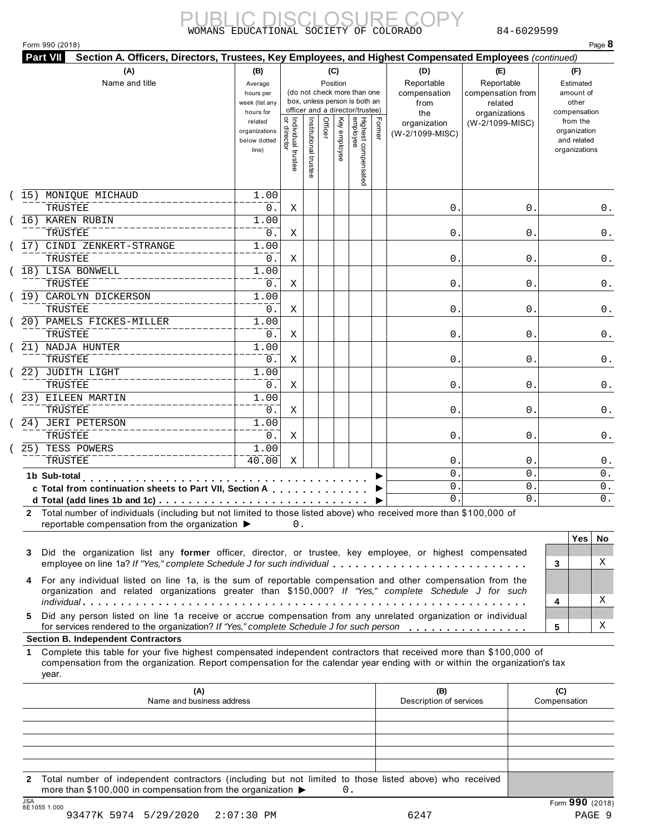#### Form 990 (2018) Page **8**

| (A)                                                     | (B)                           |                                           |                       |          | (C)          |                                 |        | (D)              | (E)               | (F)                         |
|---------------------------------------------------------|-------------------------------|-------------------------------------------|-----------------------|----------|--------------|---------------------------------|--------|------------------|-------------------|-----------------------------|
| Name and title                                          |                               |                                           |                       | Position |              |                                 |        | Reportable       | Reportable        | Estimated                   |
|                                                         | Average<br>hours per          |                                           |                       |          |              | (do not check more than one     |        | compensation     | compensation from | amount of                   |
|                                                         | week (list any                |                                           |                       |          |              | box, unless person is both an   |        | from             | related           | other                       |
|                                                         | hours for                     |                                           |                       |          |              | officer and a director/trustee) |        | the              | organizations     | compensation                |
|                                                         | related                       | <br>  Individual trustee<br>  or direct-- |                       | Officer  | Key employee |                                 | Former | organization     | (W-2/1099-MISC)   | from the                    |
|                                                         | organizations<br>below dotted |                                           |                       |          |              |                                 |        | (W-2/1099-MISC)  |                   | organization<br>and related |
|                                                         | line)                         |                                           |                       |          |              |                                 |        |                  |                   | organizations               |
|                                                         |                               |                                           |                       |          |              |                                 |        |                  |                   |                             |
|                                                         |                               |                                           | Institutional trustee |          |              | Highest compensated<br>employee |        |                  |                   |                             |
| 15) MONIQUE MICHAUD                                     | 1.00                          |                                           |                       |          |              |                                 |        |                  |                   |                             |
| TRUSTEE                                                 | 0.                            | Χ                                         |                       |          |              |                                 |        | 0.               | $\mathsf{O}$ .    | 0.                          |
| (16) KAREN RUBIN                                        | 1.00                          |                                           |                       |          |              |                                 |        |                  |                   |                             |
| TRUSTEE                                                 | 0.                            | Χ                                         |                       |          |              |                                 |        | 0.               | $\mathsf{O}$ .    | 0.                          |
| CINDI ZENKERT-STRANGE<br>17)                            | 1.00                          |                                           |                       |          |              |                                 |        |                  |                   |                             |
| TRUSTEE                                                 | 0.                            | X                                         |                       |          |              |                                 |        | $\overline{0}$ . | 0                 | $0$ .                       |
| 18) LISA BONWELL                                        | 1.00                          |                                           |                       |          |              |                                 |        |                  |                   |                             |
| TRUSTEE                                                 | 0.                            | Χ                                         |                       |          |              |                                 |        | 0.               | 0                 | 0.                          |
| CAROLYN DICKERSON<br>19)                                | 1.00                          |                                           |                       |          |              |                                 |        |                  |                   |                             |
| TRUSTEE                                                 | 0.                            | Χ                                         |                       |          |              |                                 |        | 0.               | 0.                | 0.                          |
| 20) PAMELS FICKES-MILLER                                | 1.00                          |                                           |                       |          |              |                                 |        |                  |                   |                             |
| TRUSTEE                                                 | 0.                            | $\mathbf X$                               |                       |          |              |                                 |        | 0.               | 0.                | 0.                          |
| 21) NADJA HUNTER                                        | 1.00                          |                                           |                       |          |              |                                 |        |                  |                   |                             |
| TRUSTEE                                                 | 0.                            | Χ                                         |                       |          |              |                                 |        | $0$ .            | 0                 | 0.                          |
| (22) JUDITH LIGHT                                       | 1.00                          |                                           |                       |          |              |                                 |        |                  |                   |                             |
| TRUSTEE                                                 | 0.                            | X                                         |                       |          |              |                                 |        | 0.               | $\mathsf{O}$ .    | 0.                          |
| 23) EILEEN MARTIN                                       | 1.00                          |                                           |                       |          |              |                                 |        |                  |                   |                             |
| TRUSTEE                                                 | $0$ .                         | Χ                                         |                       |          |              |                                 |        | 0.               | $\mathsf{O}$ .    | 0.                          |
| 24) JERI PETERSON                                       | 1.00                          |                                           |                       |          |              |                                 |        |                  |                   |                             |
| TRUSTEE                                                 | 0.                            | Χ                                         |                       |          |              |                                 |        | 0.               | 0                 | $0$ .                       |
| $\overline{25)}$<br>TESS POWERS                         | 1.00                          |                                           |                       |          |              |                                 |        |                  |                   |                             |
| TRUSTEE                                                 | 40.00                         | Χ                                         |                       |          |              |                                 |        | $\mathsf{O}$ .   | 0                 | 0.                          |
| 1b Sub-total<br>.                                       |                               |                                           |                       |          |              |                                 |        | $\overline{0}$ . | $\Omega$ .        | 0.                          |
| c Total from continuation sheets to Part VII, Section A |                               |                                           |                       |          |              |                                 |        | $0$ .            | $\mathsf{O}$ .    | $\overline{0}$ .            |
|                                                         |                               |                                           |                       |          |              |                                 |        | 0.               | $\Omega$ .        | $0$ .                       |

|             | C Total from continuation sheets to Part VII, Section A $\ldots$ , $\ldots$<br>ັ.<br>ັ.                                                                                                                                |   |          |                           |  |  |  |
|-------------|------------------------------------------------------------------------------------------------------------------------------------------------------------------------------------------------------------------------|---|----------|---------------------------|--|--|--|
|             |                                                                                                                                                                                                                        |   |          | $\Omega$                  |  |  |  |
| $2^{\circ}$ | Total number of individuals (including but not limited to those listed above) who received more than \$100,000 of<br>reportable compensation from the organization $\blacktriangleright$                               |   |          |                           |  |  |  |
|             |                                                                                                                                                                                                                        |   | Yes   Nc |                           |  |  |  |
|             | 3 Did the organization list any former officer, director, or trustee, key employee, or highest compensated                                                                                                             |   |          |                           |  |  |  |
|             | employee on line 1a? If "Yes," complete Schedule J for such individual                                                                                                                                                 |   |          |                           |  |  |  |
|             | 4 For any individual listed on line 1a, is the sum of reportable compensation and other compensation from the<br>organization and related organizations greater than \$150,000? If "Yes," complete Schedule J for such |   |          |                           |  |  |  |
|             |                                                                                                                                                                                                                        | 4 |          | $\boldsymbol{\mathrm{X}}$ |  |  |  |
|             | 5 Did any person listed on line 1a receive or accrue compensation from any unrelated organization or individual                                                                                                        |   |          |                           |  |  |  |
|             | for services rendered to the organization? If "Yes," complete Schedule J for such person                                                                                                                               | 5 |          | $\boldsymbol{\mathrm{X}}$ |  |  |  |
|             | <b>Section B. Independent Contractors</b>                                                                                                                                                                              |   |          |                           |  |  |  |
|             |                                                                                                                                                                                                                        |   |          |                           |  |  |  |

### **Section B. Independent Contractors**

**1** Complete this table for your five highest compensated independent contractors that received more than \$100,000 of compensation from the organization. Report compensation for the calendar year ending with or within the organization's tax year.

|     | (A)<br>Name and business address                                                                                                                                                            | (B)<br>Description of services | (C)<br>Compensation |
|-----|---------------------------------------------------------------------------------------------------------------------------------------------------------------------------------------------|--------------------------------|---------------------|
|     |                                                                                                                                                                                             |                                |                     |
|     |                                                                                                                                                                                             |                                |                     |
|     |                                                                                                                                                                                             |                                |                     |
|     |                                                                                                                                                                                             |                                |                     |
|     |                                                                                                                                                                                             |                                |                     |
|     | 2 Total number of independent contractors (including but not limited to those listed above) who received<br>more than \$100,000 in compensation from the organization $\blacktriangleright$ |                                |                     |
| 10A |                                                                                                                                                                                             |                                | $\sim$ $\sim$       |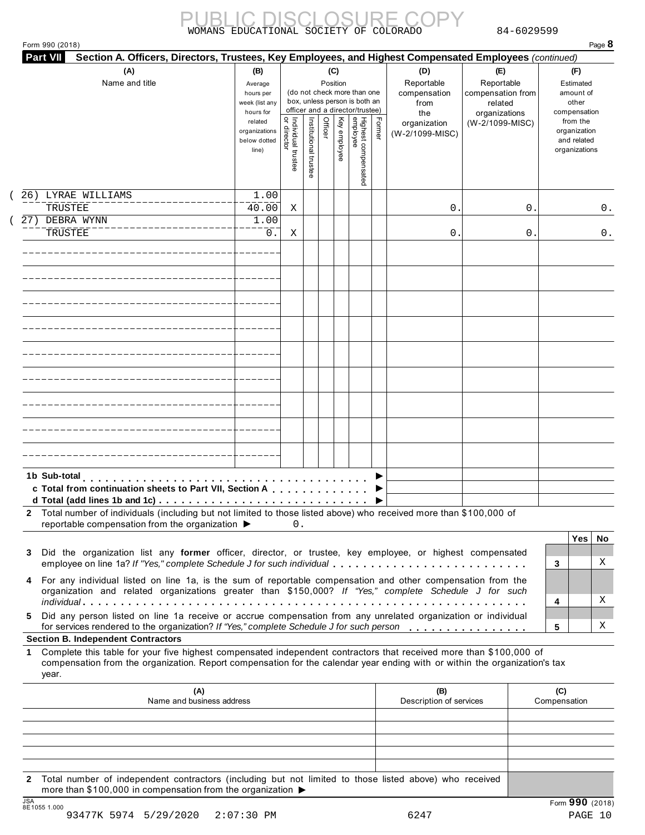|  |  | Form 990 (2018) |  |
|--|--|-----------------|--|
|--|--|-----------------|--|

| (A)<br>Name and title                                                                                                                                                                                                                                                                                       | (B)<br>Average<br>hours per<br>week (list any<br>hours for |                                   |                       |         |              | (C)<br>(D)<br>(E)<br>Reportable<br>Reportable<br>Position<br>(do not check more than one<br>compensation<br>compensation from<br>box, unless person is both an<br>from<br>related<br>officer and a director/trustee)<br>organizations<br>the |        |                                 |                 |                                                          |  |
|-------------------------------------------------------------------------------------------------------------------------------------------------------------------------------------------------------------------------------------------------------------------------------------------------------------|------------------------------------------------------------|-----------------------------------|-----------------------|---------|--------------|----------------------------------------------------------------------------------------------------------------------------------------------------------------------------------------------------------------------------------------------|--------|---------------------------------|-----------------|----------------------------------------------------------|--|
|                                                                                                                                                                                                                                                                                                             | related<br>organizations<br>below dotted<br>line)          | Individual trustee<br>or director | Institutional trustee | Officer | Key employee | Highest compensated<br>employee                                                                                                                                                                                                              | Former | organization<br>(W-2/1099-MISC) | (W-2/1099-MISC) | from the<br>organization<br>and related<br>organizations |  |
| LYRAE WILLIAMS<br>26)                                                                                                                                                                                                                                                                                       | 1.00                                                       |                                   |                       |         |              |                                                                                                                                                                                                                                              |        |                                 |                 |                                                          |  |
| TRUSTEE                                                                                                                                                                                                                                                                                                     | 40.00                                                      | Χ                                 |                       |         |              |                                                                                                                                                                                                                                              |        | 0                               | 0               | 0.                                                       |  |
| 27) DEBRA WYNN<br>TRUSTEE                                                                                                                                                                                                                                                                                   | 1.00<br>0.                                                 | Χ                                 |                       |         |              |                                                                                                                                                                                                                                              |        | 0                               | 0               | 0.                                                       |  |
|                                                                                                                                                                                                                                                                                                             |                                                            |                                   |                       |         |              |                                                                                                                                                                                                                                              |        |                                 |                 |                                                          |  |
|                                                                                                                                                                                                                                                                                                             |                                                            |                                   |                       |         |              |                                                                                                                                                                                                                                              |        |                                 |                 |                                                          |  |
|                                                                                                                                                                                                                                                                                                             |                                                            |                                   |                       |         |              |                                                                                                                                                                                                                                              |        |                                 |                 |                                                          |  |
|                                                                                                                                                                                                                                                                                                             |                                                            |                                   |                       |         |              |                                                                                                                                                                                                                                              |        |                                 |                 |                                                          |  |
|                                                                                                                                                                                                                                                                                                             |                                                            |                                   |                       |         |              |                                                                                                                                                                                                                                              |        |                                 |                 |                                                          |  |
|                                                                                                                                                                                                                                                                                                             |                                                            |                                   |                       |         |              |                                                                                                                                                                                                                                              |        |                                 |                 |                                                          |  |
|                                                                                                                                                                                                                                                                                                             |                                                            |                                   |                       |         |              |                                                                                                                                                                                                                                              |        |                                 |                 |                                                          |  |
| 1b Sub-total<br>c Total from continuation sheets to Part VII, Section A                                                                                                                                                                                                                                     |                                                            |                                   |                       |         |              |                                                                                                                                                                                                                                              |        |                                 |                 |                                                          |  |
| 2 Total number of individuals (including but not limited to those listed above) who received more than \$100,000 of<br>reportable compensation from the organization ▶                                                                                                                                      |                                                            | 0.                                |                       |         |              |                                                                                                                                                                                                                                              |        |                                 |                 |                                                          |  |
| Did the organization list any former officer, director, or trustee, key employee, or highest compensated<br>3<br>employee on line 1a? If "Yes," complete Schedule J for such individual                                                                                                                     |                                                            |                                   |                       |         |              |                                                                                                                                                                                                                                              |        |                                 |                 | Yes<br>No.<br>X<br>3                                     |  |
| For any individual listed on line 1a, is the sum of reportable compensation and other compensation from the<br>4<br>organization and related organizations greater than \$150,000? If "Yes," complete Schedule J for such                                                                                   |                                                            |                                   |                       |         |              |                                                                                                                                                                                                                                              |        |                                 |                 | X<br>4                                                   |  |
| Did any person listed on line 1a receive or accrue compensation from any unrelated organization or individual<br>5.<br>for services rendered to the organization? If "Yes," complete Schedule J for such person                                                                                             |                                                            |                                   |                       |         |              |                                                                                                                                                                                                                                              |        |                                 |                 | Χ<br>5                                                   |  |
| <b>Section B. Independent Contractors</b><br>Complete this table for your five highest compensated independent contractors that received more than \$100,000 of<br>1<br>compensation from the organization. Report compensation for the calendar year ending with or within the organization's tax<br>year. |                                                            |                                   |                       |         |              |                                                                                                                                                                                                                                              |        |                                 |                 |                                                          |  |
|                                                                                                                                                                                                                                                                                                             |                                                            |                                   |                       |         |              |                                                                                                                                                                                                                                              |        | (B)<br>Description of services  |                 | (C)<br>Compensation                                      |  |
| (A)<br>Name and business address                                                                                                                                                                                                                                                                            |                                                            |                                   |                       |         |              |                                                                                                                                                                                                                                              |        |                                 |                 |                                                          |  |
|                                                                                                                                                                                                                                                                                                             |                                                            |                                   |                       |         |              |                                                                                                                                                                                                                                              |        |                                 |                 |                                                          |  |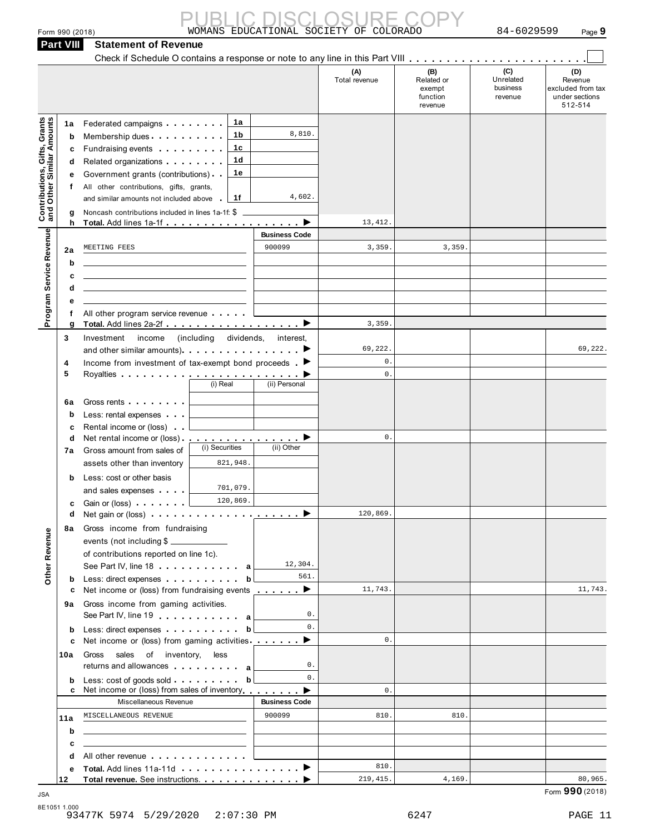|                                                           | Form 990 (2018)<br><b>Part VIII</b>   | <b>Statement of Revenue</b>                                                                                                                                                                                                                                                                                                                                                                                                                                                                                                                               |                                | WOMANS EDUCATIONAL SOCIETY OF COLORADO      |                                                    | 84-6029599                              | Page 9                                                           |
|-----------------------------------------------------------|---------------------------------------|-----------------------------------------------------------------------------------------------------------------------------------------------------------------------------------------------------------------------------------------------------------------------------------------------------------------------------------------------------------------------------------------------------------------------------------------------------------------------------------------------------------------------------------------------------------|--------------------------------|---------------------------------------------|----------------------------------------------------|-----------------------------------------|------------------------------------------------------------------|
|                                                           |                                       |                                                                                                                                                                                                                                                                                                                                                                                                                                                                                                                                                           |                                |                                             |                                                    |                                         |                                                                  |
|                                                           |                                       |                                                                                                                                                                                                                                                                                                                                                                                                                                                                                                                                                           |                                | (A)<br>Total revenue                        | (B)<br>Related or<br>exempt<br>function<br>revenue | (C)<br>Unrelated<br>business<br>revenue | (D)<br>Revenue<br>excluded from tax<br>under sections<br>512-514 |
| Contributions, Gifts, Grants<br>and Other Similar Amounts | 1a<br>b<br>c<br>d<br>е<br>f<br>g<br>h | 1a<br>Federated campaigns <b>Federated</b><br>1b<br>Membership dues<br>1c<br>Fundraising events <b>Fundraising</b><br>1d<br>Related organizations <b>contains</b> and the relations and the relations of the relations of the relations of the relations of the relations of the relations of the relations of the relations of the relations of the relations<br>1e<br>Government grants (contributions)<br>All other contributions, gifts, grants,<br>1f<br>and similar amounts not included above<br>Noncash contributions included in lines 1a-1f: \$ | 8,810.<br>4,602.               | 13, 412.                                    |                                                    |                                         |                                                                  |
|                                                           |                                       | MEETING FEES                                                                                                                                                                                                                                                                                                                                                                                                                                                                                                                                              | <b>Business Code</b><br>900099 | 3,359                                       | 3,359                                              |                                         |                                                                  |
| Program Service Revenue                                   | 2a<br>b                               |                                                                                                                                                                                                                                                                                                                                                                                                                                                                                                                                                           |                                |                                             |                                                    |                                         |                                                                  |
|                                                           | c                                     | the control of the control of the control of the control of the control of the control of                                                                                                                                                                                                                                                                                                                                                                                                                                                                 |                                |                                             |                                                    |                                         |                                                                  |
|                                                           | d                                     | <u> 1989 - Johann Stein, mars an deutscher Stein († 1958)</u>                                                                                                                                                                                                                                                                                                                                                                                                                                                                                             |                                |                                             |                                                    |                                         |                                                                  |
|                                                           | е                                     |                                                                                                                                                                                                                                                                                                                                                                                                                                                                                                                                                           |                                |                                             |                                                    |                                         |                                                                  |
|                                                           | f<br>g                                | All other program service revenue<br>Total. Add lines 2a-2f ▶                                                                                                                                                                                                                                                                                                                                                                                                                                                                                             |                                | 3,359                                       |                                                    |                                         |                                                                  |
|                                                           | 3<br>4<br>5                           | dividends,<br>Investment<br>(including)<br>income<br>and other similar amounts) example and other similar amounts).<br>Income from investment of tax-exempt bond proceeds $\blacksquare$<br>(i) Real                                                                                                                                                                                                                                                                                                                                                      | interest,<br>(ii) Personal     | 69,222.<br>$\mathsf{0}$ .<br>$\mathbf{0}$ . |                                                    |                                         | 69,222.                                                          |
|                                                           | 6a<br>b<br>c<br>d<br>7a               | Gross rents <b>Container and Container</b><br>Less: rental expenses<br>Rental income or (loss)<br>Net rental income or (loss) ▶<br>(i) Securities<br>Gross amount from sales of                                                                                                                                                                                                                                                                                                                                                                           | (ii) Other                     | $\mathsf{0}$ .                              |                                                    |                                         |                                                                  |
|                                                           | b<br>c<br>d                           | 821,948.<br>assets other than inventory<br>Less: cost or other basis<br>701,079.<br>and sales expenses<br>120,869.<br>Gain or (loss) [<br>Net gain or (loss) $\cdots$ $\cdots$ $\cdots$ $\cdots$ $\cdots$ $\cdots$ $\cdots$                                                                                                                                                                                                                                                                                                                               |                                | 120,869.                                    |                                                    |                                         |                                                                  |
|                                                           | 8а                                    | Gross income from fundraising                                                                                                                                                                                                                                                                                                                                                                                                                                                                                                                             |                                |                                             |                                                    |                                         |                                                                  |
| Other Revenue                                             | b                                     | events (not including \$<br>of contributions reported on line 1c).<br>See Part IV, line 18 a<br>Less: direct expenses extension of the state of the state of the state of the state of the state of the state of the state of the state of the state of the state of the state of the state of the state of the state of the s<br>b                                                                                                                                                                                                                       | 12,304.<br>561.                |                                             |                                                    |                                         |                                                                  |
|                                                           | c                                     | Net income or (loss) from fundraising events <u>example</u> by between the between the between the between the between the between the between the between the between the between the between the between the between the between                                                                                                                                                                                                                                                                                                                        |                                | 11,743.                                     |                                                    |                                         | 11,743.                                                          |
|                                                           | 9a                                    | Gross income from gaming activities.<br>See Part IV, line 19 expansion and a                                                                                                                                                                                                                                                                                                                                                                                                                                                                              | 0.                             |                                             |                                                    |                                         |                                                                  |
|                                                           | b                                     | Less: direct expenses extending the state of the state of the state of the state of the state of the state of the state of the state of the state of the state of the state of the state of the state of the state of the stat<br>b                                                                                                                                                                                                                                                                                                                       | 0.                             | 0.                                          |                                                    |                                         |                                                                  |
|                                                           | c<br>10a                              | Net income or (loss) from gaming activities ________ ▶<br>sales of inventory, less<br>Gross                                                                                                                                                                                                                                                                                                                                                                                                                                                               | 0.                             |                                             |                                                    |                                         |                                                                  |
|                                                           | b<br>c                                | Less: cost of goods sold expression of the solution<br>b<br>Net income or (loss) from sales of inventory  ■                                                                                                                                                                                                                                                                                                                                                                                                                                               | $\mathbf{0}$ .                 | $\mathbf{0}$ .                              |                                                    |                                         |                                                                  |
|                                                           |                                       | Miscellaneous Revenue                                                                                                                                                                                                                                                                                                                                                                                                                                                                                                                                     | <b>Business Code</b>           |                                             |                                                    |                                         |                                                                  |
|                                                           | 11a                                   | MISCELLANEOUS REVENUE                                                                                                                                                                                                                                                                                                                                                                                                                                                                                                                                     | 900099                         | 810.                                        | 810.                                               |                                         |                                                                  |
|                                                           | b                                     | <u> 1989 - Johann Barn, mars ann an t-Amhain ann an t-Amhain an t-Amhain an t-Amhain an t-Amhain an t-Amhain an t-</u>                                                                                                                                                                                                                                                                                                                                                                                                                                    |                                |                                             |                                                    |                                         |                                                                  |
|                                                           | с                                     | <u> 1989 - John Stein, mars and de Brazilia (b. 1989)</u>                                                                                                                                                                                                                                                                                                                                                                                                                                                                                                 |                                |                                             |                                                    |                                         |                                                                  |
|                                                           | d<br>е                                | All other revenue experience and the set of the set of the set of the set of the set of the set of the set of<br>Total. Add lines 11a-11d ▶                                                                                                                                                                                                                                                                                                                                                                                                               |                                | 810.                                        |                                                    |                                         |                                                                  |
|                                                           | 12                                    | Total revenue. See instructions. ▶                                                                                                                                                                                                                                                                                                                                                                                                                                                                                                                        |                                | 219, 415.                                   | 4,169.                                             |                                         | 80,965.                                                          |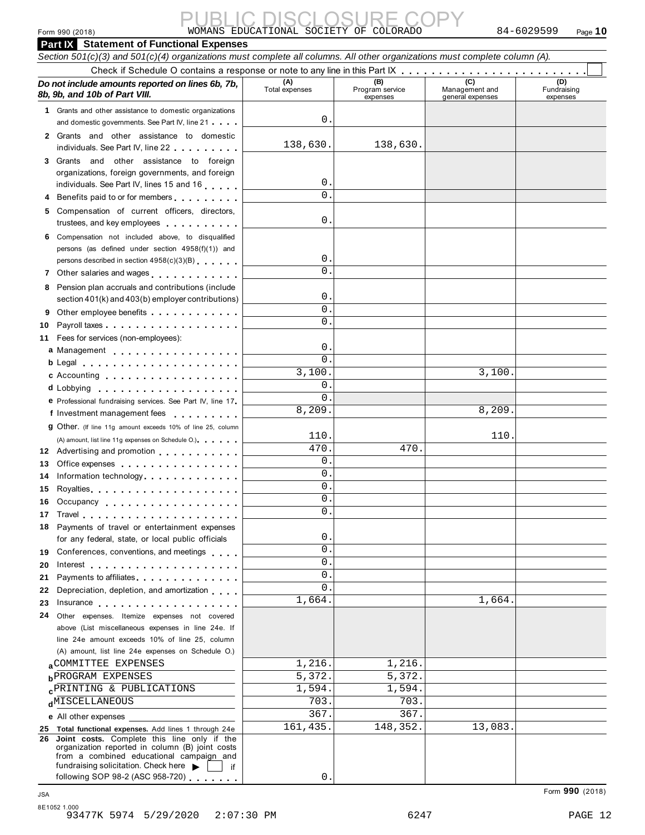# Form 990 (2018) Page **10** WOMANS EDUCATIONAL SOCIETY OF COLORADO 84-6029599 PUBLIC DISCLOSURE COPY

|            | Form 990 (2018)                                                                                                                                                                                                               | WOMANS EDUCATIONAL SOCIETY OF COLORADO |                                    |                                           | 84-6029599<br>Page $10$        |
|------------|-------------------------------------------------------------------------------------------------------------------------------------------------------------------------------------------------------------------------------|----------------------------------------|------------------------------------|-------------------------------------------|--------------------------------|
|            | <b>Part IX Statement of Functional Expenses</b>                                                                                                                                                                               |                                        |                                    |                                           |                                |
|            | Section 501(c)(3) and 501(c)(4) organizations must complete all columns. All other organizations must complete column (A).                                                                                                    |                                        |                                    |                                           |                                |
|            |                                                                                                                                                                                                                               |                                        |                                    |                                           |                                |
|            | Do not include amounts reported on lines 6b, 7b,<br>8b, 9b, and 10b of Part VIII.                                                                                                                                             | (A)<br>Total expenses                  | (B)<br>Program service<br>expenses | (C)<br>Management and<br>general expenses | (D)<br>Fundraising<br>expenses |
|            | 1 Grants and other assistance to domestic organizations                                                                                                                                                                       |                                        |                                    |                                           |                                |
|            | and domestic governments. See Part IV, line 21                                                                                                                                                                                | О.                                     |                                    |                                           |                                |
|            | 2 Grants and other assistance to domestic<br>individuals. See Part IV, line 22                                                                                                                                                | 138,630.                               | 138,630.                           |                                           |                                |
|            | 3 Grants and other assistance to foreign                                                                                                                                                                                      |                                        |                                    |                                           |                                |
|            | organizations, foreign governments, and foreign                                                                                                                                                                               |                                        |                                    |                                           |                                |
|            | individuals. See Part IV, lines 15 and 16                                                                                                                                                                                     | $\mathsf{0}$ .                         |                                    |                                           |                                |
|            | 4 Benefits paid to or for members                                                                                                                                                                                             | $\Omega$ .                             |                                    |                                           |                                |
|            | 5 Compensation of current officers, directors,<br>trustees, and key employees with a state of the state of                                                                                                                    | 0.                                     |                                    |                                           |                                |
|            | 6 Compensation not included above, to disqualified                                                                                                                                                                            |                                        |                                    |                                           |                                |
|            | persons (as defined under section 4958(f)(1)) and                                                                                                                                                                             |                                        |                                    |                                           |                                |
|            | persons described in section 4958(c)(3)(B)                                                                                                                                                                                    | 0.                                     |                                    |                                           |                                |
|            |                                                                                                                                                                                                                               | $\Omega$ .                             |                                    |                                           |                                |
|            | 8 Pension plan accruals and contributions (include                                                                                                                                                                            |                                        |                                    |                                           |                                |
|            | section 401(k) and 403(b) employer contributions)                                                                                                                                                                             | О.                                     |                                    |                                           |                                |
| 9          | Other employee benefits                                                                                                                                                                                                       | $\mathbf 0$ .                          |                                    |                                           |                                |
| 10         |                                                                                                                                                                                                                               | 0.                                     |                                    |                                           |                                |
| 11         | Fees for services (non-employees):                                                                                                                                                                                            |                                        |                                    |                                           |                                |
|            | a Management experience and a management                                                                                                                                                                                      | 0.                                     |                                    |                                           |                                |
|            | $b$ Legal $\ldots$ , $\ldots$ , $\ldots$ , $\ldots$ , $\ldots$ , $\ldots$                                                                                                                                                     | $\Omega$ .                             |                                    |                                           |                                |
|            | <b>c</b> Accounting <b>c</b> Accounting                                                                                                                                                                                       | 3,100.                                 |                                    | 3,100.                                    |                                |
|            |                                                                                                                                                                                                                               | $\mathbf 0$ .                          |                                    |                                           |                                |
|            | e Professional fundraising services. See Part IV, line 17                                                                                                                                                                     | $\mathbf{0}$                           |                                    |                                           |                                |
|            | f Investment management fees                                                                                                                                                                                                  | 8,209.                                 |                                    | 8,209.                                    |                                |
|            | 9 Other. (If line 11g amount exceeds 10% of line 25, column                                                                                                                                                                   |                                        |                                    |                                           |                                |
|            | (A) amount, list line 11g expenses on Schedule O.) expenses                                                                                                                                                                   | 110.                                   |                                    | 110                                       |                                |
|            | 12 Advertising and promotion                                                                                                                                                                                                  | 470                                    | 470                                |                                           |                                |
|            | 13 Office expenses                                                                                                                                                                                                            | $\mathbf{0}$ .                         |                                    |                                           |                                |
|            | 14 Information technology                                                                                                                                                                                                     | 0.                                     |                                    |                                           |                                |
| 15         | Royalties                                                                                                                                                                                                                     | 0.                                     |                                    |                                           |                                |
| 16         | Occupancy                                                                                                                                                                                                                     | 0.                                     |                                    |                                           |                                |
| 17         |                                                                                                                                                                                                                               | 0.                                     |                                    |                                           |                                |
|            | 18 Payments of travel or entertainment expenses                                                                                                                                                                               |                                        |                                    |                                           |                                |
|            | for any federal, state, or local public officials                                                                                                                                                                             | О.                                     |                                    |                                           |                                |
| 19         | Conferences, conventions, and meetings                                                                                                                                                                                        | 0.                                     |                                    |                                           |                                |
| 20         | Interest $\cdots$ , $\cdots$ , $\cdots$ , $\cdots$ , $\cdots$ , $\cdots$                                                                                                                                                      | 0.                                     |                                    |                                           |                                |
| 21         | Payments to affiliates entertainment of the state of the state of the state of the state of the state of the state of the state of the state of the state of the state of the state of the state of the state of the state of | 0.                                     |                                    |                                           |                                |
| 22         | Depreciation, depletion, and amortization                                                                                                                                                                                     | 0.                                     |                                    |                                           |                                |
| 23         | Insurance                                                                                                                                                                                                                     | 1,664.                                 |                                    | 1,664.                                    |                                |
| 24         | Other expenses. Itemize expenses not covered                                                                                                                                                                                  |                                        |                                    |                                           |                                |
|            | above (List miscellaneous expenses in line 24e. If                                                                                                                                                                            |                                        |                                    |                                           |                                |
|            | line 24e amount exceeds 10% of line 25, column                                                                                                                                                                                |                                        |                                    |                                           |                                |
|            | (A) amount, list line 24e expenses on Schedule O.)                                                                                                                                                                            |                                        |                                    |                                           |                                |
|            | <b>ACOMMITTEE EXPENSES</b>                                                                                                                                                                                                    | 1,216.                                 | 1,216.                             |                                           |                                |
|            | <b>b</b> PROGRAM EXPENSES                                                                                                                                                                                                     | 5,372.                                 | 5,372.                             |                                           |                                |
|            | <b>CPRINTING &amp; PUBLICATIONS</b>                                                                                                                                                                                           | 1,594.                                 | 1,594.                             |                                           |                                |
|            | dMISCELLANEOUS                                                                                                                                                                                                                | 703.                                   | 703                                |                                           |                                |
|            | e All other expenses                                                                                                                                                                                                          | 367.                                   | 367.                               |                                           |                                |
|            | 25 Total functional expenses. Add lines 1 through 24e<br>26 Joint costs. Complete this line only if the                                                                                                                       | 161,435.                               | 148,352.                           | 13,083.                                   |                                |
|            | organization reported in column (B) joint costs                                                                                                                                                                               |                                        |                                    |                                           |                                |
|            | from a combined educational campaign and                                                                                                                                                                                      |                                        |                                    |                                           |                                |
|            | fundraising solicitation. Check here<br>if.<br>following SOP 98-2 (ASC 958-720)                                                                                                                                               | 0.                                     |                                    |                                           |                                |
|            |                                                                                                                                                                                                                               |                                        |                                    |                                           |                                |
| <b>JSA</b> |                                                                                                                                                                                                                               |                                        |                                    |                                           | Form 990 (2018)                |

8E1052 1.000 93477K 5974 5/29/2020 2:07:30 PM 6247 PAGE 12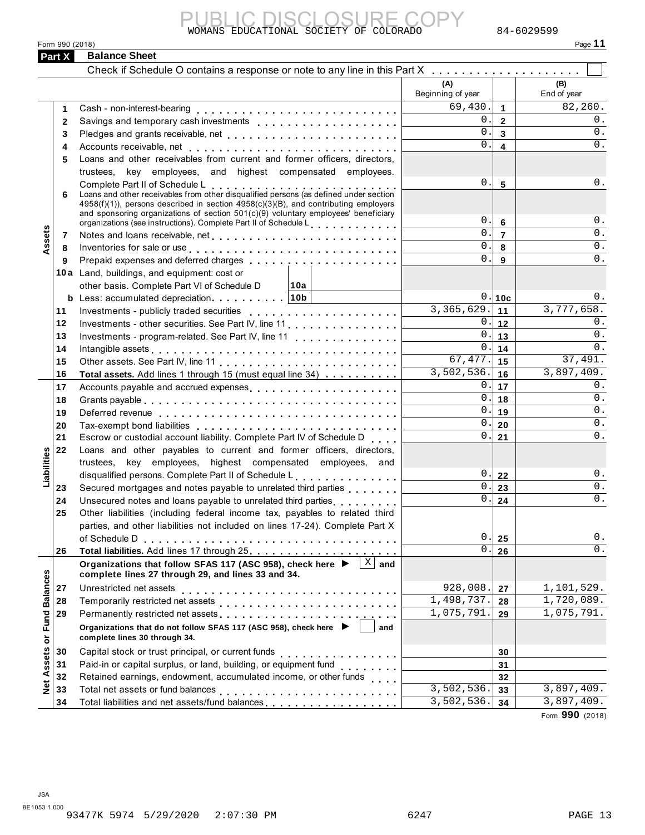

Form 990 (2018) **Part X** Balance Sheet

|--|

|                      |                           | WOMANS EDUCATIONAL SOCIETY OF COLORADO                                                                                                                                                                                                                                                                |                          |                                  | 84-6029599         |
|----------------------|---------------------------|-------------------------------------------------------------------------------------------------------------------------------------------------------------------------------------------------------------------------------------------------------------------------------------------------------|--------------------------|----------------------------------|--------------------|
|                      | Form 990 (2018)<br>Part X | <b>Balance Sheet</b>                                                                                                                                                                                                                                                                                  |                          |                                  | Page 11            |
|                      |                           |                                                                                                                                                                                                                                                                                                       |                          |                                  |                    |
|                      |                           | Check if Schedule O contains a response or note to any line in this Part X                                                                                                                                                                                                                            |                          |                                  |                    |
|                      |                           |                                                                                                                                                                                                                                                                                                       | (A)<br>Beginning of year |                                  | (B)<br>End of year |
|                      | 1                         | Cash - non-interest-bearing                                                                                                                                                                                                                                                                           | 69,430.                  | $\mathbf{1}$                     | 82,260.            |
|                      | 2                         |                                                                                                                                                                                                                                                                                                       | 0.1                      | $\overline{2}$                   | 0.                 |
|                      | 3                         |                                                                                                                                                                                                                                                                                                       | $0$ .                    | $\overline{\mathbf{3}}$          | $0$ .              |
|                      | 4                         |                                                                                                                                                                                                                                                                                                       | $0$ .                    | $\overline{\mathbf{4}}$          | $0$ .              |
|                      | 5                         | Loans and other receivables from current and former officers, directors,                                                                                                                                                                                                                              |                          |                                  |                    |
|                      |                           | trustees, key employees, and highest compensated employees.                                                                                                                                                                                                                                           |                          |                                  |                    |
|                      |                           | Complete Part II of Schedule L                                                                                                                                                                                                                                                                        | 0.                       | 5                                | 0.                 |
|                      | 6                         | Complete Part II of Scriequie L<br>Loans and other receivables from other disqualified persons (as defined under section<br>4958(f)(1)), persons described in section 4958(c)(3)(B), and contributing employers<br>and sponsoring organizations of section 501(c)(9) voluntary employees' beneficiary | 0.                       |                                  | $0$ .              |
|                      |                           | organizations (see instructions). Complete Part II of Schedule L.                                                                                                                                                                                                                                     | $0$ .                    | $6\phantom{1}$<br>$\overline{7}$ | $0$ .              |
| Assets               | 7                         |                                                                                                                                                                                                                                                                                                       | 0.                       | 8                                | $0$ .              |
|                      | 8<br>9                    | Inventories for sale or use enterpreteral enterpreteral enterpreteral enterpreteral enterpreteral enterpreteral<br>Prepaid expenses and deferred charges                                                                                                                                              | 0.                       | 9                                | $0$ .              |
|                      |                           | 10a Land, buildings, and equipment: cost or                                                                                                                                                                                                                                                           |                          |                                  |                    |
|                      |                           | other basis. Complete Part VI of Schedule D<br>∣10a                                                                                                                                                                                                                                                   |                          |                                  |                    |
|                      |                           | <b>b</b> Less: accumulated depreciation   10b                                                                                                                                                                                                                                                         |                          | 0.10c                            | 0.                 |
|                      | 11                        | Investments - publicly traded securities                                                                                                                                                                                                                                                              | 3,365,629.               | 11                               | 3,777,658.         |
|                      | 12                        | Investments - other securities. See Part IV, line 11.                                                                                                                                                                                                                                                 |                          | 0.112                            | $0$ .              |
|                      | 13                        | Investments - program-related. See Part IV, line 11                                                                                                                                                                                                                                                   | 0.1                      | 13                               | $0$ .              |
|                      | 14                        |                                                                                                                                                                                                                                                                                                       | 0.1                      | 14                               | $0$ .              |
|                      | 15                        |                                                                                                                                                                                                                                                                                                       | 67, 477.                 | 15                               | 37,491.            |
|                      | 16                        | Total assets. Add lines 1 through 15 (must equal line 34)                                                                                                                                                                                                                                             | $\overline{3,502,536}$ . | 16                               | 3,897,409.         |
|                      | 17                        |                                                                                                                                                                                                                                                                                                       |                          | $0$ $\vert$ 17                   | $0$ .              |
|                      | 18                        |                                                                                                                                                                                                                                                                                                       | 0.1                      | 18                               | $0$ .              |
|                      | 19                        |                                                                                                                                                                                                                                                                                                       |                          | $0.1$ 19                         | 0.                 |
|                      | 20                        |                                                                                                                                                                                                                                                                                                       | 0.                       | 20                               | $0$ .              |
|                      | 21                        | Escrow or custodial account liability. Complete Part IV of Schedule D                                                                                                                                                                                                                                 | $0$ .                    | 21                               | $0$ .              |
| lities               | 22                        | Loans and other payables to current and former officers, directors,                                                                                                                                                                                                                                   |                          |                                  |                    |
|                      |                           | trustees, key employees, highest compensated employees, and                                                                                                                                                                                                                                           |                          |                                  |                    |
| Liabil               |                           | disqualified persons. Complete Part II of Schedule L.                                                                                                                                                                                                                                                 | 0.                       | 22                               | $0$ .              |
|                      | 23                        | Secured mortgages and notes payable to unrelated third parties                                                                                                                                                                                                                                        | 0.                       | 23                               | $\mathsf 0$ .      |
|                      | 24                        | Unsecured notes and loans payable to unrelated third parties                                                                                                                                                                                                                                          | 0.1                      | 24                               | 0.                 |
|                      | 25                        | Other liabilities (including federal income tax, payables to related third                                                                                                                                                                                                                            |                          |                                  |                    |
|                      |                           | parties, and other liabilities not included on lines 17-24). Complete Part X                                                                                                                                                                                                                          |                          |                                  |                    |
|                      |                           |                                                                                                                                                                                                                                                                                                       | $0$ .                    | 25                               | $0$ .              |
|                      | 26                        |                                                                                                                                                                                                                                                                                                       | 0.                       | 26                               | $0$ .              |
|                      |                           | Organizations that follow SFAS 117 (ASC 958), check here ▶<br>X<br>and<br>complete lines 27 through 29, and lines 33 and 34.                                                                                                                                                                          |                          |                                  |                    |
|                      | 27                        | Unrestricted net assets                                                                                                                                                                                                                                                                               | 928,008.                 | 27                               | 1,101,529.         |
|                      | 28                        |                                                                                                                                                                                                                                                                                                       | 1,498,737.               | 28                               | 1,720,089.         |
| <b>Fund Balances</b> | 29                        |                                                                                                                                                                                                                                                                                                       | 1,075,791.               | 29                               | 1,075,791.         |
|                      |                           | Organizations that do not follow SFAS 117 (ASC 958), check here ▶<br>and                                                                                                                                                                                                                              |                          |                                  |                    |
| $\bf \bar o$         |                           | complete lines 30 through 34.                                                                                                                                                                                                                                                                         |                          |                                  |                    |
|                      | 30                        | Capital stock or trust principal, or current funds<br>.                                                                                                                                                                                                                                               |                          | 30                               |                    |
| <b>Net Assets</b>    | 31                        | Paid-in or capital surplus, or land, building, or equipment fund                                                                                                                                                                                                                                      |                          | 31                               |                    |
|                      | 32                        | Retained earnings, endowment, accumulated income, or other funds<br>                                                                                                                                                                                                                                  |                          | 32                               |                    |
|                      | 33                        | Total net assets or fund balances                                                                                                                                                                                                                                                                     | 3,502,536.               | 33                               | 3,897,409.         |
|                      | 34                        | Total liabilities and net assets/fund balances                                                                                                                                                                                                                                                        | 3,502,536.               | 34                               | 3,897,409.         |
|                      |                           |                                                                                                                                                                                                                                                                                                       |                          |                                  | Form 990 (2018)    |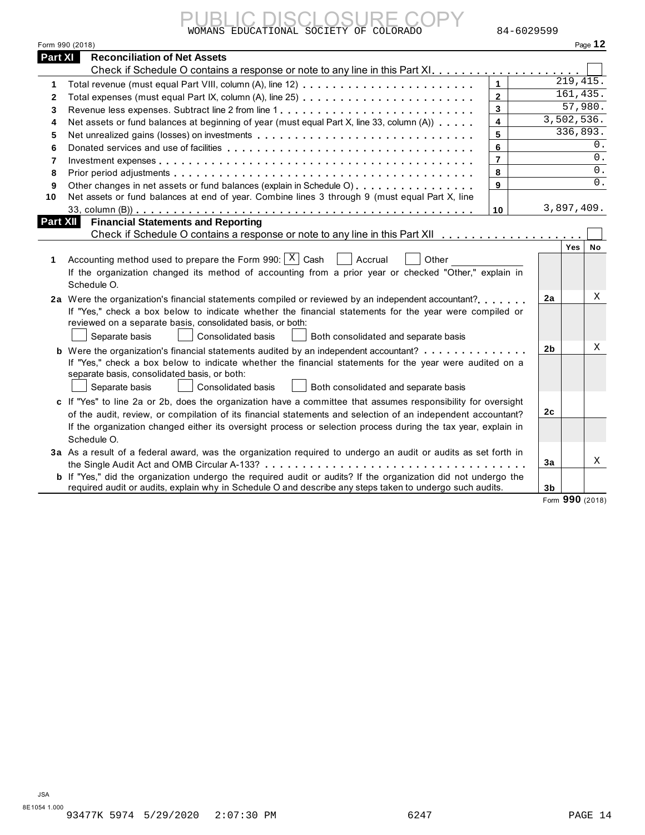|--|

| Form 990 (2018)<br>Page 12<br>Part XI<br><b>Reconciliation of Net Assets</b><br>219, 415.<br>$\mathbf{1}$<br>1<br>161,435.<br>$\overline{\mathbf{2}}$<br>$\mathbf{2}$<br>57,980.<br>$\mathbf{3}$<br>Revenue less expenses. Subtract line 2 from line 1<br>3<br>3,502,536.<br>$\overline{\mathbf{4}}$<br>Net assets or fund balances at beginning of year (must equal Part X, line 33, column (A))<br>4<br>336,893.<br>5<br>Net unrealized gains (losses) on investments<br>5<br>0.<br>6<br>6<br>0.<br>$\overline{7}$<br>7<br>0.<br>8<br>8<br>$0$ .<br>$\mathbf{9}$<br>Other changes in net assets or fund balances (explain in Schedule O)<br>9<br>Net assets or fund balances at end of year. Combine lines 3 through 9 (must equal Part X, line<br>10<br>3,897,409.<br>10<br><b>Part XII</b><br><b>Financial Statements and Reporting</b><br>Check if Schedule O contains a response or note to any line in this Part XII<br>Yes<br>No<br>Accounting method used to prepare the Form 990: $ X $ Cash<br>Accrual<br>Other<br>1<br>If the organization changed its method of accounting from a prior year or checked "Other," explain in<br>Schedule O.<br>Χ<br>2a<br>2a Were the organization's financial statements compiled or reviewed by an independent accountant?<br>If "Yes," check a box below to indicate whether the financial statements for the year were compiled or<br>reviewed on a separate basis, consolidated basis, or both:<br>Separate basis<br>Consolidated basis<br>Both consolidated and separate basis<br>Χ<br>2 <sub>b</sub><br><b>b</b> Were the organization's financial statements audited by an independent accountant?<br>If "Yes," check a box below to indicate whether the financial statements for the year were audited on a<br>separate basis, consolidated basis, or both:<br>Separate basis<br>Consolidated basis<br>Both consolidated and separate basis<br>c If "Yes" to line 2a or 2b, does the organization have a committee that assumes responsibility for oversight<br>2 <sub>c</sub><br>of the audit, review, or compilation of its financial statements and selection of an independent accountant?<br>If the organization changed either its oversight process or selection process during the tax year, explain in<br>Schedule O.<br>3a As a result of a federal award, was the organization required to undergo an audit or audits as set forth in<br>X<br>3a<br>b If "Yes," did the organization undergo the required audit or audits? If the organization did not undergo the<br>required audit or audits, explain why in Schedule O and describe any steps taken to undergo such audits.<br>3b<br>Form 990 (2018) | -IC DISCLOSUE<br>WOMANS EDUCATIONAL SOCIETY OF COLORADO | 84-6029599 |  |  |
|--------------------------------------------------------------------------------------------------------------------------------------------------------------------------------------------------------------------------------------------------------------------------------------------------------------------------------------------------------------------------------------------------------------------------------------------------------------------------------------------------------------------------------------------------------------------------------------------------------------------------------------------------------------------------------------------------------------------------------------------------------------------------------------------------------------------------------------------------------------------------------------------------------------------------------------------------------------------------------------------------------------------------------------------------------------------------------------------------------------------------------------------------------------------------------------------------------------------------------------------------------------------------------------------------------------------------------------------------------------------------------------------------------------------------------------------------------------------------------------------------------------------------------------------------------------------------------------------------------------------------------------------------------------------------------------------------------------------------------------------------------------------------------------------------------------------------------------------------------------------------------------------------------------------------------------------------------------------------------------------------------------------------------------------------------------------------------------------------------------------------------------------------------------------------------------------------------------------------------------------------------------------------------------------------------------------------------------------------------------------------------------------------------------------------------------------------------------------------------------------------------------------------------------------------------------------------------------------------------------------------------------------------------------------------|---------------------------------------------------------|------------|--|--|
|                                                                                                                                                                                                                                                                                                                                                                                                                                                                                                                                                                                                                                                                                                                                                                                                                                                                                                                                                                                                                                                                                                                                                                                                                                                                                                                                                                                                                                                                                                                                                                                                                                                                                                                                                                                                                                                                                                                                                                                                                                                                                                                                                                                                                                                                                                                                                                                                                                                                                                                                                                                                                                                                          |                                                         |            |  |  |
|                                                                                                                                                                                                                                                                                                                                                                                                                                                                                                                                                                                                                                                                                                                                                                                                                                                                                                                                                                                                                                                                                                                                                                                                                                                                                                                                                                                                                                                                                                                                                                                                                                                                                                                                                                                                                                                                                                                                                                                                                                                                                                                                                                                                                                                                                                                                                                                                                                                                                                                                                                                                                                                                          |                                                         |            |  |  |
|                                                                                                                                                                                                                                                                                                                                                                                                                                                                                                                                                                                                                                                                                                                                                                                                                                                                                                                                                                                                                                                                                                                                                                                                                                                                                                                                                                                                                                                                                                                                                                                                                                                                                                                                                                                                                                                                                                                                                                                                                                                                                                                                                                                                                                                                                                                                                                                                                                                                                                                                                                                                                                                                          |                                                         |            |  |  |
|                                                                                                                                                                                                                                                                                                                                                                                                                                                                                                                                                                                                                                                                                                                                                                                                                                                                                                                                                                                                                                                                                                                                                                                                                                                                                                                                                                                                                                                                                                                                                                                                                                                                                                                                                                                                                                                                                                                                                                                                                                                                                                                                                                                                                                                                                                                                                                                                                                                                                                                                                                                                                                                                          |                                                         |            |  |  |
|                                                                                                                                                                                                                                                                                                                                                                                                                                                                                                                                                                                                                                                                                                                                                                                                                                                                                                                                                                                                                                                                                                                                                                                                                                                                                                                                                                                                                                                                                                                                                                                                                                                                                                                                                                                                                                                                                                                                                                                                                                                                                                                                                                                                                                                                                                                                                                                                                                                                                                                                                                                                                                                                          |                                                         |            |  |  |
|                                                                                                                                                                                                                                                                                                                                                                                                                                                                                                                                                                                                                                                                                                                                                                                                                                                                                                                                                                                                                                                                                                                                                                                                                                                                                                                                                                                                                                                                                                                                                                                                                                                                                                                                                                                                                                                                                                                                                                                                                                                                                                                                                                                                                                                                                                                                                                                                                                                                                                                                                                                                                                                                          |                                                         |            |  |  |
|                                                                                                                                                                                                                                                                                                                                                                                                                                                                                                                                                                                                                                                                                                                                                                                                                                                                                                                                                                                                                                                                                                                                                                                                                                                                                                                                                                                                                                                                                                                                                                                                                                                                                                                                                                                                                                                                                                                                                                                                                                                                                                                                                                                                                                                                                                                                                                                                                                                                                                                                                                                                                                                                          |                                                         |            |  |  |
|                                                                                                                                                                                                                                                                                                                                                                                                                                                                                                                                                                                                                                                                                                                                                                                                                                                                                                                                                                                                                                                                                                                                                                                                                                                                                                                                                                                                                                                                                                                                                                                                                                                                                                                                                                                                                                                                                                                                                                                                                                                                                                                                                                                                                                                                                                                                                                                                                                                                                                                                                                                                                                                                          |                                                         |            |  |  |
|                                                                                                                                                                                                                                                                                                                                                                                                                                                                                                                                                                                                                                                                                                                                                                                                                                                                                                                                                                                                                                                                                                                                                                                                                                                                                                                                                                                                                                                                                                                                                                                                                                                                                                                                                                                                                                                                                                                                                                                                                                                                                                                                                                                                                                                                                                                                                                                                                                                                                                                                                                                                                                                                          |                                                         |            |  |  |
|                                                                                                                                                                                                                                                                                                                                                                                                                                                                                                                                                                                                                                                                                                                                                                                                                                                                                                                                                                                                                                                                                                                                                                                                                                                                                                                                                                                                                                                                                                                                                                                                                                                                                                                                                                                                                                                                                                                                                                                                                                                                                                                                                                                                                                                                                                                                                                                                                                                                                                                                                                                                                                                                          |                                                         |            |  |  |
|                                                                                                                                                                                                                                                                                                                                                                                                                                                                                                                                                                                                                                                                                                                                                                                                                                                                                                                                                                                                                                                                                                                                                                                                                                                                                                                                                                                                                                                                                                                                                                                                                                                                                                                                                                                                                                                                                                                                                                                                                                                                                                                                                                                                                                                                                                                                                                                                                                                                                                                                                                                                                                                                          |                                                         |            |  |  |
|                                                                                                                                                                                                                                                                                                                                                                                                                                                                                                                                                                                                                                                                                                                                                                                                                                                                                                                                                                                                                                                                                                                                                                                                                                                                                                                                                                                                                                                                                                                                                                                                                                                                                                                                                                                                                                                                                                                                                                                                                                                                                                                                                                                                                                                                                                                                                                                                                                                                                                                                                                                                                                                                          |                                                         |            |  |  |
|                                                                                                                                                                                                                                                                                                                                                                                                                                                                                                                                                                                                                                                                                                                                                                                                                                                                                                                                                                                                                                                                                                                                                                                                                                                                                                                                                                                                                                                                                                                                                                                                                                                                                                                                                                                                                                                                                                                                                                                                                                                                                                                                                                                                                                                                                                                                                                                                                                                                                                                                                                                                                                                                          |                                                         |            |  |  |
|                                                                                                                                                                                                                                                                                                                                                                                                                                                                                                                                                                                                                                                                                                                                                                                                                                                                                                                                                                                                                                                                                                                                                                                                                                                                                                                                                                                                                                                                                                                                                                                                                                                                                                                                                                                                                                                                                                                                                                                                                                                                                                                                                                                                                                                                                                                                                                                                                                                                                                                                                                                                                                                                          |                                                         |            |  |  |
|                                                                                                                                                                                                                                                                                                                                                                                                                                                                                                                                                                                                                                                                                                                                                                                                                                                                                                                                                                                                                                                                                                                                                                                                                                                                                                                                                                                                                                                                                                                                                                                                                                                                                                                                                                                                                                                                                                                                                                                                                                                                                                                                                                                                                                                                                                                                                                                                                                                                                                                                                                                                                                                                          |                                                         |            |  |  |
|                                                                                                                                                                                                                                                                                                                                                                                                                                                                                                                                                                                                                                                                                                                                                                                                                                                                                                                                                                                                                                                                                                                                                                                                                                                                                                                                                                                                                                                                                                                                                                                                                                                                                                                                                                                                                                                                                                                                                                                                                                                                                                                                                                                                                                                                                                                                                                                                                                                                                                                                                                                                                                                                          |                                                         |            |  |  |
|                                                                                                                                                                                                                                                                                                                                                                                                                                                                                                                                                                                                                                                                                                                                                                                                                                                                                                                                                                                                                                                                                                                                                                                                                                                                                                                                                                                                                                                                                                                                                                                                                                                                                                                                                                                                                                                                                                                                                                                                                                                                                                                                                                                                                                                                                                                                                                                                                                                                                                                                                                                                                                                                          |                                                         |            |  |  |
|                                                                                                                                                                                                                                                                                                                                                                                                                                                                                                                                                                                                                                                                                                                                                                                                                                                                                                                                                                                                                                                                                                                                                                                                                                                                                                                                                                                                                                                                                                                                                                                                                                                                                                                                                                                                                                                                                                                                                                                                                                                                                                                                                                                                                                                                                                                                                                                                                                                                                                                                                                                                                                                                          |                                                         |            |  |  |
|                                                                                                                                                                                                                                                                                                                                                                                                                                                                                                                                                                                                                                                                                                                                                                                                                                                                                                                                                                                                                                                                                                                                                                                                                                                                                                                                                                                                                                                                                                                                                                                                                                                                                                                                                                                                                                                                                                                                                                                                                                                                                                                                                                                                                                                                                                                                                                                                                                                                                                                                                                                                                                                                          |                                                         |            |  |  |
|                                                                                                                                                                                                                                                                                                                                                                                                                                                                                                                                                                                                                                                                                                                                                                                                                                                                                                                                                                                                                                                                                                                                                                                                                                                                                                                                                                                                                                                                                                                                                                                                                                                                                                                                                                                                                                                                                                                                                                                                                                                                                                                                                                                                                                                                                                                                                                                                                                                                                                                                                                                                                                                                          |                                                         |            |  |  |
|                                                                                                                                                                                                                                                                                                                                                                                                                                                                                                                                                                                                                                                                                                                                                                                                                                                                                                                                                                                                                                                                                                                                                                                                                                                                                                                                                                                                                                                                                                                                                                                                                                                                                                                                                                                                                                                                                                                                                                                                                                                                                                                                                                                                                                                                                                                                                                                                                                                                                                                                                                                                                                                                          |                                                         |            |  |  |
|                                                                                                                                                                                                                                                                                                                                                                                                                                                                                                                                                                                                                                                                                                                                                                                                                                                                                                                                                                                                                                                                                                                                                                                                                                                                                                                                                                                                                                                                                                                                                                                                                                                                                                                                                                                                                                                                                                                                                                                                                                                                                                                                                                                                                                                                                                                                                                                                                                                                                                                                                                                                                                                                          |                                                         |            |  |  |
|                                                                                                                                                                                                                                                                                                                                                                                                                                                                                                                                                                                                                                                                                                                                                                                                                                                                                                                                                                                                                                                                                                                                                                                                                                                                                                                                                                                                                                                                                                                                                                                                                                                                                                                                                                                                                                                                                                                                                                                                                                                                                                                                                                                                                                                                                                                                                                                                                                                                                                                                                                                                                                                                          |                                                         |            |  |  |
|                                                                                                                                                                                                                                                                                                                                                                                                                                                                                                                                                                                                                                                                                                                                                                                                                                                                                                                                                                                                                                                                                                                                                                                                                                                                                                                                                                                                                                                                                                                                                                                                                                                                                                                                                                                                                                                                                                                                                                                                                                                                                                                                                                                                                                                                                                                                                                                                                                                                                                                                                                                                                                                                          |                                                         |            |  |  |
|                                                                                                                                                                                                                                                                                                                                                                                                                                                                                                                                                                                                                                                                                                                                                                                                                                                                                                                                                                                                                                                                                                                                                                                                                                                                                                                                                                                                                                                                                                                                                                                                                                                                                                                                                                                                                                                                                                                                                                                                                                                                                                                                                                                                                                                                                                                                                                                                                                                                                                                                                                                                                                                                          |                                                         |            |  |  |
|                                                                                                                                                                                                                                                                                                                                                                                                                                                                                                                                                                                                                                                                                                                                                                                                                                                                                                                                                                                                                                                                                                                                                                                                                                                                                                                                                                                                                                                                                                                                                                                                                                                                                                                                                                                                                                                                                                                                                                                                                                                                                                                                                                                                                                                                                                                                                                                                                                                                                                                                                                                                                                                                          |                                                         |            |  |  |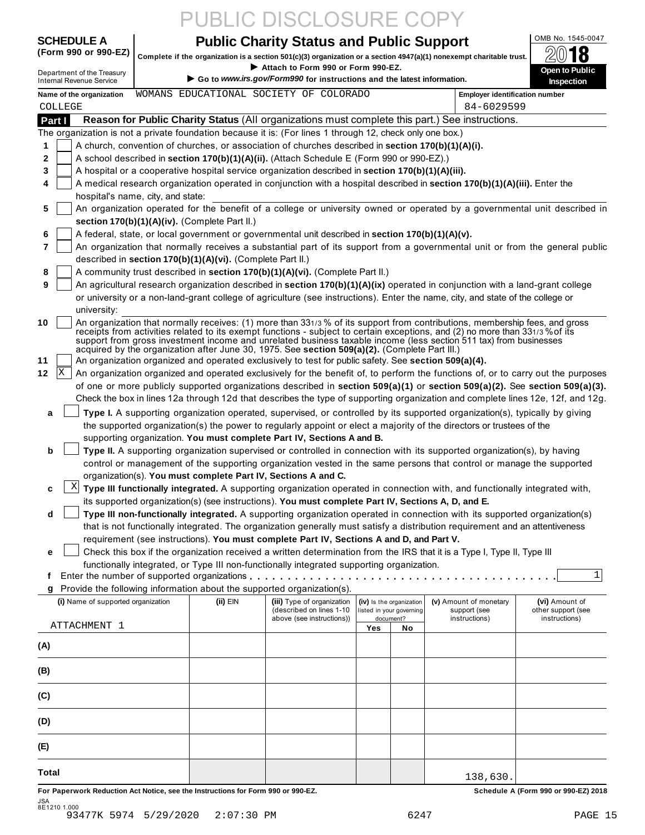# PUBLIC DISCLOSURE COPY

## **OCHEDULE A Public Charity Status and Public Support** ME AND 1545-0047

(Form 990 or 990-EZ)  $\begin{bmatrix} 1 & 0 & 0 \\ 0 & 1 & 0 \end{bmatrix}$  Complete if the organization is a section 501(c)(3) organization  $\sim$  a section 4947(a)(1) nonexempt charitable trust.



|                                                                                                                                                                                                                                                                                                                                                                                                                                                                                          | Complete if the organization is a section 501(c)(3) organization or a section 4947(a)(1) nonexempt charitable trust.                                                                                                                            |                                                                                                                |     |                                                      |                                        | 4V<br>10                                   |
|------------------------------------------------------------------------------------------------------------------------------------------------------------------------------------------------------------------------------------------------------------------------------------------------------------------------------------------------------------------------------------------------------------------------------------------------------------------------------------------|-------------------------------------------------------------------------------------------------------------------------------------------------------------------------------------------------------------------------------------------------|----------------------------------------------------------------------------------------------------------------|-----|------------------------------------------------------|----------------------------------------|--------------------------------------------|
| Department of the Treasury<br><b>Internal Revenue Service</b>                                                                                                                                                                                                                                                                                                                                                                                                                            |                                                                                                                                                                                                                                                 | Attach to Form 990 or Form 990-EZ.<br>► Go to www.irs.gov/Form990 for instructions and the latest information. |     |                                                      |                                        | <b>Open to Public</b><br><b>Inspection</b> |
| Name of the organization                                                                                                                                                                                                                                                                                                                                                                                                                                                                 | WOMANS EDUCATIONAL SOCIETY OF COLORADO                                                                                                                                                                                                          |                                                                                                                |     |                                                      | <b>Employer identification number</b>  |                                            |
| COLLEGE                                                                                                                                                                                                                                                                                                                                                                                                                                                                                  |                                                                                                                                                                                                                                                 |                                                                                                                |     |                                                      | 84-6029599                             |                                            |
| Part I                                                                                                                                                                                                                                                                                                                                                                                                                                                                                   | Reason for Public Charity Status (All organizations must complete this part.) See instructions.                                                                                                                                                 |                                                                                                                |     |                                                      |                                        |                                            |
| The organization is not a private foundation because it is: (For lines 1 through 12, check only one box.)                                                                                                                                                                                                                                                                                                                                                                                |                                                                                                                                                                                                                                                 |                                                                                                                |     |                                                      |                                        |                                            |
| A church, convention of churches, or association of churches described in section 170(b)(1)(A)(i).<br>1                                                                                                                                                                                                                                                                                                                                                                                  |                                                                                                                                                                                                                                                 |                                                                                                                |     |                                                      |                                        |                                            |
| A school described in section 170(b)(1)(A)(ii). (Attach Schedule E (Form 990 or 990-EZ).)<br>2                                                                                                                                                                                                                                                                                                                                                                                           |                                                                                                                                                                                                                                                 |                                                                                                                |     |                                                      |                                        |                                            |
| A hospital or a cooperative hospital service organization described in section 170(b)(1)(A)(iii).<br>3                                                                                                                                                                                                                                                                                                                                                                                   |                                                                                                                                                                                                                                                 |                                                                                                                |     |                                                      |                                        |                                            |
| A medical research organization operated in conjunction with a hospital described in section 170(b)(1)(A)(iii). Enter the<br>4                                                                                                                                                                                                                                                                                                                                                           |                                                                                                                                                                                                                                                 |                                                                                                                |     |                                                      |                                        |                                            |
| hospital's name, city, and state:                                                                                                                                                                                                                                                                                                                                                                                                                                                        |                                                                                                                                                                                                                                                 |                                                                                                                |     |                                                      |                                        |                                            |
| An organization operated for the benefit of a college or university owned or operated by a governmental unit described in<br>5                                                                                                                                                                                                                                                                                                                                                           |                                                                                                                                                                                                                                                 |                                                                                                                |     |                                                      |                                        |                                            |
| section 170(b)(1)(A)(iv). (Complete Part II.)                                                                                                                                                                                                                                                                                                                                                                                                                                            |                                                                                                                                                                                                                                                 |                                                                                                                |     |                                                      |                                        |                                            |
| A federal, state, or local government or governmental unit described in section 170(b)(1)(A)(v).<br>6<br>7<br>An organization that normally receives a substantial part of its support from a governmental unit or from the general public                                                                                                                                                                                                                                               |                                                                                                                                                                                                                                                 |                                                                                                                |     |                                                      |                                        |                                            |
| described in section 170(b)(1)(A)(vi). (Complete Part II.)                                                                                                                                                                                                                                                                                                                                                                                                                               |                                                                                                                                                                                                                                                 |                                                                                                                |     |                                                      |                                        |                                            |
| A community trust described in section 170(b)(1)(A)(vi). (Complete Part II.)<br>8                                                                                                                                                                                                                                                                                                                                                                                                        |                                                                                                                                                                                                                                                 |                                                                                                                |     |                                                      |                                        |                                            |
| 9<br>An agricultural research organization described in section 170(b)(1)(A)(ix) operated in conjunction with a land-grant college                                                                                                                                                                                                                                                                                                                                                       |                                                                                                                                                                                                                                                 |                                                                                                                |     |                                                      |                                        |                                            |
| or university or a non-land-grant college of agriculture (see instructions). Enter the name, city, and state of the college or                                                                                                                                                                                                                                                                                                                                                           |                                                                                                                                                                                                                                                 |                                                                                                                |     |                                                      |                                        |                                            |
| university:                                                                                                                                                                                                                                                                                                                                                                                                                                                                              |                                                                                                                                                                                                                                                 |                                                                                                                |     |                                                      |                                        |                                            |
| An organization that normally receives: (1) more than 331/3 % of its support from contributions, membership fees, and gross<br>10<br>receipts from activities related to its exempt functions - subject to certain exceptions, and (2) no more than 331/3 % of its<br>support from gross investment income and unrelated business taxable income (less section 511 tax) from businesses<br>acquired by the organization after June 30, 1975. See section 509(a)(2). (Complete Part III.) |                                                                                                                                                                                                                                                 |                                                                                                                |     |                                                      |                                        |                                            |
| An organization organized and operated exclusively to test for public safety. See section 509(a)(4).<br>11                                                                                                                                                                                                                                                                                                                                                                               |                                                                                                                                                                                                                                                 |                                                                                                                |     |                                                      |                                        |                                            |
| X <br>An organization organized and operated exclusively for the benefit of, to perform the functions of, or to carry out the purposes<br>12                                                                                                                                                                                                                                                                                                                                             |                                                                                                                                                                                                                                                 |                                                                                                                |     |                                                      |                                        |                                            |
| of one or more publicly supported organizations described in section 509(a)(1) or section 509(a)(2). See section 509(a)(3).                                                                                                                                                                                                                                                                                                                                                              |                                                                                                                                                                                                                                                 |                                                                                                                |     |                                                      |                                        |                                            |
| Check the box in lines 12a through 12d that describes the type of supporting organization and complete lines 12e, 12f, and 12g.                                                                                                                                                                                                                                                                                                                                                          |                                                                                                                                                                                                                                                 |                                                                                                                |     |                                                      |                                        |                                            |
| а                                                                                                                                                                                                                                                                                                                                                                                                                                                                                        | Type I. A supporting organization operated, supervised, or controlled by its supported organization(s), typically by giving                                                                                                                     |                                                                                                                |     |                                                      |                                        |                                            |
|                                                                                                                                                                                                                                                                                                                                                                                                                                                                                          | the supported organization(s) the power to regularly appoint or elect a majority of the directors or trustees of the                                                                                                                            |                                                                                                                |     |                                                      |                                        |                                            |
|                                                                                                                                                                                                                                                                                                                                                                                                                                                                                          | supporting organization. You must complete Part IV, Sections A and B.                                                                                                                                                                           |                                                                                                                |     |                                                      |                                        |                                            |
| b                                                                                                                                                                                                                                                                                                                                                                                                                                                                                        | Type II. A supporting organization supervised or controlled in connection with its supported organization(s), by having<br>control or management of the supporting organization vested in the same persons that control or manage the supported |                                                                                                                |     |                                                      |                                        |                                            |
|                                                                                                                                                                                                                                                                                                                                                                                                                                                                                          | organization(s). You must complete Part IV, Sections A and C.                                                                                                                                                                                   |                                                                                                                |     |                                                      |                                        |                                            |
| $\mathbf{X}$<br>c                                                                                                                                                                                                                                                                                                                                                                                                                                                                        | Type III functionally integrated. A supporting organization operated in connection with, and functionally integrated with,                                                                                                                      |                                                                                                                |     |                                                      |                                        |                                            |
|                                                                                                                                                                                                                                                                                                                                                                                                                                                                                          | its supported organization(s) (see instructions). You must complete Part IV, Sections A, D, and E.                                                                                                                                              |                                                                                                                |     |                                                      |                                        |                                            |
| d                                                                                                                                                                                                                                                                                                                                                                                                                                                                                        | Type III non-functionally integrated. A supporting organization operated in connection with its supported organization(s)                                                                                                                       |                                                                                                                |     |                                                      |                                        |                                            |
|                                                                                                                                                                                                                                                                                                                                                                                                                                                                                          | that is not functionally integrated. The organization generally must satisfy a distribution requirement and an attentiveness                                                                                                                    |                                                                                                                |     |                                                      |                                        |                                            |
|                                                                                                                                                                                                                                                                                                                                                                                                                                                                                          | requirement (see instructions). You must complete Part IV, Sections A and D, and Part V.                                                                                                                                                        |                                                                                                                |     |                                                      |                                        |                                            |
| е                                                                                                                                                                                                                                                                                                                                                                                                                                                                                        | Check this box if the organization received a written determination from the IRS that it is a Type I, Type II, Type III                                                                                                                         |                                                                                                                |     |                                                      |                                        |                                            |
|                                                                                                                                                                                                                                                                                                                                                                                                                                                                                          | functionally integrated, or Type III non-functionally integrated supporting organization.                                                                                                                                                       |                                                                                                                |     |                                                      |                                        |                                            |
| f                                                                                                                                                                                                                                                                                                                                                                                                                                                                                        |                                                                                                                                                                                                                                                 |                                                                                                                |     |                                                      |                                        | 1                                          |
| Provide the following information about the supported organization(s).<br>g                                                                                                                                                                                                                                                                                                                                                                                                              |                                                                                                                                                                                                                                                 |                                                                                                                |     |                                                      |                                        |                                            |
| (i) Name of supported organization                                                                                                                                                                                                                                                                                                                                                                                                                                                       | (ii) EIN                                                                                                                                                                                                                                        | (iii) Type of organization<br>(described on lines 1-10                                                         |     | (iv) Is the organization<br>listed in your governing | (v) Amount of monetary<br>support (see | (vi) Amount of<br>other support (see       |
| ATTACHMENT 1                                                                                                                                                                                                                                                                                                                                                                                                                                                                             |                                                                                                                                                                                                                                                 | above (see instructions))                                                                                      |     | document?                                            | instructions)                          | instructions)                              |
|                                                                                                                                                                                                                                                                                                                                                                                                                                                                                          |                                                                                                                                                                                                                                                 |                                                                                                                | Yes | No                                                   |                                        |                                            |
| (A)                                                                                                                                                                                                                                                                                                                                                                                                                                                                                      |                                                                                                                                                                                                                                                 |                                                                                                                |     |                                                      |                                        |                                            |
| (B)                                                                                                                                                                                                                                                                                                                                                                                                                                                                                      |                                                                                                                                                                                                                                                 |                                                                                                                |     |                                                      |                                        |                                            |
| (C)                                                                                                                                                                                                                                                                                                                                                                                                                                                                                      |                                                                                                                                                                                                                                                 |                                                                                                                |     |                                                      |                                        |                                            |
| (D)                                                                                                                                                                                                                                                                                                                                                                                                                                                                                      |                                                                                                                                                                                                                                                 |                                                                                                                |     |                                                      |                                        |                                            |
| (E)                                                                                                                                                                                                                                                                                                                                                                                                                                                                                      |                                                                                                                                                                                                                                                 |                                                                                                                |     |                                                      |                                        |                                            |
|                                                                                                                                                                                                                                                                                                                                                                                                                                                                                          |                                                                                                                                                                                                                                                 |                                                                                                                |     |                                                      |                                        |                                            |
| Total                                                                                                                                                                                                                                                                                                                                                                                                                                                                                    |                                                                                                                                                                                                                                                 |                                                                                                                |     |                                                      | 138,630.                               |                                            |

JSA 8E1210 1.000 93477K 5974 5/29/2020 2:07:30 PM 6247 PAGE 15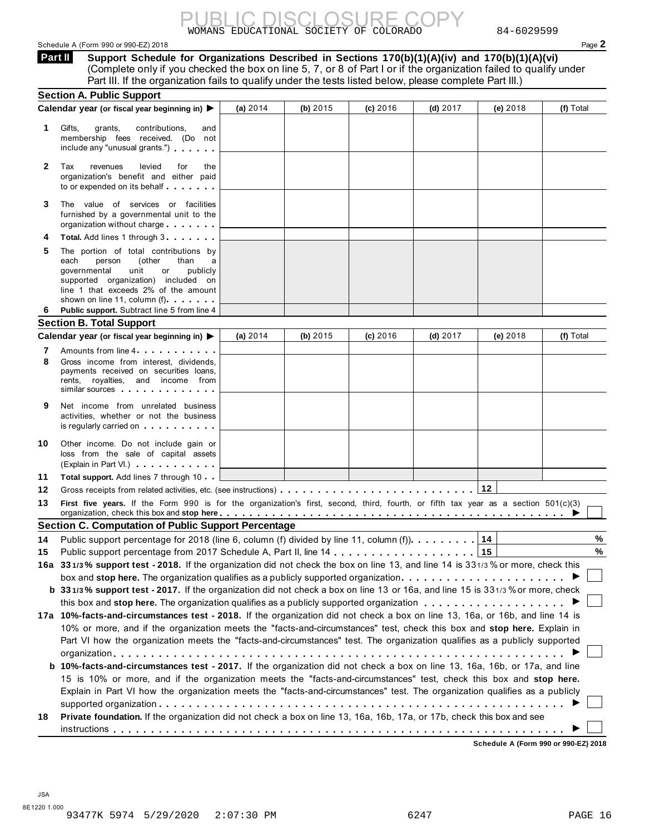### Schedule A (Form 990 or 990-EZ) 2018 Page **2**

WOMANS EDUCATIONAL SOCIETY OF COLORADO 84-6029599 PUBLIC DISCLOSURE COPY

**Support Schedule for Organizations Described in Sections 170(b)(1)(A)(iv) and 170(b)(1)(A)(vi)** (Complete only if you checked the box on line 5, 7, or 8 of Part I or if the organization failed to qualify under **Part II** 

|              | Part III. If the organization fails to qualify under the tests listed below, please complete Part III.)                                                                                                                                                                                                                                                                              |            |            |            |            |            |           |
|--------------|--------------------------------------------------------------------------------------------------------------------------------------------------------------------------------------------------------------------------------------------------------------------------------------------------------------------------------------------------------------------------------------|------------|------------|------------|------------|------------|-----------|
|              | <b>Section A. Public Support</b>                                                                                                                                                                                                                                                                                                                                                     |            |            |            |            |            |           |
|              | Calendar year (or fiscal year beginning in) $\blacktriangleright$                                                                                                                                                                                                                                                                                                                    | (a) $2014$ | (b) $2015$ | $(c)$ 2016 | $(d)$ 2017 | (e) $2018$ | (f) Total |
| 1            | Gifts,<br>contributions,<br>grants,<br>and<br>membership fees received. (Do not<br>include any "unusual grants.")                                                                                                                                                                                                                                                                    |            |            |            |            |            |           |
| $\mathbf{2}$ | Tax<br>revenues<br>levied<br>for<br>the<br>organization's benefit and either paid<br>to or expended on its behalf                                                                                                                                                                                                                                                                    |            |            |            |            |            |           |
| 3            | The value of services or facilities<br>furnished by a governmental unit to the<br>organization without charge                                                                                                                                                                                                                                                                        |            |            |            |            |            |           |
| 4            | <b>Total.</b> Add lines 1 through 3                                                                                                                                                                                                                                                                                                                                                  |            |            |            |            |            |           |
| 5            | The portion of total contributions by<br>(other<br>each<br>person<br>than<br>governmental<br>unit<br>or<br>publicly<br>supported organization) included on<br>line 1 that exceeds 2% of the amount<br>shown on line 11, column (f)                                                                                                                                                   |            |            |            |            |            |           |
| 6            | Public support. Subtract line 5 from line 4                                                                                                                                                                                                                                                                                                                                          |            |            |            |            |            |           |
|              | <b>Section B. Total Support</b>                                                                                                                                                                                                                                                                                                                                                      |            |            |            |            |            |           |
|              | Calendar year (or fiscal year beginning in) $\blacktriangleright$                                                                                                                                                                                                                                                                                                                    | (a) $2014$ | (b) 2015   | $(c)$ 2016 | $(d)$ 2017 | (e) $2018$ | (f) Total |
| 7<br>8       | Amounts from line 4<br>Gross income from interest, dividends,<br>payments received on securities loans,<br>rents, royalties, and income from<br>similar sources experiences                                                                                                                                                                                                          |            |            |            |            |            |           |
| 9            | Net income from unrelated business<br>activities, whether or not the business<br>is regularly carried on the control of the set of the set of the set of the set of the set of the set of the s                                                                                                                                                                                      |            |            |            |            |            |           |
| 10           | Other income. Do not include gain or<br>loss from the sale of capital assets<br>(Explain in Part VI.)                                                                                                                                                                                                                                                                                |            |            |            |            |            |           |
| 11           | <b>Total support.</b> Add lines 7 through 10                                                                                                                                                                                                                                                                                                                                         |            |            |            |            |            |           |
| 12           |                                                                                                                                                                                                                                                                                                                                                                                      |            |            |            |            | 12         |           |
| 13           | First five years. If the Form 990 is for the organization's first, second, third, fourth, or fifth tax year as a section 501(c)(3)<br>organization, check this box and stop here <u>entistical properties in the context of the state of the state of</u>                                                                                                                            |            |            |            |            |            |           |
|              | <b>Section C. Computation of Public Support Percentage</b>                                                                                                                                                                                                                                                                                                                           |            |            |            |            |            |           |
|              | 14 Public support percentage for 2018 (line 6, column (f) divided by line 11, column (f))                                                                                                                                                                                                                                                                                            |            |            |            |            | 14         | %         |
| 15           |                                                                                                                                                                                                                                                                                                                                                                                      |            |            |            |            |            | %         |
|              | 16a 331/3% support test - 2018. If the organization did not check the box on line 13, and line 14 is 331/3% or more, check this                                                                                                                                                                                                                                                      |            |            |            |            |            |           |
|              |                                                                                                                                                                                                                                                                                                                                                                                      |            |            |            |            |            |           |
|              | b 331/3% support test - 2017. If the organization did not check a box on line 13 or 16a, and line 15 is 331/3% or more, check                                                                                                                                                                                                                                                        |            |            |            |            |            |           |
|              |                                                                                                                                                                                                                                                                                                                                                                                      |            |            |            |            |            |           |
|              | 17a 10%-facts-and-circumstances test - 2018. If the organization did not check a box on line 13, 16a, or 16b, and line 14 is<br>10% or more, and if the organization meets the "facts-and-circumstances" test, check this box and stop here. Explain in<br>Part VI how the organization meets the "facts-and-circumstances" test. The organization qualifies as a publicly supported |            |            |            |            |            |           |
|              | <b>b</b> 10%-facts-and-circumstances test - 2017. If the organization did not check a box on line 13, 16a, 16b, or 17a, and line<br>15 is 10% or more, and if the organization meets the "facts-and-circumstances" test, check this box and stop here.                                                                                                                               |            |            |            |            |            |           |
|              | Explain in Part VI how the organization meets the "facts-and-circumstances" test. The organization qualifies as a publicly                                                                                                                                                                                                                                                           |            |            |            |            |            |           |
| 18           | Private foundation. If the organization did not check a box on line 13, 16a, 16b, 17a, or 17b, check this box and see                                                                                                                                                                                                                                                                |            |            |            |            |            |           |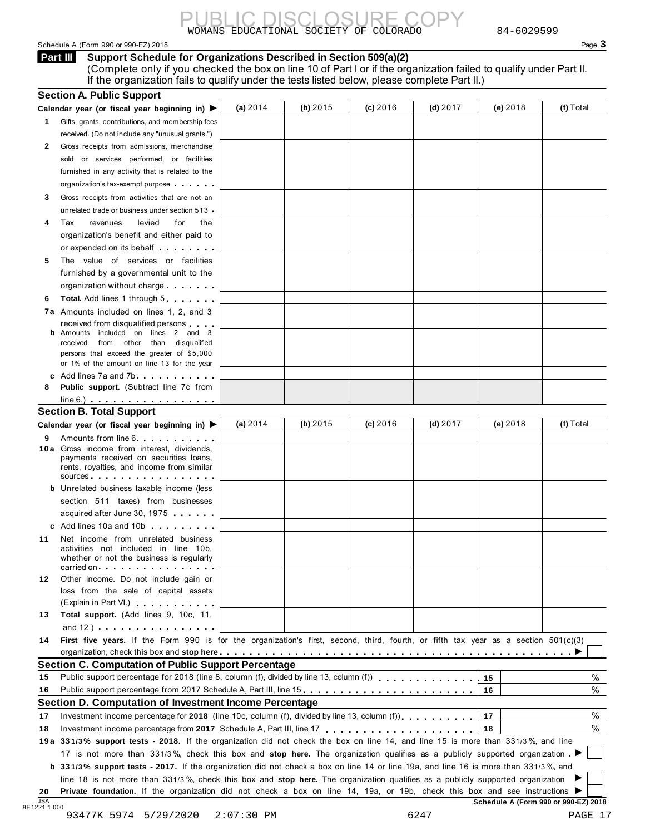Schedule A (Form 990 or 990-EZ) 2018 Page 3

**Support Schedule for Organizations Described in Section 509(a)(2)** (Complete only if you checked the box on line 10 of Part I or if the organization failed to qualify under Part II. If the organization fails to qualify under the tests listed below, please complete Part II.) **Part III** 

|    | Calendar year (or fiscal year beginning in) $\blacktriangleright$                                                                                                                                                                                                     | (a) 2014   | (b) $2015$ | (c) 2016   | $(d)$ 2017 | (e) 2018 | (f) Total |
|----|-----------------------------------------------------------------------------------------------------------------------------------------------------------------------------------------------------------------------------------------------------------------------|------------|------------|------------|------------|----------|-----------|
|    | 1 Gifts, grants, contributions, and membership fees                                                                                                                                                                                                                   |            |            |            |            |          |           |
|    | received. (Do not include any "unusual grants.")                                                                                                                                                                                                                      |            |            |            |            |          |           |
| 2  | Gross receipts from admissions, merchandise                                                                                                                                                                                                                           |            |            |            |            |          |           |
|    | sold or services performed, or facilities                                                                                                                                                                                                                             |            |            |            |            |          |           |
|    | furnished in any activity that is related to the                                                                                                                                                                                                                      |            |            |            |            |          |           |
|    | organization's tax-exempt purpose                                                                                                                                                                                                                                     |            |            |            |            |          |           |
| 3  | Gross receipts from activities that are not an                                                                                                                                                                                                                        |            |            |            |            |          |           |
|    | unrelated trade or business under section 513                                                                                                                                                                                                                         |            |            |            |            |          |           |
| 4  | Tax<br>levied<br>for<br>revenues<br>the                                                                                                                                                                                                                               |            |            |            |            |          |           |
|    | organization's benefit and either paid to                                                                                                                                                                                                                             |            |            |            |            |          |           |
|    | or expended on its behalf <b>contained</b> by the set of the set of the set of the set of the set of the set of the set of the set of the set of the set of the set of the set of the set of the set of the set of the set of the s                                   |            |            |            |            |          |           |
| 5  | The value of services or facilities                                                                                                                                                                                                                                   |            |            |            |            |          |           |
|    | furnished by a governmental unit to the                                                                                                                                                                                                                               |            |            |            |            |          |           |
|    | organization without charge                                                                                                                                                                                                                                           |            |            |            |            |          |           |
| 6  | <b>Total.</b> Add lines 1 through 5                                                                                                                                                                                                                                   |            |            |            |            |          |           |
|    | 7a Amounts included on lines 1, 2, and 3                                                                                                                                                                                                                              |            |            |            |            |          |           |
|    | received from disqualified persons                                                                                                                                                                                                                                    |            |            |            |            |          |           |
|    | Amounts included on lines 2 and 3                                                                                                                                                                                                                                     |            |            |            |            |          |           |
|    | received from other than disqualified<br>persons that exceed the greater of \$5,000                                                                                                                                                                                   |            |            |            |            |          |           |
|    | or 1% of the amount on line 13 for the year                                                                                                                                                                                                                           |            |            |            |            |          |           |
|    | c Add lines $7a$ and $7b$                                                                                                                                                                                                                                             |            |            |            |            |          |           |
| 8  | <b>Public support.</b> (Subtract line 7c from                                                                                                                                                                                                                         |            |            |            |            |          |           |
|    | $line 6.)$ $\ldots$ $\ldots$ $\ldots$ $\ldots$ $\ldots$ $\ldots$                                                                                                                                                                                                      |            |            |            |            |          |           |
|    | <b>Section B. Total Support</b>                                                                                                                                                                                                                                       |            |            |            |            |          |           |
|    | Calendar year (or fiscal year beginning in) ▶                                                                                                                                                                                                                         | (a) $2014$ | (b) $2015$ | $(c)$ 2016 | $(d)$ 2017 | (e) 2018 | (f) Total |
| 9  | Amounts from line 6.                                                                                                                                                                                                                                                  |            |            |            |            |          |           |
|    | 10 a Gross income from interest, dividends,<br>payments received on securities loans,<br>rents, royalties, and income from similar                                                                                                                                    |            |            |            |            |          |           |
|    | sources                                                                                                                                                                                                                                                               |            |            |            |            |          |           |
|    | <b>b</b> Unrelated business taxable income (less                                                                                                                                                                                                                      |            |            |            |            |          |           |
|    | section 511 taxes) from businesses                                                                                                                                                                                                                                    |            |            |            |            |          |           |
|    | acquired after June 30, 1975                                                                                                                                                                                                                                          |            |            |            |            |          |           |
|    | c Add lines 10a and 10b                                                                                                                                                                                                                                               |            |            |            |            |          |           |
| 11 | Net income from unrelated business<br>activities not included in line 10b,<br>whether or not the business is regularly                                                                                                                                                |            |            |            |            |          |           |
|    | carried on each contract to the carried on                                                                                                                                                                                                                            |            |            |            |            |          |           |
| 12 | Other income. Do not include gain or<br>loss from the sale of capital assets                                                                                                                                                                                          |            |            |            |            |          |           |
|    | (Explain in Part VI.)                                                                                                                                                                                                                                                 |            |            |            |            |          |           |
| 13 | Total support. (Add lines 9, 10c, 11,                                                                                                                                                                                                                                 |            |            |            |            |          |           |
|    | and $12.$ ) $\cdots$ $\cdots$ $\cdots$ $\cdots$ $\cdots$                                                                                                                                                                                                              |            |            |            |            |          |           |
| 14 | First five years. If the Form 990 is for the organization's first, second, third, fourth, or fifth tax year as a section 501(c)(3)                                                                                                                                    |            |            |            |            |          |           |
|    |                                                                                                                                                                                                                                                                       |            |            |            |            |          |           |
|    | <b>Section C. Computation of Public Support Percentage</b>                                                                                                                                                                                                            |            |            |            |            |          |           |
| 15 | Public support percentage for 2018 (line 8, column (f), divided by line 13, column (f))                                                                                                                                                                               |            |            |            |            | 15       | $\%$      |
| 16 | Public support percentage from 2017 Schedule A, Part III, line 15.                                                                                                                                                                                                    |            |            |            |            | 16       | $\%$      |
|    | Section D. Computation of Investment Income Percentage                                                                                                                                                                                                                |            |            |            |            |          |           |
| 17 |                                                                                                                                                                                                                                                                       |            |            |            |            | 17       | %         |
|    |                                                                                                                                                                                                                                                                       |            |            |            |            | 18       | %         |
|    |                                                                                                                                                                                                                                                                       |            |            |            |            |          |           |
| 18 |                                                                                                                                                                                                                                                                       |            |            |            |            |          |           |
|    | 19a 331/3% support tests - 2018. If the organization did not check the box on line 14, and line 15 is more than 331/3%, and line                                                                                                                                      |            |            |            |            |          |           |
|    | 17 is not more than 331/3%, check this box and stop here. The organization qualifies as a publicly supported organization                                                                                                                                             |            |            |            |            |          |           |
|    | b 331/3% support tests - 2017. If the organization did not check a box on line 14 or line 19a, and line 16 is more than 331/3%, and<br>line 18 is not more than 331/3%, check this box and stop here. The organization qualifies as a publicly supported organization |            |            |            |            |          |           |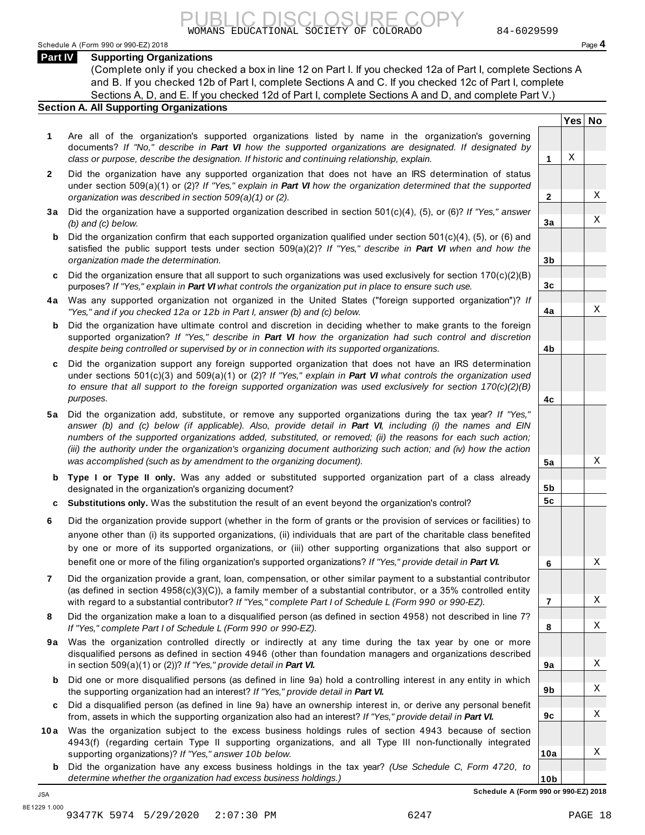Schedule A (Form 990 or 990-EZ) 2018 Page **4**

### **Part IV Supporting Organizations**

(Complete only if you checked a box in line 12 on Part I. If you checked 12a of Part I, complete Sections A and B. If you checked 12b of Part I, complete Sections A and C. If you checked 12c of Part I, complete Sections A, D, and E. If you checked 12d of Part I, complete Sections A and D, and complete Part V.)

### **Section A. All Supporting Organizations**

- **1** Are all of the organization's supported organizations listed by name in the organization's governing documents? *If "No," describe in Part VI how the supported organizations are designated. If designated by class or purpose, describe the designation. If historic and continuing relationship, explain.* **1**
- **2** Did the organization have any supported organization that does not have an IRS determination of status under section 509(a)(1) or (2)? *If "Yes," explain in Part VI how the organization determined that the supported organization was described in section 509(a)(1) or (2).*
- **3 a** Did the organization have a supported organization described in section 501(c)(4), (5), or (6)? *If "Yes," answer (b) and (c) below.*
- **b** Did the organization confirm that each supported organization qualified under section 501(c)(4), (5), or (6) and  $\mid$ satisfied the public support tests under section 509(a)(2)? *If "Yes," describe in Part VI when and how the organization made the determination.*
- **c** Did the organization ensure that all support to such organizations was used exclusively for section 170(c)(2)(B) purposes? *If "Yes," explain in Part VI what controls the organization put in place to ensure such use.*
- **4 a** Was any supported organization not organized in the United States ("foreign supported organization")? *If "Yes," and if you checked 12a or 12b in Part I, answer (b) and (c) below.*
- **b** Did the organization have ultimate control and discretion in deciding whether to make grants to the foreign  $|$ supported organization? *If "Yes," describe in Part VI how the organization had such control and discretion despite being controlled or supervised by or in connection with its supported organizations.*
- **c** Did the organization support any foreign supported organization that does not have an IRS determination under sections 501(c)(3) and 509(a)(1) or (2)? *If "Yes," explain in Part VI what controls the organization used to ensure that all support to the foreign supported organization was used exclusively for section 170(c)(2)(B) purposes.*
- **5 a** Did the organization add, substitute, or remove any supported organizations during the tax year? *If "Yes," answer (b) and (c) below (if applicable). Also, provide detail in Part VI, including (i) the names and EIN numbers of the supported organizations added, substituted, or removed; (ii) the reasons for each such action; (iii) the authority under the organization's organizing document authorizing such action; and (iv) how the action was accomplished (such as by amendment to the organizing document).*
- **b Type I or Type II only.** Was any added or substituted supported organization part of a class already | designated in the organization's organizing document?
- **c Substitutions only.** Was the substitution the result of an event beyond the organization's control?
- **6** Did the organization provide support (whether in the form of grants or the provision of services or facilities) to anyone other than (i) its supported organizations, (ii) individuals that are part of the charitable class benefited by one or more of its supported organizations, or (iii) other supporting organizations that also support or benefit one or more of the filing organization's supported organizations? *If "Yes," provide detail in Part VI.*
- **7** Did the organization provide a grant, loan, compensation, or other similar payment to a substantial contributor (as defined in section 4958(c)(3)(C)), a family member of a substantial contributor, or a 35% controlled entity with regard to a substantial contributor? *If "Yes," complete Part I of Schedule L (Form 990 or 990-EZ).*
- **8** Did the organization make a loan to a disqualified person (as defined in section 4958) not described in line 7? *If "Yes," complete Part I of Schedule L (Form 990 or 990-EZ).*
- **9a** Was the organization controlled directly or indirectly at any time during the tax year by one or more  $|$ disqualified persons as defined in section 4946 (other than foundation managers and organizations described in section 509(a)(1) or (2))? *If "Yes," provide detail in Part VI.*
- **b** Did one or more disqualified persons (as defined in line 9a) hold a controlling interest in any entity in which  $|$ the supporting organization had an interest? *If "Yes," provide detail in Part VI.*
- **c** Did a disqualified person (as defined in line 9a) have an ownership interest in, or derive any personal benefit from, assets in which the supporting organization also had an interest? *If "Yes," provide detail in Part VI.*
- **10 a** Was the organization subject to the excess business holdings rules of section 4943 because of section  $|$ 4943(f) (regarding certain Type II supporting organizations, and all Type III non-functionally integrated supporting organizations)? *If "Yes," answer 10b below.*
	- **b** Did the organization have any excess business holdings in the tax year? *(Use Schedule C, Form 4720, to determine whether the organization had excess business holdings.)*

**Yes No 2 3a 3b 3c 4a 4b 4c 5a 5b 5c 6 7 8 9a 9b 9c 10a 10b** X X X X X X X X X X X X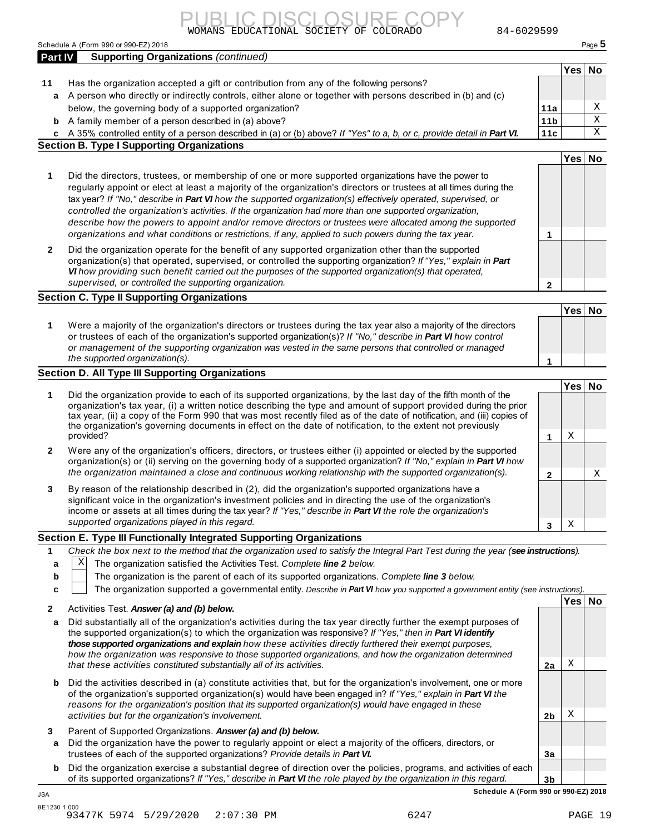

Schedule A (Form 990 or 990-EZ) 2018 Page **5**

|                  | Schedule A (Form 990 or 990-EZ) 2018                                                                                                                                                                                                                                                                                                                                                                                                                                                                                                                                                                                                                                         |                 |        | Page 5                  |
|------------------|------------------------------------------------------------------------------------------------------------------------------------------------------------------------------------------------------------------------------------------------------------------------------------------------------------------------------------------------------------------------------------------------------------------------------------------------------------------------------------------------------------------------------------------------------------------------------------------------------------------------------------------------------------------------------|-----------------|--------|-------------------------|
| <b>Part IV</b>   | <b>Supporting Organizations (continued)</b>                                                                                                                                                                                                                                                                                                                                                                                                                                                                                                                                                                                                                                  |                 |        |                         |
| 11               |                                                                                                                                                                                                                                                                                                                                                                                                                                                                                                                                                                                                                                                                              |                 | Yes No |                         |
|                  | Has the organization accepted a gift or contribution from any of the following persons?<br>a A person who directly or indirectly controls, either alone or together with persons described in (b) and (c)                                                                                                                                                                                                                                                                                                                                                                                                                                                                    |                 |        |                         |
|                  | below, the governing body of a supported organization?                                                                                                                                                                                                                                                                                                                                                                                                                                                                                                                                                                                                                       | 11a             |        | Χ                       |
|                  | <b>b</b> A family member of a person described in (a) above?                                                                                                                                                                                                                                                                                                                                                                                                                                                                                                                                                                                                                 | 11 <sub>b</sub> |        | $\overline{\mathbf{x}}$ |
|                  | c A 35% controlled entity of a person described in (a) or (b) above? If "Yes" to a, b, or c, provide detail in Part VI.                                                                                                                                                                                                                                                                                                                                                                                                                                                                                                                                                      | 11c             |        | $\mathbf X$             |
|                  | <b>Section B. Type I Supporting Organizations</b>                                                                                                                                                                                                                                                                                                                                                                                                                                                                                                                                                                                                                            |                 |        |                         |
|                  |                                                                                                                                                                                                                                                                                                                                                                                                                                                                                                                                                                                                                                                                              |                 | Yes No |                         |
| 1                | Did the directors, trustees, or membership of one or more supported organizations have the power to<br>regularly appoint or elect at least a majority of the organization's directors or trustees at all times during the<br>tax year? If "No," describe in Part VI how the supported organization(s) effectively operated, supervised, or<br>controlled the organization's activities. If the organization had more than one supported organization,<br>describe how the powers to appoint and/or remove directors or trustees were allocated among the supported<br>organizations and what conditions or restrictions, if any, applied to such powers during the tax year. | 1               |        |                         |
| 2                | Did the organization operate for the benefit of any supported organization other than the supported<br>organization(s) that operated, supervised, or controlled the supporting organization? If "Yes," explain in Part<br>VI how providing such benefit carried out the purposes of the supported organization(s) that operated,<br>supervised, or controlled the supporting organization.                                                                                                                                                                                                                                                                                   | $\mathbf{2}$    |        |                         |
|                  | <b>Section C. Type II Supporting Organizations</b>                                                                                                                                                                                                                                                                                                                                                                                                                                                                                                                                                                                                                           |                 |        |                         |
|                  |                                                                                                                                                                                                                                                                                                                                                                                                                                                                                                                                                                                                                                                                              |                 | Yes No |                         |
| 1                | Were a majority of the organization's directors or trustees during the tax year also a majority of the directors<br>or trustees of each of the organization's supported organization(s)? If "No," describe in Part VI how control<br>or management of the supporting organization was vested in the same persons that controlled or managed<br>the supported organization(s).                                                                                                                                                                                                                                                                                                |                 |        |                         |
|                  | Section D. All Type III Supporting Organizations                                                                                                                                                                                                                                                                                                                                                                                                                                                                                                                                                                                                                             | 1               |        |                         |
|                  |                                                                                                                                                                                                                                                                                                                                                                                                                                                                                                                                                                                                                                                                              |                 | Yes No |                         |
| 1                | Did the organization provide to each of its supported organizations, by the last day of the fifth month of the<br>organization's tax year, (i) a written notice describing the type and amount of support provided during the prior<br>tax year, (ii) a copy of the Form 990 that was most recently filed as of the date of notification, and (iii) copies of<br>the organization's governing documents in effect on the date of notification, to the extent not previously<br>provided?                                                                                                                                                                                     | 1               | Χ      |                         |
| 2                | Were any of the organization's officers, directors, or trustees either (i) appointed or elected by the supported<br>organization(s) or (ii) serving on the governing body of a supported organization? If "No," explain in Part VI how<br>the organization maintained a close and continuous working relationship with the supported organization(s).                                                                                                                                                                                                                                                                                                                        | $\mathbf{2}$    |        | X                       |
| 3                | By reason of the relationship described in (2), did the organization's supported organizations have a<br>significant voice in the organization's investment policies and in directing the use of the organization's<br>income or assets at all times during the tax year? If "Yes," describe in Part VI the role the organization's<br>supported organizations played in this regard.                                                                                                                                                                                                                                                                                        | 3               | Χ      |                         |
|                  | Section E. Type III Functionally Integrated Supporting Organizations                                                                                                                                                                                                                                                                                                                                                                                                                                                                                                                                                                                                         |                 |        |                         |
| 1<br>a<br>b<br>c | Check the box next to the method that the organization used to satisfy the Integral Part Test during the year (see instructions).<br> X <br>The organization satisfied the Activities Test. Complete line 2 below.<br>The organization is the parent of each of its supported organizations. Complete line 3 below.<br>The organization supported a governmental entity. Describe in Part VI how you supported a government entity (see instructions).                                                                                                                                                                                                                       |                 |        |                         |
| 2                | Activities Test. Answer (a) and (b) below.                                                                                                                                                                                                                                                                                                                                                                                                                                                                                                                                                                                                                                   |                 | Yes No |                         |
| a                | Did substantially all of the organization's activities during the tax year directly further the exempt purposes of<br>the supported organization(s) to which the organization was responsive? If "Yes," then in Part VI identify<br>those supported organizations and explain how these activities directly furthered their exempt purposes,<br>how the organization was responsive to those supported organizations, and how the organization determined                                                                                                                                                                                                                    |                 |        |                         |
|                  | that these activities constituted substantially all of its activities.                                                                                                                                                                                                                                                                                                                                                                                                                                                                                                                                                                                                       | 2a              | Χ      |                         |
| b                | Did the activities described in (a) constitute activities that, but for the organization's involvement, one or more<br>of the organization's supported organization(s) would have been engaged in? If "Yes," explain in Part VI the<br>reasons for the organization's position that its supported organization(s) would have engaged in these<br>activities but for the organization's involvement.                                                                                                                                                                                                                                                                          | 2b              | Χ      |                         |
| 3<br>a           | Parent of Supported Organizations. Answer (a) and (b) below.<br>Did the organization have the power to regularly appoint or elect a majority of the officers, directors, or                                                                                                                                                                                                                                                                                                                                                                                                                                                                                                  |                 |        |                         |
|                  | trustees of each of the supported organizations? Provide details in Part VI.                                                                                                                                                                                                                                                                                                                                                                                                                                                                                                                                                                                                 | 3a              |        |                         |

**b** Did the organization exercise a substantial degree of direction over the policies, programs, and activities of each of its supported organizations? *If "Yes," describe in Part VI the role played by the organization in this regard.*

**3b Schedule A (Form 990 or 990-EZ) 2018** JSA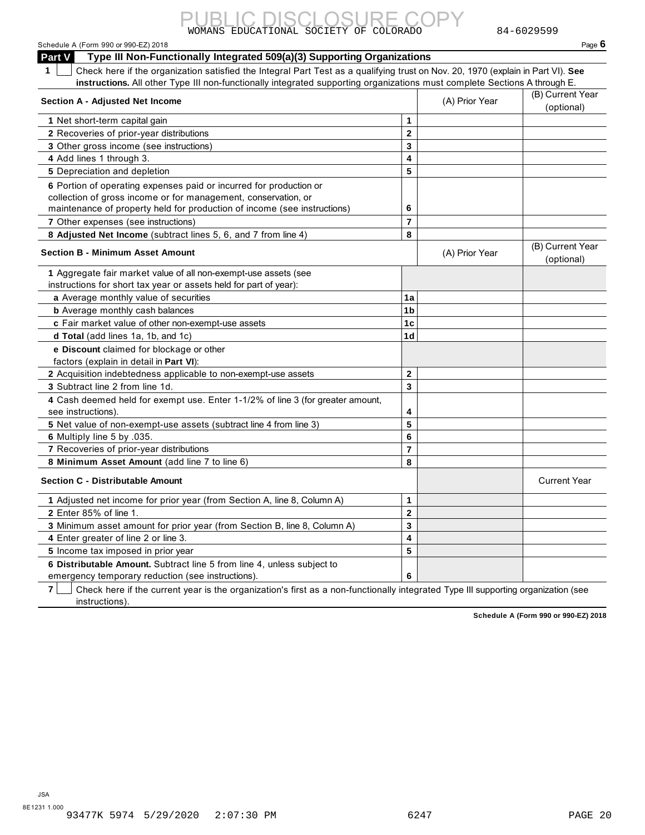## Schedule A (Form 990 or 990-EZ) 2018<br>**Page 6**<br>**Page 11** Page 11 Non Eunotionally Integrated 500(a)(2) Supporting Organizations

| Part V<br>Type III Non-Functionally Integrated 509(a)(3) Supporting Organizations                                                                                                                                |                |                |                                |
|------------------------------------------------------------------------------------------------------------------------------------------------------------------------------------------------------------------|----------------|----------------|--------------------------------|
| Check here if the organization satisfied the Integral Part Test as a qualifying trust on Nov. 20, 1970 (explain in Part VI). See<br>1                                                                            |                |                |                                |
| instructions. All other Type III non-functionally integrated supporting organizations must complete Sections A through E.                                                                                        |                |                |                                |
| <b>Section A - Adjusted Net Income</b>                                                                                                                                                                           |                | (A) Prior Year | (B) Current Year<br>(optional) |
| 1 Net short-term capital gain                                                                                                                                                                                    | 1              |                |                                |
| 2 Recoveries of prior-year distributions                                                                                                                                                                         | $\mathbf 2$    |                |                                |
| 3 Other gross income (see instructions)                                                                                                                                                                          | 3              |                |                                |
| 4 Add lines 1 through 3.                                                                                                                                                                                         | 4              |                |                                |
| 5 Depreciation and depletion                                                                                                                                                                                     | 5              |                |                                |
| 6 Portion of operating expenses paid or incurred for production or<br>collection of gross income or for management, conservation, or<br>maintenance of property held for production of income (see instructions) | 6              |                |                                |
| 7 Other expenses (see instructions)                                                                                                                                                                              | $\overline{7}$ |                |                                |
| 8 Adjusted Net Income (subtract lines 5, 6, and 7 from line 4)                                                                                                                                                   | 8              |                |                                |
| <b>Section B - Minimum Asset Amount</b>                                                                                                                                                                          |                | (A) Prior Year | (B) Current Year<br>(optional) |
| 1 Aggregate fair market value of all non-exempt-use assets (see<br>instructions for short tax year or assets held for part of year):                                                                             |                |                |                                |
| a Average monthly value of securities                                                                                                                                                                            | 1a             |                |                                |
| <b>b</b> Average monthly cash balances                                                                                                                                                                           | 1 <sub>b</sub> |                |                                |
| c Fair market value of other non-exempt-use assets                                                                                                                                                               | 1 <sub>c</sub> |                |                                |
| <b>d Total</b> (add lines 1a, 1b, and 1c)                                                                                                                                                                        | 1 <sub>d</sub> |                |                                |
| e Discount claimed for blockage or other                                                                                                                                                                         |                |                |                                |
| factors (explain in detail in Part VI):                                                                                                                                                                          |                |                |                                |
| 2 Acquisition indebtedness applicable to non-exempt-use assets                                                                                                                                                   | $\mathbf{2}$   |                |                                |
| 3 Subtract line 2 from line 1d.                                                                                                                                                                                  | 3              |                |                                |
| 4 Cash deemed held for exempt use. Enter 1-1/2% of line 3 (for greater amount,<br>see instructions).                                                                                                             | 4              |                |                                |
| 5 Net value of non-exempt-use assets (subtract line 4 from line 3)                                                                                                                                               | 5              |                |                                |
| 6 Multiply line 5 by .035.                                                                                                                                                                                       | 6              |                |                                |
| 7 Recoveries of prior-year distributions                                                                                                                                                                         | 7              |                |                                |
| 8 Minimum Asset Amount (add line 7 to line 6)                                                                                                                                                                    | 8              |                |                                |
| <b>Section C - Distributable Amount</b>                                                                                                                                                                          |                |                | <b>Current Year</b>            |
| 1 Adjusted net income for prior year (from Section A, line 8, Column A)                                                                                                                                          | 1              |                |                                |
| 2 Enter 85% of line 1.                                                                                                                                                                                           | $\overline{2}$ |                |                                |
| 3 Minimum asset amount for prior year (from Section B, line 8, Column A)                                                                                                                                         | 3              |                |                                |
| 4 Enter greater of line 2 or line 3.                                                                                                                                                                             | 4              |                |                                |
| 5 Income tax imposed in prior year                                                                                                                                                                               | 5              |                |                                |
| 6 Distributable Amount. Subtract line 5 from line 4, unless subject to<br>emergency temporary reduction (see instructions).                                                                                      | 6              |                |                                |

**7**  $\Box$  Check here if the current year is the organization's first as a non-functionally integrated Type III supporting organization (see instructions).

**Schedule A (Form 990 or 990-EZ) 2018**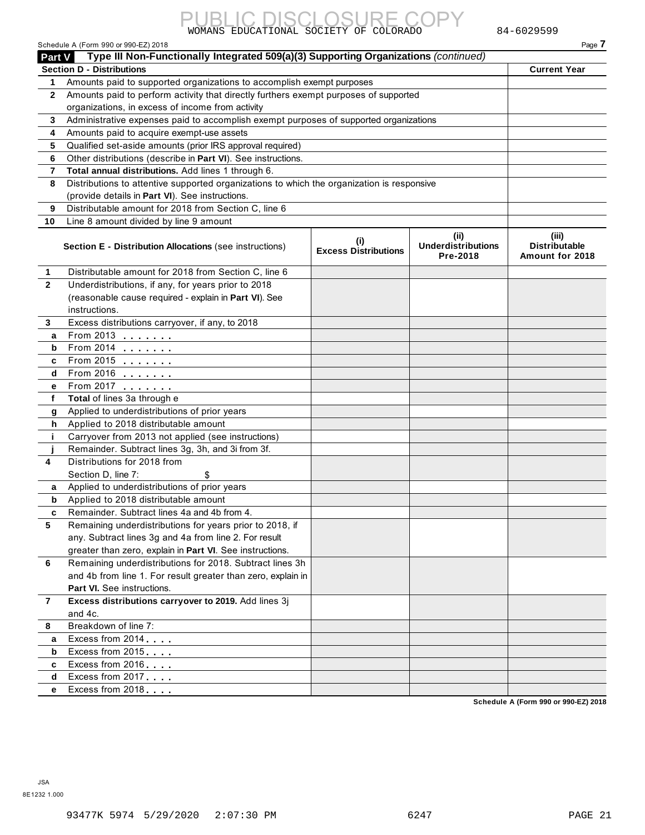#### **Part V Type III Non-Functionally Integrated 509(a)(3) Supporting Organizations** *(continued)* **Section D - Distributions Current Year 1** Amounts paid to supported organizations to accomplish exempt purposes **2** Amounts paid to perform activity that directly furthers exempt purposes of supported **3 4 5 6 7 8 9 10** organizations, in excess of income from activity Administrative expenses paid to accomplish exempt purposes of supported organizations Amounts paid to acquire exempt-use assets Qualified set-aside amounts (prior IRS approval required) Other distributions (describe in **Part VI**). See instructions. **Total annual distributions.** Add lines 1 through 6. Distributions to attentive supported organizations to which the organization is responsive (provide details in **Part VI**). See instructions. Distributable amount for 2018 from Section C, line 6 Line 8 amount divided by line 9 amount **(i) Excess Distributions (ii) Underdistributions Pre-2018 (iii) Distributable Amount for 2018 Section E - Distribution Allocations** (see instructions) **1** Distributable amount for 2018 from Section C, line 6 Underdistributions, if any, for years prior to 2018 (reasonable cause required - explain in **Part VI**). See instructions. Excess distributions carryover, if any, to 2018 From 2013 Distributable amount for 2<br>
Underdistributions, if any,<br>
(reasonable cause require<br>
instructions.<br>
Excess distributions carry<br> **a** From 2013<br> **b** From 2014 Distributions, if any,<br>
(reasonable cause require<br>
instructions.<br>
Excess distributions carry<br> **a** From 2013<br> **b** From 2014<br> **c** From 2015 onderdistributions, if any,<br>
(reasonable cause require<br>
instructions.<br>
Excess distributions carry<br> **a** From 2013<br> **b** From 2014<br> **c** From 2015<br> **d** From 2016 **2 3 4 5 6 7 8 a e** From 2017 . . . . . . . **f g** Applied to underdistributions of prior years **h** Applied to 2018 distributable amount **i j a b** Applied to 2018 distributable amount **c a b**<br>
Excess distributions can<br> **b**<br>
Excess distributions can<br>
and 4c.<br>
Breakdown of line 7:<br> **a** Excess from 2014 **c d** Excess from 2017 **e** Excess from 2018  $(1)$  easonable cause require<br>instructions.<br>Excess distributions carry<br>From 2013<br>From 2015<br>From 2016<br>From 2016 **Total** of lines 3a through e Carryover from 2013 not applied (see instructions) Remainder. Subtract lines 3g, 3h, and 3i from 3f. Distributions for 2018 from Section D, line 7: Applied to underdistributions of prior years Remainder. Subtract lines 4a and 4b from 4. Remaining underdistributions for years prior to 2018, if any. Subtract lines 3g and 4a from line 2. For result greater than zero, explain in **Part VI**. See instructions. m m m m m m m \$ Remaining underdistributions for 2018. Subtract lines 3h and 4b from line 1. For result greater than zero, explain in **Part VI.** See instructions. **Excess distributions carryover to 2019.** Add lines 3j and 4c. Breakdown of line 7: Excess from 2014 Excess from 2016 m m m m Part VI. See Instructions.<br>
Excess distributions care<br>
and 4c.<br>
Breakdown of line 7:<br>
Excess from 2014....<br>
Excess from 2016....<br>
Excess from 2017..... ms car<br>  $\frac{7!}{\cdots}$ <br>  $\cdots$ <br>  $\cdots$ <br>  $\cdots$ <br>  $\cdots$ m m m m **Schedule A (Form 990 or 990-EZ) 2018**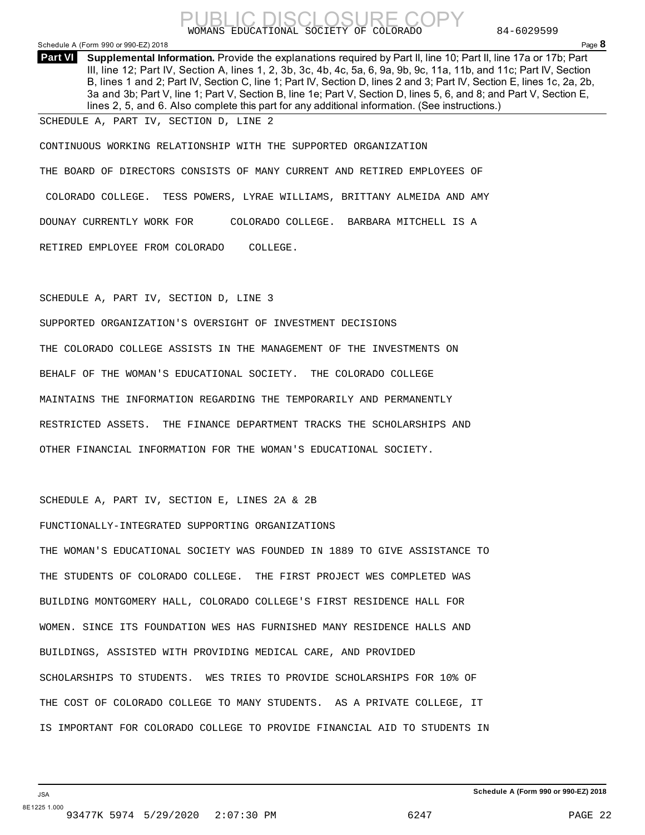

### Schedule A (Form 990 or 990-EZ) 2018 Page **8**

**Supplemental Information.** Provide the explanations required by Part II, line 10; Part II, line 17a or 17b; Part **Part VI**  III, line 12; Part IV, Section A, lines 1, 2, 3b, 3c, 4b, 4c, 5a, 6, 9a, 9b, 9c, 11a, 11b, and 11c; Part IV, Section B, lines 1 and 2; Part IV, Section C, line 1; Part IV, Section D, lines 2 and 3; Part IV, Section E, lines 1c, 2a, 2b, 3a and 3b; Part V, line 1; Part V, Section B, line 1e; Part V, Section D, lines 5, 6, and 8; and Part V, Section E, lines 2, 5, and 6. Also complete this part for any additional information. (See instructions.)

SCHEDULE A, PART IV, SECTION D, LINE 2

CONTINUOUS WORKING RELATIONSHIP WITH THE SUPPORTED ORGANIZATION THE BOARD OF DIRECTORS CONSISTS OF MANY CURRENT AND RETIRED EMPLOYEES OF COLORADO COLLEGE. TESS POWERS, LYRAE WILLIAMS, BRITTANY ALMEIDA AND AMY DOUNAY CURRENTLY WORK FOR COLORADO COLLEGE. BARBARA MITCHELL IS A RETIRED EMPLOYEE FROM COLORADO COLLEGE.

SCHEDULE A, PART IV, SECTION D, LINE 3

SUPPORTED ORGANIZATION'S OVERSIGHT OF INVESTMENT DECISIONS THE COLORADO COLLEGE ASSISTS IN THE MANAGEMENT OF THE INVESTMENTS ON BEHALF OF THE WOMAN'S EDUCATIONAL SOCIETY. THE COLORADO COLLEGE MAINTAINS THE INFORMATION REGARDING THE TEMPORARILY AND PERMANENTLY RESTRICTED ASSETS. THE FINANCE DEPARTMENT TRACKS THE SCHOLARSHIPS AND OTHER FINANCIAL INFORMATION FOR THE WOMAN'S EDUCATIONAL SOCIETY.

SCHEDULE A, PART IV, SECTION E, LINES 2A & 2B

### FUNCTIONALLY-INTEGRATED SUPPORTING ORGANIZATIONS

THE WOMAN'S EDUCATIONAL SOCIETY WAS FOUNDED IN 1889 TO GIVE ASSISTANCE TO THE STUDENTS OF COLORADO COLLEGE. THE FIRST PROJECT WES COMPLETED WAS BUILDING MONTGOMERY HALL, COLORADO COLLEGE'S FIRST RESIDENCE HALL FOR WOMEN. SINCE ITS FOUNDATION WES HAS FURNISHED MANY RESIDENCE HALLS AND BUILDINGS, ASSISTED WITH PROVIDING MEDICAL CARE, AND PROVIDED SCHOLARSHIPS TO STUDENTS. WES TRIES TO PROVIDE SCHOLARSHIPS FOR 10% OF THE COST OF COLORADO COLLEGE TO MANY STUDENTS. AS A PRIVATE COLLEGE, IT IS IMPORTANT FOR COLORADO COLLEGE TO PROVIDE FINANCIAL AID TO STUDENTS IN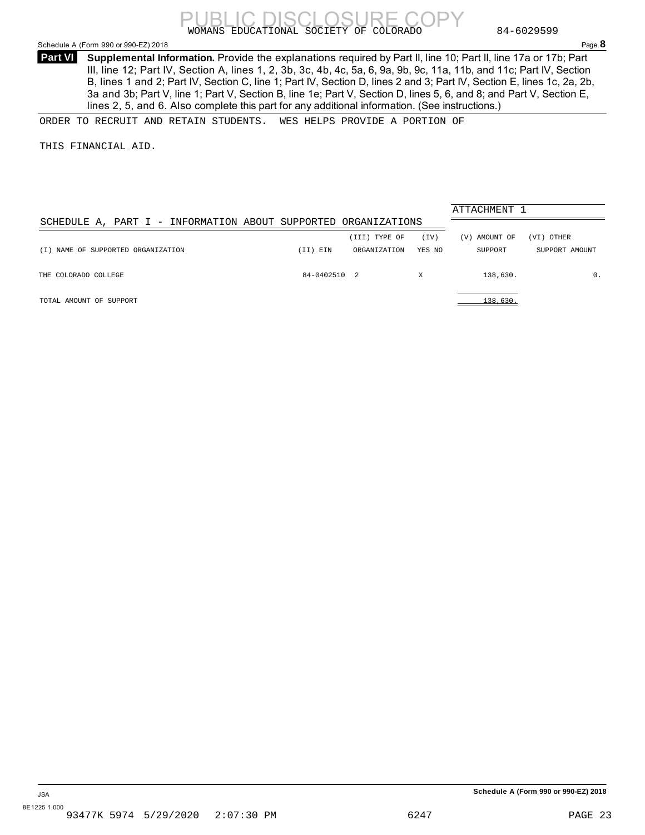

### <span id="page-21-0"></span>Schedule A (Form 990 or 990-EZ) 2018 Page **8**

**Supplemental Information.** Provide the explanations required by Part II, line 10; Part II, line 17a or 17b; Part **Part VI**  III, line 12; Part IV, Section A, lines 1, 2, 3b, 3c, 4b, 4c, 5a, 6, 9a, 9b, 9c, 11a, 11b, and 11c; Part IV, Section B, lines 1 and 2; Part IV, Section C, line 1; Part IV, Section D, lines 2 and 3; Part IV, Section E, lines 1c, 2a, 2b, 3a and 3b; Part V, line 1; Part V, Section B, line 1e; Part V, Section D, lines 5, 6, and 8; and Part V, Section E, lines 2, 5, and 6. Also complete this part for any additional information. (See instructions.)

ORDER TO RECRUIT AND RETAIN STUDENTS. WES HELPS PROVIDE A PORTION OF

THIS FINANCIAL AID.

|                                                                |              |               |        | ATTACHMENT 1     |                |  |  |
|----------------------------------------------------------------|--------------|---------------|--------|------------------|----------------|--|--|
| SCHEDULE A, PART I - INFORMATION ABOUT SUPPORTED ORGANIZATIONS |              |               |        |                  |                |  |  |
|                                                                |              | (III) TYPE OF | (TV)   | AMOUNT OF<br>(V) | (VI) OTHER     |  |  |
| (I) NAME OF SUPPORTED ORGANIZATION                             | (II) EIN     | ORGANIZATION  | YES NO | SUPPORT          | SUPPORT AMOUNT |  |  |
| THE COLORADO COLLEGE                                           | 84-0402510 2 |               | Χ      | 138,630.         | 0.             |  |  |
| TOTAL AMOUNT OF SUPPORT                                        |              |               |        | 138,630.         |                |  |  |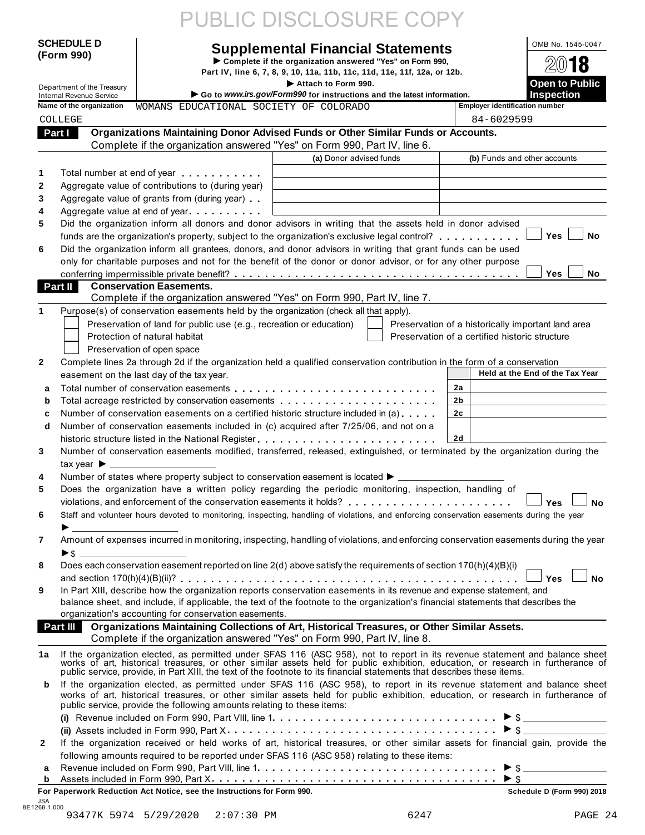| <b>SCHEDULE D</b><br><b>Supplemental Financial Statements</b><br>(Form 990)<br>Complete if the organization answered "Yes" on Form 990,<br>Part IV, line 6, 7, 8, 9, 10, 11a, 11b, 11c, 11d, 11e, 11f, 12a, or 12b.<br>Attach to Form 990.<br>Department of the Treasury<br>Go to www.irs.gov/Form990 for instructions and the latest information.<br><b>Internal Revenue Service</b><br>Name of the organization<br>WOMANS EDUCATIONAL SOCIETY OF COLORADO<br>COLLEGE<br>Part I<br>Organizations Maintaining Donor Advised Funds or Other Similar Funds or Accounts.<br>Complete if the organization answered "Yes" on Form 990, Part IV, line 6.<br>(a) Donor advised funds<br>1<br>Total number at end of year <b>that the state of the state of the state of the state of the state of the state of the state of the state of the state of the state of the state of the state of the state of the state of the st</b><br>Aggregate value of contributions to (during year)<br>$\mathbf{2}$<br>3<br>Aggregate value of grants from (during year)<br>4<br>Aggregate value at end of year<br>Did the organization inform all donors and donor advisors in writing that the assets held in donor advised<br>5<br>funds are the organization's property, subject to the organization's exclusive legal control?<br>6<br>Did the organization inform all grantees, donors, and donor advisors in writing that grant funds can be used<br>only for charitable purposes and not for the benefit of the donor or donor advisor, or for any other purpose | OMB No. 1545-0047<br>18<br><b>Open to Public</b><br><b>Inspection</b><br><b>Employer identification number</b><br>84-6029599<br>(b) Funds and other accounts<br><b>Yes</b><br><b>No</b><br><b>Yes</b><br><b>No</b> |
|------------------------------------------------------------------------------------------------------------------------------------------------------------------------------------------------------------------------------------------------------------------------------------------------------------------------------------------------------------------------------------------------------------------------------------------------------------------------------------------------------------------------------------------------------------------------------------------------------------------------------------------------------------------------------------------------------------------------------------------------------------------------------------------------------------------------------------------------------------------------------------------------------------------------------------------------------------------------------------------------------------------------------------------------------------------------------------------------------------------------------------------------------------------------------------------------------------------------------------------------------------------------------------------------------------------------------------------------------------------------------------------------------------------------------------------------------------------------------------------------------------------------------------------------------|--------------------------------------------------------------------------------------------------------------------------------------------------------------------------------------------------------------------|
|                                                                                                                                                                                                                                                                                                                                                                                                                                                                                                                                                                                                                                                                                                                                                                                                                                                                                                                                                                                                                                                                                                                                                                                                                                                                                                                                                                                                                                                                                                                                                      |                                                                                                                                                                                                                    |
|                                                                                                                                                                                                                                                                                                                                                                                                                                                                                                                                                                                                                                                                                                                                                                                                                                                                                                                                                                                                                                                                                                                                                                                                                                                                                                                                                                                                                                                                                                                                                      |                                                                                                                                                                                                                    |
|                                                                                                                                                                                                                                                                                                                                                                                                                                                                                                                                                                                                                                                                                                                                                                                                                                                                                                                                                                                                                                                                                                                                                                                                                                                                                                                                                                                                                                                                                                                                                      |                                                                                                                                                                                                                    |
|                                                                                                                                                                                                                                                                                                                                                                                                                                                                                                                                                                                                                                                                                                                                                                                                                                                                                                                                                                                                                                                                                                                                                                                                                                                                                                                                                                                                                                                                                                                                                      |                                                                                                                                                                                                                    |
|                                                                                                                                                                                                                                                                                                                                                                                                                                                                                                                                                                                                                                                                                                                                                                                                                                                                                                                                                                                                                                                                                                                                                                                                                                                                                                                                                                                                                                                                                                                                                      |                                                                                                                                                                                                                    |
|                                                                                                                                                                                                                                                                                                                                                                                                                                                                                                                                                                                                                                                                                                                                                                                                                                                                                                                                                                                                                                                                                                                                                                                                                                                                                                                                                                                                                                                                                                                                                      |                                                                                                                                                                                                                    |
|                                                                                                                                                                                                                                                                                                                                                                                                                                                                                                                                                                                                                                                                                                                                                                                                                                                                                                                                                                                                                                                                                                                                                                                                                                                                                                                                                                                                                                                                                                                                                      |                                                                                                                                                                                                                    |
|                                                                                                                                                                                                                                                                                                                                                                                                                                                                                                                                                                                                                                                                                                                                                                                                                                                                                                                                                                                                                                                                                                                                                                                                                                                                                                                                                                                                                                                                                                                                                      |                                                                                                                                                                                                                    |
|                                                                                                                                                                                                                                                                                                                                                                                                                                                                                                                                                                                                                                                                                                                                                                                                                                                                                                                                                                                                                                                                                                                                                                                                                                                                                                                                                                                                                                                                                                                                                      |                                                                                                                                                                                                                    |
|                                                                                                                                                                                                                                                                                                                                                                                                                                                                                                                                                                                                                                                                                                                                                                                                                                                                                                                                                                                                                                                                                                                                                                                                                                                                                                                                                                                                                                                                                                                                                      |                                                                                                                                                                                                                    |
|                                                                                                                                                                                                                                                                                                                                                                                                                                                                                                                                                                                                                                                                                                                                                                                                                                                                                                                                                                                                                                                                                                                                                                                                                                                                                                                                                                                                                                                                                                                                                      |                                                                                                                                                                                                                    |
|                                                                                                                                                                                                                                                                                                                                                                                                                                                                                                                                                                                                                                                                                                                                                                                                                                                                                                                                                                                                                                                                                                                                                                                                                                                                                                                                                                                                                                                                                                                                                      |                                                                                                                                                                                                                    |
|                                                                                                                                                                                                                                                                                                                                                                                                                                                                                                                                                                                                                                                                                                                                                                                                                                                                                                                                                                                                                                                                                                                                                                                                                                                                                                                                                                                                                                                                                                                                                      |                                                                                                                                                                                                                    |
|                                                                                                                                                                                                                                                                                                                                                                                                                                                                                                                                                                                                                                                                                                                                                                                                                                                                                                                                                                                                                                                                                                                                                                                                                                                                                                                                                                                                                                                                                                                                                      |                                                                                                                                                                                                                    |
|                                                                                                                                                                                                                                                                                                                                                                                                                                                                                                                                                                                                                                                                                                                                                                                                                                                                                                                                                                                                                                                                                                                                                                                                                                                                                                                                                                                                                                                                                                                                                      |                                                                                                                                                                                                                    |
|                                                                                                                                                                                                                                                                                                                                                                                                                                                                                                                                                                                                                                                                                                                                                                                                                                                                                                                                                                                                                                                                                                                                                                                                                                                                                                                                                                                                                                                                                                                                                      |                                                                                                                                                                                                                    |
|                                                                                                                                                                                                                                                                                                                                                                                                                                                                                                                                                                                                                                                                                                                                                                                                                                                                                                                                                                                                                                                                                                                                                                                                                                                                                                                                                                                                                                                                                                                                                      |                                                                                                                                                                                                                    |
|                                                                                                                                                                                                                                                                                                                                                                                                                                                                                                                                                                                                                                                                                                                                                                                                                                                                                                                                                                                                                                                                                                                                                                                                                                                                                                                                                                                                                                                                                                                                                      |                                                                                                                                                                                                                    |
| Part II<br><b>Conservation Easements.</b><br>Complete if the organization answered "Yes" on Form 990, Part IV, line 7.                                                                                                                                                                                                                                                                                                                                                                                                                                                                                                                                                                                                                                                                                                                                                                                                                                                                                                                                                                                                                                                                                                                                                                                                                                                                                                                                                                                                                               |                                                                                                                                                                                                                    |
| 1<br>Purpose(s) of conservation easements held by the organization (check all that apply).                                                                                                                                                                                                                                                                                                                                                                                                                                                                                                                                                                                                                                                                                                                                                                                                                                                                                                                                                                                                                                                                                                                                                                                                                                                                                                                                                                                                                                                           |                                                                                                                                                                                                                    |
| Preservation of land for public use (e.g., recreation or education)                                                                                                                                                                                                                                                                                                                                                                                                                                                                                                                                                                                                                                                                                                                                                                                                                                                                                                                                                                                                                                                                                                                                                                                                                                                                                                                                                                                                                                                                                  | Preservation of a historically important land area                                                                                                                                                                 |
| Protection of natural habitat                                                                                                                                                                                                                                                                                                                                                                                                                                                                                                                                                                                                                                                                                                                                                                                                                                                                                                                                                                                                                                                                                                                                                                                                                                                                                                                                                                                                                                                                                                                        | Preservation of a certified historic structure                                                                                                                                                                     |
| Preservation of open space                                                                                                                                                                                                                                                                                                                                                                                                                                                                                                                                                                                                                                                                                                                                                                                                                                                                                                                                                                                                                                                                                                                                                                                                                                                                                                                                                                                                                                                                                                                           |                                                                                                                                                                                                                    |
| Complete lines 2a through 2d if the organization held a qualified conservation contribution in the form of a conservation<br>2                                                                                                                                                                                                                                                                                                                                                                                                                                                                                                                                                                                                                                                                                                                                                                                                                                                                                                                                                                                                                                                                                                                                                                                                                                                                                                                                                                                                                       |                                                                                                                                                                                                                    |
| easement on the last day of the tax year.                                                                                                                                                                                                                                                                                                                                                                                                                                                                                                                                                                                                                                                                                                                                                                                                                                                                                                                                                                                                                                                                                                                                                                                                                                                                                                                                                                                                                                                                                                            | Held at the End of the Tax Year                                                                                                                                                                                    |
| 2a<br>a                                                                                                                                                                                                                                                                                                                                                                                                                                                                                                                                                                                                                                                                                                                                                                                                                                                                                                                                                                                                                                                                                                                                                                                                                                                                                                                                                                                                                                                                                                                                              |                                                                                                                                                                                                                    |
| Total acreage restricted by conservation easements<br>2b<br>b                                                                                                                                                                                                                                                                                                                                                                                                                                                                                                                                                                                                                                                                                                                                                                                                                                                                                                                                                                                                                                                                                                                                                                                                                                                                                                                                                                                                                                                                                        |                                                                                                                                                                                                                    |
| Number of conservation easements on a certified historic structure included in (a)<br>2c<br>C                                                                                                                                                                                                                                                                                                                                                                                                                                                                                                                                                                                                                                                                                                                                                                                                                                                                                                                                                                                                                                                                                                                                                                                                                                                                                                                                                                                                                                                        |                                                                                                                                                                                                                    |
| Number of conservation easements included in (c) acquired after 7/25/06, and not on a<br>d                                                                                                                                                                                                                                                                                                                                                                                                                                                                                                                                                                                                                                                                                                                                                                                                                                                                                                                                                                                                                                                                                                                                                                                                                                                                                                                                                                                                                                                           |                                                                                                                                                                                                                    |
| historic structure listed in the National Register<br>2d                                                                                                                                                                                                                                                                                                                                                                                                                                                                                                                                                                                                                                                                                                                                                                                                                                                                                                                                                                                                                                                                                                                                                                                                                                                                                                                                                                                                                                                                                             |                                                                                                                                                                                                                    |
| Number of conservation easements modified, transferred, released, extinguished, or terminated by the organization during the<br>3                                                                                                                                                                                                                                                                                                                                                                                                                                                                                                                                                                                                                                                                                                                                                                                                                                                                                                                                                                                                                                                                                                                                                                                                                                                                                                                                                                                                                    |                                                                                                                                                                                                                    |
| tax year $\blacktriangleright$                                                                                                                                                                                                                                                                                                                                                                                                                                                                                                                                                                                                                                                                                                                                                                                                                                                                                                                                                                                                                                                                                                                                                                                                                                                                                                                                                                                                                                                                                                                       |                                                                                                                                                                                                                    |
| 4                                                                                                                                                                                                                                                                                                                                                                                                                                                                                                                                                                                                                                                                                                                                                                                                                                                                                                                                                                                                                                                                                                                                                                                                                                                                                                                                                                                                                                                                                                                                                    |                                                                                                                                                                                                                    |
| Does the organization have a written policy regarding the periodic monitoring, inspection, handling of<br>5                                                                                                                                                                                                                                                                                                                                                                                                                                                                                                                                                                                                                                                                                                                                                                                                                                                                                                                                                                                                                                                                                                                                                                                                                                                                                                                                                                                                                                          |                                                                                                                                                                                                                    |
| violations, and enforcement of the conservation easements it holds?                                                                                                                                                                                                                                                                                                                                                                                                                                                                                                                                                                                                                                                                                                                                                                                                                                                                                                                                                                                                                                                                                                                                                                                                                                                                                                                                                                                                                                                                                  | <b>No</b><br>J Yes                                                                                                                                                                                                 |
| Staff and volunteer hours devoted to monitoring, inspecting, handling of violations, and enforcing conservation easements during the year<br>6                                                                                                                                                                                                                                                                                                                                                                                                                                                                                                                                                                                                                                                                                                                                                                                                                                                                                                                                                                                                                                                                                                                                                                                                                                                                                                                                                                                                       |                                                                                                                                                                                                                    |
| $\blacktriangleright$ . The contract of the contract of the contract of the contract of the contract of the contract of the contract of the contract of the contract of the contract of the contract of the contract of the contract of the<br>Amount of expenses incurred in monitoring, inspecting, handling of violations, and enforcing conservation easements during the year<br>7                                                                                                                                                                                                                                                                                                                                                                                                                                                                                                                                                                                                                                                                                                                                                                                                                                                                                                                                                                                                                                                                                                                                                              |                                                                                                                                                                                                                    |
|                                                                                                                                                                                                                                                                                                                                                                                                                                                                                                                                                                                                                                                                                                                                                                                                                                                                                                                                                                                                                                                                                                                                                                                                                                                                                                                                                                                                                                                                                                                                                      |                                                                                                                                                                                                                    |
| Does each conservation easement reported on line 2(d) above satisfy the requirements of section 170(h)(4)(B)(i)<br>8                                                                                                                                                                                                                                                                                                                                                                                                                                                                                                                                                                                                                                                                                                                                                                                                                                                                                                                                                                                                                                                                                                                                                                                                                                                                                                                                                                                                                                 |                                                                                                                                                                                                                    |
|                                                                                                                                                                                                                                                                                                                                                                                                                                                                                                                                                                                                                                                                                                                                                                                                                                                                                                                                                                                                                                                                                                                                                                                                                                                                                                                                                                                                                                                                                                                                                      | <b>Yes</b><br><b>No</b>                                                                                                                                                                                            |
| In Part XIII, describe how the organization reports conservation easements in its revenue and expense statement, and<br>9                                                                                                                                                                                                                                                                                                                                                                                                                                                                                                                                                                                                                                                                                                                                                                                                                                                                                                                                                                                                                                                                                                                                                                                                                                                                                                                                                                                                                            |                                                                                                                                                                                                                    |
| balance sheet, and include, if applicable, the text of the footnote to the organization's financial statements that describes the                                                                                                                                                                                                                                                                                                                                                                                                                                                                                                                                                                                                                                                                                                                                                                                                                                                                                                                                                                                                                                                                                                                                                                                                                                                                                                                                                                                                                    |                                                                                                                                                                                                                    |
| organization's accounting for conservation easements.                                                                                                                                                                                                                                                                                                                                                                                                                                                                                                                                                                                                                                                                                                                                                                                                                                                                                                                                                                                                                                                                                                                                                                                                                                                                                                                                                                                                                                                                                                |                                                                                                                                                                                                                    |
| <b>Part III</b> Organizations Maintaining Collections of Art, Historical Treasures, or Other Similar Assets.                                                                                                                                                                                                                                                                                                                                                                                                                                                                                                                                                                                                                                                                                                                                                                                                                                                                                                                                                                                                                                                                                                                                                                                                                                                                                                                                                                                                                                         |                                                                                                                                                                                                                    |
| Complete if the organization answered "Yes" on Form 990, Part IV, line 8.                                                                                                                                                                                                                                                                                                                                                                                                                                                                                                                                                                                                                                                                                                                                                                                                                                                                                                                                                                                                                                                                                                                                                                                                                                                                                                                                                                                                                                                                            |                                                                                                                                                                                                                    |
| If the organization elected, as permitted under SFAS 116 (ASC 958), not to report in its revenue statement and balance sheet works of art, historical treasures, or other similar assets held for public exhibition, education<br>1a<br>public service, provide, in Part XIII, the text of the footnote to its financial statements that describes these items.                                                                                                                                                                                                                                                                                                                                                                                                                                                                                                                                                                                                                                                                                                                                                                                                                                                                                                                                                                                                                                                                                                                                                                                      |                                                                                                                                                                                                                    |
| If the organization elected, as permitted under SFAS 116 (ASC 958), to report in its revenue statement and balance sheet<br>b<br>works of art, historical treasures, or other similar assets held for public exhibition, education, or research in furtherance of                                                                                                                                                                                                                                                                                                                                                                                                                                                                                                                                                                                                                                                                                                                                                                                                                                                                                                                                                                                                                                                                                                                                                                                                                                                                                    |                                                                                                                                                                                                                    |
| public service, provide the following amounts relating to these items:                                                                                                                                                                                                                                                                                                                                                                                                                                                                                                                                                                                                                                                                                                                                                                                                                                                                                                                                                                                                                                                                                                                                                                                                                                                                                                                                                                                                                                                                               |                                                                                                                                                                                                                    |
|                                                                                                                                                                                                                                                                                                                                                                                                                                                                                                                                                                                                                                                                                                                                                                                                                                                                                                                                                                                                                                                                                                                                                                                                                                                                                                                                                                                                                                                                                                                                                      |                                                                                                                                                                                                                    |
| If the organization received or held works of art, historical treasures, or other similar assets for financial gain, provide the<br>$\mathbf{2}$                                                                                                                                                                                                                                                                                                                                                                                                                                                                                                                                                                                                                                                                                                                                                                                                                                                                                                                                                                                                                                                                                                                                                                                                                                                                                                                                                                                                     |                                                                                                                                                                                                                    |
| following amounts required to be reported under SFAS 116 (ASC 958) relating to these items:<br>a                                                                                                                                                                                                                                                                                                                                                                                                                                                                                                                                                                                                                                                                                                                                                                                                                                                                                                                                                                                                                                                                                                                                                                                                                                                                                                                                                                                                                                                     |                                                                                                                                                                                                                    |
| b                                                                                                                                                                                                                                                                                                                                                                                                                                                                                                                                                                                                                                                                                                                                                                                                                                                                                                                                                                                                                                                                                                                                                                                                                                                                                                                                                                                                                                                                                                                                                    |                                                                                                                                                                                                                    |
| For Paperwork Reduction Act Notice, see the Instructions for Form 990.                                                                                                                                                                                                                                                                                                                                                                                                                                                                                                                                                                                                                                                                                                                                                                                                                                                                                                                                                                                                                                                                                                                                                                                                                                                                                                                                                                                                                                                                               | Schedule D (Form 990) 2018                                                                                                                                                                                         |

|                            |  | For Paperwork Reduction Act Notice, see the Instructions for Form 990. |      | <b>Schedule D (Form 990) 2018</b> |
|----------------------------|--|------------------------------------------------------------------------|------|-----------------------------------|
| <b>JSA</b><br>8E1268 1.000 |  |                                                                        |      |                                   |
|                            |  | 93477K 5974 5/29/2020 2:07:30 PM                                       | 6247 | PAGE 24                           |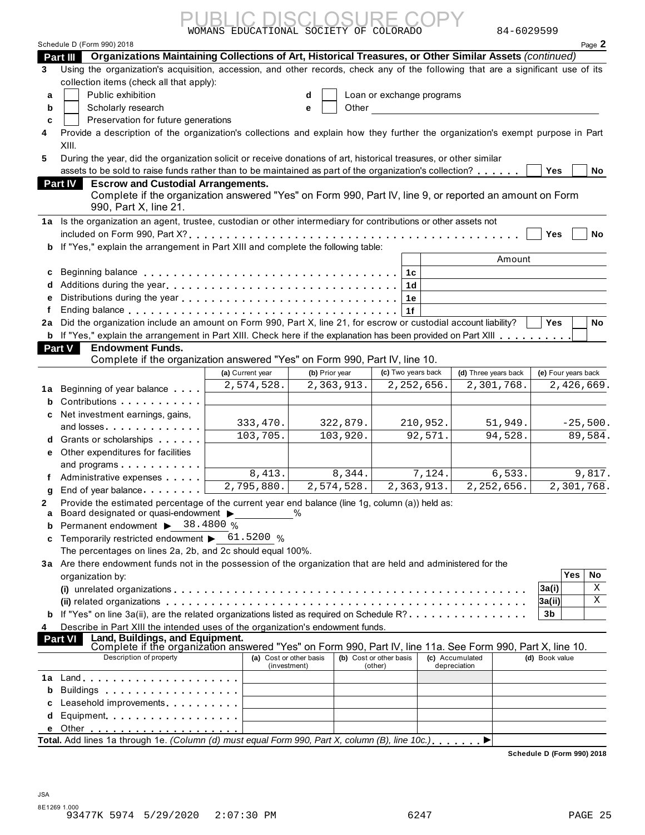Schedule D (Form 990) 2018 Page **2 Part III Organizations Maintaining Collections of Art, Historical Treasures, or Other Similar Assets** *(continued)* Using the organization's acquisition, accession, and other records, check any of the following that are a significant use of its **d** Loan or exchange programs WOMANS EDUCATIONAL SOCIETY OF COLORADO 84-6029599 PUBLIC DISCLOSURE COPY

**b c** Scholarly

Public exhibition

collection items (check all that apply):

**3**

**a**

| ariy research |  |  |  |  |  |
|---------------|--|--|--|--|--|
|               |  |  |  |  |  |

Other

Preservation for future generations

**4** Provide a description of the organization's collections and explain how they further the organization's exempt purpose in Part XIII. Fubility research<br>
Preservation for future generations<br>
Provide a description of the organization's collections and explain how they further the organization's exempt purpose in Part<br>
XIII.<br>
During the year, did the organi

**e**

| 5 During the year, did the organization solicit or receive donations of art, historical treasures, or other similar                                                                                                                |  |
|------------------------------------------------------------------------------------------------------------------------------------------------------------------------------------------------------------------------------------|--|
| $\mathcal{L}$ , and the contract of the contract of the contract of the contract of the contract of the contract of the contract of the contract of the contract of the contract of the contract of the contract of the contract o |  |

| assets to be sold to raise funds rather than to be maintained as part of the organization's collection? | Yes | No |
|---------------------------------------------------------------------------------------------------------|-----|----|
| <b>Part IV</b> Escrow and Custodial Arrangements.                                                       |     |    |

| Complete if the organization answered "Yes" on Form 990, Part IV, line 9, or reported an amount on Form |
|---------------------------------------------------------------------------------------------------------|
| 990, Part X, line 21.                                                                                   |

|                | $J$ During the year, all the organization soligit or receive donations or art, mstorical treasures, or other similar                                                                       |
|----------------|--------------------------------------------------------------------------------------------------------------------------------------------------------------------------------------------|
|                | assets to be sold to raise funds rather than to be maintained as part of the organization's collection?<br>Yes<br>No                                                                       |
| <b>Part IV</b> | <b>Escrow and Custodial Arrangements.</b>                                                                                                                                                  |
|                | Complete if the organization answered "Yes" on Form 990, Part IV, line 9, or reported an amount on Form<br>990, Part X, line 21.                                                           |
|                | 1a Is the organization an agent, trustee, custodian or other intermediary for contributions or other assets not                                                                            |
|                | included on Form 990, Part $X$ ? $\ldots$ $\ldots$ $\ldots$ $\ldots$ $\ldots$ $\ldots$ $\ldots$ $\ldots$ $\ldots$ $\ldots$ $\ldots$ $\ldots$ $\ldots$ $\vdots$ $\mid$ Yes $\mid$ $\mid$ No |
|                | <b>b</b> If "Yes," explain the arrangement in Part XIII and complete the following table:                                                                                                  |
|                | A <b>1</b>                                                                                                                                                                                 |

| Complete if the organization answered freshorn bini 550, if are responsed an amount on Form<br>990. Part X. line 21.                                           |                  |
|----------------------------------------------------------------------------------------------------------------------------------------------------------------|------------------|
| 1a Is the organization an agent, trustee, custodian or other intermediary for contributions or other assets not                                                |                  |
| included on Form 990, Part $X$ ? $\ldots$ $\ldots$ $\ldots$ $\ldots$ $\ldots$ $\ldots$ $\ldots$ $\ldots$ $\ldots$ $\ldots$ $\ldots$ $\ldots$ $\ldots$ $\ldots$ | Yes<br>No        |
| <b>b</b> If "Yes," explain the arrangement in Part XIII and complete the following table:                                                                      |                  |
|                                                                                                                                                                | Amount           |
|                                                                                                                                                                |                  |
|                                                                                                                                                                |                  |
|                                                                                                                                                                |                  |
|                                                                                                                                                                |                  |
| 2a Did the organization include an amount on Form 990, Part X, line 21, for escrow or custodial account liability?                                             | <b>No</b><br>Yes |
| b If "Yes," explain the arrangement in Part XIII. Check here if the explanation has been provided on Part XIII                                                 |                  |
| <b>Part V</b><br><b>Endowment Funds.</b>                                                                                                                       |                  |
| Complete if the experienting exercises different on Ferry 000, Deat BJ, line 40.                                                                               |                  |

| <b>2a</b> Did the organization include an amount on Form 990, Part X, line 21, for escrow or custodial account liability? $\;\;\bigsqcup$ <code>Yes <math>\;\;\bigsqcup</math> N</code> |  |
|-----------------------------------------------------------------------------------------------------------------------------------------------------------------------------------------|--|
| <b>b</b> If "Yes," explain the arrangement in Part XIII. Check here if the explanation has been provided on Part XIII <b>Explanation</b>                                                |  |

### **Part V**

|   | 2a Did the organization include an amount on Form 990, Part X, line 21, for escrow or custodial account liability?                                          |                  |                |                    |                      | No.<br>Yes          |
|---|-------------------------------------------------------------------------------------------------------------------------------------------------------------|------------------|----------------|--------------------|----------------------|---------------------|
|   | <b>b</b> If "Yes," explain the arrangement in Part XIII. Check here if the explanation has been provided on Part XIII                                       |                  |                |                    |                      |                     |
|   | Part V<br><b>Endowment Funds.</b>                                                                                                                           |                  |                |                    |                      |                     |
|   | Complete if the organization answered "Yes" on Form 990, Part IV, line 10.                                                                                  |                  |                |                    |                      |                     |
|   |                                                                                                                                                             | (a) Current year | (b) Prior year | (c) Two years back | (d) Three years back | (e) Four years back |
|   | <b>1a</b> Beginning of year balance                                                                                                                         | 2,574,528.       | 2,363,913.     | 2,252,656.         | 2,301,768.           | 2,426,669.          |
|   | <b>b</b> Contributions <b>b</b> Contributions <b>b</b>                                                                                                      |                  |                |                    |                      |                     |
|   | c Net investment earnings, gains,<br>and losses <b>and losses</b>                                                                                           | 333,470.         | 322,879.       | 210,952.           | 51,949.              | $-25,500.$          |
|   | <b>d</b> Grants or scholarships <b>contained</b>                                                                                                            | 103,705.         | 103,920.       | 92,571.            | 94,528.              | 89,584.             |
|   | <b>e</b> Other expenditures for facilities<br>and programs entering the state of the state of the state of the state of the state of the state of the state |                  |                |                    |                      |                     |
|   | Administrative expenses                                                                                                                                     | 8,413.           | 8,344.         | 7,124.             | 6,533.               | 9,817.              |
| a | End of year balance                                                                                                                                         | 2,795,880.       | 2,574,528.     | 2,363,913.         | 2,252,656.           | 2,301,768.          |
|   | Provide the estimated percentage of the current year end balance (line 1g, column (a)) held as:                                                             |                  |                |                    |                      |                     |

Provide the estimated percentage of the current year end balan<br>**a** Board designated or quasi-endowment  $\bullet$ \_\_\_\_\_\_\_\_\_\_\_\_%

### **a** Are there endowment funds not in the possession of the organization that are held and administered for the **3** organization by:

| $\alpha$ board designated or quasi-endownlent $\beta$                                                         |       |                  |                           |
|---------------------------------------------------------------------------------------------------------------|-------|------------------|---------------------------|
| <b>b</b> Permanent endowment $\triangleright$ 38.4800 %                                                       |       |                  |                           |
| <b>c</b> Temporarily restricted endowment $\triangleright$ 61.5200 %                                          |       |                  |                           |
| The percentages on lines 2a, 2b, and 2c should equal 100%.                                                    |       |                  |                           |
| 3a Are there endowment funds not in the possession of the organization that are held and administered for the |       |                  |                           |
| organization by:                                                                                              |       | Yes <sub>1</sub> | No                        |
|                                                                                                               | 3a(i) |                  | X                         |
|                                                                                                               | 3a(i) |                  | $\boldsymbol{\mathrm{X}}$ |
|                                                                                                               |       |                  |                           |
| 4 Describe in Part XIII the intended uses of the organization's endowment funds.                              |       |                  |                           |
| $\Box$ and the definitions and Equipment                                                                      |       |                  |                           |

|   |                                                                                                                                                          |                                         |                                    |                                 | ןוויוα<br>∡⊾               |
|---|----------------------------------------------------------------------------------------------------------------------------------------------------------|-----------------------------------------|------------------------------------|---------------------------------|----------------------------|
|   | <b>b</b> If "Yes" on line 3a(ii), are the related organizations listed as required on Schedule R?                                                        |                                         |                                    |                                 | 3b                         |
| 4 | Describe in Part XIII the intended uses of the organization's endowment funds.                                                                           |                                         |                                    |                                 |                            |
|   | Land, Buildings, and Equipment.<br>Complete if the organization answered "Yes" on Form 990, Part IV, line 11a. See Form 990, Part X, line 10.<br>Part VI |                                         |                                    |                                 |                            |
|   | Description of property                                                                                                                                  | (a) Cost or other basis<br>(investment) | (b) Cost or other basis<br>(other) | (c) Accumulated<br>depreciation | (d) Book value             |
|   |                                                                                                                                                          |                                         |                                    |                                 |                            |
|   |                                                                                                                                                          |                                         |                                    |                                 |                            |
|   | c Leasehold improvements                                                                                                                                 |                                         |                                    |                                 |                            |
|   |                                                                                                                                                          |                                         |                                    |                                 |                            |
|   | e Other <u>.</u>                                                                                                                                         |                                         |                                    |                                 |                            |
|   | Total. Add lines 1a through 1e. (Column (d) must equal Form 990, Part X, column (B), line 10c.)                                                          |                                         |                                    |                                 |                            |
|   |                                                                                                                                                          |                                         |                                    |                                 | Schedule D (Form 990) 2018 |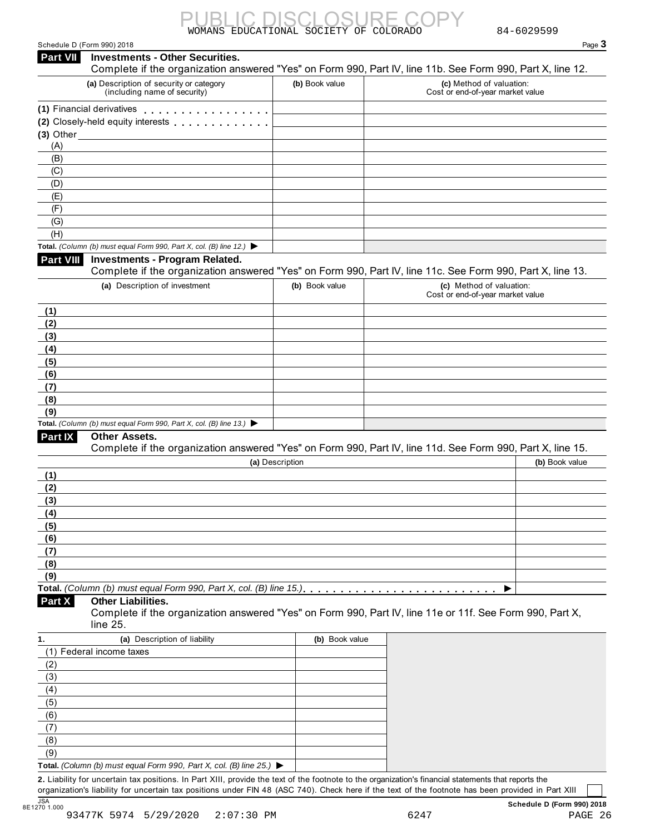| WOMANS 1 | EDUCATIONAL SOCIETY OF COLORADO |  |
|----------|---------------------------------|--|

| Schedule D (Form 990) 2018 |  |  |  |  |
|----------------------------|--|--|--|--|
|----------------------------|--|--|--|--|

|                                                                                  | <b>Investments - Other Securities.</b>                                                                     |                 | Page $3$                                                                                                                               |
|----------------------------------------------------------------------------------|------------------------------------------------------------------------------------------------------------|-----------------|----------------------------------------------------------------------------------------------------------------------------------------|
|                                                                                  | (a) Description of security or category<br>(including name of security)                                    | (b) Book value  | Complete if the organization answered "Yes" on Form 990, Part IV, line 11b. See Form 990, Part X, line 12.<br>(c) Method of valuation: |
|                                                                                  |                                                                                                            |                 | Cost or end-of-year market value                                                                                                       |
|                                                                                  | (1) Financial derivatives                                                                                  |                 |                                                                                                                                        |
| $(3)$ Other                                                                      | (2) Closely-held equity interests <b>container and all the container</b>                                   |                 |                                                                                                                                        |
| (A)                                                                              |                                                                                                            |                 |                                                                                                                                        |
| (B)                                                                              |                                                                                                            |                 |                                                                                                                                        |
| (C)                                                                              |                                                                                                            |                 |                                                                                                                                        |
| (D)                                                                              |                                                                                                            |                 |                                                                                                                                        |
| (E)                                                                              |                                                                                                            |                 |                                                                                                                                        |
| (F)                                                                              |                                                                                                            |                 |                                                                                                                                        |
| (G)                                                                              |                                                                                                            |                 |                                                                                                                                        |
| (H)                                                                              |                                                                                                            |                 |                                                                                                                                        |
|                                                                                  | Total. (Column (b) must equal Form 990, Part X, col. (B) line 12.) $\blacktriangleright$                   |                 |                                                                                                                                        |
| <b>Part VIII</b>                                                                 | <b>Investments - Program Related.</b>                                                                      |                 |                                                                                                                                        |
|                                                                                  |                                                                                                            |                 | Complete if the organization answered "Yes" on Form 990, Part IV, line 11c. See Form 990, Part X, line 13.                             |
|                                                                                  | (a) Description of investment                                                                              | (b) Book value  | (c) Method of valuation:<br>Cost or end-of-year market value                                                                           |
| (1)                                                                              |                                                                                                            |                 |                                                                                                                                        |
| (2)                                                                              |                                                                                                            |                 |                                                                                                                                        |
| (3)                                                                              |                                                                                                            |                 |                                                                                                                                        |
| (4)                                                                              |                                                                                                            |                 |                                                                                                                                        |
| (5)                                                                              |                                                                                                            |                 |                                                                                                                                        |
| (6)<br>(7)                                                                       |                                                                                                            |                 |                                                                                                                                        |
| (8)                                                                              |                                                                                                            |                 |                                                                                                                                        |
| (9)                                                                              |                                                                                                            |                 |                                                                                                                                        |
|                                                                                  | Total. (Column (b) must equal Form 990, Part X, col. (B) line 13.) $\blacktriangleright$                   |                 |                                                                                                                                        |
|                                                                                  | <b>Other Assets.</b>                                                                                       |                 |                                                                                                                                        |
|                                                                                  |                                                                                                            |                 |                                                                                                                                        |
|                                                                                  | Complete if the organization answered "Yes" on Form 990, Part IV, line 11d. See Form 990, Part X, line 15. |                 |                                                                                                                                        |
|                                                                                  |                                                                                                            | (a) Description | (b) Book value                                                                                                                         |
|                                                                                  |                                                                                                            |                 |                                                                                                                                        |
|                                                                                  |                                                                                                            |                 |                                                                                                                                        |
|                                                                                  |                                                                                                            |                 |                                                                                                                                        |
|                                                                                  |                                                                                                            |                 |                                                                                                                                        |
|                                                                                  |                                                                                                            |                 |                                                                                                                                        |
|                                                                                  |                                                                                                            |                 |                                                                                                                                        |
|                                                                                  |                                                                                                            |                 |                                                                                                                                        |
|                                                                                  |                                                                                                            |                 |                                                                                                                                        |
|                                                                                  |                                                                                                            |                 |                                                                                                                                        |
| Part IX<br>(1)<br>(2)<br>(3)<br>(4)<br>(5)<br>(6)<br>(7)<br>(8)<br>(9)<br>Part X | Total. (Column (b) must equal Form 990, Part X, col. (B) line 15.)<br><b>Other Liabilities.</b>            |                 | Complete if the organization answered "Yes" on Form 990, Part IV, line 11e or 11f. See Form 990, Part X,                               |
|                                                                                  | line 25.                                                                                                   |                 |                                                                                                                                        |
|                                                                                  | (a) Description of liability                                                                               | (b) Book value  |                                                                                                                                        |
|                                                                                  | (1) Federal income taxes                                                                                   |                 |                                                                                                                                        |
|                                                                                  |                                                                                                            |                 |                                                                                                                                        |
|                                                                                  |                                                                                                            |                 |                                                                                                                                        |
|                                                                                  |                                                                                                            |                 |                                                                                                                                        |
|                                                                                  |                                                                                                            |                 |                                                                                                                                        |
| (2)<br>(3)<br>(4)<br>(5)<br>(6)                                                  |                                                                                                            |                 |                                                                                                                                        |
|                                                                                  |                                                                                                            |                 |                                                                                                                                        |
| (7)<br>(8)<br>(9)                                                                |                                                                                                            |                 |                                                                                                                                        |

organization's liability for uncertain tax positions under FIN 48 (ASC 740). Check here if the text of the footnote has been provided in Part XIII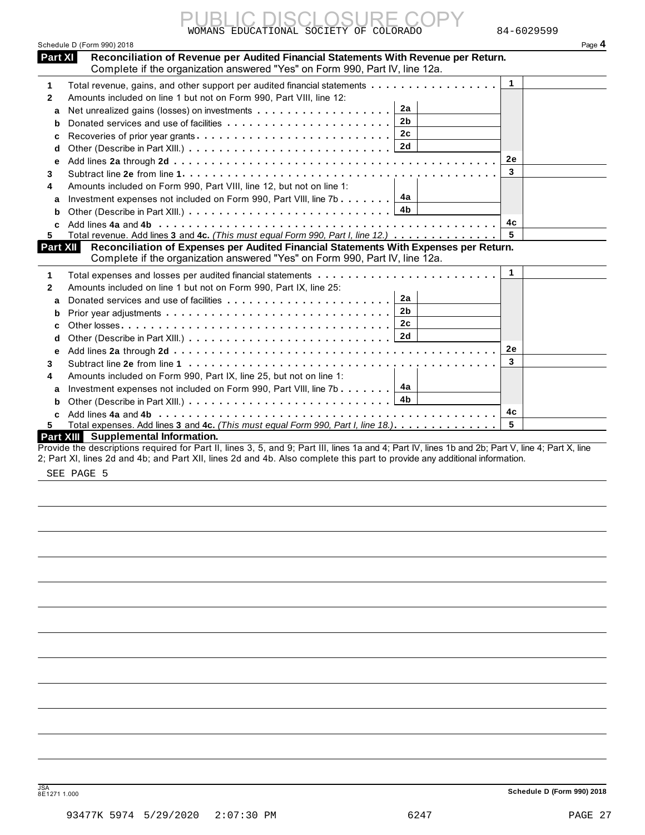|                                        | <b>IC DISCLOSURE</b> ( |  |
|----------------------------------------|------------------------|--|
| WOMANS EDUCATIONAL SOCIETY OF COLORADO |                        |  |

|                 | WOMANS EDUCATIONAL SOCIETY OF COLORADO                                                                                                                                                       | 84-6029599  |
|-----------------|----------------------------------------------------------------------------------------------------------------------------------------------------------------------------------------------|-------------|
|                 | Schedule D (Form 990) 2018                                                                                                                                                                   | Page 4      |
| <b>Part XI</b>  | Reconciliation of Revenue per Audited Financial Statements With Revenue per Return.                                                                                                          |             |
|                 | Complete if the organization answered "Yes" on Form 990, Part IV, line 12a.                                                                                                                  |             |
| 1               | Total revenue, gains, and other support per audited financial statements                                                                                                                     | $\mathbf 1$ |
| $\mathbf{2}$    | Amounts included on line 1 but not on Form 990, Part VIII, line 12:                                                                                                                          |             |
| a               | 2a                                                                                                                                                                                           |             |
| b               | 2 <sub>b</sub>                                                                                                                                                                               |             |
| c               | 2 <sub>c</sub>                                                                                                                                                                               |             |
| d               | 2d                                                                                                                                                                                           |             |
| е               |                                                                                                                                                                                              | 2e          |
| 3               |                                                                                                                                                                                              | 3           |
| 4               | Amounts included on Form 990, Part VIII, line 12, but not on line 1:                                                                                                                         |             |
| a               | 4a<br>Investment expenses not included on Form 990, Part VIII, line 7b $\ldots \ldots$                                                                                                       |             |
| b               | 4b                                                                                                                                                                                           |             |
| C.              |                                                                                                                                                                                              | 4с          |
| 5.              | Total revenue. Add lines 3 and 4c. (This must equal Form 990, Part I, line 12.)                                                                                                              | 5           |
| <b>Part XII</b> | Reconciliation of Expenses per Audited Financial Statements With Expenses per Return.                                                                                                        |             |
|                 | Complete if the organization answered "Yes" on Form 990, Part IV, line 12a.                                                                                                                  |             |
| 1               |                                                                                                                                                                                              | 1           |
| 2               | Amounts included on line 1 but not on Form 990, Part IX, line 25:                                                                                                                            |             |
| a               | 2a                                                                                                                                                                                           |             |
| b               | 2b                                                                                                                                                                                           |             |
| C               | 2c                                                                                                                                                                                           |             |
| d               | 2d                                                                                                                                                                                           |             |
| е               |                                                                                                                                                                                              | 2е          |
| 3               |                                                                                                                                                                                              | 3           |
| 4               | Amounts included on Form 990, Part IX, line 25, but not on line 1:                                                                                                                           |             |
| a               | 4a<br>Investment expenses not included on Form 990, Part VIII, line 7b                                                                                                                       |             |
| b               | 4b                                                                                                                                                                                           |             |
| c               |                                                                                                                                                                                              | 4c          |
| 5.              | Total expenses. Add lines 3 and 4c. (This must equal Form 990, Part I, line 18.).                                                                                                            | 5           |
|                 | Part XIII Supplemental Information.<br>Drouide the descriptions required for Dart II, lines $2, 5$ , and 0; Dart III, lines 10 and 1; Dart IV, lines 1b and 2b; Dart V, line 1; Dart V, line |             |

Provide the descriptions required for Part II, lines 3, 5, and 9; Part III, lines 1a and 4; Part IV, lines 1b and 2b; Part V, line 4; Part X, line 2; Part XI, lines 2d and 4b; and Part XII, lines 2d and 4b. Also complete this part to provide any additional information.

SEE PAGE 5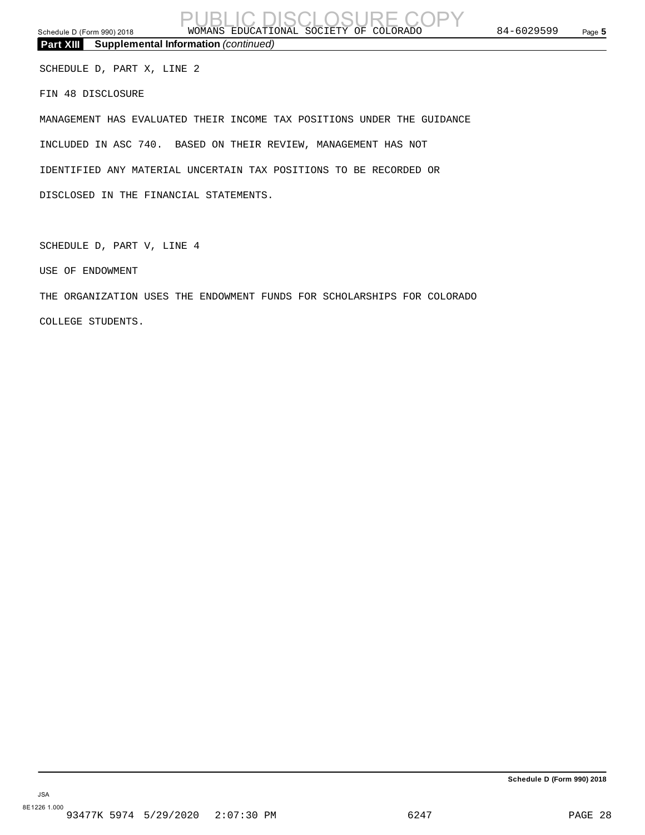**Part XIII Supplemental Information** *(continued)*

SCHEDULE D, PART X, LINE 2

FIN 48 DISCLOSURE

MANAGEMENT HAS EVALUATED THEIR INCOME TAX POSITIONS UNDER THE GUIDANCE INCLUDED IN ASC 740. BASED ON THEIR REVIEW, MANAGEMENT HAS NOT IDENTIFIED ANY MATERIAL UNCERTAIN TAX POSITIONS TO BE RECORDED OR DISCLOSED IN THE FINANCIAL STATEMENTS.

SCHEDULE D, PART V, LINE 4

USE OF ENDOWMENT

THE ORGANIZATION USES THE ENDOWMENT FUNDS FOR SCHOLARSHIPS FOR COLORADO COLLEGE STUDENTS.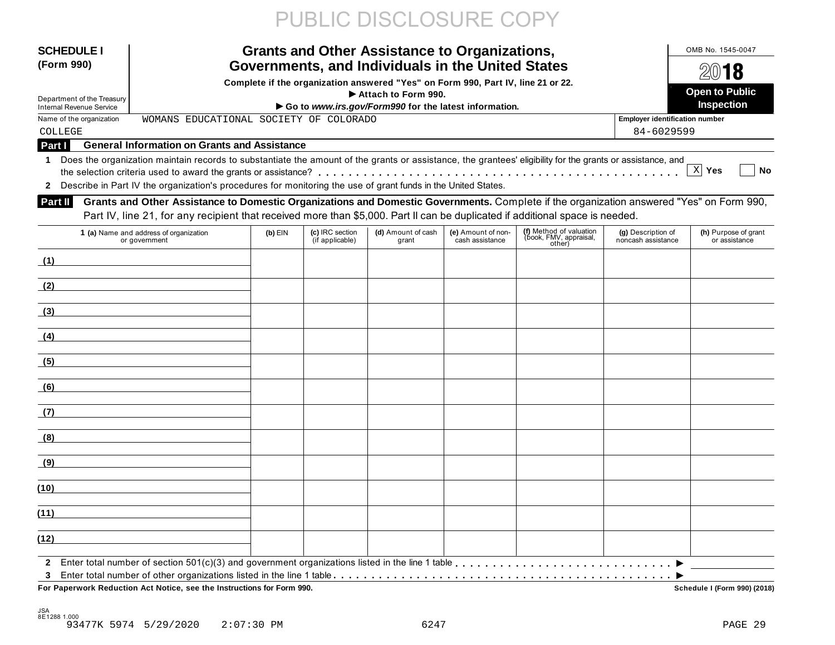# PUBLIC DISCLOSURE COPY

| <b>SCHEDULE</b>                 | <b>Grants and Other Assistance to Organizations,</b>                                                                                                       |           | OMB No. 1545-0047                  |                                                                                  |                                       |                                                             |                                          |                                       |
|---------------------------------|------------------------------------------------------------------------------------------------------------------------------------------------------------|-----------|------------------------------------|----------------------------------------------------------------------------------|---------------------------------------|-------------------------------------------------------------|------------------------------------------|---------------------------------------|
| (Form 990)                      | Governments, and Individuals in the United States                                                                                                          |           | $20$ 18                            |                                                                                  |                                       |                                                             |                                          |                                       |
|                                 |                                                                                                                                                            |           |                                    | Complete if the organization answered "Yes" on Form 990, Part IV, line 21 or 22. |                                       |                                                             |                                          |                                       |
| Department of the Treasury      |                                                                                                                                                            |           |                                    | Attach to Form 990.                                                              |                                       |                                                             |                                          | <b>Open to Public</b>                 |
| <b>Internal Revenue Service</b> |                                                                                                                                                            |           |                                    | Go to www.irs.gov/Form990 for the latest information.                            |                                       |                                                             |                                          | Inspection                            |
| Name of the organization        | WOMANS EDUCATIONAL SOCIETY OF COLORADO                                                                                                                     |           |                                    |                                                                                  |                                       |                                                             | <b>Employer identification number</b>    |                                       |
| COLLEGE                         |                                                                                                                                                            |           |                                    |                                                                                  |                                       |                                                             | 84-6029599                               |                                       |
| Part I                          | <b>General Information on Grants and Assistance</b>                                                                                                        |           |                                    |                                                                                  |                                       |                                                             |                                          |                                       |
| 1.                              | Does the organization maintain records to substantiate the amount of the grants or assistance, the grantees' eligibility for the grants or assistance, and |           |                                    |                                                                                  |                                       |                                                             |                                          | $X$ Yes<br>No                         |
|                                 | Describe in Part IV the organization's procedures for monitoring the use of grant funds in the United States.                                              |           |                                    |                                                                                  |                                       |                                                             |                                          |                                       |
|                                 |                                                                                                                                                            |           |                                    |                                                                                  |                                       |                                                             |                                          |                                       |
| <b>Part II</b>                  | Grants and Other Assistance to Domestic Organizations and Domestic Governments. Complete if the organization answered "Yes" on Form 990,                   |           |                                    |                                                                                  |                                       |                                                             |                                          |                                       |
|                                 | Part IV, line 21, for any recipient that received more than \$5,000. Part II can be duplicated if additional space is needed.                              |           |                                    |                                                                                  |                                       |                                                             |                                          |                                       |
|                                 | 1 (a) Name and address of organization<br>or government                                                                                                    | $(b)$ EIN | (c) IRC section<br>(if applicable) | (d) Amount of cash<br>grant                                                      | (e) Amount of non-<br>cash assistance | (f) Method of valuation<br>(ḃook, FMV, appraisal,<br>other) | (g) Description of<br>noncash assistance | (h) Purpose of grant<br>or assistance |
| (1)                             |                                                                                                                                                            |           |                                    |                                                                                  |                                       |                                                             |                                          |                                       |
| (2)                             |                                                                                                                                                            |           |                                    |                                                                                  |                                       |                                                             |                                          |                                       |
| (3)                             |                                                                                                                                                            |           |                                    |                                                                                  |                                       |                                                             |                                          |                                       |
| (4)                             |                                                                                                                                                            |           |                                    |                                                                                  |                                       |                                                             |                                          |                                       |
| (5)                             |                                                                                                                                                            |           |                                    |                                                                                  |                                       |                                                             |                                          |                                       |
| (6)                             |                                                                                                                                                            |           |                                    |                                                                                  |                                       |                                                             |                                          |                                       |
| (7)                             |                                                                                                                                                            |           |                                    |                                                                                  |                                       |                                                             |                                          |                                       |
| (8)                             |                                                                                                                                                            |           |                                    |                                                                                  |                                       |                                                             |                                          |                                       |
| (9)                             |                                                                                                                                                            |           |                                    |                                                                                  |                                       |                                                             |                                          |                                       |
| (10)                            |                                                                                                                                                            |           |                                    |                                                                                  |                                       |                                                             |                                          |                                       |
| (11)                            |                                                                                                                                                            |           |                                    |                                                                                  |                                       |                                                             |                                          |                                       |
| (12)                            |                                                                                                                                                            |           |                                    |                                                                                  |                                       |                                                             |                                          |                                       |
|                                 |                                                                                                                                                            |           |                                    |                                                                                  |                                       |                                                             |                                          |                                       |
| 3                               | For Paperwork Reduction Act Notice, see the Instructions for Form 990.                                                                                     |           |                                    |                                                                                  |                                       |                                                             |                                          | Schedule I (Form 990) (2018)          |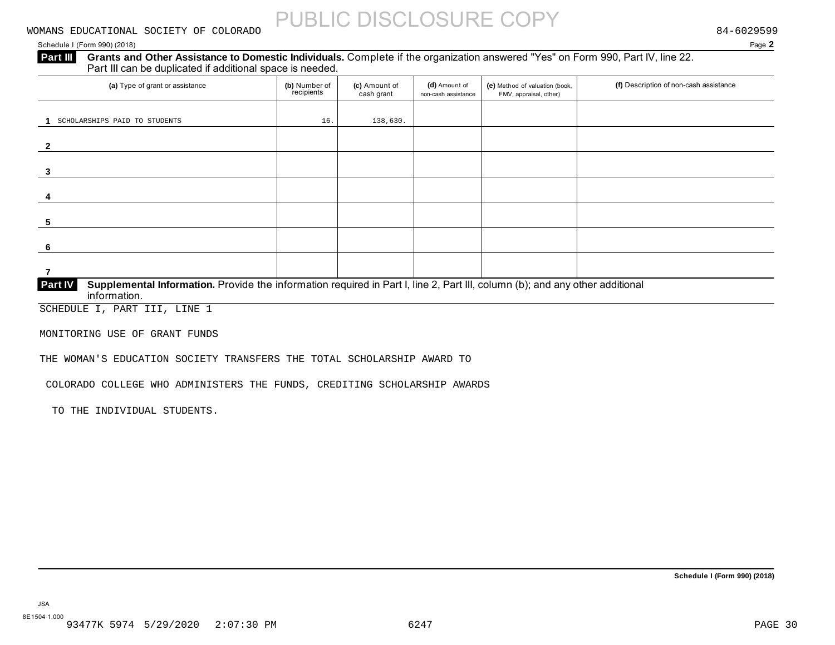#### Schedule I (Form 990) (2018) Page **2**

#### **Grants and Other Assistance to Domestic Individuals.** Complete if the organization answered "Yes" on Form 990, Part IV, line 22. Part III can be duplicated if additional space is needed. **Part III**

| (a) Type of grant or assistance                                                                                                                                | (b) Number of<br>recipients | (c) Amount of<br>cash grant | (d) Amount of<br>non-cash assistance | (e) Method of valuation (book,<br>FMV, appraisal, other) | (f) Description of non-cash assistance |
|----------------------------------------------------------------------------------------------------------------------------------------------------------------|-----------------------------|-----------------------------|--------------------------------------|----------------------------------------------------------|----------------------------------------|
|                                                                                                                                                                |                             |                             |                                      |                                                          |                                        |
| SCHOLARSHIPS PAID TO STUDENTS                                                                                                                                  | 16.                         | 138,630.                    |                                      |                                                          |                                        |
|                                                                                                                                                                |                             |                             |                                      |                                                          |                                        |
| 3                                                                                                                                                              |                             |                             |                                      |                                                          |                                        |
|                                                                                                                                                                |                             |                             |                                      |                                                          |                                        |
| 5                                                                                                                                                              |                             |                             |                                      |                                                          |                                        |
|                                                                                                                                                                |                             |                             |                                      |                                                          |                                        |
|                                                                                                                                                                |                             |                             |                                      |                                                          |                                        |
| Supplemental Information. Provide the information required in Part I, line 2, Part III, column (b); and any other additional<br><b>Part IV</b><br>information. |                             |                             |                                      |                                                          |                                        |

SCHEDULE I, PART III, LINE 1

MONITORING USE OF GRANT FUNDS

THE WOMAN'S EDUCATION SOCIETY TRANSFERS THE TOTAL SCHOLARSHIP AWARD TO

COLORADO COLLEGE WHO ADMINISTERS THE FUNDS, CREDITING SCHOLARSHIP AWARDS

TO THE INDIVIDUAL STUDENTS.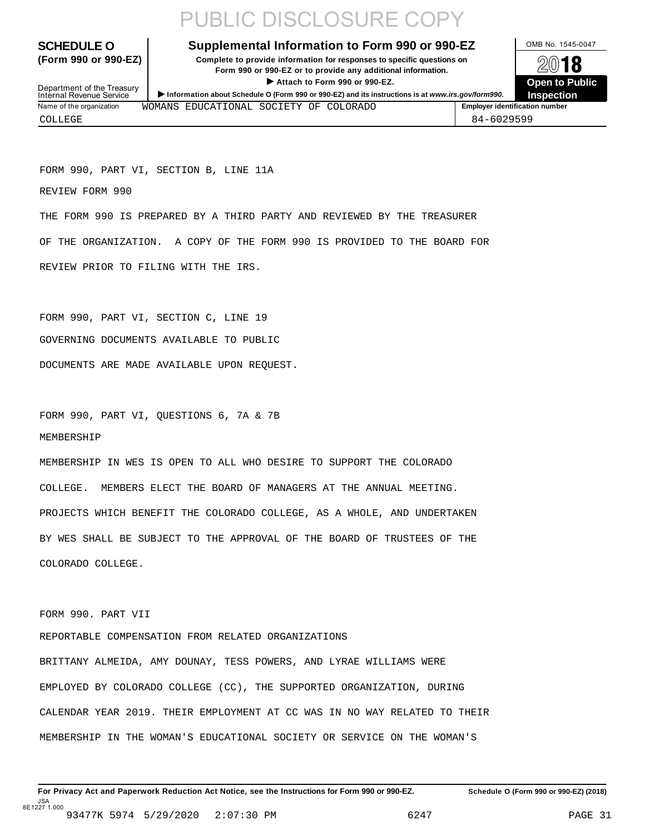# PUBLIC DISCLOSURE COPY

**SCHEDULE O** Supplemental Information to Form 990 or 990-EZ MB No. 1545-0047

**(Form 990 or 990-EZ) Complete to provide information for responses to specific questions on** plete to provide information for responses to specific questions on  $\bigotimes_2\mathbb{O}$  **18**<br>Form 990 or 990-EZ or to provide any additional information. **I Attach to Form 990 or 990-EZ.**<br>
Attach to Form 990 or 990-EZ.<br>
and a contract of Public and a contract of Public and a contract of the COP of Density of the COP of Density of A



Department of the Treasury<br>Internal Revenue Service **Information about Schedule O (Form 990 or 990-EZ)** and its instructions is at *www.irs.gov/form990.* Inspection<br>Internal Revenue Service **Inspection** Name of the organization **MOMANS** EDUCATIONAL SOCIETY OF COLORADO **Final Accord Employer identification number** 

COLLEGE 84-6029599

FORM 990, PART VI, SECTION B, LINE 11A

REVIEW FORM 990

THE FORM 990 IS PREPARED BY A THIRD PARTY AND REVIEWED BY THE TREASURER OF THE ORGANIZATION. A COPY OF THE FORM 990 IS PROVIDED TO THE BOARD FOR REVIEW PRIOR TO FILING WITH THE IRS.

FORM 990, PART VI, SECTION C, LINE 19 GOVERNING DOCUMENTS AVAILABLE TO PUBLIC DOCUMENTS ARE MADE AVAILABLE UPON REQUEST.

FORM 990, PART VI, QUESTIONS 6, 7A & 7B MEMBERSHIP

MEMBERSHIP IN WES IS OPEN TO ALL WHO DESIRE TO SUPPORT THE COLORADO COLLEGE. MEMBERS ELECT THE BOARD OF MANAGERS AT THE ANNUAL MEETING. PROJECTS WHICH BENEFIT THE COLORADO COLLEGE, AS A WHOLE, AND UNDERTAKEN BY WES SHALL BE SUBJECT TO THE APPROVAL OF THE BOARD OF TRUSTEES OF THE COLORADO COLLEGE.

FORM 990. PART VII

REPORTABLE COMPENSATION FROM RELATED ORGANIZATIONS BRITTANY ALMEIDA, AMY DOUNAY, TESS POWERS, AND LYRAE WILLIAMS WERE EMPLOYED BY COLORADO COLLEGE (CC), THE SUPPORTED ORGANIZATION, DURING CALENDAR YEAR 2019. THEIR EMPLOYMENT AT CC WAS IN NO WAY RELATED TO THEIR MEMBERSHIP IN THE WOMAN'S EDUCATIONAL SOCIETY OR SERVICE ON THE WOMAN'S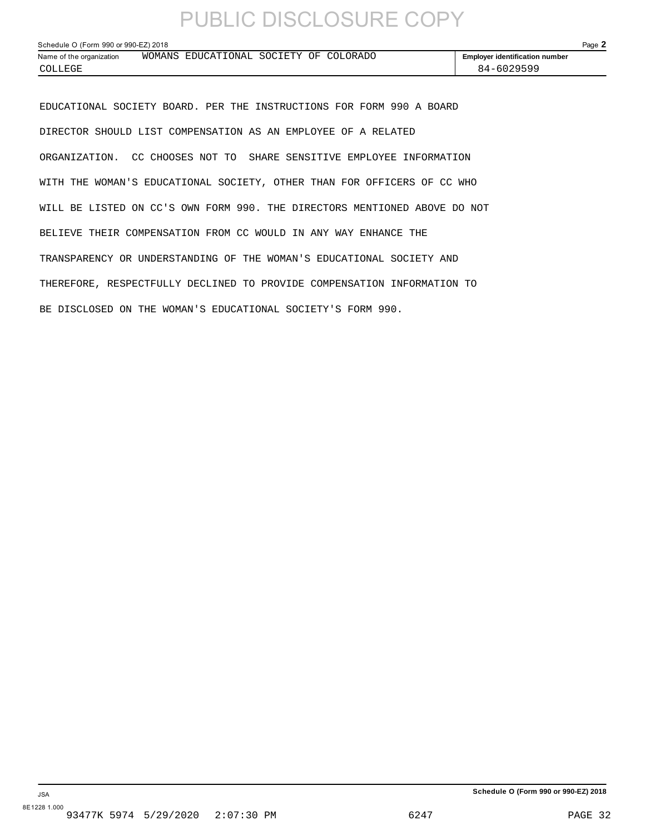# PUBLIC DISCLOSURE COPY

| Schedule O (Form 990 or 990-EZ) 2018 |  |                                        |  |  |  | Page $\blacktriangle$                 |  |
|--------------------------------------|--|----------------------------------------|--|--|--|---------------------------------------|--|
| Name of the organization             |  | WOMANS EDUCATIONAL SOCIETY OF COLORADO |  |  |  | <b>Employer identification number</b> |  |
| COLLEGE                              |  |                                        |  |  |  | 84-6029599                            |  |

EDUCATIONAL SOCIETY BOARD. PER THE INSTRUCTIONS FOR FORM 990 A BOARD DIRECTOR SHOULD LIST COMPENSATION AS AN EMPLOYEE OF A RELATED ORGANIZATION. CC CHOOSES NOT TO SHARE SENSITIVE EMPLOYEE INFORMATION WITH THE WOMAN'S EDUCATIONAL SOCIETY, OTHER THAN FOR OFFICERS OF CC WHO WILL BE LISTED ON CC'S OWN FORM 990. THE DIRECTORS MENTIONED ABOVE DO NOT BELIEVE THEIR COMPENSATION FROM CC WOULD IN ANY WAY ENHANCE THE TRANSPARENCY OR UNDERSTANDING OF THE WOMAN'S EDUCATIONAL SOCIETY AND THEREFORE, RESPECTFULLY DECLINED TO PROVIDE COMPENSATION INFORMATION TO BE DISCLOSED ON THE WOMAN'S EDUCATIONAL SOCIETY'S FORM 990.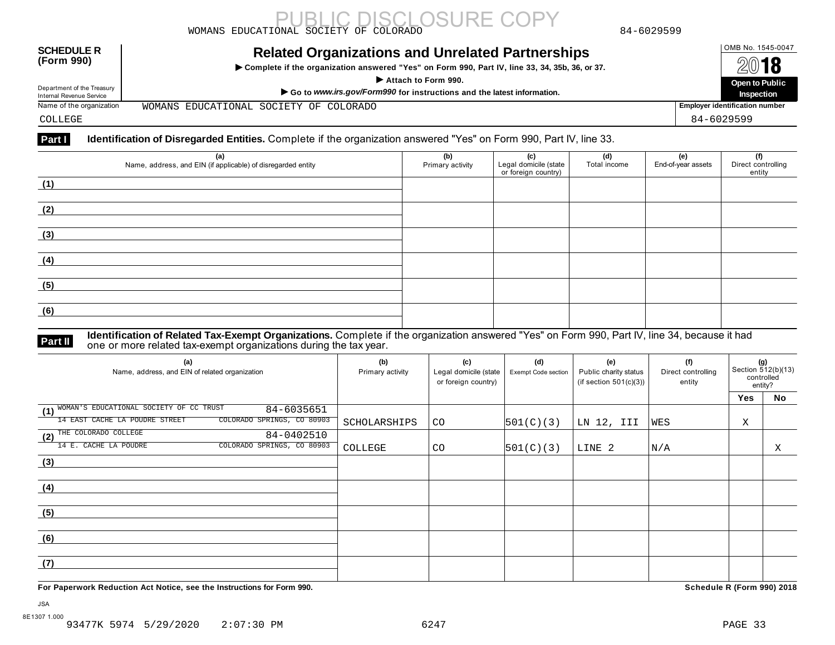|                                                        | DI OSHRE COP<br>WOMANS EDUCATIONAL SOCIETY OF COLORADO                                                                                                                             | 84-6029599 |                                             |
|--------------------------------------------------------|------------------------------------------------------------------------------------------------------------------------------------------------------------------------------------|------------|---------------------------------------------|
| <b>SCHEDULE R</b><br>(Form 990)                        | <b>Related Organizations and Unrelated Partnerships</b><br>► Complete if the organization answered "Yes" on Form 990, Part IV, line 33, 34, 35b, 36, or 37.<br>Attach to Form 990. |            | OMB No. 1545-0047<br>2018<br>Open to Public |
| Department of the Treasury<br>Internal Revenue Service | Go to www.irs.gov/Form990 for instructions and the latest information.                                                                                                             |            | Inspection                                  |
| Name of the organization                               | WOMANS EDUCATIONAL SOCIETY OF COLORADO                                                                                                                                             |            | <b>Employer identification number</b>       |
| COLLEGE                                                |                                                                                                                                                                                    |            | 84-6029599                                  |

### Part I Identification of Disregarded Entities. Complete if the organization answered "Yes" on Form 990, Part IV, line 33.

| (a)<br>Name, address, and EIN (if applicable) of disregarded entity | (b)<br>Primary activity | (c)<br>Legal domicile (state<br>or foreign country) | (d)<br>Total income | <b>e)</b><br>End-of-year assets | (f)<br>Direct controlling<br>entity |
|---------------------------------------------------------------------|-------------------------|-----------------------------------------------------|---------------------|---------------------------------|-------------------------------------|
| (1)                                                                 |                         |                                                     |                     |                                 |                                     |
| (2)                                                                 |                         |                                                     |                     |                                 |                                     |
| (3)                                                                 |                         |                                                     |                     |                                 |                                     |
| (4)                                                                 |                         |                                                     |                     |                                 |                                     |
| (5)                                                                 |                         |                                                     |                     |                                 |                                     |
| (6)                                                                 |                         |                                                     |                     |                                 |                                     |

**Part II** ldentification of Related Tax-Exempt Organizations. Complete if the organization answered "Yes" on Form 990, Part IV, line 34, because it had<br>one or more related tax-exempt organizations during the tax year.

| (a)<br>Name, address, and EIN of related organization        | (b)<br>Primary activity | (c)<br>Legal domicile (state<br>or foreign country) | (d)<br><b>Exempt Code section</b> | (e)<br>Public charity status<br>(if section $501(c)(3)$ ) | (f)<br>Direct controlling<br>entity | (g)<br>Section 512(b)(13)<br>controlled<br>entity? |    |
|--------------------------------------------------------------|-------------------------|-----------------------------------------------------|-----------------------------------|-----------------------------------------------------------|-------------------------------------|----------------------------------------------------|----|
|                                                              |                         |                                                     |                                   |                                                           |                                     | <b>Yes</b>                                         | No |
| (1) WOMAN'S EDUCATIONAL SOCIETY OF CC TRUST<br>84-6035651    |                         |                                                     |                                   |                                                           |                                     |                                                    |    |
| COLORADO SPRINGS, CO 80903<br>14 EAST CACHE LA POUDRE STREET | SCHOLARSHIPS            | <b>CO</b>                                           | 501(C)(3)                         | LN 12, III                                                | WES                                 | Χ                                                  |    |
| (2) THE COLORADO COLLEGE<br>84-0402510                       |                         |                                                     |                                   |                                                           |                                     |                                                    |    |
| 14 E. CACHE LA POUDRE<br>COLORADO SPRINGS, CO 80903          | COLLEGE                 | CO.                                                 | 501(C)(3)                         | LINE 2                                                    | N/A                                 |                                                    | Χ  |
| (3)                                                          |                         |                                                     |                                   |                                                           |                                     |                                                    |    |
|                                                              |                         |                                                     |                                   |                                                           |                                     |                                                    |    |
| (4)                                                          |                         |                                                     |                                   |                                                           |                                     |                                                    |    |
|                                                              |                         |                                                     |                                   |                                                           |                                     |                                                    |    |
| (5)                                                          |                         |                                                     |                                   |                                                           |                                     |                                                    |    |
|                                                              |                         |                                                     |                                   |                                                           |                                     |                                                    |    |
| (6)                                                          |                         |                                                     |                                   |                                                           |                                     |                                                    |    |
|                                                              |                         |                                                     |                                   |                                                           |                                     |                                                    |    |
| (7)                                                          |                         |                                                     |                                   |                                                           |                                     |                                                    |    |
|                                                              |                         |                                                     |                                   |                                                           |                                     |                                                    |    |

**For Paperwork Reduction Act Notice, see the Instructions for Form 990. Schedule R (Form 990) 2018**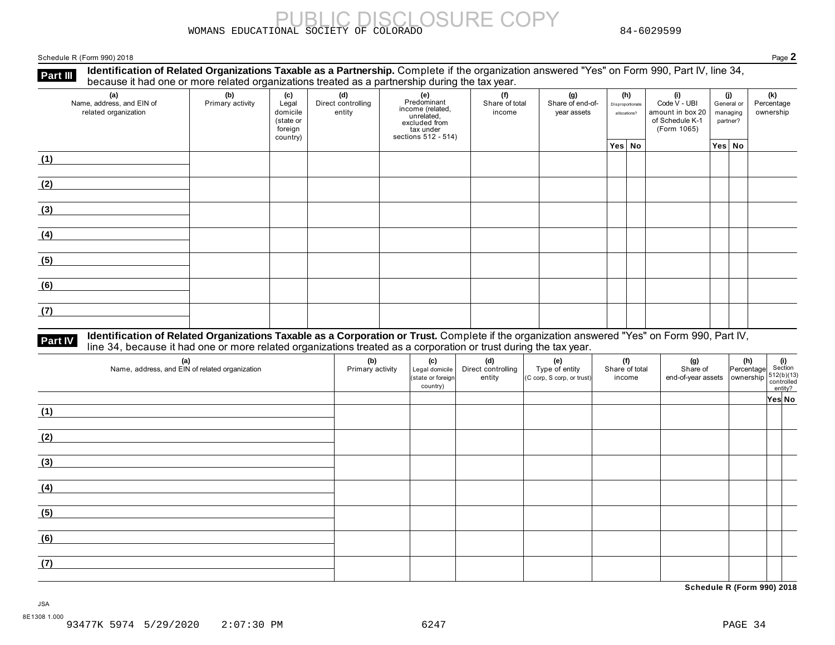WOMANS EDUCATIONAL SOCIETY OF COLORADO 84-6029599

Schedule R (Form 990) 2018 Page **2**

Part Ⅲ **Identification of Related Organizations Taxable as a Partnership.** Complete if the organization answered "Yes" on Form 990, Part IV, line 34,<br>because it had one or more related organizations treated as a partner

SURE COPY

| (a)<br>Name, address, and EIN of<br>related organization | ັ<br>(b)<br>Primary activity | (c)<br>Legal<br>domicile<br>(state or<br>foreign<br>country) | (d)<br>Direct controlling<br>entity | ັ<br><b>(e)</b><br>Predominant<br>Frequential<br>income (related,<br>unrelated,<br>excluded from<br>sections 512 - 514) | (f)<br>Share of total<br>income | (g)<br>Share of end-of-<br>year assets | (h)<br>Disproportionate<br>allocations? | (i)<br>Code V - UBI<br>amount in box 20<br>of Schedule K-1<br>(Form 1065) | (i)<br>General or<br>managing<br>partner? | (k)<br>Percentage<br>ownership |
|----------------------------------------------------------|------------------------------|--------------------------------------------------------------|-------------------------------------|-------------------------------------------------------------------------------------------------------------------------|---------------------------------|----------------------------------------|-----------------------------------------|---------------------------------------------------------------------------|-------------------------------------------|--------------------------------|
|                                                          |                              |                                                              |                                     |                                                                                                                         |                                 |                                        | Yes No                                  |                                                                           | Yes No                                    |                                |
| (1)                                                      |                              |                                                              |                                     |                                                                                                                         |                                 |                                        |                                         |                                                                           |                                           |                                |
| (2)                                                      |                              |                                                              |                                     |                                                                                                                         |                                 |                                        |                                         |                                                                           |                                           |                                |
| (3)                                                      |                              |                                                              |                                     |                                                                                                                         |                                 |                                        |                                         |                                                                           |                                           |                                |
| (4)                                                      |                              |                                                              |                                     |                                                                                                                         |                                 |                                        |                                         |                                                                           |                                           |                                |
| (5)                                                      |                              |                                                              |                                     |                                                                                                                         |                                 |                                        |                                         |                                                                           |                                           |                                |
| (6)                                                      |                              |                                                              |                                     |                                                                                                                         |                                 |                                        |                                         |                                                                           |                                           |                                |
| (7)                                                      |                              |                                                              |                                     |                                                                                                                         |                                 |                                        |                                         |                                                                           |                                           |                                |

## Part IV Identification of Related Organizations Taxable as a Corporation or Trust. Complete if the organization answered "Yes" on Form 990, Part IV,<br>line 34, because it had one or more related organizations treated as a co

| (a)<br>Name, address, and EIN of related organization | (b)<br>Primary activity | (c)<br>Legal domicile<br>(state or foreign<br>country) | (d)<br>Direct controlling<br>entity | (e)<br>Type of entity<br>(C corp, S corp, or trust) | (f)<br>Share of total<br>income | (g)<br>Share of<br>end-of-year assets<br>whership<br>ownership<br>ontrolled<br>entity? | $\begin{vmatrix} h \\ h \end{vmatrix}$ (i)<br>Percentage section |        |
|-------------------------------------------------------|-------------------------|--------------------------------------------------------|-------------------------------------|-----------------------------------------------------|---------------------------------|----------------------------------------------------------------------------------------|------------------------------------------------------------------|--------|
|                                                       |                         |                                                        |                                     |                                                     |                                 |                                                                                        |                                                                  | Yes No |
| (1)                                                   |                         |                                                        |                                     |                                                     |                                 |                                                                                        |                                                                  |        |
| (2)                                                   |                         |                                                        |                                     |                                                     |                                 |                                                                                        |                                                                  |        |
| (3)                                                   |                         |                                                        |                                     |                                                     |                                 |                                                                                        |                                                                  |        |
| (4)                                                   |                         |                                                        |                                     |                                                     |                                 |                                                                                        |                                                                  |        |
| (5)                                                   |                         |                                                        |                                     |                                                     |                                 |                                                                                        |                                                                  |        |
| (6)                                                   |                         |                                                        |                                     |                                                     |                                 |                                                                                        |                                                                  |        |
| (7)                                                   |                         |                                                        |                                     |                                                     |                                 |                                                                                        |                                                                  |        |

**Schedule R (Form 990) 2018**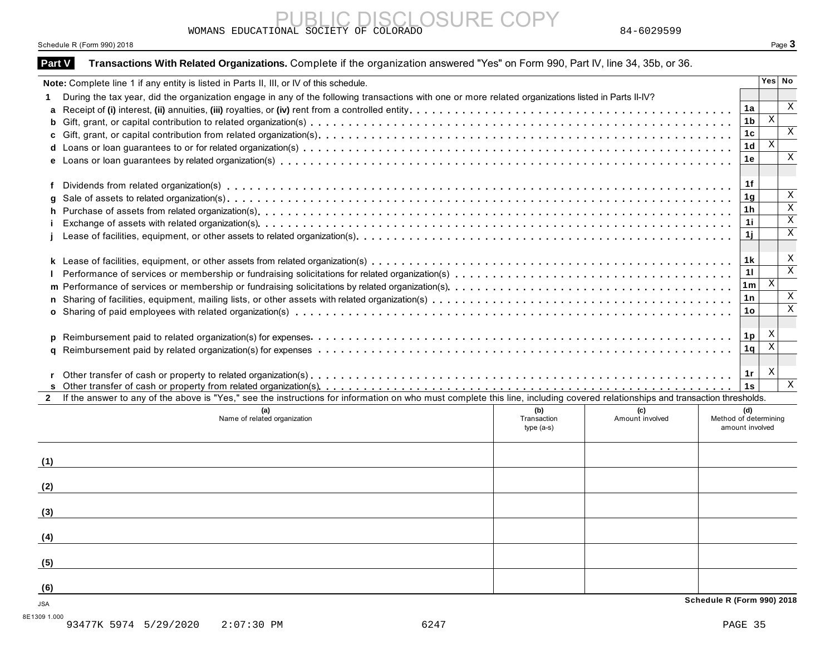WOMANS EDUCATIONAL SOCIETY OF COLORADO 84-6029599

### Schedule R (Form 990) 2018 **Page 3**

|              | Note: Complete line 1 if any entity is listed in Parts II, III, or IV of this schedule.                                                                                      |                                    |                        |                                                 | Yes   No                |
|--------------|------------------------------------------------------------------------------------------------------------------------------------------------------------------------------|------------------------------------|------------------------|-------------------------------------------------|-------------------------|
|              | During the tax year, did the organization engage in any of the following transactions with one or more related organizations listed in Parts II-IV?                          |                                    |                        |                                                 |                         |
|              |                                                                                                                                                                              |                                    |                        | 1a                                              |                         |
|              |                                                                                                                                                                              |                                    |                        | 1 <sub>b</sub>                                  | $\,$ X                  |
|              |                                                                                                                                                                              |                                    |                        | 1c                                              |                         |
|              |                                                                                                                                                                              |                                    |                        | 1d                                              | Χ                       |
|              |                                                                                                                                                                              |                                    |                        | 1е                                              |                         |
|              |                                                                                                                                                                              |                                    |                        | 1f                                              |                         |
|              |                                                                                                                                                                              |                                    |                        | 1 <sub>g</sub>                                  |                         |
|              |                                                                                                                                                                              |                                    |                        | 1h                                              |                         |
|              |                                                                                                                                                                              |                                    |                        | 1i                                              |                         |
|              |                                                                                                                                                                              |                                    |                        | 1j                                              |                         |
|              |                                                                                                                                                                              |                                    |                        | 1 k                                             |                         |
|              |                                                                                                                                                                              |                                    |                        | 11                                              |                         |
|              |                                                                                                                                                                              |                                    |                        | 1m                                              | $\,$ X                  |
|              |                                                                                                                                                                              |                                    |                        | 1n                                              |                         |
|              |                                                                                                                                                                              |                                    |                        | 1o                                              |                         |
|              |                                                                                                                                                                              |                                    |                        | 1p                                              | X                       |
|              |                                                                                                                                                                              |                                    |                        | 1q                                              | $\overline{\mathbf{x}}$ |
|              |                                                                                                                                                                              |                                    |                        | 1r<br>1s                                        | X                       |
| $\mathbf{2}$ | If the answer to any of the above is "Yes," see the instructions for information on who must complete this line, including covered relationships and transaction thresholds. |                                    |                        |                                                 |                         |
|              | (a)<br>Name of related organization                                                                                                                                          | (b)<br>Transaction<br>type $(a-s)$ | (c)<br>Amount involved | (d)<br>Method of determining<br>amount involved |                         |
| (1)          |                                                                                                                                                                              |                                    |                        |                                                 |                         |
| (2)          |                                                                                                                                                                              |                                    |                        |                                                 |                         |
| (3)          |                                                                                                                                                                              |                                    |                        |                                                 |                         |
|              |                                                                                                                                                                              |                                    |                        |                                                 |                         |
| (4)          |                                                                                                                                                                              |                                    |                        |                                                 |                         |
| (5)          |                                                                                                                                                                              |                                    |                        |                                                 |                         |

PUBLIC DISCLOSURE COPY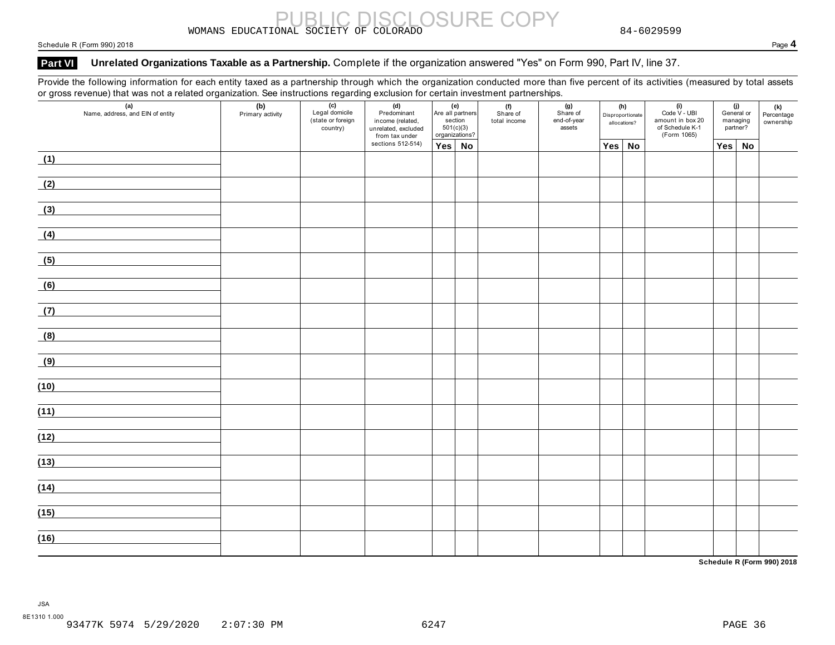# WOMANS EDUCATIONAL SOCIETY OF COLORADO SURE COPY 84-6029599

### Schedule R (Form 990) 2018 Page **4**

### Part VI Unrelated Organizations Taxable as a Partnership. Complete if the organization answered "Yes" on Form 990, Part IV, line 37.

Provide the following information for each entity taxed as a partnership through which the organization conducted more than five percent of its activities (measured by total assets or gross revenue) that was not a related organization. See instructions regarding exclusion for certain investment partnerships.

| (a)<br>Name, address, and EIN of entity | (b)<br>Primary activity | $\overline{(c)}$<br>Legal domicile<br>(state or foreign<br>country) | (d)<br>Predominant<br>income (related,<br>unrelated, excluded<br>from tax under | (e)<br>section<br>organizations? | Are all partners<br>501(c)(3) | (f)<br>Share of<br>total income | (g)<br>Share of<br>end-of-year<br>assets |        | (h)<br>Disproportionate<br>allocations? | (i)<br>Code V - UBI<br>amount in box 20<br>of Schedule K-1<br>(Form 1065) | managing | (j)<br>General or<br>partner? | <b>(k)</b><br>Percentage<br>ownership |
|-----------------------------------------|-------------------------|---------------------------------------------------------------------|---------------------------------------------------------------------------------|----------------------------------|-------------------------------|---------------------------------|------------------------------------------|--------|-----------------------------------------|---------------------------------------------------------------------------|----------|-------------------------------|---------------------------------------|
|                                         |                         |                                                                     | sections 512-514)                                                               | Yes No                           |                               |                                 |                                          | Yes No |                                         |                                                                           | Yes      | No                            |                                       |
| (1)                                     |                         |                                                                     |                                                                                 |                                  |                               |                                 |                                          |        |                                         |                                                                           |          |                               |                                       |
| (2)                                     |                         |                                                                     |                                                                                 |                                  |                               |                                 |                                          |        |                                         |                                                                           |          |                               |                                       |
| (3)                                     |                         |                                                                     |                                                                                 |                                  |                               |                                 |                                          |        |                                         |                                                                           |          |                               |                                       |
| (4)                                     |                         |                                                                     |                                                                                 |                                  |                               |                                 |                                          |        |                                         |                                                                           |          |                               |                                       |
| (5)                                     |                         |                                                                     |                                                                                 |                                  |                               |                                 |                                          |        |                                         |                                                                           |          |                               |                                       |
| (6)                                     |                         |                                                                     |                                                                                 |                                  |                               |                                 |                                          |        |                                         |                                                                           |          |                               |                                       |
| (7)                                     |                         |                                                                     |                                                                                 |                                  |                               |                                 |                                          |        |                                         |                                                                           |          |                               |                                       |
| (8)                                     |                         |                                                                     |                                                                                 |                                  |                               |                                 |                                          |        |                                         |                                                                           |          |                               |                                       |
| (9)                                     |                         |                                                                     |                                                                                 |                                  |                               |                                 |                                          |        |                                         |                                                                           |          |                               |                                       |
| (10)                                    |                         |                                                                     |                                                                                 |                                  |                               |                                 |                                          |        |                                         |                                                                           |          |                               |                                       |
| (11)                                    |                         |                                                                     |                                                                                 |                                  |                               |                                 |                                          |        |                                         |                                                                           |          |                               |                                       |
| (12)                                    |                         |                                                                     |                                                                                 |                                  |                               |                                 |                                          |        |                                         |                                                                           |          |                               |                                       |
| (13)                                    |                         |                                                                     |                                                                                 |                                  |                               |                                 |                                          |        |                                         |                                                                           |          |                               |                                       |
| (14)                                    |                         |                                                                     |                                                                                 |                                  |                               |                                 |                                          |        |                                         |                                                                           |          |                               |                                       |
| (15)                                    |                         |                                                                     |                                                                                 |                                  |                               |                                 |                                          |        |                                         |                                                                           |          |                               |                                       |
| (16)                                    |                         |                                                                     |                                                                                 |                                  |                               |                                 |                                          |        |                                         |                                                                           |          |                               |                                       |

**Schedule R (Form 990) 2018**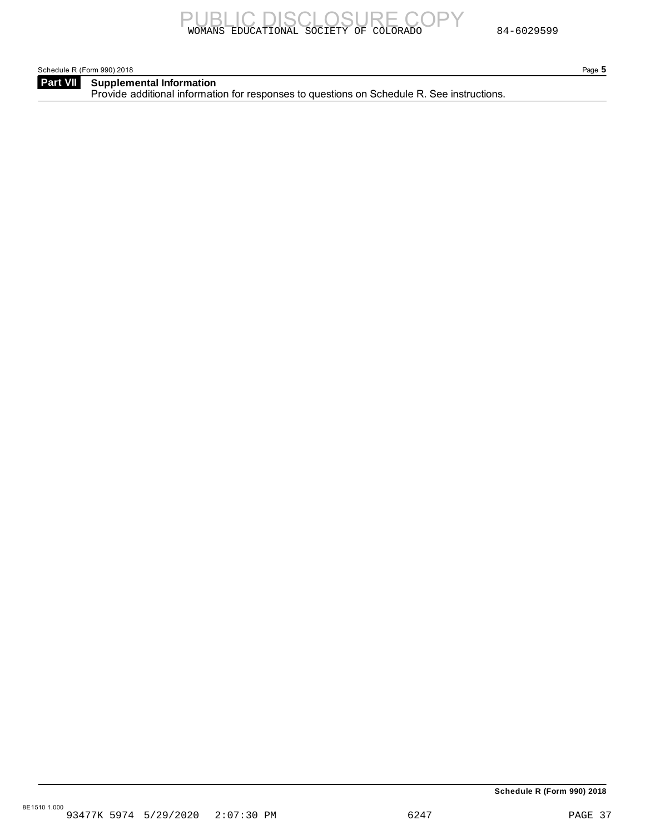Schedule R (Form 990) 2018 Page **5**

**Part VII** Supplemental Information Provide additional information for responses to questions on Schedule R. See instructions.

**Schedule R (Form 990) 2018**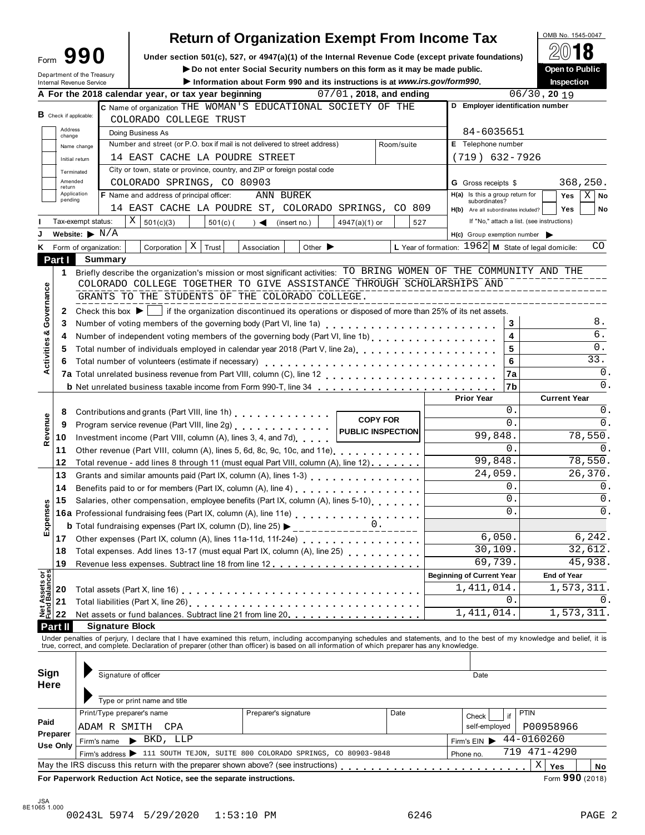|                                |                             |                                      |                                                                                                                                                                                              |            | <b>Return of Organization Exempt From Income Tax</b>                                            |                             |                         |                 |     |                                                        |            |             | OMB No. 1545-0047   |                    |
|--------------------------------|-----------------------------|--------------------------------------|----------------------------------------------------------------------------------------------------------------------------------------------------------------------------------------------|------------|-------------------------------------------------------------------------------------------------|-----------------------------|-------------------------|-----------------|-----|--------------------------------------------------------|------------|-------------|---------------------|--------------------|
|                                |                             | Form $990$                           | Under section 501(c), 527, or 4947(a)(1) of the Internal Revenue Code (except private foundations)                                                                                           |            |                                                                                                 |                             |                         |                 |     |                                                        |            |             |                     |                    |
|                                |                             | Department of the Treasury           |                                                                                                                                                                                              |            | Do not enter Social Security numbers on this form as it may be made public.                     |                             |                         |                 |     |                                                        |            |             | Open to Public      |                    |
|                                |                             | Internal Revenue Service             |                                                                                                                                                                                              |            | Information about Form 990 and its instructions is at www.irs.gov/form990.                      |                             |                         |                 |     |                                                        |            |             | Inspection          |                    |
|                                |                             |                                      | A For the 2018 calendar year, or tax year beginning                                                                                                                                          |            |                                                                                                 |                             | 07/01, 2018, and ending |                 |     |                                                        |            |             | $06/30$ , 20 19     |                    |
|                                |                             | $B$ Check if applicable:             | C Name of organization THE WOMAN'S EDUCATIONAL SOCIETY OF THE<br>COLORADO COLLEGE TRUST                                                                                                      |            |                                                                                                 |                             |                         |                 |     | D Employer identification number                       |            |             |                     |                    |
|                                | Address<br>change           |                                      | Doing Business As                                                                                                                                                                            |            |                                                                                                 |                             |                         |                 |     | 84-6035651                                             |            |             |                     |                    |
|                                |                             | Name change                          | Number and street (or P.O. box if mail is not delivered to street address)                                                                                                                   |            |                                                                                                 |                             |                         | Room/suite      |     | E Telephone number                                     |            |             |                     |                    |
|                                |                             | Initial return                       | 14 EAST CACHE LA POUDRE STREET                                                                                                                                                               |            |                                                                                                 |                             |                         |                 |     | $(719)$ 632-7926                                       |            |             |                     |                    |
|                                |                             | Terminated                           | City or town, state or province, country, and ZIP or foreign postal code                                                                                                                     |            |                                                                                                 |                             |                         |                 |     |                                                        |            |             |                     |                    |
|                                | Amended<br>return           |                                      | COLORADO SPRINGS, CO 80903                                                                                                                                                                   |            |                                                                                                 |                             |                         |                 |     | <b>G</b> Gross receipts \$                             |            |             |                     | 368,250.           |
|                                | pending                     | Application                          | F Name and address of principal officer:                                                                                                                                                     |            | <b>ANN BUREK</b>                                                                                |                             |                         |                 |     | H(a) Is this a group return for<br>subordinates?       |            |             | Yes                 | $X \mid$<br>No     |
|                                |                             |                                      | 14 EAST CACHE LA POUDRE ST, COLORADO SPRINGS, CO 809                                                                                                                                         |            |                                                                                                 |                             |                         |                 |     | H(b) Are all subordinates included?                    |            |             | Yes                 | No                 |
|                                |                             | Tax-exempt status:                   | X<br>501(c)(3)                                                                                                                                                                               | $501(c)$ ( | $\rightarrow$<br>(insert no.)                                                                   |                             | $4947(a)(1)$ or         |                 | 527 | If "No," attach a list. (see instructions)             |            |             |                     |                    |
|                                |                             | Website: $\blacktriangleright$ N/A   |                                                                                                                                                                                              |            |                                                                                                 |                             |                         |                 |     | $H(c)$ Group exemption number $\triangleright$         |            |             |                     |                    |
| ĸ                              |                             | Form of organization:                | X<br>Corporation                                                                                                                                                                             | Trust      | Association                                                                                     | Other $\blacktriangleright$ |                         |                 |     | L Year of formation: $1962$ M State of legal domicile: |            |             |                     | CO                 |
|                                | Part I                      | <b>Summary</b>                       |                                                                                                                                                                                              |            |                                                                                                 |                             |                         |                 |     |                                                        |            |             |                     |                    |
|                                | 1.                          |                                      | Briefly describe the organization's mission or most significant activities: TO BRING WOMEN OF THE COMMUNITY AND THE<br>COLORADO COLLEGE TOGETHER TO GIVE ASSISTANCE THROUGH SCHOLARSHIPS AND |            |                                                                                                 |                             |                         |                 |     |                                                        |            |             |                     |                    |
| Activities & Governance        |                             |                                      | GRANTS TO THE STUDENTS OF THE COLORADO COLLEGE.                                                                                                                                              |            |                                                                                                 |                             |                         |                 |     |                                                        |            |             |                     |                    |
|                                |                             |                                      |                                                                                                                                                                                              |            |                                                                                                 |                             |                         |                 |     |                                                        |            |             |                     |                    |
|                                | 2<br>3                      | Check this box $\blacktriangleright$ |                                                                                                                                                                                              |            | if the organization discontinued its operations or disposed of more than 25% of its net assets. |                             |                         |                 |     |                                                        | 3          |             |                     | 8.                 |
|                                | 4                           |                                      |                                                                                                                                                                                              |            |                                                                                                 |                             |                         |                 |     |                                                        | 4          |             |                     | б.                 |
|                                | 5                           |                                      | Total number of individuals employed in calendar year 2018 (Part V, line 2a)<br>The 2a)                                                                                                      |            |                                                                                                 |                             |                         |                 |     |                                                        | 5          |             |                     | 0.                 |
|                                | 6                           |                                      | Total number of volunteers (estimate if necessary)                                                                                                                                           |            |                                                                                                 |                             |                         |                 |     |                                                        | 6          |             |                     | 33.                |
|                                |                             |                                      |                                                                                                                                                                                              |            |                                                                                                 |                             |                         |                 |     |                                                        | 7a         |             |                     | 0.                 |
|                                |                             |                                      | <b>b</b> Net unrelated business taxable income from Form 990-T, line 34                                                                                                                      |            |                                                                                                 |                             |                         |                 |     |                                                        | 7b         |             |                     | $\Omega$ .         |
|                                |                             |                                      |                                                                                                                                                                                              |            |                                                                                                 |                             |                         |                 |     | <b>Prior Year</b>                                      |            |             | <b>Current Year</b> |                    |
|                                | 8                           |                                      | Contributions and grants (Part VIII, line 1h) Contributions and grants (Part VIII, line 1h)                                                                                                  |            |                                                                                                 |                             |                         |                 |     |                                                        | 0.         |             |                     | 0.                 |
| Revenue                        | 9                           |                                      | Program service revenue (Part VIII, line 2g)<br>pubLIC INSPECTION                                                                                                                            |            |                                                                                                 |                             |                         | <b>COPY FOR</b> |     |                                                        | $\Omega$ . |             |                     | 0.                 |
|                                | 10                          |                                      | Investment income (Part VIII, column (A), lines 3, 4, and 7d)                                                                                                                                |            |                                                                                                 |                             |                         |                 |     | 99,848.                                                |            |             |                     | 78,550.            |
|                                | 11                          |                                      | Other revenue (Part VIII, column (A), lines 5, 6d, 8c, 9c, 10c, and 11e)                                                                                                                     |            |                                                                                                 |                             |                         |                 |     |                                                        | 0.         |             |                     | 0.                 |
|                                | 12                          |                                      | Total revenue - add lines 8 through 11 (must equal Part VIII, column (A), line 12)                                                                                                           |            |                                                                                                 |                             |                         |                 |     | 99,848.                                                |            |             |                     | 78,550.            |
|                                | 13                          |                                      | Grants and similar amounts paid (Part IX, column (A), lines 1-3)                                                                                                                             |            |                                                                                                 |                             |                         |                 |     | $\overline{24}$ , 059.                                 |            |             |                     | 26,370.            |
|                                | 14                          |                                      | Benefits paid to or for members (Part IX, column (A), line 4)                                                                                                                                |            |                                                                                                 |                             |                         |                 |     |                                                        | 0.         |             |                     | 0.                 |
|                                | 15                          |                                      | Salaries, other compensation, employee benefits (Part IX, column (A), lines 5-10)                                                                                                            |            |                                                                                                 |                             |                         |                 |     |                                                        | 0.         |             |                     | $0$ .              |
| Expenses                       |                             |                                      | 16a Professional fundraising fees (Part IX, column (A), line 11e)<br>16a Professional fundraising fees (Part IX, column (A), line 11e)                                                       |            |                                                                                                 |                             |                         |                 |     |                                                        | $\Omega$   |             |                     | $\Omega$           |
|                                |                             |                                      | <b>b</b> Total fundraising expenses (Part IX, column (D), line 25) >                                                                                                                         |            |                                                                                                 |                             | _____________0._______  |                 |     |                                                        |            |             |                     |                    |
|                                | 17                          |                                      |                                                                                                                                                                                              |            |                                                                                                 |                             |                         |                 |     | 6,050.                                                 |            |             |                     | 6, 242.            |
|                                | 18                          |                                      |                                                                                                                                                                                              |            |                                                                                                 |                             |                         |                 |     | 30,109.<br>69,739.                                     |            |             |                     | 32,612.<br>45,938. |
|                                | 19                          |                                      |                                                                                                                                                                                              |            |                                                                                                 |                             |                         |                 |     | <b>Beginning of Current Year</b>                       |            |             | <b>End of Year</b>  |                    |
|                                | 20                          |                                      |                                                                                                                                                                                              |            |                                                                                                 |                             |                         |                 |     | 1,411,014.                                             |            |             |                     | 1,573,311.         |
|                                | 21                          |                                      |                                                                                                                                                                                              |            |                                                                                                 |                             |                         |                 |     |                                                        | 0.         |             |                     | 0.                 |
| Net Assets or<br>Fund Balances | 22                          |                                      | Total liabilities (Part X, line 26)<br>Net assets or fund balances. Subtract line 21 from line 20.                                                                                           |            |                                                                                                 |                             |                         |                 |     | 1,411,014.                                             |            |             |                     | 1,573,311.         |
|                                | Part II                     | <b>Signature Block</b>               |                                                                                                                                                                                              |            |                                                                                                 |                             |                         |                 |     |                                                        |            |             |                     |                    |
|                                |                             |                                      | Under penalties of perjury, I declare that I have examined this return, including accompanying schedules and statements, and to the best of my knowledge and belief, it is                   |            |                                                                                                 |                             |                         |                 |     |                                                        |            |             |                     |                    |
|                                |                             |                                      | true, correct, and complete. Declaration of preparer (other than officer) is based on all information of which preparer has any knowledge.                                                   |            |                                                                                                 |                             |                         |                 |     |                                                        |            |             |                     |                    |
|                                |                             |                                      |                                                                                                                                                                                              |            |                                                                                                 |                             |                         |                 |     |                                                        |            |             |                     |                    |
| Sign                           |                             |                                      | Signature of officer                                                                                                                                                                         |            |                                                                                                 |                             |                         |                 |     | Date                                                   |            |             |                     |                    |
| Here                           |                             |                                      |                                                                                                                                                                                              |            |                                                                                                 |                             |                         |                 |     |                                                        |            |             |                     |                    |
|                                |                             |                                      | Type or print name and title                                                                                                                                                                 |            |                                                                                                 |                             |                         |                 |     |                                                        |            |             |                     |                    |
|                                |                             | Print/Type preparer's name           |                                                                                                                                                                                              |            | Preparer's signature                                                                            |                             |                         | Date            |     | Check                                                  | if         | <b>PTIN</b> |                     |                    |
| Paid                           |                             | ADAM R SMITH                         | CPA                                                                                                                                                                                          |            |                                                                                                 |                             |                         |                 |     | self-employed                                          |            |             | P00958966           |                    |
|                                | Preparer<br><b>Use Only</b> | Firm's name                          | $\blacktriangleright$ BKD, LLP                                                                                                                                                               |            |                                                                                                 |                             |                         |                 |     | Firm's EIN                                             |            | 44-0160260  |                     |                    |
|                                |                             |                                      | Firm's address > 111 SOUTH TEJON, SUITE 800 COLORADO SPRINGS, CO 80903-9848                                                                                                                  |            |                                                                                                 |                             |                         |                 |     | Phone no.                                              |            |             | 719 471-4290        |                    |
|                                |                             |                                      | May the IRS discuss this return with the preparer shown above? (see instructions)                                                                                                            |            |                                                                                                 |                             |                         |                 |     |                                                        |            |             | $X \mid Y$ es       | No                 |
|                                |                             |                                      | For Paperwork Reduction Act Notice, see the separate instructions.                                                                                                                           |            |                                                                                                 |                             |                         |                 |     |                                                        |            |             |                     | Form 990 (2018)    |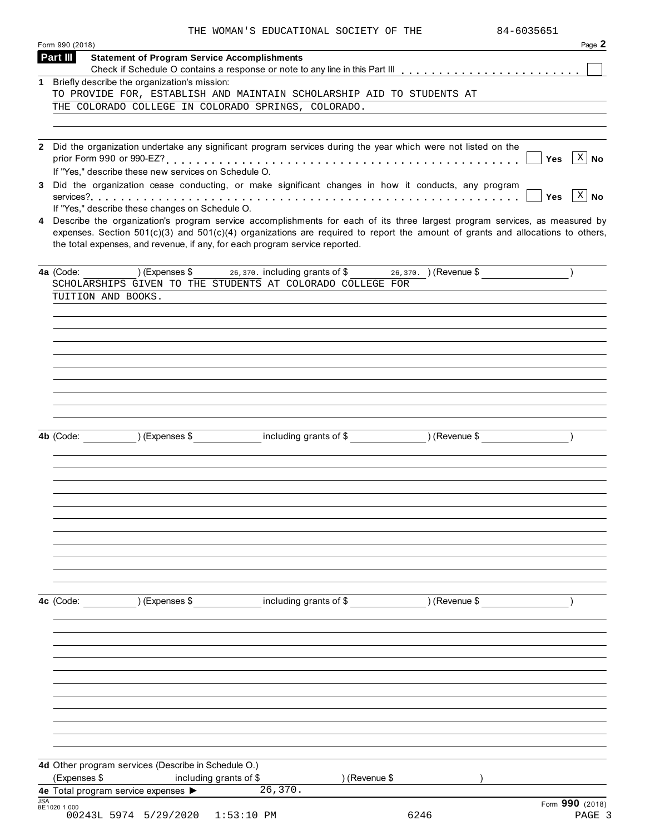|                             | 84-6035651<br>THE WOMAN'S EDUCATIONAL SOCIETY OF THE                                                                                                                                                                                                                                                                                              |                 |
|-----------------------------|---------------------------------------------------------------------------------------------------------------------------------------------------------------------------------------------------------------------------------------------------------------------------------------------------------------------------------------------------|-----------------|
| Form 990 (2018)<br>Part III | <b>Statement of Program Service Accomplishments</b>                                                                                                                                                                                                                                                                                               | Page 2          |
|                             |                                                                                                                                                                                                                                                                                                                                                   |                 |
|                             | 1 Briefly describe the organization's mission:<br>TO PROVIDE FOR, ESTABLISH AND MAINTAIN SCHOLARSHIP AID TO STUDENTS AT                                                                                                                                                                                                                           |                 |
|                             | THE COLORADO COLLEGE IN COLORADO SPRINGS, COLORADO.                                                                                                                                                                                                                                                                                               |                 |
|                             |                                                                                                                                                                                                                                                                                                                                                   |                 |
|                             |                                                                                                                                                                                                                                                                                                                                                   |                 |
|                             | 2 Did the organization undertake any significant program services during the year which were not listed on the                                                                                                                                                                                                                                    |                 |
|                             | <b>Yes</b>                                                                                                                                                                                                                                                                                                                                        | $X \mid$<br>No  |
|                             | If "Yes," describe these new services on Schedule O.<br>3 Did the organization cease conducting, or make significant changes in how it conducts, any program                                                                                                                                                                                      |                 |
|                             | Yes                                                                                                                                                                                                                                                                                                                                               | $X \mid N$ o    |
|                             | If "Yes," describe these changes on Schedule O.                                                                                                                                                                                                                                                                                                   |                 |
|                             | 4 Describe the organization's program service accomplishments for each of its three largest program services, as measured by<br>expenses. Section $501(c)(3)$ and $501(c)(4)$ organizations are required to report the amount of grants and allocations to others,<br>the total expenses, and revenue, if any, for each program service reported. |                 |
| 4a (Code:                   | (Expenses \$ $26,370$ , including grants of \$ $26,370$ , ) (Revenue \$                                                                                                                                                                                                                                                                           |                 |
|                             | SCHOLARSHIPS GIVEN TO THE STUDENTS AT COLORADO COLLEGE FOR                                                                                                                                                                                                                                                                                        |                 |
|                             | TUITION AND BOOKS.                                                                                                                                                                                                                                                                                                                                |                 |
|                             |                                                                                                                                                                                                                                                                                                                                                   |                 |
|                             |                                                                                                                                                                                                                                                                                                                                                   |                 |
|                             |                                                                                                                                                                                                                                                                                                                                                   |                 |
|                             |                                                                                                                                                                                                                                                                                                                                                   |                 |
|                             |                                                                                                                                                                                                                                                                                                                                                   |                 |
|                             |                                                                                                                                                                                                                                                                                                                                                   |                 |
|                             |                                                                                                                                                                                                                                                                                                                                                   |                 |
|                             |                                                                                                                                                                                                                                                                                                                                                   |                 |
|                             |                                                                                                                                                                                                                                                                                                                                                   |                 |
| 4b (Code:                   | $(Ex^{2})$ (Expenses $\$$                                                                                                                                                                                                                                                                                                                         |                 |
|                             |                                                                                                                                                                                                                                                                                                                                                   |                 |
|                             |                                                                                                                                                                                                                                                                                                                                                   |                 |
|                             |                                                                                                                                                                                                                                                                                                                                                   |                 |
|                             |                                                                                                                                                                                                                                                                                                                                                   |                 |
|                             |                                                                                                                                                                                                                                                                                                                                                   |                 |
|                             |                                                                                                                                                                                                                                                                                                                                                   |                 |
|                             |                                                                                                                                                                                                                                                                                                                                                   |                 |
|                             |                                                                                                                                                                                                                                                                                                                                                   |                 |
|                             |                                                                                                                                                                                                                                                                                                                                                   |                 |
|                             |                                                                                                                                                                                                                                                                                                                                                   |                 |
| 4c (Code:                   | including grants of \$<br>) (Expenses \$<br>) (Revenue \$                                                                                                                                                                                                                                                                                         |                 |
|                             |                                                                                                                                                                                                                                                                                                                                                   |                 |
|                             |                                                                                                                                                                                                                                                                                                                                                   |                 |
|                             |                                                                                                                                                                                                                                                                                                                                                   |                 |
|                             |                                                                                                                                                                                                                                                                                                                                                   |                 |
|                             |                                                                                                                                                                                                                                                                                                                                                   |                 |
|                             |                                                                                                                                                                                                                                                                                                                                                   |                 |
|                             |                                                                                                                                                                                                                                                                                                                                                   |                 |
|                             |                                                                                                                                                                                                                                                                                                                                                   |                 |
|                             |                                                                                                                                                                                                                                                                                                                                                   |                 |
|                             |                                                                                                                                                                                                                                                                                                                                                   |                 |
|                             | 4d Other program services (Describe in Schedule O.)                                                                                                                                                                                                                                                                                               |                 |
|                             | (Expenses \$<br>including grants of \$<br>) (Revenue \$                                                                                                                                                                                                                                                                                           |                 |
|                             | 26, 370.<br>4e Total program service expenses >                                                                                                                                                                                                                                                                                                   |                 |
| <b>JSA</b><br>8E1020 1.000  |                                                                                                                                                                                                                                                                                                                                                   | Form 990 (2018) |
|                             | 00243L 5974 5/29/2020<br>6246<br>$1:53:10$ PM                                                                                                                                                                                                                                                                                                     | PAGE 3          |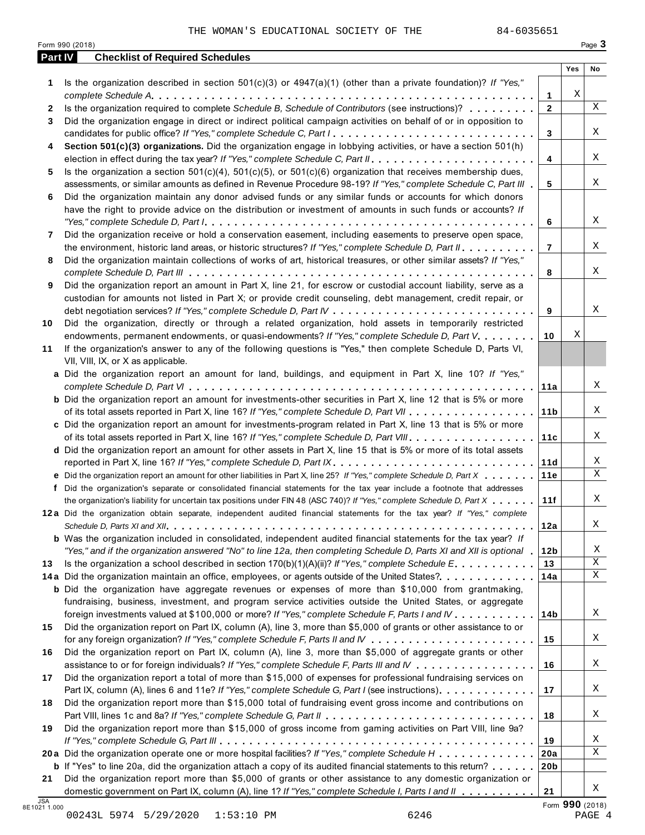| Part IV      | <b>Checklist of Required Schedules</b>                                                                                  |                 |     |    |
|--------------|-------------------------------------------------------------------------------------------------------------------------|-----------------|-----|----|
|              |                                                                                                                         |                 | Yes | No |
| 1            | Is the organization described in section $501(c)(3)$ or $4947(a)(1)$ (other than a private foundation)? If "Yes,"       |                 |     |    |
|              |                                                                                                                         | 1               | Χ   |    |
| $\mathbf{2}$ | Is the organization required to complete Schedule B, Schedule of Contributors (see instructions)?                       | $\mathbf{2}$    |     | X  |
| 3            | Did the organization engage in direct or indirect political campaign activities on behalf of or in opposition to        |                 |     |    |
|              | candidates for public office? If "Yes," complete Schedule C, Part I.                                                    | 3               |     | Χ  |
| 4            | Section 501(c)(3) organizations. Did the organization engage in lobbying activities, or have a section 501(h)           |                 |     |    |
|              |                                                                                                                         | 4               |     | X  |
| 5            | Is the organization a section $501(c)(4)$ , $501(c)(5)$ , or $501(c)(6)$ organization that receives membership dues,    |                 |     |    |
|              | assessments, or similar amounts as defined in Revenue Procedure 98-19? If "Yes," complete Schedule C, Part III          | 5               |     | Χ  |
| 6            | Did the organization maintain any donor advised funds or any similar funds or accounts for which donors                 |                 |     |    |
|              | have the right to provide advice on the distribution or investment of amounts in such funds or accounts? If             |                 |     |    |
|              |                                                                                                                         | 6               |     | X  |
| 7            | Did the organization receive or hold a conservation easement, including easements to preserve open space,               |                 |     | X  |
|              | the environment, historic land areas, or historic structures? If "Yes," complete Schedule D, Part II.                   | $\overline{7}$  |     |    |
| 8            | Did the organization maintain collections of works of art, historical treasures, or other similar assets? If "Yes,"     |                 |     | Χ  |
|              |                                                                                                                         | 8               |     |    |
| 9            | Did the organization report an amount in Part X, line 21, for escrow or custodial account liability, serve as a         |                 |     |    |
|              | custodian for amounts not listed in Part X; or provide credit counseling, debt management, credit repair, or            | 9               |     | X  |
| 10           | Did the organization, directly or through a related organization, hold assets in temporarily restricted                 |                 |     |    |
|              | endowments, permanent endowments, or quasi-endowments? If "Yes," complete Schedule D, Part V.                           | 10              | Χ   |    |
| 11           | If the organization's answer to any of the following questions is "Yes," then complete Schedule D, Parts VI,            |                 |     |    |
|              | VII, VIII, IX, or X as applicable.                                                                                      |                 |     |    |
|              | a Did the organization report an amount for land, buildings, and equipment in Part X, line 10? If "Yes,"                |                 |     |    |
|              |                                                                                                                         | 11a             |     | Χ  |
|              | <b>b</b> Did the organization report an amount for investments-other securities in Part X, line 12 that is 5% or more   |                 |     |    |
|              |                                                                                                                         | 11 <sub>b</sub> |     | Χ  |
|              | c Did the organization report an amount for investments-program related in Part X, line 13 that is 5% or more           |                 |     |    |
|              | of its total assets reported in Part X, line 16? If "Yes," complete Schedule D, Part VIII                               | 11c             |     | Χ  |
|              | d Did the organization report an amount for other assets in Part X, line 15 that is 5% or more of its total assets      |                 |     |    |
|              | reported in Part X, line 16? If "Yes," complete Schedule D, Part IX.                                                    | 11d             |     | Χ  |
|              | e Did the organization report an amount for other liabilities in Part X, line 25? If "Yes," complete Schedule D, Part X | 11e             |     | X  |
| f            | Did the organization's separate or consolidated financial statements for the tax year include a footnote that addresses |                 |     |    |
|              | the organization's liability for uncertain tax positions under FIN 48 (ASC 740)? If "Yes," complete Schedule D, Part X  | 11f             |     | Χ  |
|              | 12a Did the organization obtain separate, independent audited financial statements for the tax year? If "Yes," complete |                 |     |    |
|              |                                                                                                                         | 12a             |     | Χ  |
|              | <b>b</b> Was the organization included in consolidated, independent audited financial statements for the tax year? If   |                 |     |    |
|              | "Yes," and if the organization answered "No" to line 12a, then completing Schedule D, Parts XI and XII is optional 1    | 12 <sub>b</sub> |     | Χ  |
| 13           | Is the organization a school described in section $170(b)(1)(A)(ii)?$ If "Yes," complete Schedule E.                    | 13              |     | Χ  |
|              | 14a Did the organization maintain an office, employees, or agents outside of the United States?                         | 14a             |     | Χ  |
|              | <b>b</b> Did the organization have aggregate revenues or expenses of more than \$10,000 from grantmaking,               |                 |     |    |
|              | fundraising, business, investment, and program service activities outside the United States, or aggregate               |                 |     |    |
|              | foreign investments valued at \$100,000 or more? If "Yes," complete Schedule F, Parts I and IV                          | 14b             |     | Χ  |
| 15           | Did the organization report on Part IX, column (A), line 3, more than \$5,000 of grants or other assistance to or       |                 |     |    |
|              |                                                                                                                         | 15              |     | Χ  |
| 16           | Did the organization report on Part IX, column (A), line 3, more than \$5,000 of aggregate grants or other              |                 |     |    |
|              | assistance to or for foreign individuals? If "Yes," complete Schedule F, Parts III and IV                               | 16              |     | Χ  |
| 17           | Did the organization report a total of more than \$15,000 of expenses for professional fundraising services on          |                 |     |    |
|              | Part IX, column (A), lines 6 and 11e? If "Yes," complete Schedule G, Part I (see instructions).                         | 17              |     | Χ  |
| 18           | Did the organization report more than \$15,000 total of fundraising event gross income and contributions on             |                 |     |    |
|              |                                                                                                                         | 18              |     | Χ  |
| 19           | Did the organization report more than \$15,000 of gross income from gaming activities on Part VIII, line 9a?            |                 |     |    |
|              |                                                                                                                         | 19              |     | Χ  |
|              | 20a Did the organization operate one or more hospital facilities? If "Yes," complete Schedule H                         | 20a             |     | X  |
|              | <b>b</b> If "Yes" to line 20a, did the organization attach a copy of its audited financial statements to this return?   | 20 <sub>b</sub> |     |    |
| 21           | Did the organization report more than \$5,000 of grants or other assistance to any domestic organization or             |                 |     |    |
|              | domestic government on Part IX, column (A), line 1? If "Yes," complete Schedule I, Parts I and II                       | 21              |     | X  |

00243L 5974 5/29/2020 1:53:10 PM 6246 PAGE 4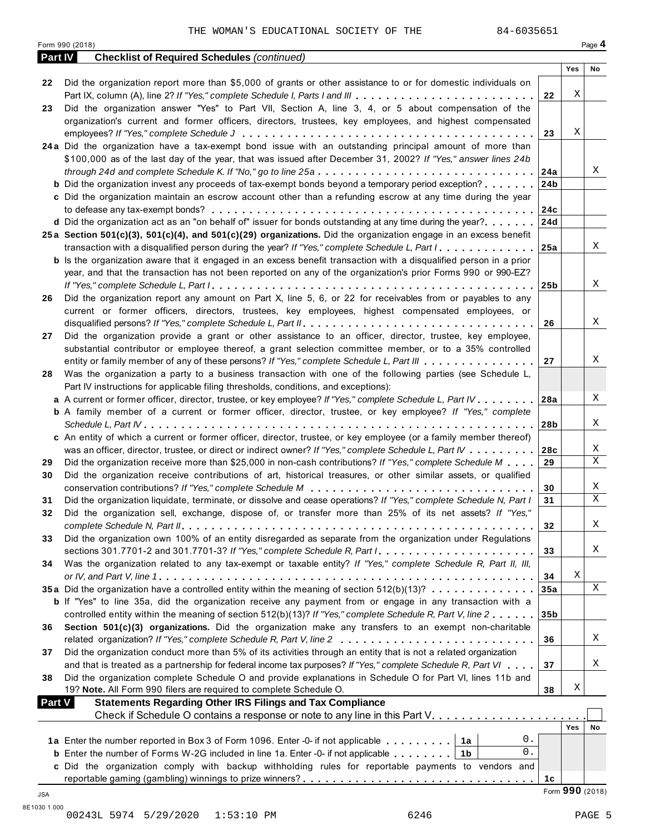Form <sup>990</sup> (2018) Page **4**

| <b>Part IV</b> | <b>Checklist of Required Schedules (continued)</b>                                                                        |                 |                 |    |
|----------------|---------------------------------------------------------------------------------------------------------------------------|-----------------|-----------------|----|
|                |                                                                                                                           |                 | Yes             | No |
| 22             | Did the organization report more than \$5,000 of grants or other assistance to or for domestic individuals on             |                 |                 |    |
|                | Part IX, column (A), line 2? If "Yes," complete Schedule I, Parts I and III                                               | 22              | Χ               |    |
| 23             | Did the organization answer "Yes" to Part VII, Section A, line 3, 4, or 5 about compensation of the                       |                 |                 |    |
|                | organization's current and former officers, directors, trustees, key employees, and highest compensated                   |                 |                 |    |
|                |                                                                                                                           | 23              | Χ               |    |
|                | 24a Did the organization have a tax-exempt bond issue with an outstanding principal amount of more than                   |                 |                 |    |
|                | \$100,000 as of the last day of the year, that was issued after December 31, 2002? If "Yes," answer lines 24b             |                 |                 |    |
|                |                                                                                                                           |                 |                 | Χ  |
|                | <b>b</b> Did the organization invest any proceeds of tax-exempt bonds beyond a temporary period exception?                | 24 <sub>b</sub> |                 |    |
|                | c Did the organization maintain an escrow account other than a refunding escrow at any time during the year               |                 |                 |    |
|                |                                                                                                                           |                 |                 |    |
|                | d Did the organization act as an "on behalf of" issuer for bonds outstanding at any time during the year? $ 24d$          |                 |                 |    |
|                | 25a Section 501(c)(3), 501(c)(4), and 501(c)(29) organizations. Did the organization engage in an excess benefit          |                 |                 |    |
|                |                                                                                                                           |                 |                 | X  |
|                | transaction with a disqualified person during the year? If "Yes," complete Schedule L, Part I. 25a                        |                 |                 |    |
|                | <b>b</b> Is the organization aware that it engaged in an excess benefit transaction with a disqualified person in a prior |                 |                 |    |
|                | year, and that the transaction has not been reported on any of the organization's prior Forms 990 or 990-EZ?              |                 |                 |    |
|                |                                                                                                                           |                 |                 | Χ  |
| 26             | Did the organization report any amount on Part X, line 5, 6, or 22 for receivables from or payables to any                |                 |                 |    |
|                | current or former officers, directors, trustees, key employees, highest compensated employees, or                         |                 |                 |    |
|                |                                                                                                                           | 26              |                 | X  |
| 27             | Did the organization provide a grant or other assistance to an officer, director, trustee, key employee,                  |                 |                 |    |
|                | substantial contributor or employee thereof, a grant selection committee member, or to a 35% controlled                   |                 |                 |    |
|                | entity or family member of any of these persons? If "Yes," complete Schedule L, Part III                                  | 27              |                 | X  |
| 28             | Was the organization a party to a business transaction with one of the following parties (see Schedule L,                 |                 |                 |    |
|                | Part IV instructions for applicable filing thresholds, conditions, and exceptions):                                       |                 |                 |    |
|                | a A current or former officer, director, trustee, or key employee? If "Yes," complete Schedule L, Part IV                 | 28a             |                 | X  |
|                | <b>b</b> A family member of a current or former officer, director, trustee, or key employee? If "Yes," complete           |                 |                 |    |
|                | Schedule L, Part $W$ , $\ldots$ , $\ldots$ , $\ldots$ , $\ldots$ , $\ldots$ , $\ldots$ , $\ldots$ , $\ldots$              | 28b             |                 | X  |
|                | c An entity of which a current or former officer, director, trustee, or key employee (or a family member thereof)         |                 |                 |    |
|                | was an officer, director, trustee, or direct or indirect owner? If "Yes," complete Schedule L, Part IV                    | 28c             |                 | Χ  |
| 29             | Did the organization receive more than \$25,000 in non-cash contributions? If "Yes," complete Schedule M                  | 29              |                 | X  |
| 30             | Did the organization receive contributions of art, historical treasures, or other similar assets, or qualified            |                 |                 |    |
|                |                                                                                                                           | 30              |                 | X  |
| 31             | Did the organization liquidate, terminate, or dissolve and cease operations? If "Yes," complete Schedule N, Part I        | 31              |                 | X  |
| 32             | Did the organization sell, exchange, dispose of, or transfer more than 25% of its net assets? If "Yes,"                   |                 |                 |    |
|                |                                                                                                                           | 32              |                 | Χ  |
| 33             | Did the organization own 100% of an entity disregarded as separate from the organization under Regulations                |                 |                 |    |
|                | sections 301.7701-2 and 301.7701-3? If "Yes," complete Schedule R, Part /                                                 | 33              |                 | Χ  |
| 34             | Was the organization related to any tax-exempt or taxable entity? If "Yes," complete Schedule R, Part II, III,            |                 |                 |    |
|                |                                                                                                                           | 34              | Χ               |    |
|                | 35a Did the organization have a controlled entity within the meaning of section 512(b)(13)?                               | 35a             |                 | X  |
|                | <b>b</b> If "Yes" to line 35a, did the organization receive any payment from or engage in any transaction with a          |                 |                 |    |
|                | controlled entity within the meaning of section 512(b)(13)? If "Yes," complete Schedule R, Part V, line 2                 | 35 <sub>b</sub> |                 |    |
| 36             | Section 501(c)(3) organizations. Did the organization make any transfers to an exempt non-charitable                      |                 |                 |    |
|                |                                                                                                                           | 36              |                 | X  |
| 37             | Did the organization conduct more than 5% of its activities through an entity that is not a related organization          |                 |                 |    |
|                | and that is treated as a partnership for federal income tax purposes? If "Yes," complete Schedule R, Part VI              | 37              |                 | X  |
| 38             | Did the organization complete Schedule O and provide explanations in Schedule O for Part VI, lines 11b and                |                 |                 |    |
|                | 19? Note. All Form 990 filers are required to complete Schedule O.                                                        | 38              | Χ               |    |
| <b>Part V</b>  | <b>Statements Regarding Other IRS Filings and Tax Compliance</b>                                                          |                 |                 |    |
|                | Check if Schedule O contains a response or note to any line in this Part V.                                               |                 |                 |    |
|                |                                                                                                                           |                 | Yes             | No |
|                | 0.<br>1a Enter the number reported in Box 3 of Form 1096. Enter -0- if not applicable $\dots \dots \dots$                 |                 |                 |    |
|                | 0.<br><b>b</b> Enter the number of Forms W-2G included in line 1a. Enter -0- if not applicable $\ldots$ , $\ldots$        |                 |                 |    |
|                | c Did the organization comply with backup withholding rules for reportable payments to vendors and                        |                 |                 |    |
|                |                                                                                                                           | 1c              |                 |    |
|                |                                                                                                                           |                 | Form 990 (2018) |    |
| JSA            |                                                                                                                           |                 |                 |    |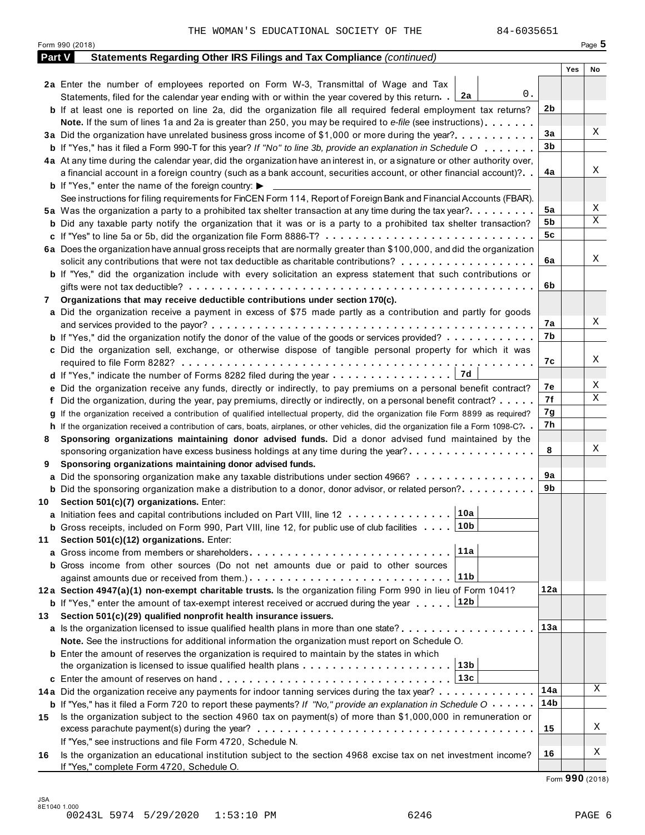|        | Form 990 (2018)                                                                                                                              |     | Page 5 |
|--------|----------------------------------------------------------------------------------------------------------------------------------------------|-----|--------|
| Part V | Statements Regarding Other IRS Filings and Tax Compliance (continued)                                                                        |     |        |
|        |                                                                                                                                              | Yes | No     |
|        | 2a Enter the number of employees reported on Form W-3, Transmittal of Wage and Tax                                                           |     |        |
|        | 0.<br>Statements, filed for the calendar year ending with or within the year covered by this return. [2a                                     |     |        |
|        | <b>b</b> If at least one is reported on line 2a, did the organization file all required federal employment tax returns?                      | 2b  |        |
|        | <b>Note.</b> If the sum of lines 1a and 2a is greater than 250, you may be required to e-file (see instructions).                            |     |        |
|        | 3a Did the organization have unrelated business gross income of \$1,000 or more during the year?                                             | 3a  | Χ      |
|        | <b>b</b> If "Yes," has it filed a Form 990-T for this year? If "No" to line 3b, provide an explanation in Schedule O                         | 3b  |        |
|        | 4a At any time during the calendar year, did the organization have an interest in, or a signature or other authority over,                   |     |        |
|        | a financial account in a foreign country (such as a bank account, securities account, or other financial account)?                           | 4a  | Χ      |
|        | <b>b</b> If "Yes," enter the name of the foreign country: $\blacktriangleright$                                                              |     |        |
|        | See instructions for filing requirements for FinCEN Form 114, Report of Foreign Bank and Financial Accounts (FBAR).                          |     |        |
|        | 5a Was the organization a party to a prohibited tax shelter transaction at any time during the tax year?                                     | 5a  | Χ      |
|        | <b>b</b> Did any taxable party notify the organization that it was or is a party to a prohibited tax shelter transaction?                    | 5b  | Χ      |
|        |                                                                                                                                              | 5c  |        |
|        | 6a Does the organization have annual gross receipts that are normally greater than \$100,000, and did the organization                       |     |        |
|        | solicit any contributions that were not tax deductible as charitable contributions?                                                          | 6a  | Χ      |
|        | <b>b</b> If "Yes," did the organization include with every solicitation an express statement that such contributions or                      |     |        |
|        |                                                                                                                                              | 6b  |        |
| 7      | Organizations that may receive deductible contributions under section 170(c).                                                                |     |        |
|        | a Did the organization receive a payment in excess of \$75 made partly as a contribution and partly for goods                                |     |        |
|        |                                                                                                                                              | 7а  | Χ      |
|        |                                                                                                                                              | 7b  |        |
|        | <b>b</b> If "Yes," did the organization notify the donor of the value of the goods or services provided?                                     |     |        |
|        | c Did the organization sell, exchange, or otherwise dispose of tangible personal property for which it was                                   |     | Χ      |
|        |                                                                                                                                              | 7с  |        |
|        | 7d                                                                                                                                           |     | Χ      |
|        | e Did the organization receive any funds, directly or indirectly, to pay premiums on a personal benefit contract?                            | 7е  | Χ      |
|        | f Did the organization, during the year, pay premiums, directly or indirectly, on a personal benefit contract?                               | 7f  |        |
|        | If the organization received a contribution of qualified intellectual property, did the organization file Form 8899 as required?             | 7g  |        |
|        | h If the organization received a contribution of cars, boats, airplanes, or other vehicles, did the organization file a Form 1098-C?         | 7h  |        |
| 8      | Sponsoring organizations maintaining donor advised funds. Did a donor advised fund maintained by the                                         |     |        |
|        | sponsoring organization have excess business holdings at any time during the year?                                                           | 8   | Χ      |
| 9      | Sponsoring organizations maintaining donor advised funds.                                                                                    |     |        |
|        | <b>a</b> Did the sponsoring organization make any taxable distributions under section 4966?                                                  | 9а  |        |
|        | <b>b</b> Did the sponsoring organization make a distribution to a donor, donor advisor, or related person?                                   | 9b  |        |
|        | 10 Section 501(c)(7) organizations. Enter:                                                                                                   |     |        |
|        | 10a <br>a Initiation fees and capital contributions included on Part VIII, line 12                                                           |     |        |
|        | 10b<br><b>b</b> Gross receipts, included on Form 990, Part VIII, line 12, for public use of club facilities                                  |     |        |
| 11     | Section 501(c)(12) organizations. Enter:                                                                                                     |     |        |
|        | 11a<br><b>a</b> Gross income from members or shareholders                                                                                    |     |        |
|        | <b>b</b> Gross income from other sources (Do not net amounts due or paid to other sources                                                    |     |        |
|        | 11b                                                                                                                                          |     |        |
|        | 12a Section 4947(a)(1) non-exempt charitable trusts. Is the organization filing Form 990 in lieu of Form 1041?                               | 12a |        |
|        | 12b<br><b>b</b> If "Yes," enter the amount of tax-exempt interest received or accrued during the year                                        |     |        |
| 13.    | Section 501(c)(29) qualified nonprofit health insurance issuers.                                                                             |     |        |
|        | a Is the organization licensed to issue qualified health plans in more than one state?                                                       | 13а |        |
|        | Note. See the instructions for additional information the organization must report on Schedule O.                                            |     |        |
|        |                                                                                                                                              |     |        |
|        | <b>b</b> Enter the amount of reserves the organization is required to maintain by the states in which<br>13b                                 |     |        |
|        | the organization is licensed to issue qualified health plans $\dots \dots \dots \dots \dots \dots \dots$                                     |     |        |
|        | 13c                                                                                                                                          |     | Χ      |
|        | 14a Did the organization receive any payments for indoor tanning services during the tax year?                                               | 14a |        |
|        | <b>b</b> If "Yes," has it filed a Form 720 to report these payments? If "No," provide an explanation in Schedule $0 \cdot \cdot \cdot \cdot$ | 14b |        |
| 15     | Is the organization subject to the section 4960 tax on payment(s) of more than \$1,000,000 in remuneration or                                |     |        |
|        |                                                                                                                                              | 15  | Χ      |
|        | If "Yes," see instructions and file Form 4720, Schedule N.                                                                                   |     |        |
| 16     | Is the organization an educational institution subject to the section 4968 excise tax on net investment income?                              | 16  | Χ      |
|        | If "Yes," complete Form 4720, Schedule O.                                                                                                    |     |        |

Form **990** (2018)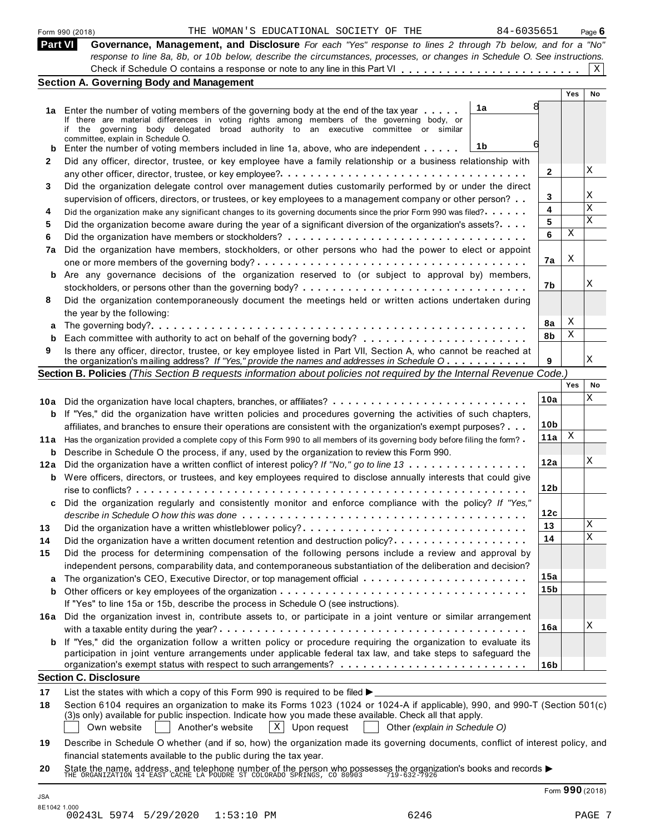|  | Form 990 (2018) |
|--|-----------------|
|  |                 |

| Part VI I | <b>Governance, Management, and Disclosure</b> For each "Yes" response to lines 2 through 7b below, and for a "No"         |  |
|-----------|---------------------------------------------------------------------------------------------------------------------------|--|
|           | response to line 8a, 8b, or 10b below, describe the circumstances, processes, or changes in Schedule O. See instructions. |  |
|           |                                                                                                                           |  |

|     | <b>Section A. Governing Body and Management</b>                                                                                                                                                                                         |                 |            |                         |
|-----|-----------------------------------------------------------------------------------------------------------------------------------------------------------------------------------------------------------------------------------------|-----------------|------------|-------------------------|
|     |                                                                                                                                                                                                                                         |                 | <b>Yes</b> | No                      |
|     | 1a<br>1a Enter the number of voting members of the governing body at the end of the tax year                                                                                                                                            |                 |            |                         |
|     | If there are material differences in voting rights among members of the governing body, or                                                                                                                                              |                 |            |                         |
|     | if the governing body delegated broad authority to an executive committee or similar<br>committee, explain in Schedule O.                                                                                                               |                 |            |                         |
| b   | 1b<br>Enter the number of voting members included in line 1a, above, who are independent                                                                                                                                                |                 |            |                         |
| 2   | Did any officer, director, trustee, or key employee have a family relationship or a business relationship with                                                                                                                          |                 |            |                         |
|     |                                                                                                                                                                                                                                         | 2               |            | Χ                       |
| 3   | Did the organization delegate control over management duties customarily performed by or under the direct                                                                                                                               |                 |            |                         |
|     | supervision of officers, directors, or trustees, or key employees to a management company or other person?                                                                                                                              | 3               |            | Χ                       |
| 4   | Did the organization make any significant changes to its governing documents since the prior Form 990 was filed?                                                                                                                        | 4               |            | $\overline{\mathbf{x}}$ |
| 5   | Did the organization become aware during the year of a significant diversion of the organization's assets?                                                                                                                              | 5               |            | X                       |
| 6   |                                                                                                                                                                                                                                         | 6               | Χ          |                         |
| 7a  | Did the organization have members, stockholders, or other persons who had the power to elect or appoint                                                                                                                                 |                 |            |                         |
|     |                                                                                                                                                                                                                                         | 7a              | Χ          |                         |
| b   | Are any governance decisions of the organization reserved to (or subject to approval by) members,                                                                                                                                       |                 |            |                         |
|     |                                                                                                                                                                                                                                         | 7b              |            | Χ                       |
| 8   | Did the organization contemporaneously document the meetings held or written actions undertaken during                                                                                                                                  |                 |            |                         |
|     | the year by the following:                                                                                                                                                                                                              |                 |            |                         |
| a   |                                                                                                                                                                                                                                         | 8a              | X          |                         |
| b   |                                                                                                                                                                                                                                         | 8b              | X          |                         |
| 9   | Is there any officer, director, trustee, or key employee listed in Part VII, Section A, who cannot be reached at                                                                                                                        |                 |            |                         |
|     | the organization's mailing address? If "Yes," provide the names and addresses in Schedule O                                                                                                                                             | 9               |            | Χ                       |
|     | Section B. Policies (This Section B requests information about policies not required by the Internal Revenue Code.)                                                                                                                     |                 |            |                         |
|     |                                                                                                                                                                                                                                         |                 | Yes        | No                      |
|     |                                                                                                                                                                                                                                         | 10a             |            | X                       |
| b   | If "Yes," did the organization have written policies and procedures governing the activities of such chapters,                                                                                                                          |                 |            |                         |
|     | affiliates, and branches to ensure their operations are consistent with the organization's exempt purposes?                                                                                                                             | 10 <sub>b</sub> |            |                         |
|     | 11a Has the organization provided a complete copy of this Form 990 to all members of its governing body before filing the form?                                                                                                         | 11a             | Χ          |                         |
| b   | Describe in Schedule O the process, if any, used by the organization to review this Form 990.                                                                                                                                           |                 |            |                         |
| 12a | Did the organization have a written conflict of interest policy? If "No," go to line 13                                                                                                                                                 | 12a             |            | Χ                       |
| b   | Were officers, directors, or trustees, and key employees required to disclose annually interests that could give                                                                                                                        |                 |            |                         |
|     |                                                                                                                                                                                                                                         | 12 <sub>b</sub> |            |                         |
| c   | Did the organization regularly and consistently monitor and enforce compliance with the policy? If "Yes,"                                                                                                                               |                 |            |                         |
|     |                                                                                                                                                                                                                                         | 12c             |            | X                       |
| 13  | Did the organization have a written whistleblower policy?                                                                                                                                                                               | 13              |            | X                       |
| 14  | Did the organization have a written document retention and destruction policy?                                                                                                                                                          | 14              |            |                         |
| 15  | Did the process for determining compensation of the following persons include a review and approval by                                                                                                                                  |                 |            |                         |
|     | independent persons, comparability data, and contemporaneous substantiation of the deliberation and decision?                                                                                                                           |                 |            |                         |
| a   | The organization's CEO, Executive Director, or top management official                                                                                                                                                                  | 15a             |            |                         |
| b   |                                                                                                                                                                                                                                         | 15 <sub>b</sub> |            |                         |
|     | If "Yes" to line 15a or 15b, describe the process in Schedule O (see instructions).                                                                                                                                                     |                 |            |                         |
| 16а | Did the organization invest in, contribute assets to, or participate in a joint venture or similar arrangement                                                                                                                          |                 |            | Χ                       |
|     |                                                                                                                                                                                                                                         | 16a             |            |                         |
|     | <b>b</b> If "Yes," did the organization follow a written policy or procedure requiring the organization to evaluate its                                                                                                                 |                 |            |                         |
|     | participation in joint venture arrangements under applicable federal tax law, and take steps to safeguard the                                                                                                                           |                 |            |                         |
|     |                                                                                                                                                                                                                                         | 16 <sub>b</sub> |            |                         |
|     | <b>Section C. Disclosure</b>                                                                                                                                                                                                            |                 |            |                         |
| 17  | List the states with which a copy of this Form 990 is required to be filed $\blacktriangleright$                                                                                                                                        |                 |            |                         |
| 18  | Section 6104 requires an organization to make its Forms 1023 (1024 or 1024-A if applicable), 990, and 990-T (Section 501(c)<br>(3)s only) available for public inspection. Indicate how you made these available. Check all that apply. |                 |            |                         |

Own website  $\begin{bmatrix} \end{bmatrix}$  Another's website  $\begin{bmatrix} X \\ Y \end{bmatrix}$  Upon request  $\begin{bmatrix} \end{bmatrix}$  Other *(explain in Schedule O)* 

**20** nnancial statements available to the public during the tax year.<br>State the name, address, and telephone number of the person who possesses the organization's books and records<br>THE ORGANIZATION 14 EAST CACHE LA POUDRE ST CO

**<sup>19</sup>** Describe in Schedule O whether (and if so, how) the organization made its governing documents, conflict of interest policy, and financial statements available to the public during the tax year.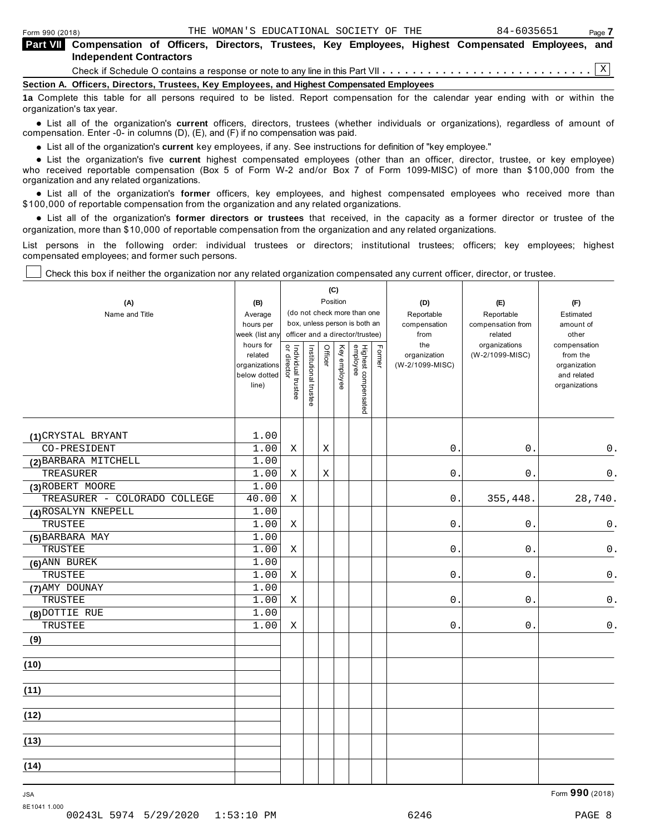organization's tax year.

⊤

| <b>Part VII</b> Compensation of Officers, Directors, Trustees, Key Employees, Highest Compensated Employees, and                  |  |
|-----------------------------------------------------------------------------------------------------------------------------------|--|
| <b>Independent Contractors</b>                                                                                                    |  |
|                                                                                                                                   |  |
| Section A. Officers, Directors, Trustees, Key Employees, and Highest Compensated Employees                                        |  |
| 1a Complete this table for all persons required to be listed. Report compensation for the calendar year ending with or within the |  |

anization's lax year.<br>● List all of the organization's **current** officers, directors, trustees (whether individuals or organizations), regardless of amount of<br>nnensation Enter -0- in columns (D) (E) and (E) if no compensa compensation. Enter -0- in columns (D), (E), and (F) if no compensation was paid.

**■** List all of the organization's **current** key employees, if any. See instructions for definition of "key employee."<br>■ List the experimetiscle five event highert expressed explores (other than an efficer director t

Τ

**Example in the organization's current** key employees, if any, see instructions for definition of key employee.<br>• List the organization's five **current** highest compensated employees (other than an officer, director, trust who received reportable compensation (Box 5 of Form W-2 and/or Box 7 of Form 1099-MISC) of more than \$100,000 from the

organization and any related organizations.<br>● List all of the organization's **former** officers, key employees, and highest compensated employees who received more than<br>\$1.00,000 of reportable compensation.from.the erganiz \$100,000 of reportable compensation from the organization and any related organizations.

% List all of the organization's **former directors or trustees** that received, in the capacity as a former director or trustee of the organization, more than \$10,000 of reportable compensation from the organization and any related organizations.

List persons in the following order: individual trustees or directors; institutional trustees; officers; key employees; highest compensated employees; and former such persons.

┬

T

Check this box if neither the organization nor any related organization compensated any current officer, director, or trustee.

 $\overline{\phantom{a}}$ 

| (A)<br>Name and Title        | (B)<br>Average<br>hours per<br>week (list any<br>hours for<br>related<br>organizations<br>below dotted<br>line) | Individual trustee<br>or director | Institutional trustee | Officer | (C)<br>Position<br>Key employee | (do not check more than one<br>box, unless person is both an<br>officer and a director/trustee)<br>Highest compensated<br>employee | Former | (D)<br>Reportable<br>compensation<br>from<br>the<br>organization<br>(W-2/1099-MISC) | (E)<br>Reportable<br>compensation from<br>related<br>organizations<br>(W-2/1099-MISC) | (F)<br>Estimated<br>amount of<br>other<br>compensation<br>from the<br>organization<br>and related<br>organizations |
|------------------------------|-----------------------------------------------------------------------------------------------------------------|-----------------------------------|-----------------------|---------|---------------------------------|------------------------------------------------------------------------------------------------------------------------------------|--------|-------------------------------------------------------------------------------------|---------------------------------------------------------------------------------------|--------------------------------------------------------------------------------------------------------------------|
| (1) CRYSTAL BRYANT           | 1.00                                                                                                            |                                   |                       |         |                                 |                                                                                                                                    |        |                                                                                     |                                                                                       |                                                                                                                    |
| CO-PRESIDENT                 | 1.00                                                                                                            | X                                 |                       | X       |                                 |                                                                                                                                    |        | 0.                                                                                  | 0.                                                                                    | $0$ .                                                                                                              |
| (2) BARBARA MITCHELL         | 1.00                                                                                                            |                                   |                       |         |                                 |                                                                                                                                    |        |                                                                                     |                                                                                       |                                                                                                                    |
| <b>TREASURER</b>             | 1.00                                                                                                            | Χ                                 |                       | Χ       |                                 |                                                                                                                                    |        | $0$ .                                                                               | $0$ .                                                                                 | 0.                                                                                                                 |
| (3) ROBERT MOORE             | 1.00                                                                                                            |                                   |                       |         |                                 |                                                                                                                                    |        |                                                                                     |                                                                                       |                                                                                                                    |
| TREASURER - COLORADO COLLEGE | 40.00                                                                                                           | X                                 |                       |         |                                 |                                                                                                                                    |        | 0.                                                                                  | 355,448.                                                                              | 28,740.                                                                                                            |
| (4) ROSALYN KNEPELL          | 1.00                                                                                                            |                                   |                       |         |                                 |                                                                                                                                    |        |                                                                                     |                                                                                       |                                                                                                                    |
| TRUSTEE                      | 1.00                                                                                                            | Χ                                 |                       |         |                                 |                                                                                                                                    |        | $0$ .                                                                               | $\mathsf 0$ .                                                                         | 0.                                                                                                                 |
| (5) BARBARA MAY              | 1.00                                                                                                            |                                   |                       |         |                                 |                                                                                                                                    |        |                                                                                     |                                                                                       |                                                                                                                    |
| TRUSTEE                      | 1.00                                                                                                            | Χ                                 |                       |         |                                 |                                                                                                                                    |        | 0.                                                                                  | 0.                                                                                    | $\mathsf{0}$ .                                                                                                     |
| $(6)$ ANN BUREK              | 1.00                                                                                                            |                                   |                       |         |                                 |                                                                                                                                    |        |                                                                                     |                                                                                       |                                                                                                                    |
| TRUSTEE                      | 1.00                                                                                                            | Χ                                 |                       |         |                                 |                                                                                                                                    |        | $0$ .                                                                               | $0$ .                                                                                 | $\mathsf 0$ .                                                                                                      |
| (7) AMY DOUNAY               | 1.00                                                                                                            |                                   |                       |         |                                 |                                                                                                                                    |        |                                                                                     |                                                                                       |                                                                                                                    |
| TRUSTEE                      | 1.00                                                                                                            | X                                 |                       |         |                                 |                                                                                                                                    |        | 0.                                                                                  | 0.                                                                                    | $0$ .                                                                                                              |
| (8) DOTTIE RUE               | 1.00                                                                                                            |                                   |                       |         |                                 |                                                                                                                                    |        |                                                                                     |                                                                                       |                                                                                                                    |
| TRUSTEE                      | 1.00                                                                                                            | Χ                                 |                       |         |                                 |                                                                                                                                    |        | $0$ .                                                                               | 0.                                                                                    | $0$ .                                                                                                              |
| (9)                          |                                                                                                                 |                                   |                       |         |                                 |                                                                                                                                    |        |                                                                                     |                                                                                       |                                                                                                                    |
| (10)                         |                                                                                                                 |                                   |                       |         |                                 |                                                                                                                                    |        |                                                                                     |                                                                                       |                                                                                                                    |
| (11)                         |                                                                                                                 |                                   |                       |         |                                 |                                                                                                                                    |        |                                                                                     |                                                                                       |                                                                                                                    |
| (12)                         |                                                                                                                 |                                   |                       |         |                                 |                                                                                                                                    |        |                                                                                     |                                                                                       |                                                                                                                    |
| (13)                         |                                                                                                                 |                                   |                       |         |                                 |                                                                                                                                    |        |                                                                                     |                                                                                       |                                                                                                                    |
| (14)                         |                                                                                                                 |                                   |                       |         |                                 |                                                                                                                                    |        |                                                                                     |                                                                                       |                                                                                                                    |

8E1041 1.000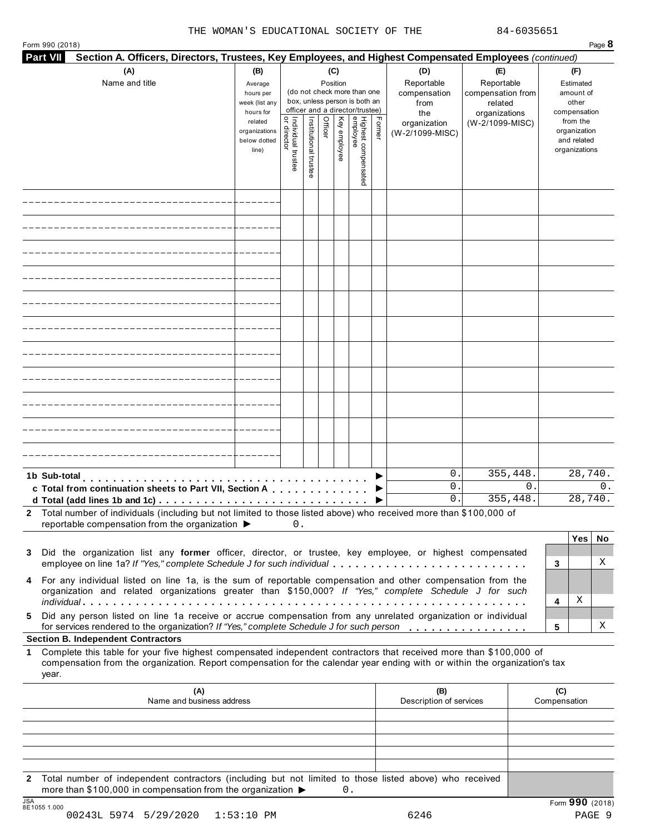| Section A. Officers, Directors, Trustees, Key Employees, and Highest Compensated Employees (continued)<br><b>Part VII</b>                                                                                                                                                                                       |                                                                                               |                                                                     |                       |                                        |              |                                                                                                     |        |                                                                |                                             |               |                     |                                                                                                |         |
|-----------------------------------------------------------------------------------------------------------------------------------------------------------------------------------------------------------------------------------------------------------------------------------------------------------------|-----------------------------------------------------------------------------------------------|---------------------------------------------------------------------|-----------------------|----------------------------------------|--------------|-----------------------------------------------------------------------------------------------------|--------|----------------------------------------------------------------|---------------------------------------------|---------------|---------------------|------------------------------------------------------------------------------------------------|---------|
| (A)<br>Name and title                                                                                                                                                                                                                                                                                           | (B)<br>Average                                                                                | (C)<br>(D)<br>Reportable<br>Position<br>(do not check more than one |                       | (E)<br>Reportable<br>compensation from |              | (F)<br>Estimated                                                                                    |        |                                                                |                                             |               |                     |                                                                                                |         |
|                                                                                                                                                                                                                                                                                                                 | hours per<br>week (list any<br>hours for<br>related<br>organizations<br>below dotted<br>line) | Individual trustee<br>  or director                                 | Institutional trustee | Officer                                | Key employee | box, unless person is both an<br>officer and a director/trustee)<br>Highest compensated<br>employee | Former | compensation<br>from<br>the<br>organization<br>(W-2/1099-MISC) | related<br>organizations<br>(W-2/1099-MISC) |               |                     | amount of<br>other<br>compensation<br>from the<br>organization<br>and related<br>organizations |         |
|                                                                                                                                                                                                                                                                                                                 |                                                                                               |                                                                     |                       |                                        |              |                                                                                                     |        |                                                                |                                             |               |                     |                                                                                                |         |
|                                                                                                                                                                                                                                                                                                                 |                                                                                               |                                                                     |                       |                                        |              |                                                                                                     |        |                                                                |                                             |               |                     |                                                                                                |         |
|                                                                                                                                                                                                                                                                                                                 |                                                                                               |                                                                     |                       |                                        |              |                                                                                                     |        |                                                                |                                             |               |                     |                                                                                                |         |
|                                                                                                                                                                                                                                                                                                                 |                                                                                               |                                                                     |                       |                                        |              |                                                                                                     |        |                                                                |                                             |               |                     |                                                                                                |         |
|                                                                                                                                                                                                                                                                                                                 |                                                                                               |                                                                     |                       |                                        |              |                                                                                                     |        |                                                                |                                             |               |                     |                                                                                                |         |
|                                                                                                                                                                                                                                                                                                                 |                                                                                               |                                                                     |                       |                                        |              |                                                                                                     |        |                                                                |                                             |               |                     |                                                                                                |         |
|                                                                                                                                                                                                                                                                                                                 |                                                                                               |                                                                     |                       |                                        |              |                                                                                                     |        |                                                                |                                             |               |                     |                                                                                                |         |
|                                                                                                                                                                                                                                                                                                                 |                                                                                               |                                                                     |                       |                                        |              |                                                                                                     |        |                                                                |                                             |               |                     |                                                                                                |         |
|                                                                                                                                                                                                                                                                                                                 |                                                                                               |                                                                     |                       |                                        |              |                                                                                                     |        |                                                                |                                             |               |                     |                                                                                                |         |
|                                                                                                                                                                                                                                                                                                                 |                                                                                               |                                                                     |                       |                                        |              |                                                                                                     |        |                                                                |                                             |               |                     |                                                                                                |         |
|                                                                                                                                                                                                                                                                                                                 |                                                                                               |                                                                     |                       |                                        |              |                                                                                                     |        | $\mathsf{O}$ .                                                 | 355,448.                                    |               |                     | 28,740.                                                                                        |         |
| 1b Sub-total<br><b>The contract of the contract of the contract of the contract of the contract of the contract of the contract of the contract of the contract of the contract of the contract of the contract of the contract of the contract </b><br>c Total from continuation sheets to Part VII, Section A | .                                                                                             |                                                                     |                       |                                        |              |                                                                                                     |        | 0<br>0.                                                        |                                             | 0<br>355,448. |                     | 28,740.                                                                                        | 0.      |
| Total number of individuals (including but not limited to those listed above) who received more than \$100,000 of<br>2<br>reportable compensation from the organization ▶                                                                                                                                       |                                                                                               | 0.                                                                  |                       |                                        |              |                                                                                                     |        |                                                                |                                             |               |                     |                                                                                                |         |
| Did the organization list any former officer, director, or trustee, key employee, or highest compensated<br>3<br>employee on line 1a? If "Yes," complete Schedule J for such individual                                                                                                                         |                                                                                               |                                                                     |                       |                                        |              |                                                                                                     |        |                                                                |                                             |               | 3                   | Yes                                                                                            | No<br>Χ |
| For any individual listed on line 1a, is the sum of reportable compensation and other compensation from the<br>4<br>organization and related organizations greater than \$150,000? If "Yes," complete Schedule J for such                                                                                       |                                                                                               |                                                                     |                       |                                        |              |                                                                                                     |        |                                                                |                                             |               | 4                   | Χ                                                                                              |         |
| Did any person listed on line 1a receive or accrue compensation from any unrelated organization or individual<br>5<br>for services rendered to the organization? If "Yes," complete Schedule J for such person                                                                                                  |                                                                                               |                                                                     |                       |                                        |              |                                                                                                     |        |                                                                |                                             |               | 5                   |                                                                                                | Χ       |
| <b>Section B. Independent Contractors</b>                                                                                                                                                                                                                                                                       |                                                                                               |                                                                     |                       |                                        |              |                                                                                                     |        |                                                                |                                             |               |                     |                                                                                                |         |
| Complete this table for your five highest compensated independent contractors that received more than \$100,000 of<br>$\mathbf 1$<br>compensation from the organization. Report compensation for the calendar year ending with or within the organization's tax<br>year.                                        |                                                                                               |                                                                     |                       |                                        |              |                                                                                                     |        |                                                                |                                             |               |                     |                                                                                                |         |
| (A)<br>Name and business address                                                                                                                                                                                                                                                                                |                                                                                               |                                                                     |                       |                                        |              |                                                                                                     |        | (B)<br>Description of services                                 |                                             |               | (C)<br>Compensation |                                                                                                |         |
|                                                                                                                                                                                                                                                                                                                 |                                                                                               |                                                                     |                       |                                        |              |                                                                                                     |        |                                                                |                                             |               |                     |                                                                                                |         |
|                                                                                                                                                                                                                                                                                                                 |                                                                                               |                                                                     |                       |                                        |              |                                                                                                     |        |                                                                |                                             |               |                     |                                                                                                |         |
|                                                                                                                                                                                                                                                                                                                 |                                                                                               |                                                                     |                       |                                        |              |                                                                                                     |        |                                                                |                                             |               |                     |                                                                                                |         |

**2** Total number of independent contractors (including but not limited to those listed above) who received more than \$100,000 in compensation from the organization  $\blacktriangleright$ <br> $\frac{\text{JSA}}{\text{MS}+1055}$  1.000  $0.$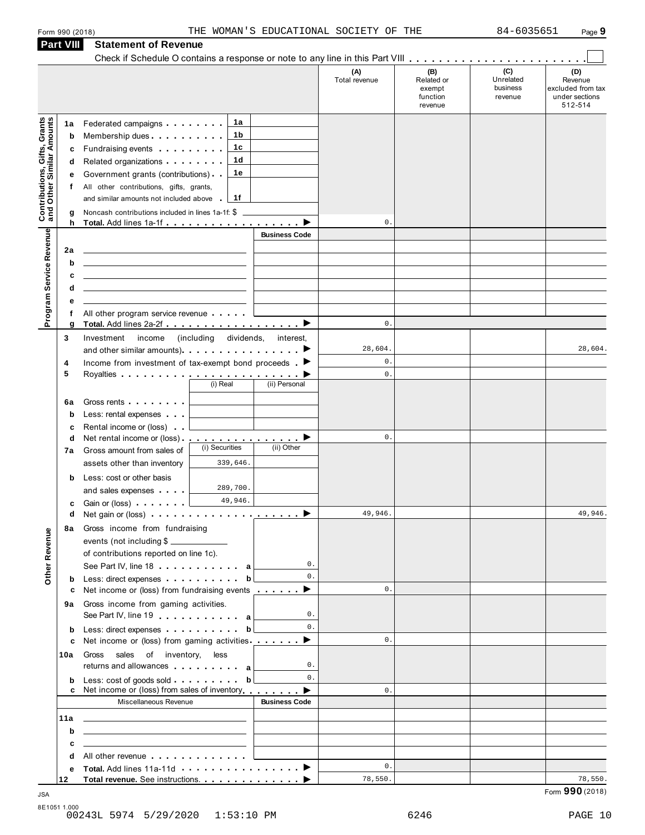|                                                                       |                                                                                                                                                                                                                                |                      | (A)<br>Total revenue | (B)<br>Related or<br>exempt<br>function<br>revenue | (C)<br>Unrelated<br>business<br>revenue | (D)<br>Revenue<br>excluded from tax<br>under sections<br>512-514 |
|-----------------------------------------------------------------------|--------------------------------------------------------------------------------------------------------------------------------------------------------------------------------------------------------------------------------|----------------------|----------------------|----------------------------------------------------|-----------------------------------------|------------------------------------------------------------------|
| 1a                                                                    | 1а<br>Federated campaigns                                                                                                                                                                                                      |                      |                      |                                                    |                                         |                                                                  |
| b                                                                     | 1b<br>Membership dues                                                                                                                                                                                                          |                      |                      |                                                    |                                         |                                                                  |
|                                                                       | 1c<br>Fundraising events <b>Fundraising</b><br>c                                                                                                                                                                               |                      |                      |                                                    |                                         |                                                                  |
| d                                                                     | 1 <sub>d</sub><br>Related organizations <b>All Accords</b>                                                                                                                                                                     |                      |                      |                                                    |                                         |                                                                  |
| е                                                                     | 1e<br>Government grants (contributions)                                                                                                                                                                                        |                      |                      |                                                    |                                         |                                                                  |
| f                                                                     | All other contributions, gifts, grants,                                                                                                                                                                                        |                      |                      |                                                    |                                         |                                                                  |
|                                                                       | and similar amounts not included above<br>1f                                                                                                                                                                                   |                      |                      |                                                    |                                         |                                                                  |
| <b>Contributions, Gifts, Grants</b><br>and Other Similar Amounts<br>g | Noncash contributions included in lines 1a-1f: \$<br>h                                                                                                                                                                         |                      | $\mathbf 0$ .        |                                                    |                                         |                                                                  |
| Program Service Revenue                                               |                                                                                                                                                                                                                                | <b>Business Code</b> |                      |                                                    |                                         |                                                                  |
| 2a                                                                    |                                                                                                                                                                                                                                |                      |                      |                                                    |                                         |                                                                  |
| b                                                                     | the control of the control of the control of the control of the control of the control of                                                                                                                                      |                      |                      |                                                    |                                         |                                                                  |
|                                                                       | c<br>the control of the control of the control of the control of the control of the control of                                                                                                                                 |                      |                      |                                                    |                                         |                                                                  |
| d                                                                     | <u> 1989 - John Harry Harry Harry Harry Harry Harry Harry Harry Harry Harry Harry Harry Harry Harry Harry Harry H</u>                                                                                                          |                      |                      |                                                    |                                         |                                                                  |
|                                                                       | е                                                                                                                                                                                                                              |                      |                      |                                                    |                                         |                                                                  |
|                                                                       | All other program service revenue                                                                                                                                                                                              |                      |                      |                                                    |                                         |                                                                  |
| g                                                                     |                                                                                                                                                                                                                                |                      | $\mathbf{0}$ .       |                                                    |                                         |                                                                  |
| 3                                                                     | Investment<br>income (including dividends, interest,                                                                                                                                                                           |                      |                      |                                                    |                                         |                                                                  |
|                                                                       | and other similar amounts). The state of the same of the same of the state of the state of the state of the state of the state of the state of the state of the state of the state of the state of the state of the state of t |                      | 28,604.<br>$0$ .     |                                                    |                                         | 28,604.                                                          |
| 4<br>5                                                                | Income from investment of tax-exempt bond proceeds $\blacktriangleright$                                                                                                                                                       |                      | $\mathbf{0}$ .       |                                                    |                                         |                                                                  |
|                                                                       | (i) Real                                                                                                                                                                                                                       | (ii) Personal        |                      |                                                    |                                         |                                                                  |
|                                                                       |                                                                                                                                                                                                                                |                      |                      |                                                    |                                         |                                                                  |
| 6a<br>$\mathbf b$                                                     | Gross rents<br>Less: rental expenses                                                                                                                                                                                           |                      |                      |                                                    |                                         |                                                                  |
| c                                                                     | Rental income or (loss)                                                                                                                                                                                                        |                      |                      |                                                    |                                         |                                                                  |
| d                                                                     |                                                                                                                                                                                                                                |                      | $\mathbb O$ .        |                                                    |                                         |                                                                  |
| 7а                                                                    | (i) Securities<br>Gross amount from sales of                                                                                                                                                                                   | (ii) Other           |                      |                                                    |                                         |                                                                  |
|                                                                       | 339,646.<br>assets other than inventory                                                                                                                                                                                        |                      |                      |                                                    |                                         |                                                                  |
|                                                                       | Less: cost or other basis<br>b                                                                                                                                                                                                 |                      |                      |                                                    |                                         |                                                                  |
|                                                                       | 289,700.<br>and sales expenses                                                                                                                                                                                                 |                      |                      |                                                    |                                         |                                                                  |
|                                                                       | 49,946.<br>Gain or (loss)<br>c                                                                                                                                                                                                 |                      |                      |                                                    |                                         |                                                                  |
|                                                                       | q                                                                                                                                                                                                                              |                      | 49,946               |                                                    |                                         | 49,946                                                           |
|                                                                       | 8a Gross income from fundraising                                                                                                                                                                                               |                      |                      |                                                    |                                         |                                                                  |
|                                                                       | events (not including \$                                                                                                                                                                                                       |                      |                      |                                                    |                                         |                                                                  |
|                                                                       | of contributions reported on line 1c).                                                                                                                                                                                         | 0.                   |                      |                                                    |                                         |                                                                  |
| Other Revenue                                                         | See Part IV, line 18 a                                                                                                                                                                                                         | 0.                   |                      |                                                    |                                         |                                                                  |
|                                                                       | Less: direct expenses b<br>b<br>Net income or (loss) from fundraising events $\ldots$<br>c                                                                                                                                     |                      | $\mathbf{0}$ .       |                                                    |                                         |                                                                  |
|                                                                       | Gross income from gaming activities.                                                                                                                                                                                           |                      |                      |                                                    |                                         |                                                                  |
| 9а                                                                    | See Part IV, line 19 and the set of the set of the set of the set of the set of the set of the set of the set of the set of the set of the set of the set of the set of the set of the set of the set of the set of the set of | 0.                   |                      |                                                    |                                         |                                                                  |
| b                                                                     | Less: direct expenses b                                                                                                                                                                                                        | $\mathbf{0}$ .       |                      |                                                    |                                         |                                                                  |
|                                                                       | Net income or (loss) from gaming activities <u>constants</u> <b>▶</b><br>c                                                                                                                                                     |                      | $\mathbf{0}$ .       |                                                    |                                         |                                                                  |
| 10a                                                                   | sales of inventory, less<br>Gross                                                                                                                                                                                              |                      |                      |                                                    |                                         |                                                                  |
|                                                                       | returns and allowances and allowances                                                                                                                                                                                          | 0.                   |                      |                                                    |                                         |                                                                  |
| b                                                                     | Less: cost of goods sold b                                                                                                                                                                                                     | 0.                   |                      |                                                    |                                         |                                                                  |
|                                                                       | Net income or (loss) from sales of inventory entitled by Denian Denian Denian Denian Denian Denian Denian Denia<br>c                                                                                                           |                      | $\mathbf{0}$ .       |                                                    |                                         |                                                                  |
|                                                                       | Miscellaneous Revenue                                                                                                                                                                                                          | <b>Business Code</b> |                      |                                                    |                                         |                                                                  |
| 11a                                                                   | <u> 1989 - Andrea State Barbara, amerikan personal di personal dengan personal dengan personal dengan personal de</u>                                                                                                          |                      |                      |                                                    |                                         |                                                                  |
|                                                                       | b<br><u> 1989 - Johann Barn, amerikansk politiker (d. 1989)</u>                                                                                                                                                                |                      |                      |                                                    |                                         |                                                                  |
|                                                                       |                                                                                                                                                                                                                                |                      |                      |                                                    |                                         |                                                                  |
|                                                                       | c<br><u> 1989 - Johann Barn, mars et al. (b. 1989)</u>                                                                                                                                                                         |                      |                      |                                                    |                                         |                                                                  |
| d<br>е                                                                | All other revenue entitled and the state of the state of the state of the state of the state of the state of the state of the state of the state of the state of the state of the state of the state of the state of the state |                      | 0.                   |                                                    |                                         |                                                                  |

 $\blacksquare$  JSA  $\blacksquare$  Form  $\mathbf{990}$  (2018)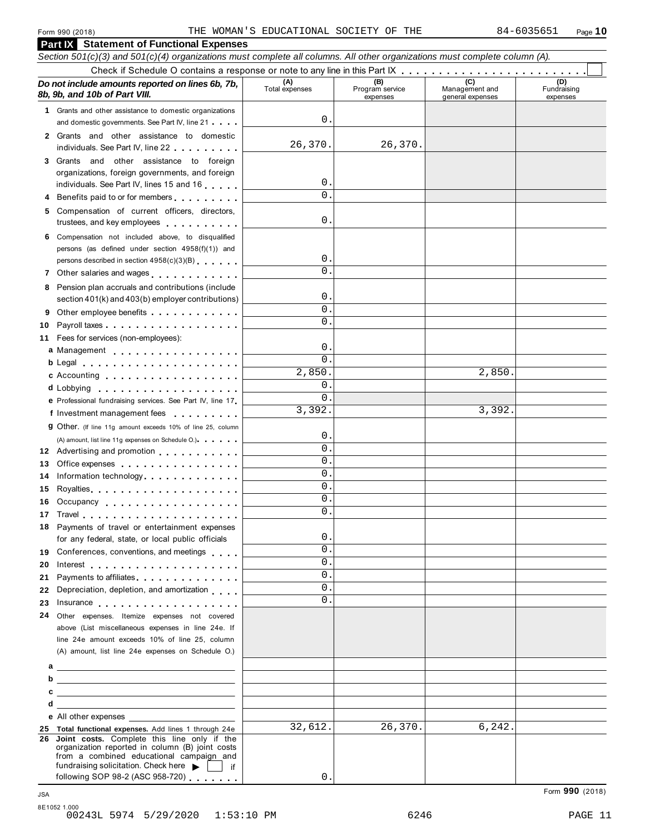|    | Section 501(c)(3) and 501(c)(4) organizations must complete all columns. All other organizations must complete column (A). |                       |                                    |                                           |                                |
|----|----------------------------------------------------------------------------------------------------------------------------|-----------------------|------------------------------------|-------------------------------------------|--------------------------------|
|    |                                                                                                                            |                       |                                    |                                           |                                |
|    | Do not include amounts reported on lines 6b, 7b,<br>8b, 9b, and 10b of Part VIII.                                          | (A)<br>Total expenses | (B)<br>Program service<br>expenses | (C)<br>Management and<br>general expenses | (D)<br>Fundraising<br>expenses |
|    | 1 Grants and other assistance to domestic organizations                                                                    |                       |                                    |                                           |                                |
|    | and domestic governments. See Part IV, line 21                                                                             | 0                     |                                    |                                           |                                |
|    | 2 Grants and other assistance to domestic                                                                                  |                       |                                    |                                           |                                |
|    | individuals. See Part IV, line 22                                                                                          | 26,370.               | 26,370.                            |                                           |                                |
|    | 3 Grants and other assistance to foreign                                                                                   |                       |                                    |                                           |                                |
|    | organizations, foreign governments, and foreign                                                                            |                       |                                    |                                           |                                |
|    | individuals. See Part IV, lines 15 and 16                                                                                  | 0<br>$\Omega$         |                                    |                                           |                                |
|    | Benefits paid to or for members                                                                                            |                       |                                    |                                           |                                |
| 5  | Compensation of current officers, directors,                                                                               |                       |                                    |                                           |                                |
|    | trustees, and key employees                                                                                                | 0                     |                                    |                                           |                                |
|    | 6 Compensation not included above, to disqualified                                                                         |                       |                                    |                                           |                                |
|    | persons (as defined under section 4958(f)(1)) and                                                                          | 0                     |                                    |                                           |                                |
|    | persons described in section 4958(c)(3)(B)                                                                                 | $\Omega$              |                                    |                                           |                                |
| 7  | Other salaries and wages                                                                                                   |                       |                                    |                                           |                                |
|    | 8 Pension plan accruals and contributions (include                                                                         | 0                     |                                    |                                           |                                |
|    | section 401(k) and 403(b) employer contributions)                                                                          | $\Omega$              |                                    |                                           |                                |
| 9  | Other employee benefits                                                                                                    | $\Omega$ .            |                                    |                                           |                                |
| 10 |                                                                                                                            |                       |                                    |                                           |                                |
| 11 | Fees for services (non-employees):                                                                                         | 0                     |                                    |                                           |                                |
|    | a Management                                                                                                               | $\Omega$              |                                    |                                           |                                |
|    |                                                                                                                            | 2,850.                |                                    | 2,850.                                    |                                |
|    | c Accounting                                                                                                               | 0                     |                                    |                                           |                                |
|    | d Lobbying                                                                                                                 | $\Omega$              |                                    |                                           |                                |
|    | e Professional fundraising services. See Part IV, line 17                                                                  | 3,392.                |                                    | 3,392.                                    |                                |
|    | f Investment management fees                                                                                               |                       |                                    |                                           |                                |
|    | <b>g</b> Other. (If line 11g amount exceeds 10% of line 25, column                                                         | 0                     |                                    |                                           |                                |
|    | (A) amount, list line 11g expenses on Schedule O.)<br>12 Advertising and promotion                                         | $\Omega$              |                                    |                                           |                                |
| 13 | Office expenses                                                                                                            | $\Omega$              |                                    |                                           |                                |
| 14 | Information technology                                                                                                     | $\Omega$ .            |                                    |                                           |                                |
| 15 |                                                                                                                            | $\Omega$              |                                    |                                           |                                |
| 16 | Occupancy                                                                                                                  | $\mathbf{0}$          |                                    |                                           |                                |
| 17 |                                                                                                                            | 0.                    |                                    |                                           |                                |
|    | 18 Payments of travel or entertainment expenses                                                                            |                       |                                    |                                           |                                |
|    | for any federal, state, or local public officials                                                                          | $\mathbf{0}$ .        |                                    |                                           |                                |
| 19 | Conferences, conventions, and meetings                                                                                     | 0.                    |                                    |                                           |                                |
| 20 |                                                                                                                            | $\Omega$ .            |                                    |                                           |                                |
| 21 | Payments to affiliates entertainment and the set of the set of the set of the set of the set of the set of the             | 0.                    |                                    |                                           |                                |
| 22 | Depreciation, depletion, and amortization                                                                                  | $^{\circ}$            |                                    |                                           |                                |
| 23 |                                                                                                                            | 0.                    |                                    |                                           |                                |
| 24 | Other expenses. Itemize expenses not covered                                                                               |                       |                                    |                                           |                                |
|    | above (List miscellaneous expenses in line 24e. If                                                                         |                       |                                    |                                           |                                |
|    | line 24e amount exceeds 10% of line 25, column                                                                             |                       |                                    |                                           |                                |
|    | (A) amount, list line 24e expenses on Schedule O.)                                                                         |                       |                                    |                                           |                                |
|    |                                                                                                                            |                       |                                    |                                           |                                |
| b  | <u> 1989 - Johann Barn, fransk politik amerikansk politik (</u>                                                            |                       |                                    |                                           |                                |
| c  |                                                                                                                            |                       |                                    |                                           |                                |
|    | d<br>the control of the control of the control of the control of the control of the control of                             |                       |                                    |                                           |                                |
|    | e All other expenses                                                                                                       |                       |                                    |                                           |                                |
|    | 25 Total functional expenses. Add lines 1 through 24e                                                                      | 32,612.               | 26,370.                            | 6, 242.                                   |                                |
|    | 26 Joint costs. Complete this line only if the<br>organization reported in column (B) joint costs                          |                       |                                    |                                           |                                |
|    | from a combined educational campaign and                                                                                   |                       |                                    |                                           |                                |
|    | fundraising solicitation. Check here $\blacktriangleright$  <br>lif                                                        |                       |                                    |                                           |                                |
|    | following SOP 98-2 (ASC 958-720)                                                                                           | 0.                    |                                    |                                           |                                |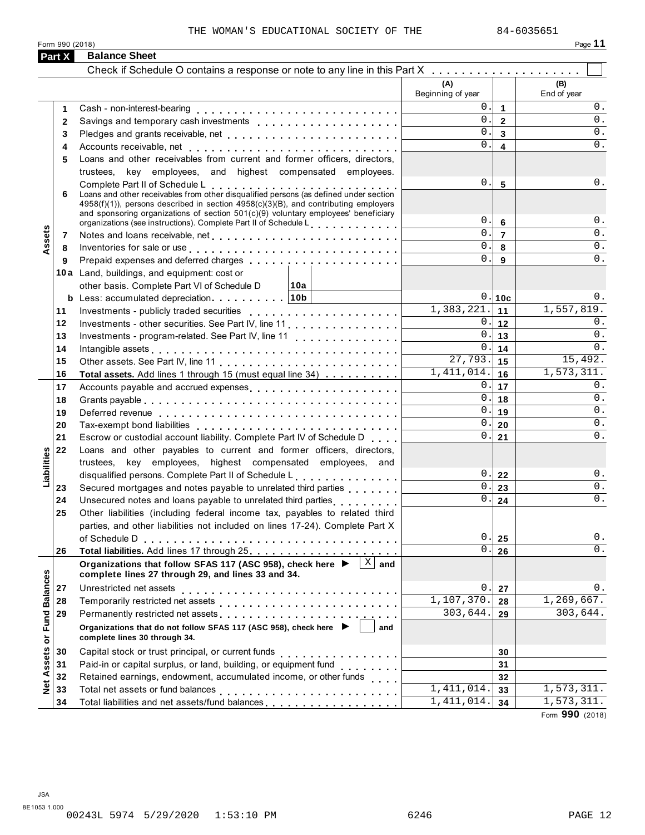Form <sup>990</sup> (2018) Page **11 Part X Balance Sheet** Check if Schedule O contains a response or note to any line in this Part X musum m m m m m m m m m m m m m m **(A)** Beginning of year **(B)** End of year Cash - non-interest-bearing **1** m m m m m m m m m m m m m m m m m m m m m m m m m m m Cash - non-interest-bearing<br>Savings and temporary cash investments ,,,,,,,,,,,,,,,,, Pledges and grants receivable, net m m m m m m m m m m m m m m m m m m m m m m m Accounts receivable, net **1 2 3 4 5 6 7 8 9** 0. **10c** 0. **11 12 13 14 15 16 17 18 19 20 21 22 23 24 25 26 2 3 4** 5 Loans and other receivables from current and former officers, directors, Pledges and grants receivable, net<br>Accounts receivable, net<br>Loans and other receivables from current and former officers, directors, trustees, key employees, and highest compensated employees.<br>Complete Part II of Schedule L......................... Trustees, Key employees, and highest compensated employees.<br>**6** Loans and other receivables from other disqualified persons (as defined under section 4958(f)(1)), persons described in section 4958(c)(3)(B), and contributing employers and sponsoring organizations of section 501(c)(9) voluntary employees' beneficiary organizations (see instructions). Complete Part II of Schedule L and sponsoring organizations of section 501(c)(9) voluntary employees' beneficiary<br>organizations (see instructions). Complete Part II of Schedule L<br>Notes and Ioans receivable, net Inventories for sale or use **8** m m m m m m m m m m m m m m m m m m m m m m m m m m m m Prepaid expenses and deferred charges **7 9** Notes and loans receivable, net  $\dots \dots \dots \dots \dots \dots \dots \dots \dots$ m m m m m m m m m m m m m m m m m m m m **10a 10b <sup>b</sup>** Less: accumulated depreciation m m m m m m m m m m **10 a** Land, buildings, and equipment: cost or **11 12 13 14 15 16** other basis. Complete Part VI of Schedule D Less: accumulated depreciation<br>Investments - publicly traded securities<br>. Investments - publicly traded securities<br>Investments - other securities. See Part IV, line 11<br>. Investments - other securities. See Part IV, line 11<br>Investments - program-related. See Part IV, line 11<br>. Intangible assets m m m m m m m m m m m m m m m m m m m m m m m m m m m m m m m m m Intangible assets<br>Other assets. See Part IV, line 11 <sub>……………</sub>……………………… **Total assets.** Add lines 1 through 15 (must equal line 34) m m m m m m m m m m **Assets 17 18 19 20** Accounts payable and accrued expenses m m m m m m m m m m m m m m m m m m m m Grants payable m m m m m m m m m m m m m m m m m m m m m m m m m m m m m m m m m m Deferred revenue m m m m m m m m m m m m m m m m m m m m m m m m m m m m m m m m Tax-exempt bond liabilities 19 Deferred revenue<br>20 Tax-exempt bond liabilities ............................<br>21 Escrow or custodial account liability. Complete Part IV of Schedule D <sub>....</sub> 22 Loans and other payables to current and former officers, directors, **23 24** 25 Other liabilities (including federal income tax, payables to related third **26** Escrow or custodial account liability. Complete Part IV of Schedule D trustees, key employees, highest compensated employees, and disqualified persons. Complete Part II of Schedule <sup>L</sup> m m m m m m m m m m m m m m Secured mortgages and notes payable to unrelated third parties Unsecured notes and loans payable to unrelated third parties Secured mortgages and notes payable to unrelated third parties Secured mortgages and notes payable to unrelated third parties<br>Unsecured notes and loans payable to unrelated third parties<br>Other\_liabilities\_(including\_federal\_income\_tax,\_payables\_to\_related\_third parties, and other liabilities not included on lines 17-24). Complete Part X of Schedule <sup>D</sup> m m m m m m m m m m m m m m m m m m m m m m m m m m m m m m m m m m **Organizations** that follow SFAS 117 (ASC 958), check here  $\triangleright \boxed{\text{X}}$  and and appropriate lines 27 through 29, and lines 22 and 24 **Total liabilities.** Add lines 17 through 25 mm man m m m **Liabilities complete lines 27 through 29, and lines 33 and 34. 27 28 29 30 31 32 33 34** <table>\n<tbody>\n<tr>\n<td>20</td>\n<td>complete lines 27 through 29, and lines 33 and 34.</td>\n</tr>\n<tr>\n<td>27</td>\n<td>Unrestricted net assets</td>\n</tr>\n<tr>\n<td>28</td>\n<td>Temporarily restricted net assets</td>\n</tr>\n<tr>\n<td>29</td>\n<td>Permanently restricted net assets</td>\n</tr>\n<tr>\n<td>29</td>\n<td>Permanently restricted net assets</td>\n</tr>\n<tr>\n<td>Organizations that do not follow SFAS 117 (ASC 958), check here</td>\n</tr>\n<tr>\n<td>30</td>\n<td>Capital stock or trust principal, or current funds</td>\n</tr>\n<tr>\n onrestricted net assets<br>Temporarily restricted net assets<br>P Permanently restricted net assets<br>
interviews and interview of the restriction of the set of the set of the restriction of the set of the set of the set of the set of the set of the set of the set of the set of the set of Capital stock or trust principal, or current funds m m m m m m m m m m m m m m m m Capital stock of trust principal, or current lunds<br>Paid-in or capital surplus, or land, building, or equipment fund<br>principle in the manufactured in the manufactured in the manufactured in the manufactured in the manufactu Paid-in or capital surplus, or land, building, or equipment lund<br>Retained earnings, endowment, accumulated income, or other funds Retained earnings, endowment, accumulated income, or other lunds<br>Total net assets or fund balances<br>Table billion Total liabilities and net assets/fund balances **27 28 29 30 31 32 33 34 Commentants CONSECTED THE ASSETS**<br> **Organizations** that do not follow SFAS 117 (ASC 958), check here ▶ △ and m m m m m m m m m m m m m m m m m m m m m m m m **complete lines 30 through 34.**  $0.\vert 1 \vert 0.$  $0.2$  0.  $\overline{0.1}$  3  $\overline{0.0}$  $0.4$  0.  $0.\vert 5 \vert 0.$  $0.\vert$  6  $\vert$  0.  $0.7$  0.  $0.8$  0. 0. 0.  $1,383,221.$  1,  $1,557,819.$  $0.12$  0.  $0.13$  0.  $\overline{0.144}$  0.  $27,793.$  15, 15, 492. 1,411,014. 16 1,573,311.  $0.17$  0.  $0.18$  0.  $\overline{0.1}$  10  $\overline{10.0}$   $\overline{10.0}$   $\overline{0.0}$  $0.20$  0.  $0.21$  0.  $0.22$  0.  $\overline{0.123}$  0.  $0.24$  0.  $0.25$  0.  $0.96$  0.  $0.27$  0.  $1,107,370.$  28 1,269,667.  $303,644.$  29  $303,644.$  $1,411,014.$  33 1,573,311.  $1,411,014.$   $34$   $1,573,311.$ 

Form **990** (2018)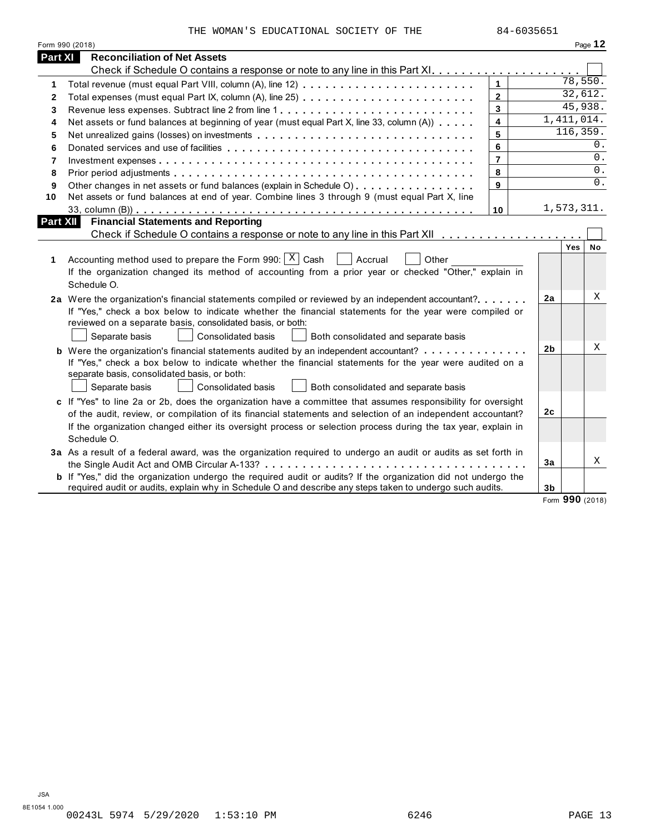THE WOMAN'S EDUCATIONAL SOCIETY OF THE 84-6035651

|          | Form 990 (2018)                                                                                                                                                                                                                                                                                                                                            |                |                |              | Page 12   |
|----------|------------------------------------------------------------------------------------------------------------------------------------------------------------------------------------------------------------------------------------------------------------------------------------------------------------------------------------------------------------|----------------|----------------|--------------|-----------|
| Part XI  | <b>Reconciliation of Net Assets</b>                                                                                                                                                                                                                                                                                                                        |                |                |              |           |
|          |                                                                                                                                                                                                                                                                                                                                                            |                |                |              |           |
| 1        |                                                                                                                                                                                                                                                                                                                                                            | $\mathbf{1}$   |                | 78,550.      |           |
| 2        | Total expenses (must equal Part IX, column (A), line 25)                                                                                                                                                                                                                                                                                                   | $\mathbf{2}$   |                | 32,612.      |           |
| 3        |                                                                                                                                                                                                                                                                                                                                                            | $\mathbf{3}$   |                | 45,938.      |           |
| 4        | Net assets or fund balances at beginning of year (must equal Part X, line 33, column (A))                                                                                                                                                                                                                                                                  | $\overline{4}$ |                | 1, 411, 014. |           |
| 5        | Net unrealized gains (losses) on investments                                                                                                                                                                                                                                                                                                               | 5              |                | 116,359.     |           |
| 6        |                                                                                                                                                                                                                                                                                                                                                            | 6              |                |              | 0.        |
| 7        |                                                                                                                                                                                                                                                                                                                                                            | $\overline{7}$ |                |              | 0.        |
| 8        |                                                                                                                                                                                                                                                                                                                                                            | 8              |                |              | 0.        |
| 9        | Other changes in net assets or fund balances (explain in Schedule O)                                                                                                                                                                                                                                                                                       | 9              |                |              | 0.        |
| 10       | Net assets or fund balances at end of year. Combine lines 3 through 9 (must equal Part X, line                                                                                                                                                                                                                                                             |                |                |              |           |
|          |                                                                                                                                                                                                                                                                                                                                                            | 10             |                | 1,573,311.   |           |
| Part XII | <b>Financial Statements and Reporting</b>                                                                                                                                                                                                                                                                                                                  |                |                |              |           |
|          |                                                                                                                                                                                                                                                                                                                                                            |                |                |              |           |
| 1        | Accounting method used to prepare the Form 990: $ X $ Cash<br>Accrual<br>Other<br>If the organization changed its method of accounting from a prior year or checked "Other," explain in<br>Schedule O.                                                                                                                                                     |                |                | Yes          | <b>No</b> |
|          | 2a Were the organization's financial statements compiled or reviewed by an independent accountant?<br>If "Yes," check a box below to indicate whether the financial statements for the year were compiled or<br>reviewed on a separate basis, consolidated basis, or both:<br>Separate basis<br>Consolidated basis<br>Both consolidated and separate basis |                | 2a             |              | Χ         |
|          | <b>b</b> Were the organization's financial statements audited by an independent accountant?                                                                                                                                                                                                                                                                |                | 2 <sub>b</sub> |              | X         |
|          | If "Yes," check a box below to indicate whether the financial statements for the year were audited on a<br>separate basis, consolidated basis, or both:<br>Separate basis<br>Consolidated basis<br>Both consolidated and separate basis                                                                                                                    |                |                |              |           |
|          | c If "Yes" to line 2a or 2b, does the organization have a committee that assumes responsibility for oversight                                                                                                                                                                                                                                              |                | 2c             |              |           |
|          | of the audit, review, or compilation of its financial statements and selection of an independent accountant?<br>If the organization changed either its oversight process or selection process during the tax year, explain in                                                                                                                              |                |                |              |           |
|          | Schedule O.                                                                                                                                                                                                                                                                                                                                                |                |                |              |           |
|          | 3a As a result of a federal award, was the organization required to undergo an audit or audits as set forth in                                                                                                                                                                                                                                             |                | 3a             |              | X         |
|          |                                                                                                                                                                                                                                                                                                                                                            |                |                |              |           |
|          | <b>b</b> If "Yes," did the organization undergo the required audit or audits? If the organization did not undergo the<br>required audit or audits, explain why in Schedule O and describe any steps taken to undergo such audits.                                                                                                                          |                | 3 <sub>b</sub> |              |           |

Form **990** (2018)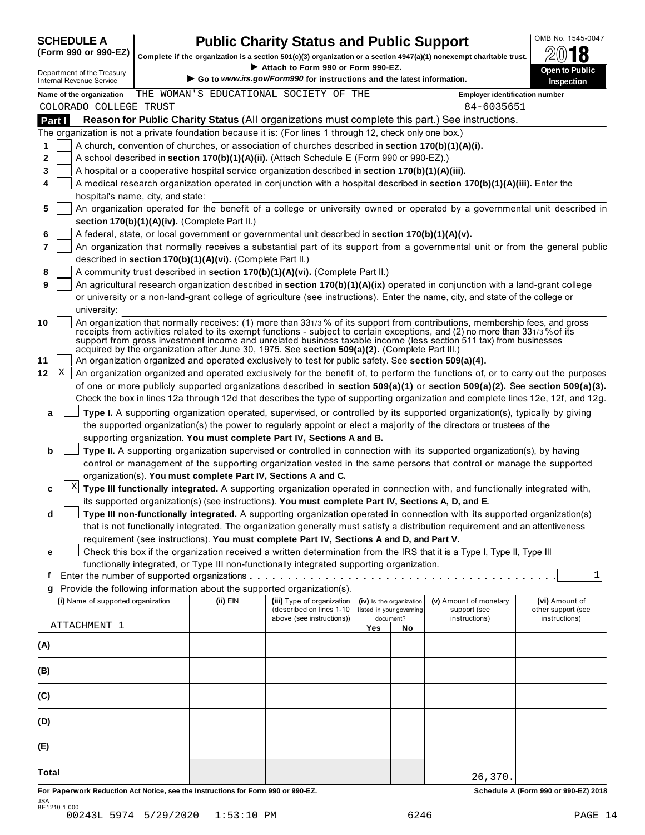# **SCHEDULE A Public Charity Status and Public Support**  $\frac{100 \text{dB No. }1545-0047}{000 \text{dB No.}}$

(Form 990 or 990-EZ) complete if the organization is a section 501(c)(3) organization or a section 4947(a)(1) nonexempt charitable trust.  $2018$ 

|     |        |                                                               |                                                            |                                                                                                              |     |                                       | Complete if the organization is a section 501(c)(3) organization or a section $4947(a)(1)$ nonexempt charitable trust.                                                                                                                                      | ZW IO                                                                                                                        |
|-----|--------|---------------------------------------------------------------|------------------------------------------------------------|--------------------------------------------------------------------------------------------------------------|-----|---------------------------------------|-------------------------------------------------------------------------------------------------------------------------------------------------------------------------------------------------------------------------------------------------------------|------------------------------------------------------------------------------------------------------------------------------|
|     |        | Department of the Treasury<br><b>Internal Revenue Service</b> |                                                            | Attach to Form 990 or Form 990-EZ.<br>Go to www.irs.gov/Form990 for instructions and the latest information. |     |                                       |                                                                                                                                                                                                                                                             | Open to Public                                                                                                               |
|     |        | Name of the organization                                      |                                                            | THE WOMAN'S EDUCATIONAL SOCIETY OF THE                                                                       |     |                                       | <b>Employer identification number</b>                                                                                                                                                                                                                       | Inspection                                                                                                                   |
|     |        | COLORADO COLLEGE TRUST                                        |                                                            |                                                                                                              |     |                                       | 84-6035651                                                                                                                                                                                                                                                  |                                                                                                                              |
|     | Part I |                                                               |                                                            |                                                                                                              |     |                                       | Reason for Public Charity Status (All organizations must complete this part.) See instructions.                                                                                                                                                             |                                                                                                                              |
|     |        |                                                               |                                                            | The organization is not a private foundation because it is: (For lines 1 through 12, check only one box.)    |     |                                       |                                                                                                                                                                                                                                                             |                                                                                                                              |
| 1   |        |                                                               |                                                            | A church, convention of churches, or association of churches described in section 170(b)(1)(A)(i).           |     |                                       |                                                                                                                                                                                                                                                             |                                                                                                                              |
| 2   |        |                                                               |                                                            | A school described in section 170(b)(1)(A)(ii). (Attach Schedule E (Form 990 or 990-EZ).)                    |     |                                       |                                                                                                                                                                                                                                                             |                                                                                                                              |
| 3   |        |                                                               |                                                            | A hospital or a cooperative hospital service organization described in section 170(b)(1)(A)(iii).            |     |                                       |                                                                                                                                                                                                                                                             |                                                                                                                              |
| 4   |        |                                                               |                                                            |                                                                                                              |     |                                       | A medical research organization operated in conjunction with a hospital described in section 170(b)(1)(A)(iii). Enter the                                                                                                                                   |                                                                                                                              |
|     |        | hospital's name, city, and state:                             |                                                            |                                                                                                              |     |                                       |                                                                                                                                                                                                                                                             |                                                                                                                              |
| 5   |        |                                                               |                                                            |                                                                                                              |     |                                       | An organization operated for the benefit of a college or university owned or operated by a governmental unit described in                                                                                                                                   |                                                                                                                              |
|     |        |                                                               | section 170(b)(1)(A)(iv). (Complete Part II.)              |                                                                                                              |     |                                       |                                                                                                                                                                                                                                                             |                                                                                                                              |
| 6   |        |                                                               |                                                            | A federal, state, or local government or governmental unit described in section 170(b)(1)(A)(v).             |     |                                       |                                                                                                                                                                                                                                                             |                                                                                                                              |
| 7   |        |                                                               |                                                            |                                                                                                              |     |                                       |                                                                                                                                                                                                                                                             | An organization that normally receives a substantial part of its support from a governmental unit or from the general public |
|     |        |                                                               | described in section 170(b)(1)(A)(vi). (Complete Part II.) |                                                                                                              |     |                                       |                                                                                                                                                                                                                                                             |                                                                                                                              |
| 8   |        |                                                               |                                                            | A community trust described in section 170(b)(1)(A)(vi). (Complete Part II.)                                 |     |                                       |                                                                                                                                                                                                                                                             |                                                                                                                              |
| 9   |        |                                                               |                                                            |                                                                                                              |     |                                       | An agricultural research organization described in section 170(b)(1)(A)(ix) operated in conjunction with a land-grant college                                                                                                                               |                                                                                                                              |
|     |        |                                                               |                                                            |                                                                                                              |     |                                       | or university or a non-land-grant college of agriculture (see instructions). Enter the name, city, and state of the college or                                                                                                                              |                                                                                                                              |
|     |        | university:                                                   |                                                            |                                                                                                              |     |                                       |                                                                                                                                                                                                                                                             |                                                                                                                              |
| 10  |        |                                                               |                                                            |                                                                                                              |     |                                       | An organization that normally receives: (1) more than 331/3 % of its support from contributions, membership fees, and gross<br>receipts from activities related to its exempt functions - subject to certain exceptions, and (2) no more than 331/3% of its |                                                                                                                              |
|     |        |                                                               |                                                            |                                                                                                              |     |                                       | support from gross investment income and unrelated business taxable income (less section 511 tax) from businesses                                                                                                                                           |                                                                                                                              |
|     |        |                                                               |                                                            | acquired by the organization after June 30, 1975. See section 509(a)(2). (Complete Part III.)                |     |                                       |                                                                                                                                                                                                                                                             |                                                                                                                              |
| 11  |        |                                                               |                                                            | An organization organized and operated exclusively to test for public safety. See section 509(a)(4).         |     |                                       |                                                                                                                                                                                                                                                             |                                                                                                                              |
| 12  | X      |                                                               |                                                            |                                                                                                              |     |                                       | An organization organized and operated exclusively for the benefit of, to perform the functions of, or to carry out the purposes                                                                                                                            |                                                                                                                              |
|     |        |                                                               |                                                            |                                                                                                              |     |                                       | of one or more publicly supported organizations described in section 509(a)(1) or section 509(a)(2). See section 509(a)(3).                                                                                                                                 |                                                                                                                              |
|     |        |                                                               |                                                            |                                                                                                              |     |                                       | Check the box in lines 12a through 12d that describes the type of supporting organization and complete lines 12e, 12f, and 12g.                                                                                                                             |                                                                                                                              |
| a   |        |                                                               |                                                            |                                                                                                              |     |                                       | Type I. A supporting organization operated, supervised, or controlled by its supported organization(s), typically by giving                                                                                                                                 |                                                                                                                              |
|     |        |                                                               |                                                            |                                                                                                              |     |                                       | the supported organization(s) the power to regularly appoint or elect a majority of the directors or trustees of the                                                                                                                                        |                                                                                                                              |
|     |        |                                                               |                                                            | supporting organization. You must complete Part IV, Sections A and B.                                        |     |                                       |                                                                                                                                                                                                                                                             |                                                                                                                              |
| b   |        |                                                               |                                                            |                                                                                                              |     |                                       | Type II. A supporting organization supervised or controlled in connection with its supported organization(s), by having<br>control or management of the supporting organization vested in the same persons that control or manage the supported             |                                                                                                                              |
|     |        |                                                               |                                                            | organization(s). You must complete Part IV, Sections A and C.                                                |     |                                       |                                                                                                                                                                                                                                                             |                                                                                                                              |
| c   |        | X                                                             |                                                            |                                                                                                              |     |                                       | Type III functionally integrated. A supporting organization operated in connection with, and functionally integrated with,                                                                                                                                  |                                                                                                                              |
|     |        |                                                               |                                                            | its supported organization(s) (see instructions). You must complete Part IV, Sections A, D, and E.           |     |                                       |                                                                                                                                                                                                                                                             |                                                                                                                              |
| d   |        |                                                               |                                                            |                                                                                                              |     |                                       | Type III non-functionally integrated. A supporting organization operated in connection with its supported organization(s)                                                                                                                                   |                                                                                                                              |
|     |        |                                                               |                                                            |                                                                                                              |     |                                       | that is not functionally integrated. The organization generally must satisfy a distribution requirement and an attentiveness                                                                                                                                |                                                                                                                              |
|     |        |                                                               |                                                            | requirement (see instructions). You must complete Part IV, Sections A and D, and Part V.                     |     |                                       |                                                                                                                                                                                                                                                             |                                                                                                                              |
| е   |        |                                                               |                                                            |                                                                                                              |     |                                       | Check this box if the organization received a written determination from the IRS that it is a Type I, Type II, Type III                                                                                                                                     |                                                                                                                              |
|     |        |                                                               |                                                            | functionally integrated, or Type III non-functionally integrated supporting organization.                    |     |                                       |                                                                                                                                                                                                                                                             |                                                                                                                              |
| t   |        |                                                               |                                                            |                                                                                                              |     |                                       |                                                                                                                                                                                                                                                             | 1                                                                                                                            |
| g   |        |                                                               |                                                            | Provide the following information about the supported organization(s).                                       |     |                                       |                                                                                                                                                                                                                                                             |                                                                                                                              |
|     |        | (i) Name of supported organization                            | (ii) EIN                                                   | (iii) Type of organization                                                                                   |     | (iv) Is the organization              | (v) Amount of monetary                                                                                                                                                                                                                                      | (vi) Amount of                                                                                                               |
|     |        |                                                               |                                                            | (described on lines 1-10<br>above (see instructions))                                                        |     | listed in your governing<br>document? | support (see<br>instructions)                                                                                                                                                                                                                               | other support (see<br>instructions)                                                                                          |
|     |        | ATTACHMENT 1                                                  |                                                            |                                                                                                              | Yes | No                                    |                                                                                                                                                                                                                                                             |                                                                                                                              |
| (A) |        |                                                               |                                                            |                                                                                                              |     |                                       |                                                                                                                                                                                                                                                             |                                                                                                                              |
|     |        |                                                               |                                                            |                                                                                                              |     |                                       |                                                                                                                                                                                                                                                             |                                                                                                                              |
| (B) |        |                                                               |                                                            |                                                                                                              |     |                                       |                                                                                                                                                                                                                                                             |                                                                                                                              |
| (C) |        |                                                               |                                                            |                                                                                                              |     |                                       |                                                                                                                                                                                                                                                             |                                                                                                                              |
| (D) |        |                                                               |                                                            |                                                                                                              |     |                                       |                                                                                                                                                                                                                                                             |                                                                                                                              |
|     |        |                                                               |                                                            |                                                                                                              |     |                                       |                                                                                                                                                                                                                                                             |                                                                                                                              |
| (E) |        |                                                               |                                                            |                                                                                                              |     |                                       |                                                                                                                                                                                                                                                             |                                                                                                                              |
|     |        |                                                               |                                                            |                                                                                                              |     |                                       |                                                                                                                                                                                                                                                             |                                                                                                                              |

For Paperwork Reduction Act Notice, see the Instructions for Form 990 or 990-EZ. Schedule A (Form 990 or 990-EZ) 2018 JSA 8E1210 1.000 00243L 5974 5/29/2020 1:53:10 PM 6246 PAGE 14

26,370.

**Total**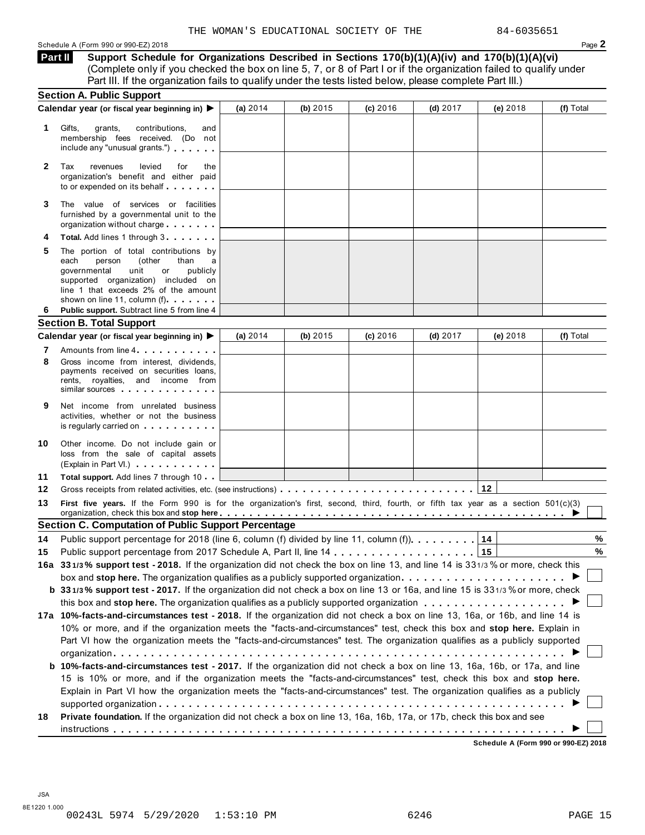Schedule <sup>A</sup> (Form <sup>990</sup> or 990-EZ) <sup>2018</sup> Page **2**

**Part II**

**Support Schedule for Organizations Described in Sections 170(b)(1)(A)(iv) and 170(b)(1)(A)(vi)** (Complete only if you checked the box on line 5, 7, or 8 of Part I or if the organization failed to qualify under

|              | Part III. If the organization fails to qualify under the tests listed below, please complete Part III.)                                                                                                                                                                                |            |            |            |            |            |           |
|--------------|----------------------------------------------------------------------------------------------------------------------------------------------------------------------------------------------------------------------------------------------------------------------------------------|------------|------------|------------|------------|------------|-----------|
|              | <b>Section A. Public Support</b>                                                                                                                                                                                                                                                       |            |            |            |            |            |           |
|              | Calendar year (or fiscal year beginning in) >                                                                                                                                                                                                                                          | (a) $2014$ | (b) $2015$ | $(c)$ 2016 | (d) $2017$ | (e) $2018$ | (f) Total |
| 1.           | Gifts,<br>contributions,<br>grants,<br>and<br>membership fees received. (Do not<br>include any "unusual grants.")                                                                                                                                                                      |            |            |            |            |            |           |
| $\mathbf{2}$ | Tax<br>levied<br>revenues<br>for<br>the<br>organization's benefit and either paid<br>to or expended on its behalf                                                                                                                                                                      |            |            |            |            |            |           |
| 3            | The value of services or facilities<br>furnished by a governmental unit to the<br>organization without charge                                                                                                                                                                          |            |            |            |            |            |           |
| 4            | <b>Total.</b> Add lines 1 through 3                                                                                                                                                                                                                                                    |            |            |            |            |            |           |
| 5<br>6       | The portion of total contributions by<br>(other<br>each<br>person<br>than<br>a<br>governmental<br>unit<br>or<br>publicly<br>supported organization) included on<br>line 1 that exceeds 2% of the amount<br>shown on line 11, column (f)<br>Public support. Subtract line 5 from line 4 |            |            |            |            |            |           |
|              | <b>Section B. Total Support</b>                                                                                                                                                                                                                                                        |            |            |            |            |            |           |
|              | Calendar year (or fiscal year beginning in) ▶                                                                                                                                                                                                                                          | (a) $2014$ | (b) $2015$ | $(c)$ 2016 | (d) $2017$ | (e) $2018$ | (f) Total |
| 7            | Amounts from line 4                                                                                                                                                                                                                                                                    |            |            |            |            |            |           |
| 8            | Gross income from interest, dividends,<br>payments received on securities loans,<br>rents, royalties, and income from<br>similar sources                                                                                                                                               |            |            |            |            |            |           |
| 9            | Net income from unrelated business<br>activities, whether or not the business<br>is regularly carried on the control of the set of the set of the set of the set of the set of the set of the s                                                                                        |            |            |            |            |            |           |
| 10           | Other income. Do not include gain or<br>loss from the sale of capital assets<br>(Explain in Part VI.)                                                                                                                                                                                  |            |            |            |            |            |           |
| 11           | Total support. Add lines 7 through 10                                                                                                                                                                                                                                                  |            |            |            |            |            |           |
| 12           |                                                                                                                                                                                                                                                                                        |            |            |            |            | 12         |           |
| 13           | First five years. If the Form 990 is for the organization's first, second, third, fourth, or fifth tax year as a section 501(c)(3)                                                                                                                                                     |            |            |            |            |            |           |
|              | <b>Section C. Computation of Public Support Percentage</b>                                                                                                                                                                                                                             |            |            |            |            |            |           |
|              | 14 Public support percentage for 2018 (line 6, column (f) divided by line 11, column (f))1                                                                                                                                                                                             |            |            |            |            |            | %         |
| 15           |                                                                                                                                                                                                                                                                                        |            |            |            |            |            | %         |
|              | 16a 331/3% support test - 2018. If the organization did not check the box on line 13, and line 14 is 331/3% or more, check this                                                                                                                                                        |            |            |            |            |            |           |
|              | box and stop here. The organization qualifies as a publicly supported organization                                                                                                                                                                                                     |            |            |            |            |            |           |
|              | b 331/3% support test - 2017. If the organization did not check a box on line 13 or 16a, and line 15 is 331/3% or more, check                                                                                                                                                          |            |            |            |            |            |           |
|              |                                                                                                                                                                                                                                                                                        |            |            |            |            |            |           |
|              | 17a 10%-facts-and-circumstances test - 2018. If the organization did not check a box on line 13, 16a, or 16b, and line 14 is                                                                                                                                                           |            |            |            |            |            |           |
|              | 10% or more, and if the organization meets the "facts-and-circumstances" test, check this box and stop here. Explain in                                                                                                                                                                |            |            |            |            |            |           |
|              | Part VI how the organization meets the "facts-and-circumstances" test. The organization qualifies as a publicly supported                                                                                                                                                              |            |            |            |            |            |           |
|              |                                                                                                                                                                                                                                                                                        |            |            |            |            |            |           |
|              | b 10%-facts-and-circumstances test - 2017. If the organization did not check a box on line 13, 16a, 16b, or 17a, and line                                                                                                                                                              |            |            |            |            |            |           |
|              | 15 is 10% or more, and if the organization meets the "facts-and-circumstances" test, check this box and stop here.                                                                                                                                                                     |            |            |            |            |            |           |
|              | Explain in Part VI how the organization meets the "facts-and-circumstances" test. The organization qualifies as a publicly                                                                                                                                                             |            |            |            |            |            |           |
| 18           | Private foundation. If the organization did not check a box on line 13, 16a, 16b, 17a, or 17b, check this box and see                                                                                                                                                                  |            |            |            |            |            |           |
|              |                                                                                                                                                                                                                                                                                        |            |            |            |            |            |           |

**Schedule A (Form 990 or 990-EZ) 2018**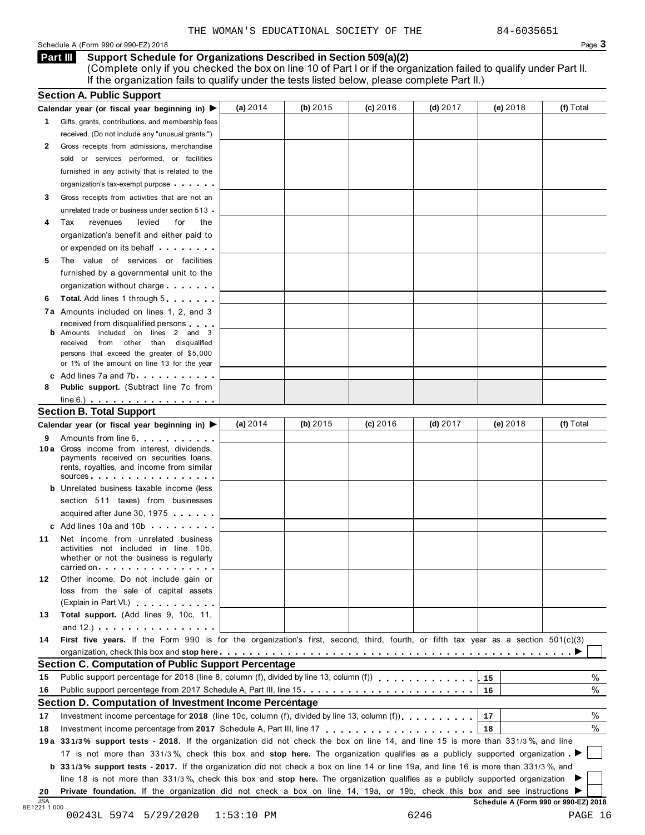# Schedule A (Form 990 or 990-EZ) 2018 Page 3

**Support Schedule for Organizations Described in Section 509(a)(2)** (Complete only if you checked the box on line 10 of Part I or if the organization failed to qualify under Part II. If the organization fails to qualify under the tests listed below, please complete Part II.) **Part III**

|    | Calendar year (or fiscal year beginning in) $\blacktriangleright$                                                                                                                                                                   | (a) 2014   | (b) $2015$ | $(c)$ 2016 | $(d)$ 2017 | (e) 2018 | (f) Total |
|----|-------------------------------------------------------------------------------------------------------------------------------------------------------------------------------------------------------------------------------------|------------|------------|------------|------------|----------|-----------|
|    | 1 Gifts, grants, contributions, and membership fees                                                                                                                                                                                 |            |            |            |            |          |           |
|    | received. (Do not include any "unusual grants.")                                                                                                                                                                                    |            |            |            |            |          |           |
| 2  | Gross receipts from admissions, merchandise                                                                                                                                                                                         |            |            |            |            |          |           |
|    | sold or services performed, or facilities                                                                                                                                                                                           |            |            |            |            |          |           |
|    | furnished in any activity that is related to the                                                                                                                                                                                    |            |            |            |            |          |           |
|    | organization's tax-exempt purpose                                                                                                                                                                                                   |            |            |            |            |          |           |
| 3  | Gross receipts from activities that are not an                                                                                                                                                                                      |            |            |            |            |          |           |
|    | unrelated trade or business under section 513                                                                                                                                                                                       |            |            |            |            |          |           |
| 4  | Tax<br>levied<br>for<br>revenues<br>the                                                                                                                                                                                             |            |            |            |            |          |           |
|    | organization's benefit and either paid to                                                                                                                                                                                           |            |            |            |            |          |           |
|    | or expended on its behalf <b>contained</b> by the set of the set of the set of the set of the set of the set of the set of the set of the set of the set of the set of the set of the set of the set of the set of the set of the s |            |            |            |            |          |           |
| 5  | The value of services or facilities                                                                                                                                                                                                 |            |            |            |            |          |           |
|    | furnished by a governmental unit to the                                                                                                                                                                                             |            |            |            |            |          |           |
|    | organization without charge                                                                                                                                                                                                         |            |            |            |            |          |           |
| 6  | <b>Total.</b> Add lines 1 through 5                                                                                                                                                                                                 |            |            |            |            |          |           |
|    | 7a Amounts included on lines 1, 2, and 3                                                                                                                                                                                            |            |            |            |            |          |           |
|    | received from disqualified persons                                                                                                                                                                                                  |            |            |            |            |          |           |
|    | Amounts included on lines 2 and 3                                                                                                                                                                                                   |            |            |            |            |          |           |
|    | received from other than disqualified                                                                                                                                                                                               |            |            |            |            |          |           |
|    | persons that exceed the greater of \$5,000<br>or 1% of the amount on line 13 for the year                                                                                                                                           |            |            |            |            |          |           |
|    | c Add lines $7a$ and $7b$                                                                                                                                                                                                           |            |            |            |            |          |           |
| 8  | <b>Public support.</b> (Subtract line 7c from                                                                                                                                                                                       |            |            |            |            |          |           |
|    | $line 6.)$ $\ldots$ $\ldots$ $\ldots$ $\ldots$ $\ldots$ $\ldots$                                                                                                                                                                    |            |            |            |            |          |           |
|    | <b>Section B. Total Support</b>                                                                                                                                                                                                     |            |            |            |            |          |           |
|    | Calendar year (or fiscal year beginning in) ▶                                                                                                                                                                                       | (a) $2014$ | (b) $2015$ | $(c)$ 2016 | $(d)$ 2017 | (e) 2018 | (f) Total |
| 9  | Amounts from line 6.                                                                                                                                                                                                                |            |            |            |            |          |           |
|    | 10 a Gross income from interest, dividends,                                                                                                                                                                                         |            |            |            |            |          |           |
|    | payments received on securities loans,                                                                                                                                                                                              |            |            |            |            |          |           |
|    | rents, royalties, and income from similar<br>sources                                                                                                                                                                                |            |            |            |            |          |           |
|    | <b>b</b> Unrelated business taxable income (less                                                                                                                                                                                    |            |            |            |            |          |           |
|    | section 511 taxes) from businesses                                                                                                                                                                                                  |            |            |            |            |          |           |
|    | acquired after June 30, 1975                                                                                                                                                                                                        |            |            |            |            |          |           |
|    | c Add lines 10a and 10b                                                                                                                                                                                                             |            |            |            |            |          |           |
|    |                                                                                                                                                                                                                                     |            |            |            |            |          |           |
| 11 | Net income from unrelated business<br>activities not included in line 10b,                                                                                                                                                          |            |            |            |            |          |           |
|    | whether or not the business is regularly                                                                                                                                                                                            |            |            |            |            |          |           |
|    | carried on each contract to the carried on                                                                                                                                                                                          |            |            |            |            |          |           |
| 12 | Other income. Do not include gain or                                                                                                                                                                                                |            |            |            |            |          |           |
|    | loss from the sale of capital assets                                                                                                                                                                                                |            |            |            |            |          |           |
|    | (Explain in Part VI.) <b>All Accords</b>                                                                                                                                                                                            |            |            |            |            |          |           |
| 13 | Total support. (Add lines 9, 10c, 11,                                                                                                                                                                                               |            |            |            |            |          |           |
|    | and $12.$ ) $\cdots$ $\cdots$ $\cdots$ $\cdots$                                                                                                                                                                                     |            |            |            |            |          |           |
| 14 | First five years. If the Form 990 is for the organization's first, second, third, fourth, or fifth tax year as a section 501(c)(3)                                                                                                  |            |            |            |            |          |           |
|    |                                                                                                                                                                                                                                     |            |            |            |            |          |           |
|    | <b>Section C. Computation of Public Support Percentage</b>                                                                                                                                                                          |            |            |            |            |          |           |
| 15 | Public support percentage for 2018 (line 8, column (f), divided by line 13, column (f)) $\ldots$ ,,,,,,,,,,,,,                                                                                                                      |            |            |            |            | 15       | $\%$      |
| 16 | Public support percentage from 2017 Schedule A, Part III, line 15.                                                                                                                                                                  |            |            |            |            | 16       | $\%$      |
|    | Section D. Computation of Investment Income Percentage                                                                                                                                                                              |            |            |            |            |          |           |
| 17 |                                                                                                                                                                                                                                     |            |            |            |            | 17       | %         |
| 18 |                                                                                                                                                                                                                                     |            |            |            |            | 18       | $\%$      |
|    | 19a 331/3% support tests - 2018. If the organization did not check the box on line 14, and line 15 is more than 331/3%, and line                                                                                                    |            |            |            |            |          |           |
|    | 17 is not more than 331/3%, check this box and stop here. The organization qualifies as a publicly supported organization                                                                                                           |            |            |            |            |          |           |
|    | b 331/3% support tests - 2017. If the organization did not check a box on line 14 or line 19a, and line 16 is more than 331/3%, and                                                                                                 |            |            |            |            |          |           |
|    |                                                                                                                                                                                                                                     |            |            |            |            |          |           |
|    | line 18 is not more than 331/3%, check this box and stop here. The organization qualifies as a publicly supported organization                                                                                                      |            |            |            |            |          |           |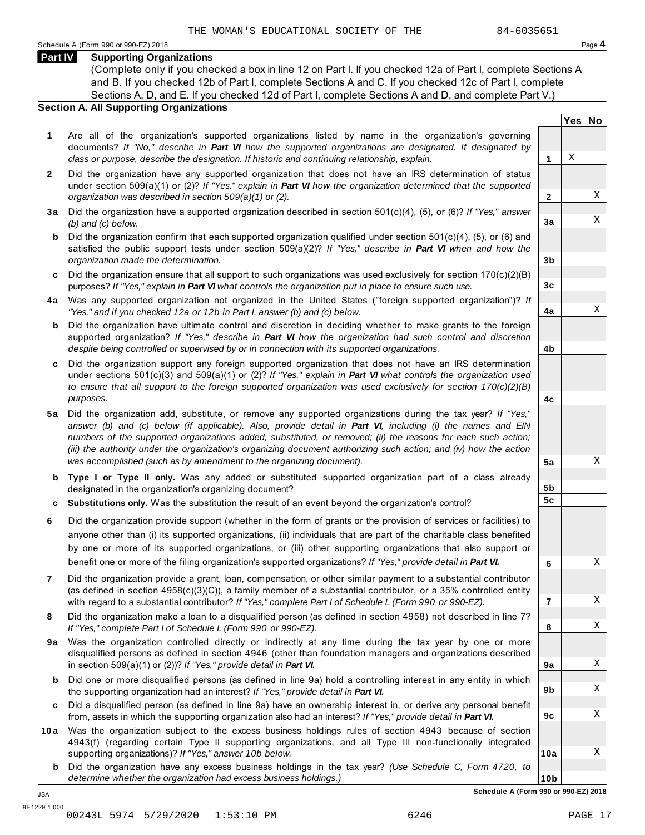### **Part IV Supporting Organizations**

(Complete only if you checked a box in line 12 on Part I. If you checked 12a of Part I, complete Sections A and B. If you checked 12b of Part I, complete Sections A and C. If you checked 12c of Part I, complete Sections A, D, and E. If you checked 12d of Part I, complete Sections A and D, and complete Part V.)

# **Section A. All Supporting Organizations**

- **1** Are all of the organization's supported organizations listed by name in the organization's governing documents? *If "No," describe in Part VI how the supported organizations are designated. If designated by class or purpose, describe the designation. If historic and continuing relationship, explain.* **1**
- **2** Did the organization have any supported organization that does not have an IRS determination of status under section 509(a)(1) or (2)? *If"Yes," explain in Part VI how the organization determined that the supported organization was described in section 509(a)(1) or (2).*
- **3 a** Did the organization have a supported organization described in section 501(c)(4), (5), or (6)? *If "Yes," answer (b) and (c) below.*
- **b** Did the organization confirm that each supported organization qualified under section 501(c)(4), (5), or (6) and  $\mid$ satisfied the public support tests under section 509(a)(2)? *If "Yes," describe in Part VI when and how the organization made the determination.*
- **c** Did the organization ensure that all support to such organizations was used exclusively for section 170(c)(2)(B) purposes? *If"Yes," explain in Part VI what controls the organization put in place to ensure such use.*
- **4 a** Was any supported organization not organized in the United States ("foreign supported organization")? *If "Yes," and if you checked 12a or 12b in Part I, answer (b) and (c) below.*
- **b** Did the organization have ultimate control and discretion in deciding whether to make grants to the foreign  $|$ supported organization? *If "Yes," describe in Part VI how the organization had such control and discretion despite being controlled or supervised by or in connection with its supported organizations.*
- **c** Did the organization support any foreign supported organization that does not have an IRS determination under sections 501(c)(3) and 509(a)(1) or (2)? *If "Yes," explain in Part VI what controls the organization used to ensure that all support to the foreign supported organization was used exclusively for section 170(c)(2)(B) purposes.*
- **5 a** Did the organization add, substitute, or remove any supported organizations during the tax year? *If "Yes,"* answer (b) and (c) below (if applicable). Also, provide detail in **Part VI**, including (i) the names and EIN *numbers of the supported organizations added, substituted, or removed; (ii) the reasons for each such action;* (iii) the authority under the organization's organizing document authorizing such action; and (iv) how the action *was accomplished (such as by amendment to the organizing document).*
- **b Type I or Type II only.** Was any added or substituted supported organization part of a class already designated in the organization's organizing document?
- **c Substitutions only.** Was the substitution the result of an event beyond the organization's control?
- **6** Did the organization provide support (whether in the form of grants or the provision of services or facilities) to anyone other than (i) its supported organizations, (ii) individuals that are part of the charitable class benefited by one or more of its supported organizations, or (iii) other supporting organizations that also support or benefit one or more of the filing organization's supported organizations? *If"Yes," provide detail in Part VI.*
- **7** Did the organization provide a grant, loan, compensation, or other similar payment to a substantial contributor (as defined in section 4958(c)(3)(C)), a family member of a substantial contributor, or a 35% controlled entity with regard to a substantial contributor? *If"Yes," complete Part I of Schedule L (Form 990 or 990-EZ).*
- **8** Did the organization make a loan to a disqualified person (as defined in section 4958) not described in line 7? *If "Yes," complete Part I of Schedule L (Form 990 or 990-EZ).*
- **9a** Was the organization controlled directly or indirectly at any time during the tax year by one or more  $|$ disqualified persons as defined in section 4946 (other than foundation managers and organizations described in section 509(a)(1) or (2))? *If"Yes," provide detail in Part VI.*
- **b** Did one or more disqualified persons (as defined in line 9a) hold a controlling interest in any entity in which  $|$ the supporting organization had an interest? *If"Yes," provide detail in Part VI.*
- **c** Did a disqualified person (as defined in line 9a) have an ownership interest in, or derive any personal benefit from, assets in which the supporting organization also had an interest? *If"Yes," provide detail in Part VI.*
- **10 a** Was the organization subject to the excess business holdings rules of section 4943 because of section  $|$ 4943(f) (regarding certain Type II supporting organizations, and all Type III non-functionally integrated supporting organizations)? *If"Yes," answer 10b below.*
	- **b** Did the organization have any excess business holdings in the tax year? *(Use Schedule C, Form 4720, to determine whether the organization had excess business holdings.)*

**Yes No**

X

X

X

X

X

X

X

X

X

X

X

X

**2**

**3a**

**3b**

**3c**

**4a**

**4b**

**4c**

**5a**

**5b 5c**

**6**

**7**

**8**

**9a**

**9b**

**9c**

**10a**

**10b Schedule A (Form 990 or 990-EZ) 2018**

JSA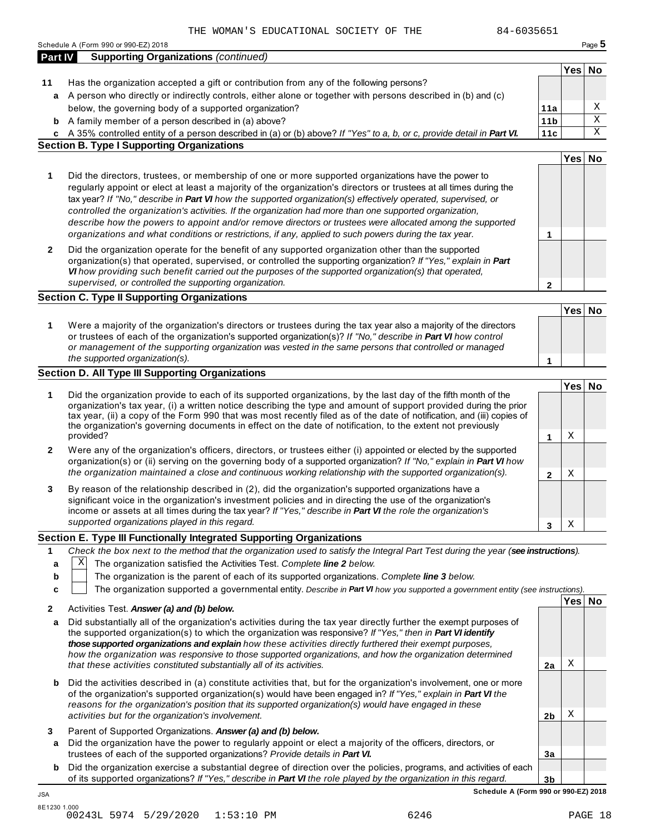|                | 84-6035651<br>THE WOMAN'S EDUCATIONAL SOCIETY OF THE                                                                                                                                                                                 |                 |        |        |
|----------------|--------------------------------------------------------------------------------------------------------------------------------------------------------------------------------------------------------------------------------------|-----------------|--------|--------|
| <b>Part IV</b> | Schedule A (Form 990 or 990-EZ) 2018<br><b>Supporting Organizations (continued)</b>                                                                                                                                                  |                 |        | Page 5 |
|                |                                                                                                                                                                                                                                      |                 | Yes No |        |
| 11             | Has the organization accepted a gift or contribution from any of the following persons?                                                                                                                                              |                 |        |        |
| a              | A person who directly or indirectly controls, either alone or together with persons described in (b) and (c)                                                                                                                         |                 |        |        |
|                | below, the governing body of a supported organization?                                                                                                                                                                               | 11a             |        | Χ      |
| b              | A family member of a person described in (a) above?                                                                                                                                                                                  | 11 <sub>b</sub> |        | X      |
| C              | A 35% controlled entity of a person described in (a) or (b) above? If "Yes" to a, b, or c, provide detail in Part VI.                                                                                                                | 11c             |        | Χ      |
|                | <b>Section B. Type I Supporting Organizations</b>                                                                                                                                                                                    |                 |        |        |
|                |                                                                                                                                                                                                                                      |                 | Yes No |        |
| 1              | Did the directors, trustees, or membership of one or more supported organizations have the power to                                                                                                                                  |                 |        |        |
|                | regularly appoint or elect at least a majority of the organization's directors or trustees at all times during the                                                                                                                   |                 |        |        |
|                | tax year? If "No," describe in Part VI how the supported organization(s) effectively operated, supervised, or                                                                                                                        |                 |        |        |
|                | controlled the organization's activities. If the organization had more than one supported organization,                                                                                                                              |                 |        |        |
|                | describe how the powers to appoint and/or remove directors or trustees were allocated among the supported                                                                                                                            |                 |        |        |
|                | organizations and what conditions or restrictions, if any, applied to such powers during the tax year.                                                                                                                               | 1               |        |        |
| $\mathbf{2}$   | Did the organization operate for the benefit of any supported organization other than the supported                                                                                                                                  |                 |        |        |
|                | organization(s) that operated, supervised, or controlled the supporting organization? If "Yes," explain in Part                                                                                                                      |                 |        |        |
|                | VI how providing such benefit carried out the purposes of the supported organization(s) that operated,<br>supervised, or controlled the supporting organization.                                                                     |                 |        |        |
|                | <b>Section C. Type II Supporting Organizations</b>                                                                                                                                                                                   | $\mathbf{2}$    |        |        |
|                |                                                                                                                                                                                                                                      |                 | Yes No |        |
|                |                                                                                                                                                                                                                                      |                 |        |        |
| 1              | Were a majority of the organization's directors or trustees during the tax year also a majority of the directors<br>or trustees of each of the organization's supported organization(s)? If "No," describe in Part VI how control    |                 |        |        |
|                | or management of the supporting organization was vested in the same persons that controlled or managed                                                                                                                               |                 |        |        |
|                | the supported organization(s).                                                                                                                                                                                                       | 1               |        |        |
|                | <b>Section D. All Type III Supporting Organizations</b>                                                                                                                                                                              |                 |        |        |
|                |                                                                                                                                                                                                                                      |                 | Yes No |        |
| 1              | Did the organization provide to each of its supported organizations, by the last day of the fifth month of the                                                                                                                       |                 |        |        |
|                | organization's tax year, (i) a written notice describing the type and amount of support provided during the prior                                                                                                                    |                 |        |        |
|                | tax year, (ii) a copy of the Form 990 that was most recently filed as of the date of notification, and (iii) copies of<br>the organization's governing documents in effect on the date of notification, to the extent not previously |                 |        |        |
|                | provided?                                                                                                                                                                                                                            | 1               | Χ      |        |
| 2              | Were any of the organization's officers, directors, or trustees either (i) appointed or elected by the supported                                                                                                                     |                 |        |        |
|                | organization(s) or (ii) serving on the governing body of a supported organization? If "No," explain in Part VI how                                                                                                                   |                 |        |        |
|                | the organization maintained a close and continuous working relationship with the supported organization(s).                                                                                                                          | $\mathbf{2}$    | Χ      |        |
| 3              | By reason of the relationship described in (2), did the organization's supported organizations have a                                                                                                                                |                 |        |        |
|                | significant voice in the organization's investment policies and in directing the use of the organization's                                                                                                                           |                 |        |        |
|                | income or assets at all times during the tax year? If "Yes," describe in Part VI the role the organization's                                                                                                                         |                 |        |        |
|                | supported organizations played in this regard.                                                                                                                                                                                       | 3               | Χ      |        |
|                | Section E. Type III Functionally Integrated Supporting Organizations                                                                                                                                                                 |                 |        |        |
| 1              | Check the box next to the method that the organization used to satisfy the Integral Part Test during the year (see instructions).                                                                                                    |                 |        |        |
| a              | Χ<br>The organization satisfied the Activities Test. Complete line 2 below.                                                                                                                                                          |                 |        |        |
| b              | The organization is the parent of each of its supported organizations. Complete line 3 below.                                                                                                                                        |                 |        |        |
| c              | The organization supported a governmental entity. Describe in Part VI how you supported a government entity (see instructions).                                                                                                      |                 |        |        |
| 2              | Activities Test. Answer (a) and (b) below.                                                                                                                                                                                           |                 | Yes No |        |
| a              | Did substantially all of the organization's activities during the tax year directly further the exempt purposes of                                                                                                                   |                 |        |        |
|                | the supported organization(s) to which the organization was responsive? If "Yes," then in Part VI identify                                                                                                                           |                 |        |        |
|                | those supported organizations and explain how these activities directly furthered their exempt purposes,                                                                                                                             |                 |        |        |
|                | how the organization was responsive to those supported organizations, and how the organization determined                                                                                                                            |                 |        |        |
|                | that these activities constituted substantially all of its activities.                                                                                                                                                               | 2a              | Χ      |        |
| b              | Did the activities described in (a) constitute activities that, but for the organization's involvement, one or more                                                                                                                  |                 |        |        |
|                | of the organization's supported organization(s) would have been engaged in? If "Yes," explain in Part VI the                                                                                                                         |                 |        |        |
|                | reasons for the organization's position that its supported organization(s) would have engaged in these                                                                                                                               |                 |        |        |

- **3** Parent of Supported Organizations. *Answer (a) and (b) below.*
- **a** Did the organization have the power to regularly appoint or elect a majority of the officers, directors, or trustees of each of the supported organizations? *Provide details in Part VI.*
- **b** Did the organization exercise a substantial degree of direction over the policies, programs, and activities of each of its supported organizations? *If"Yes," describe in Part VI the role played by the organization in this regard.*

**3b Schedule A (Form 990 or 990-EZ) 2018**

**2b**

X

**3a**

JSA

*activities but for the organization's involvement.*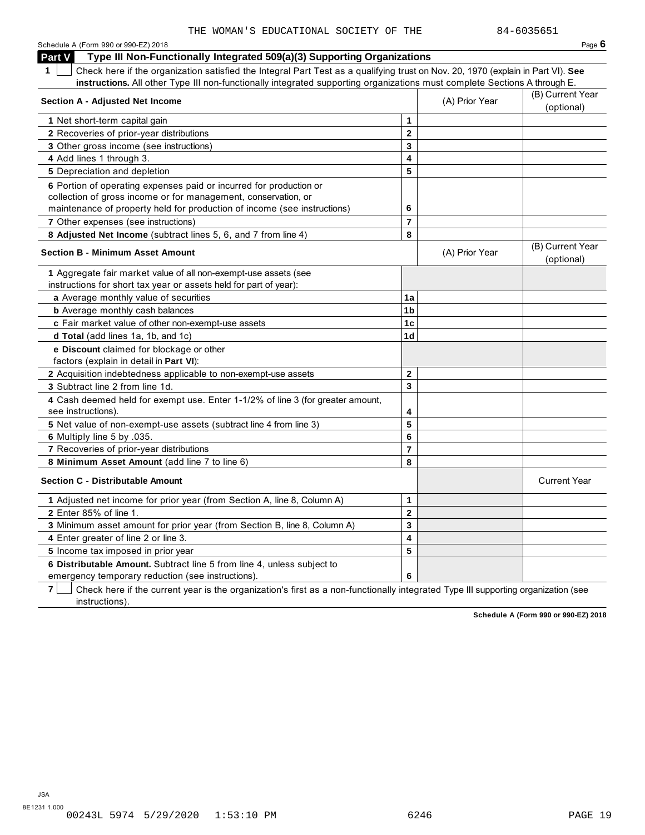| Schedule A (Form 990 or 990-EZ) 2018                                                                                                  |                         |                | Page $6$                       |
|---------------------------------------------------------------------------------------------------------------------------------------|-------------------------|----------------|--------------------------------|
| Part V<br>Type III Non-Functionally Integrated 509(a)(3) Supporting Organizations                                                     |                         |                |                                |
| Check here if the organization satisfied the Integral Part Test as a qualifying trust on Nov. 20, 1970 (explain in Part VI). See<br>1 |                         |                |                                |
| instructions. All other Type III non-functionally integrated supporting organizations must complete Sections A through E.             |                         |                |                                |
| <b>Section A - Adjusted Net Income</b>                                                                                                |                         | (A) Prior Year | (B) Current Year               |
|                                                                                                                                       |                         |                | (optional)                     |
| 1 Net short-term capital gain                                                                                                         | 1                       |                |                                |
| 2 Recoveries of prior-year distributions                                                                                              | $\overline{\mathbf{2}}$ |                |                                |
| 3 Other gross income (see instructions)                                                                                               | 3                       |                |                                |
| 4 Add lines 1 through 3.                                                                                                              | 4                       |                |                                |
| 5 Depreciation and depletion                                                                                                          | 5                       |                |                                |
| 6 Portion of operating expenses paid or incurred for production or                                                                    |                         |                |                                |
| collection of gross income or for management, conservation, or                                                                        |                         |                |                                |
| maintenance of property held for production of income (see instructions)                                                              | 6                       |                |                                |
| 7 Other expenses (see instructions)                                                                                                   | $\overline{7}$          |                |                                |
| 8 Adjusted Net Income (subtract lines 5, 6, and 7 from line 4)                                                                        | 8                       |                |                                |
| <b>Section B - Minimum Asset Amount</b>                                                                                               |                         | (A) Prior Year | (B) Current Year<br>(optional) |
| 1 Aggregate fair market value of all non-exempt-use assets (see                                                                       |                         |                |                                |
| instructions for short tax year or assets held for part of year):                                                                     |                         |                |                                |
| a Average monthly value of securities                                                                                                 | 1a                      |                |                                |
| <b>b</b> Average monthly cash balances                                                                                                | 1b                      |                |                                |
| c Fair market value of other non-exempt-use assets                                                                                    | 1c                      |                |                                |
| d Total (add lines 1a, 1b, and 1c)                                                                                                    | 1 <sub>d</sub>          |                |                                |
| e Discount claimed for blockage or other                                                                                              |                         |                |                                |
| factors (explain in detail in Part VI):                                                                                               |                         |                |                                |
| 2 Acquisition indebtedness applicable to non-exempt-use assets                                                                        | $\mathbf{2}$            |                |                                |
| 3 Subtract line 2 from line 1d.                                                                                                       | 3                       |                |                                |
| 4 Cash deemed held for exempt use. Enter 1-1/2% of line 3 (for greater amount,<br>see instructions).                                  | 4                       |                |                                |
| 5 Net value of non-exempt-use assets (subtract line 4 from line 3)                                                                    | 5                       |                |                                |
| 6 Multiply line 5 by .035.                                                                                                            | 6                       |                |                                |
| 7 Recoveries of prior-year distributions                                                                                              | $\overline{7}$          |                |                                |
| 8 Minimum Asset Amount (add line 7 to line 6)                                                                                         | 8                       |                |                                |
| <b>Section C - Distributable Amount</b>                                                                                               |                         |                | <b>Current Year</b>            |
| 1 Adjusted net income for prior year (from Section A, line 8, Column A)                                                               | 1                       |                |                                |
| <b>2</b> Enter 85% of line 1.                                                                                                         | $\mathbf 2$             |                |                                |
| 3 Minimum asset amount for prior year (from Section B, line 8, Column A)                                                              | 3                       |                |                                |
| 4 Enter greater of line 2 or line 3.                                                                                                  | 4                       |                |                                |
| 5 Income tax imposed in prior year                                                                                                    | 5                       |                |                                |
| 6 Distributable Amount. Subtract line 5 from line 4, unless subject to                                                                |                         |                |                                |
| emergency temporary reduction (see instructions).                                                                                     | 6                       |                |                                |

**7** Check here if the current year is the organization's first as a non-functionally integrated Type III supporting organization (see instructions).

**Schedule A (Form 990 or 990-EZ) 2018**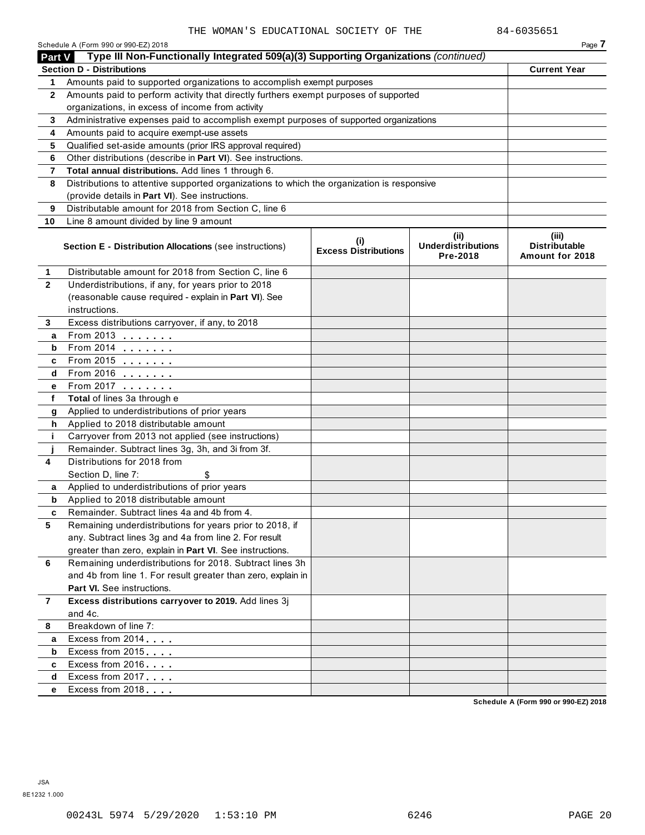|                | Schedule A (Form 990 or 990-EZ) 2018                                                                                                     |                                    |                                               | Page 7                                           |
|----------------|------------------------------------------------------------------------------------------------------------------------------------------|------------------------------------|-----------------------------------------------|--------------------------------------------------|
| Part V         | Type III Non-Functionally Integrated 509(a)(3) Supporting Organizations (continued)                                                      |                                    |                                               |                                                  |
|                | <b>Section D - Distributions</b>                                                                                                         |                                    |                                               | <b>Current Year</b>                              |
| 1              | Amounts paid to supported organizations to accomplish exempt purposes                                                                    |                                    |                                               |                                                  |
| $\mathbf{2}$   | Amounts paid to perform activity that directly furthers exempt purposes of supported<br>organizations, in excess of income from activity |                                    |                                               |                                                  |
|                |                                                                                                                                          |                                    |                                               |                                                  |
| 3              | Administrative expenses paid to accomplish exempt purposes of supported organizations                                                    |                                    |                                               |                                                  |
| 4              | Amounts paid to acquire exempt-use assets<br>Qualified set-aside amounts (prior IRS approval required)                                   |                                    |                                               |                                                  |
| 5<br>6         | Other distributions (describe in Part VI). See instructions.                                                                             |                                    |                                               |                                                  |
| 7              | Total annual distributions. Add lines 1 through 6.                                                                                       |                                    |                                               |                                                  |
| 8              | Distributions to attentive supported organizations to which the organization is responsive                                               |                                    |                                               |                                                  |
|                | (provide details in Part VI). See instructions.                                                                                          |                                    |                                               |                                                  |
| 9              | Distributable amount for 2018 from Section C, line 6                                                                                     |                                    |                                               |                                                  |
| 10             | Line 8 amount divided by line 9 amount                                                                                                   |                                    |                                               |                                                  |
|                |                                                                                                                                          |                                    |                                               |                                                  |
|                | <b>Section E - Distribution Allocations (see instructions)</b>                                                                           | (i)<br><b>Excess Distributions</b> | (ii)<br><b>Underdistributions</b><br>Pre-2018 | (iii)<br><b>Distributable</b><br>Amount for 2018 |
| 1              | Distributable amount for 2018 from Section C, line 6                                                                                     |                                    |                                               |                                                  |
| $\mathbf{2}$   | Underdistributions, if any, for years prior to 2018                                                                                      |                                    |                                               |                                                  |
|                | (reasonable cause required - explain in Part VI). See                                                                                    |                                    |                                               |                                                  |
|                | instructions.                                                                                                                            |                                    |                                               |                                                  |
| 3              | Excess distributions carryover, if any, to 2018                                                                                          |                                    |                                               |                                                  |
| а              | From 2013 $\frac{1}{2}$                                                                                                                  |                                    |                                               |                                                  |
| b              | From 2014 $\frac{201}{20}$                                                                                                               |                                    |                                               |                                                  |
| c              | From 2015 $\frac{1}{2}$                                                                                                                  |                                    |                                               |                                                  |
| d              | From 2016 $\frac{2016}{200}$                                                                                                             |                                    |                                               |                                                  |
| е              | From 2017 <b>Figure 1.1 (19)</b>                                                                                                         |                                    |                                               |                                                  |
| f              | Total of lines 3a through e                                                                                                              |                                    |                                               |                                                  |
| g              | Applied to underdistributions of prior years                                                                                             |                                    |                                               |                                                  |
| h              | Applied to 2018 distributable amount                                                                                                     |                                    |                                               |                                                  |
| j.             | Carryover from 2013 not applied (see instructions)<br>Remainder. Subtract lines 3g, 3h, and 3i from 3f.                                  |                                    |                                               |                                                  |
| 4              | Distributions for 2018 from                                                                                                              |                                    |                                               |                                                  |
|                | Section D, line 7:<br>\$                                                                                                                 |                                    |                                               |                                                  |
| a              | Applied to underdistributions of prior years                                                                                             |                                    |                                               |                                                  |
| b              | Applied to 2018 distributable amount                                                                                                     |                                    |                                               |                                                  |
| c              | Remainder. Subtract lines 4a and 4b from 4.                                                                                              |                                    |                                               |                                                  |
| 5              | Remaining underdistributions for years prior to 2018, if                                                                                 |                                    |                                               |                                                  |
|                | any. Subtract lines 3g and 4a from line 2. For result                                                                                    |                                    |                                               |                                                  |
|                | greater than zero, explain in Part VI. See instructions.                                                                                 |                                    |                                               |                                                  |
| 6              | Remaining underdistributions for 2018. Subtract lines 3h                                                                                 |                                    |                                               |                                                  |
|                | and 4b from line 1. For result greater than zero, explain in                                                                             |                                    |                                               |                                                  |
|                | <b>Part VI.</b> See instructions.                                                                                                        |                                    |                                               |                                                  |
| $\overline{7}$ | Excess distributions carryover to 2019. Add lines 3j                                                                                     |                                    |                                               |                                                  |
|                | and 4c.                                                                                                                                  |                                    |                                               |                                                  |
| 8              | Breakdown of line 7:                                                                                                                     |                                    |                                               |                                                  |
| а              | Excess from 2014                                                                                                                         |                                    |                                               |                                                  |
| b              | Excess from 2015                                                                                                                         |                                    |                                               |                                                  |
| c              | Excess from 2016                                                                                                                         |                                    |                                               |                                                  |
| d              | Excess from 2017                                                                                                                         |                                    |                                               |                                                  |
| е              | Excess from 2018                                                                                                                         |                                    |                                               |                                                  |
|                |                                                                                                                                          |                                    |                                               |                                                  |

**Schedule A (Form 990 or 990-EZ) 2018**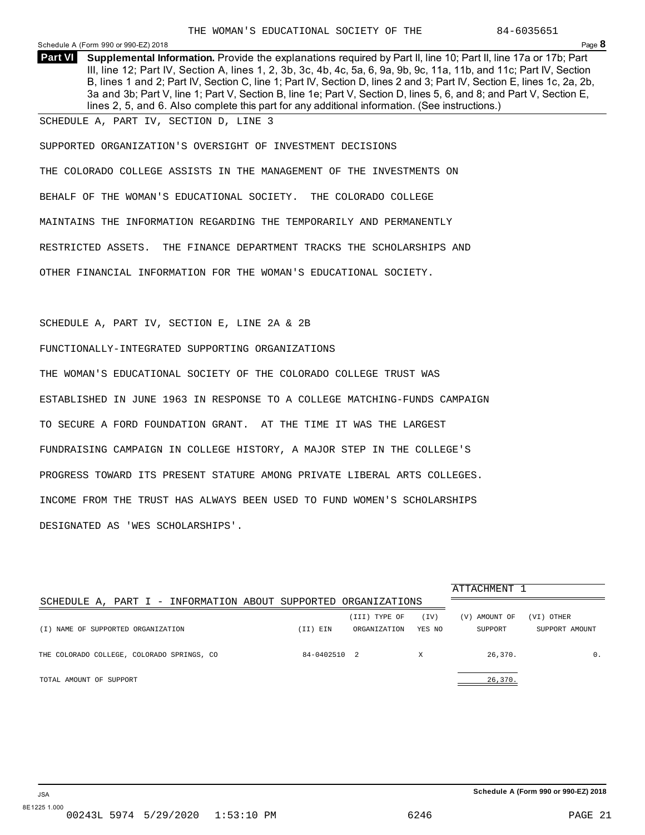<span id="page-55-0"></span>Schedule <sup>A</sup> (Form <sup>990</sup> or 990-EZ) <sup>2018</sup> Page **8**

**Supplemental Information.** Provide the explanations required by Part II, line 10; Part II, line 17a or 17b; Part **Part VI** III, line 12; Part IV, Section A, lines 1, 2, 3b, 3c, 4b, 4c, 5a, 6, 9a, 9b, 9c, 11a, 11b, and 11c; Part IV, Section B, lines 1 and 2; Part IV, Section C, line 1; Part IV, Section D, lines 2 and 3; Part IV, Section E, lines 1c, 2a, 2b, 3a and 3b; Part V, line 1; Part V, Section B, line 1e; Part V, Section D, lines 5, 6, and 8; and Part V, Section E, lines 2, 5, and 6. Also complete this part for any additional information. (See instructions.)

SCHEDULE A, PART IV, SECTION D, LINE 3

SUPPORTED ORGANIZATION'S OVERSIGHT OF INVESTMENT DECISIONS

THE COLORADO COLLEGE ASSISTS IN THE MANAGEMENT OF THE INVESTMENTS ON BEHALF OF THE WOMAN'S EDUCATIONAL SOCIETY. THE COLORADO COLLEGE MAINTAINS THE INFORMATION REGARDING THE TEMPORARILY AND PERMANENTLY RESTRICTED ASSETS. THE FINANCE DEPARTMENT TRACKS THE SCHOLARSHIPS AND OTHER FINANCIAL INFORMATION FOR THE WOMAN'S EDUCATIONAL SOCIETY.

### SCHEDULE A, PART IV, SECTION E, LINE 2A & 2B

FUNCTIONALLY-INTEGRATED SUPPORTING ORGANIZATIONS

THE WOMAN'S EDUCATIONAL SOCIETY OF THE COLORADO COLLEGE TRUST WAS ESTABLISHED IN JUNE 1963 IN RESPONSE TO A COLLEGE MATCHING-FUNDS CAMPAIGN TO SECURE A FORD FOUNDATION GRANT. AT THE TIME IT WAS THE LARGEST FUNDRAISING CAMPAIGN IN COLLEGE HISTORY, A MAJOR STEP IN THE COLLEGE'S PROGRESS TOWARD ITS PRESENT STATURE AMONG PRIVATE LIBERAL ARTS COLLEGES. INCOME FROM THE TRUST HAS ALWAYS BEEN USED TO FUND WOMEN'S SCHOLARSHIPS DESIGNATED AS 'WES SCHOLARSHIPS'.

|                                                                |              |               |        | ATTACHMENT 1  |                |
|----------------------------------------------------------------|--------------|---------------|--------|---------------|----------------|
| SCHEDULE A, PART I - INFORMATION ABOUT SUPPORTED ORGANIZATIONS |              |               |        |               |                |
|                                                                |              | (III) TYPE OF | (TV)   | (V) AMOUNT OF | (VI) OTHER     |
| (I) NAME OF SUPPORTED ORGANIZATION                             | (II) EIN     | ORGANIZATION  | YES NO | SUPPORT       | SUPPORT AMOUNT |
| THE COLORADO COLLEGE, COLORADO SPRINGS, CO                     | 84-0402510 2 |               | X      | 26,370.       | $\mathbf{0}$ . |
| TOTAL AMOUNT OF SUPPORT                                        |              |               |        | 26,370.       |                |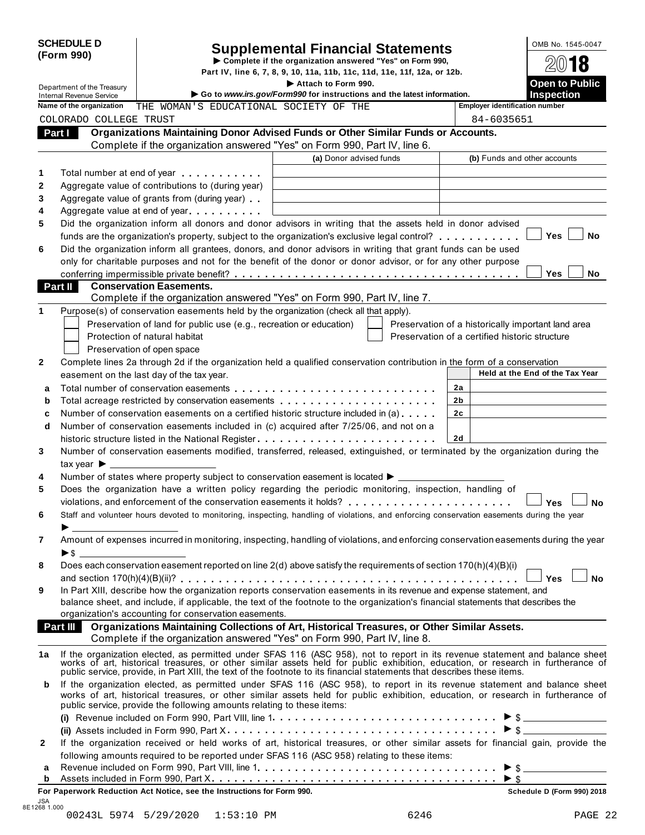|              | <b>SCHEDULE D</b>                                             |                                                                                                                                                                                                                                      | <b>Supplemental Financial Statements</b>                                                      |                | OMB No. 1545-0047                                                                                                                                                                                                                                            |
|--------------|---------------------------------------------------------------|--------------------------------------------------------------------------------------------------------------------------------------------------------------------------------------------------------------------------------------|-----------------------------------------------------------------------------------------------|----------------|--------------------------------------------------------------------------------------------------------------------------------------------------------------------------------------------------------------------------------------------------------------|
|              | (Form 990)                                                    |                                                                                                                                                                                                                                      | Complete if the organization answered "Yes" on Form 990,                                      |                | 18                                                                                                                                                                                                                                                           |
|              |                                                               |                                                                                                                                                                                                                                      | Part IV, line 6, 7, 8, 9, 10, 11a, 11b, 11c, 11d, 11e, 11f, 12a, or 12b.                      |                |                                                                                                                                                                                                                                                              |
|              | Department of the Treasury<br><b>Internal Revenue Service</b> |                                                                                                                                                                                                                                      | Attach to Form 990.<br>Go to www.irs.gov/Form990 for instructions and the latest information. |                | <b>Open to Public</b><br><b>Inspection</b>                                                                                                                                                                                                                   |
|              | Name of the organization                                      | THE WOMAN'S EDUCATIONAL SOCIETY OF THE                                                                                                                                                                                               |                                                                                               |                | <b>Employer identification number</b>                                                                                                                                                                                                                        |
|              | COLORADO COLLEGE TRUST                                        |                                                                                                                                                                                                                                      |                                                                                               |                | 84-6035651                                                                                                                                                                                                                                                   |
|              | Part I                                                        | Organizations Maintaining Donor Advised Funds or Other Similar Funds or Accounts.                                                                                                                                                    |                                                                                               |                |                                                                                                                                                                                                                                                              |
|              |                                                               | Complete if the organization answered "Yes" on Form 990, Part IV, line 6.                                                                                                                                                            |                                                                                               |                |                                                                                                                                                                                                                                                              |
|              |                                                               |                                                                                                                                                                                                                                      | (a) Donor advised funds                                                                       |                | (b) Funds and other accounts                                                                                                                                                                                                                                 |
| 1            |                                                               | Total number at end of year <b>that is a state of the state of the state of the state of the state of the state of the state of the state of the state of the state of the state of the state of the state of the state of the s</b> |                                                                                               |                |                                                                                                                                                                                                                                                              |
| $\mathbf{2}$ |                                                               | Aggregate value of contributions to (during year)                                                                                                                                                                                    |                                                                                               |                |                                                                                                                                                                                                                                                              |
| 3            |                                                               | Aggregate value of grants from (during year)                                                                                                                                                                                         |                                                                                               |                |                                                                                                                                                                                                                                                              |
| 4            |                                                               | Aggregate value at end of year expression and Aggregate value                                                                                                                                                                        |                                                                                               |                |                                                                                                                                                                                                                                                              |
| 5            |                                                               | Did the organization inform all donors and donor advisors in writing that the assets held in donor advised                                                                                                                           |                                                                                               |                |                                                                                                                                                                                                                                                              |
|              |                                                               | funds are the organization's property, subject to the organization's exclusive legal control?                                                                                                                                        |                                                                                               |                | No<br>Yes                                                                                                                                                                                                                                                    |
| 6            |                                                               | Did the organization inform all grantees, donors, and donor advisors in writing that grant funds can be used                                                                                                                         |                                                                                               |                |                                                                                                                                                                                                                                                              |
|              |                                                               | only for charitable purposes and not for the benefit of the donor or donor advisor, or for any other purpose                                                                                                                         |                                                                                               |                | <b>Yes</b><br>No.                                                                                                                                                                                                                                            |
|              | Part II                                                       | <b>Conservation Easements.</b>                                                                                                                                                                                                       |                                                                                               |                |                                                                                                                                                                                                                                                              |
|              |                                                               | Complete if the organization answered "Yes" on Form 990, Part IV, line 7.                                                                                                                                                            |                                                                                               |                |                                                                                                                                                                                                                                                              |
| 1            |                                                               | Purpose(s) of conservation easements held by the organization (check all that apply).                                                                                                                                                |                                                                                               |                |                                                                                                                                                                                                                                                              |
|              |                                                               | Preservation of land for public use (e.g., recreation or education)                                                                                                                                                                  |                                                                                               |                | Preservation of a historically important land area                                                                                                                                                                                                           |
|              |                                                               | Protection of natural habitat                                                                                                                                                                                                        |                                                                                               |                | Preservation of a certified historic structure                                                                                                                                                                                                               |
|              |                                                               | Preservation of open space                                                                                                                                                                                                           |                                                                                               |                |                                                                                                                                                                                                                                                              |
| 2            |                                                               | Complete lines 2a through 2d if the organization held a qualified conservation contribution in the form of a conservation                                                                                                            |                                                                                               |                |                                                                                                                                                                                                                                                              |
|              |                                                               | easement on the last day of the tax year.                                                                                                                                                                                            |                                                                                               |                | Held at the End of the Tax Year                                                                                                                                                                                                                              |
| a            |                                                               |                                                                                                                                                                                                                                      |                                                                                               | 2a             |                                                                                                                                                                                                                                                              |
| b            |                                                               | Total acreage restricted by conservation easements                                                                                                                                                                                   |                                                                                               | 2 <sub>b</sub> |                                                                                                                                                                                                                                                              |
| c            |                                                               | Number of conservation easements on a certified historic structure included in (a)                                                                                                                                                   |                                                                                               | 2c             |                                                                                                                                                                                                                                                              |
| d            |                                                               | Number of conservation easements included in (c) acquired after 7/25/06, and not on a                                                                                                                                                |                                                                                               |                |                                                                                                                                                                                                                                                              |
|              |                                                               |                                                                                                                                                                                                                                      |                                                                                               | 2d             |                                                                                                                                                                                                                                                              |
| 3            |                                                               | Number of conservation easements modified, transferred, released, extinguished, or terminated by the organization during the                                                                                                         |                                                                                               |                |                                                                                                                                                                                                                                                              |
|              | tax year $\blacktriangleright$                                |                                                                                                                                                                                                                                      |                                                                                               |                |                                                                                                                                                                                                                                                              |
| 4<br>5       |                                                               | Number of states where property subject to conservation easement is located ▶ _____<br>Does the organization have a written policy regarding the periodic monitoring, inspection, handling of                                        |                                                                                               |                |                                                                                                                                                                                                                                                              |
|              |                                                               |                                                                                                                                                                                                                                      |                                                                                               |                |                                                                                                                                                                                                                                                              |
| 6            |                                                               | Staff and volunteer hours devoted to monitoring, inspecting, handling of violations, and enforcing conservation easements during the year                                                                                            |                                                                                               |                | Yes<br>No                                                                                                                                                                                                                                                    |
|              |                                                               |                                                                                                                                                                                                                                      |                                                                                               |                |                                                                                                                                                                                                                                                              |
| 7            |                                                               |                                                                                                                                                                                                                                      |                                                                                               |                | Amount of expenses incurred in monitoring, inspecting, handling of violations, and enforcing conservation easements during the year                                                                                                                          |
|              |                                                               |                                                                                                                                                                                                                                      |                                                                                               |                |                                                                                                                                                                                                                                                              |
| 8            |                                                               | Does each conservation easement reported on line 2(d) above satisfy the requirements of section 170(h)(4)(B)(i)                                                                                                                      |                                                                                               |                |                                                                                                                                                                                                                                                              |
|              |                                                               |                                                                                                                                                                                                                                      |                                                                                               |                | <b>No</b><br><b>Yes</b>                                                                                                                                                                                                                                      |
| 9            |                                                               | In Part XIII, describe how the organization reports conservation easements in its revenue and expense statement, and                                                                                                                 |                                                                                               |                |                                                                                                                                                                                                                                                              |
|              |                                                               | balance sheet, and include, if applicable, the text of the footnote to the organization's financial statements that describes the                                                                                                    |                                                                                               |                |                                                                                                                                                                                                                                                              |
|              |                                                               | organization's accounting for conservation easements.                                                                                                                                                                                |                                                                                               |                |                                                                                                                                                                                                                                                              |
|              |                                                               | Part III Organizations Maintaining Collections of Art, Historical Treasures, or Other Similar Assets.<br>Complete if the organization answered "Yes" on Form 990, Part IV, line 8.                                                   |                                                                                               |                |                                                                                                                                                                                                                                                              |
| 1а           |                                                               |                                                                                                                                                                                                                                      |                                                                                               |                | If the organization elected, as permitted under SFAS 116 (ASC 958), not to report in its revenue statement and balance sheet works of art, historical treasures, or other similar assets held for public exhibition, education                               |
| b            |                                                               | public service, provide the following amounts relating to these items:                                                                                                                                                               |                                                                                               |                | If the organization elected, as permitted under SFAS 116 (ASC 958), to report in its revenue statement and balance sheet<br>works of art, historical treasures, or other similar assets held for public exhibition, education, or research in furtherance of |
|              |                                                               |                                                                                                                                                                                                                                      |                                                                                               |                |                                                                                                                                                                                                                                                              |
|              |                                                               |                                                                                                                                                                                                                                      |                                                                                               |                |                                                                                                                                                                                                                                                              |
| $\mathbf{2}$ |                                                               |                                                                                                                                                                                                                                      |                                                                                               |                | If the organization received or held works of art, historical treasures, or other similar assets for financial gain, provide the                                                                                                                             |
|              |                                                               | following amounts required to be reported under SFAS 116 (ASC 958) relating to these items:                                                                                                                                          |                                                                                               |                |                                                                                                                                                                                                                                                              |
| a            |                                                               |                                                                                                                                                                                                                                      |                                                                                               |                |                                                                                                                                                                                                                                                              |
| b            |                                                               |                                                                                                                                                                                                                                      |                                                                                               |                |                                                                                                                                                                                                                                                              |
|              |                                                               | For Paperwork Reduction Act Notice, see the Instructions for Form 990.                                                                                                                                                               |                                                                                               |                | Schedule D (Form 990) 2018                                                                                                                                                                                                                                   |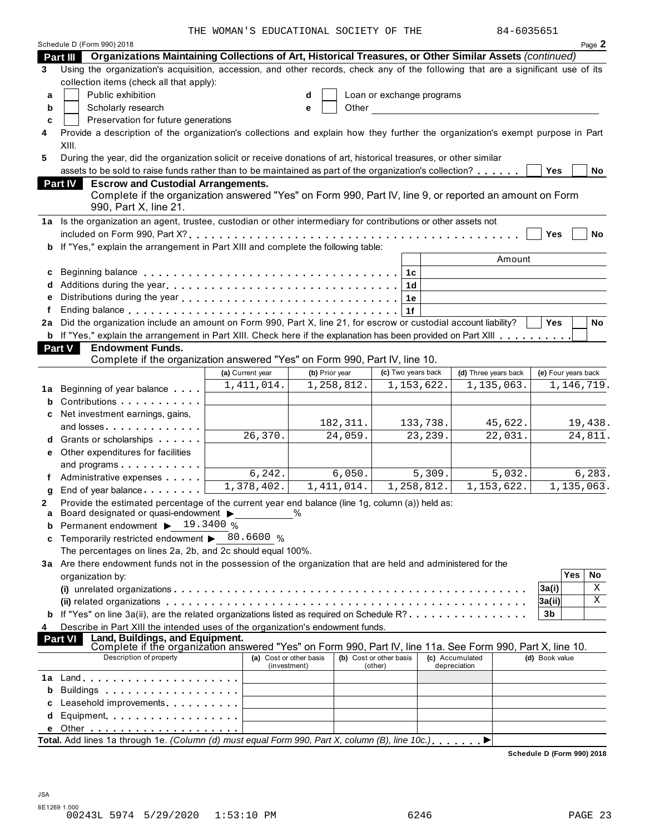THE WOMAN'S EDUCATIONAL SOCIETY OF THE 84-6035651

| Organizations Maintaining Collections of Art, Historical Treasures, or Other Similar Assets (continued)<br><b>Part III</b><br>Using the organization's acquisition, accession, and other records, check any of the following that are a significant use of its<br>3<br>collection items (check all that apply):<br>Public exhibition<br>Loan or exchange programs<br>a<br>d<br>Scholarly research<br>Other<br>b<br>е<br>Preservation for future generations<br>C<br>Provide a description of the organization's collections and explain how they further the organization's exempt purpose in Part<br>4<br>XIII.<br>During the year, did the organization solicit or receive donations of art, historical treasures, or other similar<br>5<br>assets to be sold to raise funds rather than to be maintained as part of the organization's collection?<br><b>Yes</b><br><b>Part IV</b><br><b>Escrow and Custodial Arrangements.</b><br>Complete if the organization answered "Yes" on Form 990, Part IV, line 9, or reported an amount on Form |           |
|-----------------------------------------------------------------------------------------------------------------------------------------------------------------------------------------------------------------------------------------------------------------------------------------------------------------------------------------------------------------------------------------------------------------------------------------------------------------------------------------------------------------------------------------------------------------------------------------------------------------------------------------------------------------------------------------------------------------------------------------------------------------------------------------------------------------------------------------------------------------------------------------------------------------------------------------------------------------------------------------------------------------------------------------------|-----------|
|                                                                                                                                                                                                                                                                                                                                                                                                                                                                                                                                                                                                                                                                                                                                                                                                                                                                                                                                                                                                                                               |           |
|                                                                                                                                                                                                                                                                                                                                                                                                                                                                                                                                                                                                                                                                                                                                                                                                                                                                                                                                                                                                                                               |           |
|                                                                                                                                                                                                                                                                                                                                                                                                                                                                                                                                                                                                                                                                                                                                                                                                                                                                                                                                                                                                                                               |           |
|                                                                                                                                                                                                                                                                                                                                                                                                                                                                                                                                                                                                                                                                                                                                                                                                                                                                                                                                                                                                                                               |           |
|                                                                                                                                                                                                                                                                                                                                                                                                                                                                                                                                                                                                                                                                                                                                                                                                                                                                                                                                                                                                                                               |           |
|                                                                                                                                                                                                                                                                                                                                                                                                                                                                                                                                                                                                                                                                                                                                                                                                                                                                                                                                                                                                                                               |           |
|                                                                                                                                                                                                                                                                                                                                                                                                                                                                                                                                                                                                                                                                                                                                                                                                                                                                                                                                                                                                                                               |           |
|                                                                                                                                                                                                                                                                                                                                                                                                                                                                                                                                                                                                                                                                                                                                                                                                                                                                                                                                                                                                                                               |           |
|                                                                                                                                                                                                                                                                                                                                                                                                                                                                                                                                                                                                                                                                                                                                                                                                                                                                                                                                                                                                                                               |           |
|                                                                                                                                                                                                                                                                                                                                                                                                                                                                                                                                                                                                                                                                                                                                                                                                                                                                                                                                                                                                                                               | No        |
|                                                                                                                                                                                                                                                                                                                                                                                                                                                                                                                                                                                                                                                                                                                                                                                                                                                                                                                                                                                                                                               |           |
| 990, Part X, line 21.                                                                                                                                                                                                                                                                                                                                                                                                                                                                                                                                                                                                                                                                                                                                                                                                                                                                                                                                                                                                                         |           |
| 1a Is the organization an agent, trustee, custodian or other intermediary for contributions or other assets not                                                                                                                                                                                                                                                                                                                                                                                                                                                                                                                                                                                                                                                                                                                                                                                                                                                                                                                               |           |
| Yes                                                                                                                                                                                                                                                                                                                                                                                                                                                                                                                                                                                                                                                                                                                                                                                                                                                                                                                                                                                                                                           | No        |
| <b>b</b> If "Yes," explain the arrangement in Part XIII and complete the following table:                                                                                                                                                                                                                                                                                                                                                                                                                                                                                                                                                                                                                                                                                                                                                                                                                                                                                                                                                     |           |
| Amount                                                                                                                                                                                                                                                                                                                                                                                                                                                                                                                                                                                                                                                                                                                                                                                                                                                                                                                                                                                                                                        |           |
| 1c<br>c                                                                                                                                                                                                                                                                                                                                                                                                                                                                                                                                                                                                                                                                                                                                                                                                                                                                                                                                                                                                                                       |           |
| 1 <sub>d</sub><br>d                                                                                                                                                                                                                                                                                                                                                                                                                                                                                                                                                                                                                                                                                                                                                                                                                                                                                                                                                                                                                           |           |
| e<br>1e                                                                                                                                                                                                                                                                                                                                                                                                                                                                                                                                                                                                                                                                                                                                                                                                                                                                                                                                                                                                                                       |           |
| f<br>1f                                                                                                                                                                                                                                                                                                                                                                                                                                                                                                                                                                                                                                                                                                                                                                                                                                                                                                                                                                                                                                       |           |
| 2a Did the organization include an amount on Form 990, Part X, line 21, for escrow or custodial account liability?<br><b>Yes</b>                                                                                                                                                                                                                                                                                                                                                                                                                                                                                                                                                                                                                                                                                                                                                                                                                                                                                                              | <b>No</b> |
| b If "Yes," explain the arrangement in Part XIII. Check here if the explanation has been provided on Part XIII                                                                                                                                                                                                                                                                                                                                                                                                                                                                                                                                                                                                                                                                                                                                                                                                                                                                                                                                |           |
| Part V<br><b>Endowment Funds.</b>                                                                                                                                                                                                                                                                                                                                                                                                                                                                                                                                                                                                                                                                                                                                                                                                                                                                                                                                                                                                             |           |
| Complete if the organization answered "Yes" on Form 990, Part IV, line 10.                                                                                                                                                                                                                                                                                                                                                                                                                                                                                                                                                                                                                                                                                                                                                                                                                                                                                                                                                                    |           |
| (c) Two years back<br>(a) Current year<br>(b) Prior year<br>(d) Three years back<br>(e) Four years back                                                                                                                                                                                                                                                                                                                                                                                                                                                                                                                                                                                                                                                                                                                                                                                                                                                                                                                                       |           |
| 1,258,812.<br>1, 135, 063.<br>1, 411, 014.<br>1, 153, 622.<br>1,146,719.<br>Beginning of year balance <b>state</b><br>1a                                                                                                                                                                                                                                                                                                                                                                                                                                                                                                                                                                                                                                                                                                                                                                                                                                                                                                                      |           |
| Contributions<br>b                                                                                                                                                                                                                                                                                                                                                                                                                                                                                                                                                                                                                                                                                                                                                                                                                                                                                                                                                                                                                            |           |
| c Net investment earnings, gains,                                                                                                                                                                                                                                                                                                                                                                                                                                                                                                                                                                                                                                                                                                                                                                                                                                                                                                                                                                                                             |           |
| 182, 311.<br>45,622.<br>133,738.<br>and losses                                                                                                                                                                                                                                                                                                                                                                                                                                                                                                                                                                                                                                                                                                                                                                                                                                                                                                                                                                                                | 19,438.   |
| 26, 370.<br>22,031.<br>24,059.<br>23, 239.<br><b>d</b> Grants or scholarships <b>contains</b>                                                                                                                                                                                                                                                                                                                                                                                                                                                                                                                                                                                                                                                                                                                                                                                                                                                                                                                                                 | 24,811.   |
| e Other expenditures for facilities                                                                                                                                                                                                                                                                                                                                                                                                                                                                                                                                                                                                                                                                                                                                                                                                                                                                                                                                                                                                           |           |
| and programs                                                                                                                                                                                                                                                                                                                                                                                                                                                                                                                                                                                                                                                                                                                                                                                                                                                                                                                                                                                                                                  |           |
| 6, 242.<br>6,050.<br>5,309.<br>5,032.<br>Administrative expenses                                                                                                                                                                                                                                                                                                                                                                                                                                                                                                                                                                                                                                                                                                                                                                                                                                                                                                                                                                              | 6, 283.   |
| 1,378,402.<br>1,411,014.<br>1,258,812.<br>1,153,622.<br>1, 135, 063.<br>End of year balance<br>g                                                                                                                                                                                                                                                                                                                                                                                                                                                                                                                                                                                                                                                                                                                                                                                                                                                                                                                                              |           |
| Provide the estimated percentage of the current year end balance (line 1g, column (a)) held as:<br>2                                                                                                                                                                                                                                                                                                                                                                                                                                                                                                                                                                                                                                                                                                                                                                                                                                                                                                                                          |           |
| Board designated or quasi-endowment ><br>$\frac{0}{0}$<br>a                                                                                                                                                                                                                                                                                                                                                                                                                                                                                                                                                                                                                                                                                                                                                                                                                                                                                                                                                                                   |           |
| Permanent endowment ▶ 19.3400 %<br>b                                                                                                                                                                                                                                                                                                                                                                                                                                                                                                                                                                                                                                                                                                                                                                                                                                                                                                                                                                                                          |           |
| Temporarily restricted endowment $\triangleright$ 80.6600 %<br>c                                                                                                                                                                                                                                                                                                                                                                                                                                                                                                                                                                                                                                                                                                                                                                                                                                                                                                                                                                              |           |
| The percentages on lines 2a, 2b, and 2c should equal 100%.                                                                                                                                                                                                                                                                                                                                                                                                                                                                                                                                                                                                                                                                                                                                                                                                                                                                                                                                                                                    |           |
| 3a Are there endowment funds not in the possession of the organization that are held and administered for the                                                                                                                                                                                                                                                                                                                                                                                                                                                                                                                                                                                                                                                                                                                                                                                                                                                                                                                                 |           |
| <b>Yes</b><br>organization by:                                                                                                                                                                                                                                                                                                                                                                                                                                                                                                                                                                                                                                                                                                                                                                                                                                                                                                                                                                                                                | No<br>Χ   |
| 3a(i)                                                                                                                                                                                                                                                                                                                                                                                                                                                                                                                                                                                                                                                                                                                                                                                                                                                                                                                                                                                                                                         | X         |
| 3a(ii) <br><b>b</b> If "Yes" on line 3a(ii), are the related organizations listed as required on Schedule R?<br>3b                                                                                                                                                                                                                                                                                                                                                                                                                                                                                                                                                                                                                                                                                                                                                                                                                                                                                                                            |           |
| Describe in Part XIII the intended uses of the organization's endowment funds.                                                                                                                                                                                                                                                                                                                                                                                                                                                                                                                                                                                                                                                                                                                                                                                                                                                                                                                                                                |           |
| 4<br>Land, Buildings, and Equipment.<br>Part VI                                                                                                                                                                                                                                                                                                                                                                                                                                                                                                                                                                                                                                                                                                                                                                                                                                                                                                                                                                                               |           |
| Complete if the organization answered "Yes" on Form 990, Part IV, line 11a. See Form 990, Part X, line 10.                                                                                                                                                                                                                                                                                                                                                                                                                                                                                                                                                                                                                                                                                                                                                                                                                                                                                                                                    |           |
| Description of property<br>(a) Cost or other basis<br>(b) Cost or other basis<br>(c) Accumulated<br>(d) Book value<br>depreciation<br>(investment)<br>(other)                                                                                                                                                                                                                                                                                                                                                                                                                                                                                                                                                                                                                                                                                                                                                                                                                                                                                 |           |
|                                                                                                                                                                                                                                                                                                                                                                                                                                                                                                                                                                                                                                                                                                                                                                                                                                                                                                                                                                                                                                               |           |
| Buildings<br>b                                                                                                                                                                                                                                                                                                                                                                                                                                                                                                                                                                                                                                                                                                                                                                                                                                                                                                                                                                                                                                |           |
| Leasehold improvements entitled and the set of the set of the set of the set of the set of the set of the set o<br>C                                                                                                                                                                                                                                                                                                                                                                                                                                                                                                                                                                                                                                                                                                                                                                                                                                                                                                                          |           |
| Equipment<br>d                                                                                                                                                                                                                                                                                                                                                                                                                                                                                                                                                                                                                                                                                                                                                                                                                                                                                                                                                                                                                                |           |
| е                                                                                                                                                                                                                                                                                                                                                                                                                                                                                                                                                                                                                                                                                                                                                                                                                                                                                                                                                                                                                                             |           |
| Total. Add lines 1a through 1e. (Column (d) must equal Form 990, Part X, column (B), line 10c.),                                                                                                                                                                                                                                                                                                                                                                                                                                                                                                                                                                                                                                                                                                                                                                                                                                                                                                                                              |           |

**Schedule D (Form 990) 2018**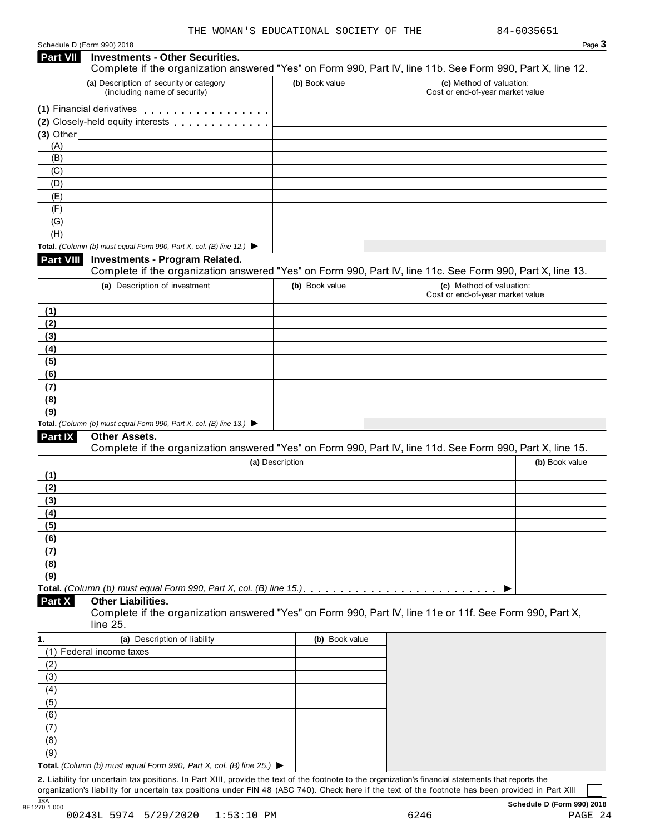| Schedule D (Form 990) 2018 |
|----------------------------|
|----------------------------|

| Part VII<br><b>Investments - Other Securities.</b><br>Complete if the organization answered "Yes" on Form 990, Part IV, line 11b. See Form 990, Part X, line 12.<br>(a) Description of security or category<br>(b) Book value<br>(c) Method of valuation:<br>(including name of security)<br>Cost or end-of-year market value<br>(1) Financial derivatives<br>(2) Closely-held equity interests<br>$(3)$ Other $(3)$<br>(A)<br>(B)<br>(C)<br>(D)<br>(E)<br>(F)<br>(G)<br>(H)<br>Total. (Column (b) must equal Form 990, Part X, col. (B) line 12.) $\blacktriangleright$<br><b>Part VIII</b><br><b>Investments - Program Related.</b><br>Complete if the organization answered "Yes" on Form 990, Part IV, line 11c. See Form 990, Part X, line 13.<br>(c) Method of valuation:<br>(a) Description of investment<br>(b) Book value<br>Cost or end-of-year market value<br>(1)<br>(2)<br>(3)<br>(4)<br>(5)<br>(6)<br>(7)<br>(8)<br>(9)<br>Total. (Column (b) must equal Form 990, Part X, col. (B) line 13.) $\blacktriangleright$<br><b>Part IX</b><br>Other Assets.<br>Complete if the organization answered "Yes" on Form 990, Part IV, line 11d. See Form 990, Part X, line 15.<br>(b) Book value<br>(a) Description<br>(1)<br>(2)<br>(3)<br>(4)<br>(5)<br>(6)<br>(7)<br>(8)<br>(9)<br>▶<br>Part X<br>Other Liabilities.<br>Complete if the organization answered "Yes" on Form 990, Part IV, line 11e or 11f. See Form 990, Part X,<br>line 25.<br>(a) Description of liability<br>(b) Book value<br>1.<br>(1) Federal income taxes<br>(2)<br>(3)<br>(4)<br>(5)<br>(6)<br>(7) | Schedule D (Form 990) 2018 |  | Page 3 |
|-----------------------------------------------------------------------------------------------------------------------------------------------------------------------------------------------------------------------------------------------------------------------------------------------------------------------------------------------------------------------------------------------------------------------------------------------------------------------------------------------------------------------------------------------------------------------------------------------------------------------------------------------------------------------------------------------------------------------------------------------------------------------------------------------------------------------------------------------------------------------------------------------------------------------------------------------------------------------------------------------------------------------------------------------------------------------------------------------------------------------------------------------------------------------------------------------------------------------------------------------------------------------------------------------------------------------------------------------------------------------------------------------------------------------------------------------------------------------------------------------------------------------------------------------------------------------------------|----------------------------|--|--------|
|                                                                                                                                                                                                                                                                                                                                                                                                                                                                                                                                                                                                                                                                                                                                                                                                                                                                                                                                                                                                                                                                                                                                                                                                                                                                                                                                                                                                                                                                                                                                                                                   |                            |  |        |
|                                                                                                                                                                                                                                                                                                                                                                                                                                                                                                                                                                                                                                                                                                                                                                                                                                                                                                                                                                                                                                                                                                                                                                                                                                                                                                                                                                                                                                                                                                                                                                                   |                            |  |        |
|                                                                                                                                                                                                                                                                                                                                                                                                                                                                                                                                                                                                                                                                                                                                                                                                                                                                                                                                                                                                                                                                                                                                                                                                                                                                                                                                                                                                                                                                                                                                                                                   |                            |  |        |
|                                                                                                                                                                                                                                                                                                                                                                                                                                                                                                                                                                                                                                                                                                                                                                                                                                                                                                                                                                                                                                                                                                                                                                                                                                                                                                                                                                                                                                                                                                                                                                                   |                            |  |        |
|                                                                                                                                                                                                                                                                                                                                                                                                                                                                                                                                                                                                                                                                                                                                                                                                                                                                                                                                                                                                                                                                                                                                                                                                                                                                                                                                                                                                                                                                                                                                                                                   |                            |  |        |
|                                                                                                                                                                                                                                                                                                                                                                                                                                                                                                                                                                                                                                                                                                                                                                                                                                                                                                                                                                                                                                                                                                                                                                                                                                                                                                                                                                                                                                                                                                                                                                                   |                            |  |        |
|                                                                                                                                                                                                                                                                                                                                                                                                                                                                                                                                                                                                                                                                                                                                                                                                                                                                                                                                                                                                                                                                                                                                                                                                                                                                                                                                                                                                                                                                                                                                                                                   |                            |  |        |
|                                                                                                                                                                                                                                                                                                                                                                                                                                                                                                                                                                                                                                                                                                                                                                                                                                                                                                                                                                                                                                                                                                                                                                                                                                                                                                                                                                                                                                                                                                                                                                                   |                            |  |        |
|                                                                                                                                                                                                                                                                                                                                                                                                                                                                                                                                                                                                                                                                                                                                                                                                                                                                                                                                                                                                                                                                                                                                                                                                                                                                                                                                                                                                                                                                                                                                                                                   |                            |  |        |
|                                                                                                                                                                                                                                                                                                                                                                                                                                                                                                                                                                                                                                                                                                                                                                                                                                                                                                                                                                                                                                                                                                                                                                                                                                                                                                                                                                                                                                                                                                                                                                                   |                            |  |        |
|                                                                                                                                                                                                                                                                                                                                                                                                                                                                                                                                                                                                                                                                                                                                                                                                                                                                                                                                                                                                                                                                                                                                                                                                                                                                                                                                                                                                                                                                                                                                                                                   |                            |  |        |
|                                                                                                                                                                                                                                                                                                                                                                                                                                                                                                                                                                                                                                                                                                                                                                                                                                                                                                                                                                                                                                                                                                                                                                                                                                                                                                                                                                                                                                                                                                                                                                                   |                            |  |        |
|                                                                                                                                                                                                                                                                                                                                                                                                                                                                                                                                                                                                                                                                                                                                                                                                                                                                                                                                                                                                                                                                                                                                                                                                                                                                                                                                                                                                                                                                                                                                                                                   |                            |  |        |
|                                                                                                                                                                                                                                                                                                                                                                                                                                                                                                                                                                                                                                                                                                                                                                                                                                                                                                                                                                                                                                                                                                                                                                                                                                                                                                                                                                                                                                                                                                                                                                                   |                            |  |        |
|                                                                                                                                                                                                                                                                                                                                                                                                                                                                                                                                                                                                                                                                                                                                                                                                                                                                                                                                                                                                                                                                                                                                                                                                                                                                                                                                                                                                                                                                                                                                                                                   |                            |  |        |
|                                                                                                                                                                                                                                                                                                                                                                                                                                                                                                                                                                                                                                                                                                                                                                                                                                                                                                                                                                                                                                                                                                                                                                                                                                                                                                                                                                                                                                                                                                                                                                                   |                            |  |        |
|                                                                                                                                                                                                                                                                                                                                                                                                                                                                                                                                                                                                                                                                                                                                                                                                                                                                                                                                                                                                                                                                                                                                                                                                                                                                                                                                                                                                                                                                                                                                                                                   |                            |  |        |
|                                                                                                                                                                                                                                                                                                                                                                                                                                                                                                                                                                                                                                                                                                                                                                                                                                                                                                                                                                                                                                                                                                                                                                                                                                                                                                                                                                                                                                                                                                                                                                                   |                            |  |        |
|                                                                                                                                                                                                                                                                                                                                                                                                                                                                                                                                                                                                                                                                                                                                                                                                                                                                                                                                                                                                                                                                                                                                                                                                                                                                                                                                                                                                                                                                                                                                                                                   |                            |  |        |
|                                                                                                                                                                                                                                                                                                                                                                                                                                                                                                                                                                                                                                                                                                                                                                                                                                                                                                                                                                                                                                                                                                                                                                                                                                                                                                                                                                                                                                                                                                                                                                                   |                            |  |        |
|                                                                                                                                                                                                                                                                                                                                                                                                                                                                                                                                                                                                                                                                                                                                                                                                                                                                                                                                                                                                                                                                                                                                                                                                                                                                                                                                                                                                                                                                                                                                                                                   |                            |  |        |
|                                                                                                                                                                                                                                                                                                                                                                                                                                                                                                                                                                                                                                                                                                                                                                                                                                                                                                                                                                                                                                                                                                                                                                                                                                                                                                                                                                                                                                                                                                                                                                                   |                            |  |        |
|                                                                                                                                                                                                                                                                                                                                                                                                                                                                                                                                                                                                                                                                                                                                                                                                                                                                                                                                                                                                                                                                                                                                                                                                                                                                                                                                                                                                                                                                                                                                                                                   |                            |  |        |
|                                                                                                                                                                                                                                                                                                                                                                                                                                                                                                                                                                                                                                                                                                                                                                                                                                                                                                                                                                                                                                                                                                                                                                                                                                                                                                                                                                                                                                                                                                                                                                                   |                            |  |        |
|                                                                                                                                                                                                                                                                                                                                                                                                                                                                                                                                                                                                                                                                                                                                                                                                                                                                                                                                                                                                                                                                                                                                                                                                                                                                                                                                                                                                                                                                                                                                                                                   |                            |  |        |
|                                                                                                                                                                                                                                                                                                                                                                                                                                                                                                                                                                                                                                                                                                                                                                                                                                                                                                                                                                                                                                                                                                                                                                                                                                                                                                                                                                                                                                                                                                                                                                                   |                            |  |        |
|                                                                                                                                                                                                                                                                                                                                                                                                                                                                                                                                                                                                                                                                                                                                                                                                                                                                                                                                                                                                                                                                                                                                                                                                                                                                                                                                                                                                                                                                                                                                                                                   |                            |  |        |
|                                                                                                                                                                                                                                                                                                                                                                                                                                                                                                                                                                                                                                                                                                                                                                                                                                                                                                                                                                                                                                                                                                                                                                                                                                                                                                                                                                                                                                                                                                                                                                                   |                            |  |        |
|                                                                                                                                                                                                                                                                                                                                                                                                                                                                                                                                                                                                                                                                                                                                                                                                                                                                                                                                                                                                                                                                                                                                                                                                                                                                                                                                                                                                                                                                                                                                                                                   |                            |  |        |
|                                                                                                                                                                                                                                                                                                                                                                                                                                                                                                                                                                                                                                                                                                                                                                                                                                                                                                                                                                                                                                                                                                                                                                                                                                                                                                                                                                                                                                                                                                                                                                                   |                            |  |        |
|                                                                                                                                                                                                                                                                                                                                                                                                                                                                                                                                                                                                                                                                                                                                                                                                                                                                                                                                                                                                                                                                                                                                                                                                                                                                                                                                                                                                                                                                                                                                                                                   |                            |  |        |
|                                                                                                                                                                                                                                                                                                                                                                                                                                                                                                                                                                                                                                                                                                                                                                                                                                                                                                                                                                                                                                                                                                                                                                                                                                                                                                                                                                                                                                                                                                                                                                                   |                            |  |        |
|                                                                                                                                                                                                                                                                                                                                                                                                                                                                                                                                                                                                                                                                                                                                                                                                                                                                                                                                                                                                                                                                                                                                                                                                                                                                                                                                                                                                                                                                                                                                                                                   |                            |  |        |
|                                                                                                                                                                                                                                                                                                                                                                                                                                                                                                                                                                                                                                                                                                                                                                                                                                                                                                                                                                                                                                                                                                                                                                                                                                                                                                                                                                                                                                                                                                                                                                                   |                            |  |        |
|                                                                                                                                                                                                                                                                                                                                                                                                                                                                                                                                                                                                                                                                                                                                                                                                                                                                                                                                                                                                                                                                                                                                                                                                                                                                                                                                                                                                                                                                                                                                                                                   |                            |  |        |
|                                                                                                                                                                                                                                                                                                                                                                                                                                                                                                                                                                                                                                                                                                                                                                                                                                                                                                                                                                                                                                                                                                                                                                                                                                                                                                                                                                                                                                                                                                                                                                                   |                            |  |        |
|                                                                                                                                                                                                                                                                                                                                                                                                                                                                                                                                                                                                                                                                                                                                                                                                                                                                                                                                                                                                                                                                                                                                                                                                                                                                                                                                                                                                                                                                                                                                                                                   |                            |  |        |
|                                                                                                                                                                                                                                                                                                                                                                                                                                                                                                                                                                                                                                                                                                                                                                                                                                                                                                                                                                                                                                                                                                                                                                                                                                                                                                                                                                                                                                                                                                                                                                                   |                            |  |        |
|                                                                                                                                                                                                                                                                                                                                                                                                                                                                                                                                                                                                                                                                                                                                                                                                                                                                                                                                                                                                                                                                                                                                                                                                                                                                                                                                                                                                                                                                                                                                                                                   |                            |  |        |
|                                                                                                                                                                                                                                                                                                                                                                                                                                                                                                                                                                                                                                                                                                                                                                                                                                                                                                                                                                                                                                                                                                                                                                                                                                                                                                                                                                                                                                                                                                                                                                                   |                            |  |        |
|                                                                                                                                                                                                                                                                                                                                                                                                                                                                                                                                                                                                                                                                                                                                                                                                                                                                                                                                                                                                                                                                                                                                                                                                                                                                                                                                                                                                                                                                                                                                                                                   |                            |  |        |
|                                                                                                                                                                                                                                                                                                                                                                                                                                                                                                                                                                                                                                                                                                                                                                                                                                                                                                                                                                                                                                                                                                                                                                                                                                                                                                                                                                                                                                                                                                                                                                                   |                            |  |        |
|                                                                                                                                                                                                                                                                                                                                                                                                                                                                                                                                                                                                                                                                                                                                                                                                                                                                                                                                                                                                                                                                                                                                                                                                                                                                                                                                                                                                                                                                                                                                                                                   |                            |  |        |
|                                                                                                                                                                                                                                                                                                                                                                                                                                                                                                                                                                                                                                                                                                                                                                                                                                                                                                                                                                                                                                                                                                                                                                                                                                                                                                                                                                                                                                                                                                                                                                                   |                            |  |        |
|                                                                                                                                                                                                                                                                                                                                                                                                                                                                                                                                                                                                                                                                                                                                                                                                                                                                                                                                                                                                                                                                                                                                                                                                                                                                                                                                                                                                                                                                                                                                                                                   |                            |  |        |
|                                                                                                                                                                                                                                                                                                                                                                                                                                                                                                                                                                                                                                                                                                                                                                                                                                                                                                                                                                                                                                                                                                                                                                                                                                                                                                                                                                                                                                                                                                                                                                                   |                            |  |        |
|                                                                                                                                                                                                                                                                                                                                                                                                                                                                                                                                                                                                                                                                                                                                                                                                                                                                                                                                                                                                                                                                                                                                                                                                                                                                                                                                                                                                                                                                                                                                                                                   |                            |  |        |
|                                                                                                                                                                                                                                                                                                                                                                                                                                                                                                                                                                                                                                                                                                                                                                                                                                                                                                                                                                                                                                                                                                                                                                                                                                                                                                                                                                                                                                                                                                                                                                                   |                            |  |        |
| (8)                                                                                                                                                                                                                                                                                                                                                                                                                                                                                                                                                                                                                                                                                                                                                                                                                                                                                                                                                                                                                                                                                                                                                                                                                                                                                                                                                                                                                                                                                                                                                                               |                            |  |        |
| (9)                                                                                                                                                                                                                                                                                                                                                                                                                                                                                                                                                                                                                                                                                                                                                                                                                                                                                                                                                                                                                                                                                                                                                                                                                                                                                                                                                                                                                                                                                                                                                                               |                            |  |        |
| Total. (Column (b) must equal Form 990, Part X, col. (B) line 25.) $\blacktriangleright$<br>2. Liability for uncertain tax positions. In Part XIII, provide the text of the footnote to the organization's financial statements that reports the                                                                                                                                                                                                                                                                                                                                                                                                                                                                                                                                                                                                                                                                                                                                                                                                                                                                                                                                                                                                                                                                                                                                                                                                                                                                                                                                  |                            |  |        |

organization's liability for uncertain tax positions under FIN 48 (ASC 740). Check here if the text of the footnote has been provided in Part XIII 3<br>8E1270 1.000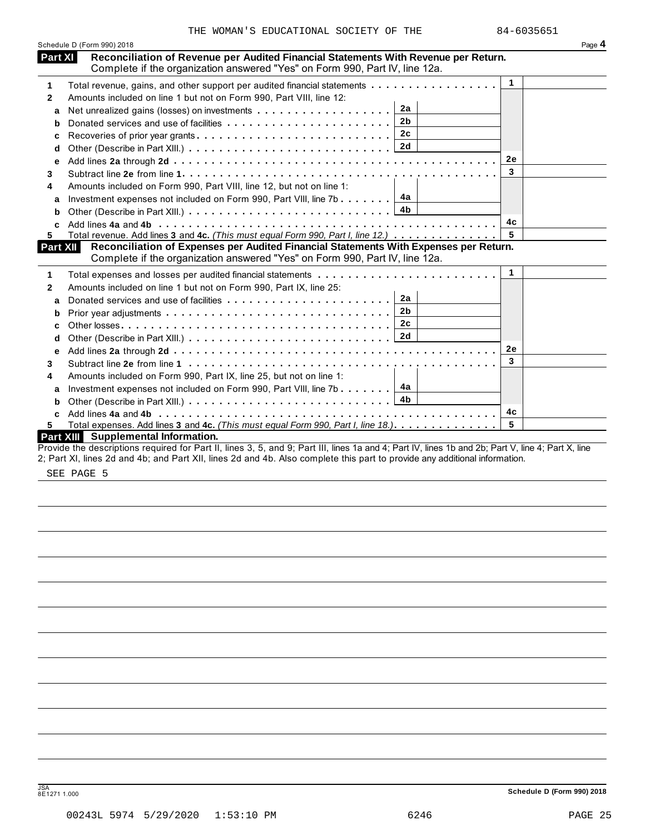| Schedule D (Form 990) 2018 |                                                                                                                                                                                                                                                                                  |                |    | Page 4 |
|----------------------------|----------------------------------------------------------------------------------------------------------------------------------------------------------------------------------------------------------------------------------------------------------------------------------|----------------|----|--------|
| Part XI                    | Reconciliation of Revenue per Audited Financial Statements With Revenue per Return.<br>Complete if the organization answered "Yes" on Form 990, Part IV, line 12a.                                                                                                               |                |    |        |
| 1                          | Total revenue, gains, and other support per audited financial statements                                                                                                                                                                                                         |                | 1  |        |
| 2                          | Amounts included on line 1 but not on Form 990, Part VIII, line 12:                                                                                                                                                                                                              |                |    |        |
| a                          |                                                                                                                                                                                                                                                                                  | 2a             |    |        |
| b                          |                                                                                                                                                                                                                                                                                  | 2 <sub>b</sub> |    |        |
| c                          | Recoveries of prior year grants                                                                                                                                                                                                                                                  | 2c             |    |        |
| d                          |                                                                                                                                                                                                                                                                                  |                |    |        |
| e                          |                                                                                                                                                                                                                                                                                  |                | 2e |        |
| 3                          |                                                                                                                                                                                                                                                                                  |                | 3  |        |
| 4                          | Amounts included on Form 990, Part VIII, line 12, but not on line 1:                                                                                                                                                                                                             |                |    |        |
| a                          | Investment expenses not included on Form 990, Part VIII, line 7b. $\ldots \ldots$ $\boxed{4a}$                                                                                                                                                                                   |                |    |        |
| b                          |                                                                                                                                                                                                                                                                                  | 4 <sub>b</sub> |    |        |
| c                          |                                                                                                                                                                                                                                                                                  |                | 4с |        |
| 5                          | Total revenue. Add lines 3 and 4c. (This must equal Form 990, Part I, line 12.)                                                                                                                                                                                                  |                | 5  |        |
| Part XII                   | Reconciliation of Expenses per Audited Financial Statements With Expenses per Return.<br>Complete if the organization answered "Yes" on Form 990, Part IV, line 12a.                                                                                                             |                |    |        |
| 1                          |                                                                                                                                                                                                                                                                                  |                | 1  |        |
| $\mathbf{2}$               | Amounts included on line 1 but not on Form 990, Part IX, line 25:                                                                                                                                                                                                                |                |    |        |
| a                          |                                                                                                                                                                                                                                                                                  | 2a             |    |        |
| b                          |                                                                                                                                                                                                                                                                                  | 2 <sub>b</sub> |    |        |
| c                          |                                                                                                                                                                                                                                                                                  | 2c             |    |        |
| d                          |                                                                                                                                                                                                                                                                                  | 2d             |    |        |
| е                          |                                                                                                                                                                                                                                                                                  |                | 2e |        |
| 3                          |                                                                                                                                                                                                                                                                                  |                | 3  |        |
| 4                          | Amounts included on Form 990, Part IX, line 25, but not on line 1:                                                                                                                                                                                                               |                |    |        |
| a                          | Investment expenses not included on Form 990, Part VIII, line 7b                                                                                                                                                                                                                 | 4a             |    |        |
| b                          |                                                                                                                                                                                                                                                                                  |                |    |        |
| C.                         |                                                                                                                                                                                                                                                                                  |                | 4с |        |
| 5                          | Total expenses. Add lines 3 and 4c. (This must equal Form 990, Part I, line 18.)                                                                                                                                                                                                 |                | 5  |        |
|                            | Part XIII Supplemental Information.                                                                                                                                                                                                                                              |                |    |        |
|                            | Provide the descriptions required for Part II, lines 3, 5, and 9; Part III, lines 1a and 4; Part IV, lines 1b and 2b; Part V, line 4; Part X, line<br>2; Part XI, lines 2d and 4b; and Part XII, lines 2d and 4b. Also complete this part to provide any additional information. |                |    |        |
|                            |                                                                                                                                                                                                                                                                                  |                |    |        |
| SEE PAGE 5                 |                                                                                                                                                                                                                                                                                  |                |    |        |
|                            |                                                                                                                                                                                                                                                                                  |                |    |        |
|                            |                                                                                                                                                                                                                                                                                  |                |    |        |
|                            |                                                                                                                                                                                                                                                                                  |                |    |        |
|                            |                                                                                                                                                                                                                                                                                  |                |    |        |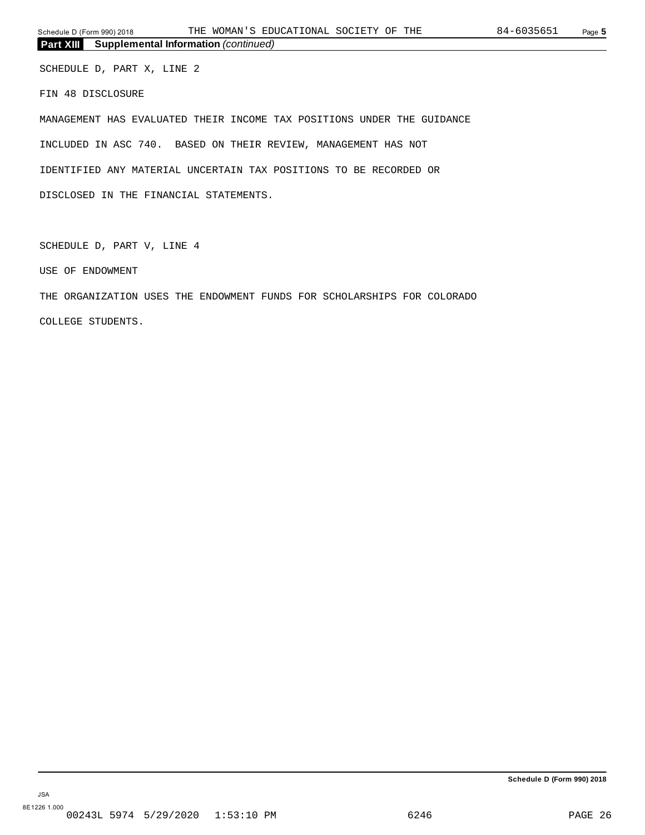**Part XIII Supplemental Information** *(continued)*

SCHEDULE D, PART X, LINE 2 FIN 48 DISCLOSURE

MANAGEMENT HAS EVALUATED THEIR INCOME TAX POSITIONS UNDER THE GUIDANCE INCLUDED IN ASC 740. BASED ON THEIR REVIEW, MANAGEMENT HAS NOT IDENTIFIED ANY MATERIAL UNCERTAIN TAX POSITIONS TO BE RECORDED OR DISCLOSED IN THE FINANCIAL STATEMENTS.

SCHEDULE D, PART V, LINE 4

USE OF ENDOWMENT

THE ORGANIZATION USES THE ENDOWMENT FUNDS FOR SCHOLARSHIPS FOR COLORADO COLLEGE STUDENTS.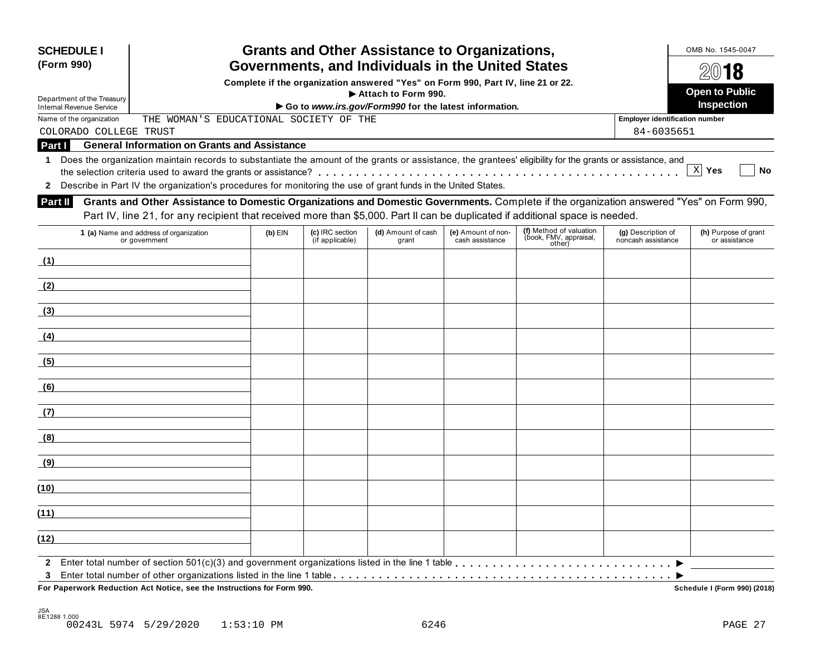| <b>SCHEDULE I</b><br>(Form 990) |                                                                                                                                                                                                                                                                               |           |                                    | <b>Grants and Other Assistance to Organizations,</b><br>Governments, and Individuals in the United States |                                       |                                                             |                                          | OMB No. 1545-0047                     |
|---------------------------------|-------------------------------------------------------------------------------------------------------------------------------------------------------------------------------------------------------------------------------------------------------------------------------|-----------|------------------------------------|-----------------------------------------------------------------------------------------------------------|---------------------------------------|-------------------------------------------------------------|------------------------------------------|---------------------------------------|
|                                 |                                                                                                                                                                                                                                                                               |           |                                    | Complete if the organization answered "Yes" on Form 990, Part IV, line 21 or 22.                          |                                       |                                                             |                                          | 2018                                  |
| Department of the Treasury      |                                                                                                                                                                                                                                                                               |           |                                    | Attach to Form 990.                                                                                       |                                       |                                                             |                                          | <b>Open to Public</b>                 |
| <b>Internal Revenue Service</b> |                                                                                                                                                                                                                                                                               |           |                                    | Go to www.irs.gov/Form990 for the latest information.                                                     |                                       |                                                             |                                          | <b>Inspection</b>                     |
| Name of the organization        | THE WOMAN'S EDUCATIONAL SOCIETY OF THE                                                                                                                                                                                                                                        |           |                                    |                                                                                                           |                                       |                                                             | Employer identification number           |                                       |
| COLORADO COLLEGE TRUST          |                                                                                                                                                                                                                                                                               |           |                                    |                                                                                                           |                                       |                                                             | 84-6035651                               |                                       |
| <b>Part II</b>                  | <b>General Information on Grants and Assistance</b>                                                                                                                                                                                                                           |           |                                    |                                                                                                           |                                       |                                                             |                                          |                                       |
| $\blacktriangleleft$            | Does the organization maintain records to substantiate the amount of the grants or assistance, the grantees' eligibility for the grants or assistance, and<br>2 Describe in Part IV the organization's procedures for monitoring the use of grant funds in the United States. |           |                                    |                                                                                                           |                                       |                                                             |                                          | X Yes<br><b>No</b>                    |
| Part II                         | Grants and Other Assistance to Domestic Organizations and Domestic Governments. Complete if the organization answered "Yes" on Form 990,<br>Part IV, line 21, for any recipient that received more than \$5,000. Part II can be duplicated if additional space is needed.     |           |                                    |                                                                                                           |                                       |                                                             |                                          |                                       |
|                                 | 1 (a) Name and address of organization<br>or government                                                                                                                                                                                                                       | $(b)$ EIN | (c) IRC section<br>(if applicable) | (d) Amount of cash<br>grant                                                                               | (e) Amount of non-<br>cash assistance | (f) Method of valuation<br>(book, FMV, appraisal,<br>other) | (g) Description of<br>noncash assistance | (h) Purpose of grant<br>or assistance |
| (1)                             |                                                                                                                                                                                                                                                                               |           |                                    |                                                                                                           |                                       |                                                             |                                          |                                       |
| (2)                             |                                                                                                                                                                                                                                                                               |           |                                    |                                                                                                           |                                       |                                                             |                                          |                                       |
| (3)                             |                                                                                                                                                                                                                                                                               |           |                                    |                                                                                                           |                                       |                                                             |                                          |                                       |
| (4)                             |                                                                                                                                                                                                                                                                               |           |                                    |                                                                                                           |                                       |                                                             |                                          |                                       |
| (5)                             |                                                                                                                                                                                                                                                                               |           |                                    |                                                                                                           |                                       |                                                             |                                          |                                       |
| (6)                             |                                                                                                                                                                                                                                                                               |           |                                    |                                                                                                           |                                       |                                                             |                                          |                                       |
| (7)                             |                                                                                                                                                                                                                                                                               |           |                                    |                                                                                                           |                                       |                                                             |                                          |                                       |
| (8)                             |                                                                                                                                                                                                                                                                               |           |                                    |                                                                                                           |                                       |                                                             |                                          |                                       |
| (9)                             |                                                                                                                                                                                                                                                                               |           |                                    |                                                                                                           |                                       |                                                             |                                          |                                       |
| (10)                            |                                                                                                                                                                                                                                                                               |           |                                    |                                                                                                           |                                       |                                                             |                                          |                                       |
| (11)                            |                                                                                                                                                                                                                                                                               |           |                                    |                                                                                                           |                                       |                                                             |                                          |                                       |
| (12)                            |                                                                                                                                                                                                                                                                               |           |                                    |                                                                                                           |                                       |                                                             |                                          |                                       |
|                                 |                                                                                                                                                                                                                                                                               |           |                                    |                                                                                                           |                                       |                                                             |                                          |                                       |

 $F$ or Paperwork Reduction Act Notice, see the Instructions for Form 990.

Schedule I (Form 990) (2018)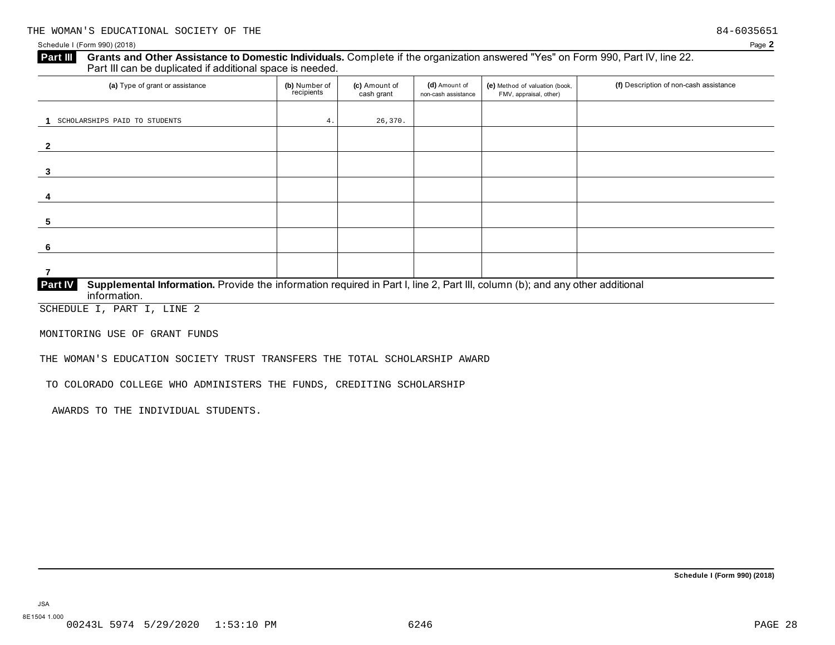### Schedule I (Form 990) (2018) Page **2**

# **Grants and Other Assistance to Domestic Individuals.** Complete ifthe organization answered "Yes" on Form 990, Part IV, line 22. **Part III** Grants and Other Assistance to Domestic Individuals<br>Part III can be duplicated if additional space is needed.

| (a) Type of grant or assistance                                                                                                                | (b) Number of<br>recipients | (c) Amount of<br>cash grant | (d) Amount of<br>non-cash assistance | (e) Method of valuation (book,<br>FMV, appraisal, other) | (f) Description of non-cash assistance |
|------------------------------------------------------------------------------------------------------------------------------------------------|-----------------------------|-----------------------------|--------------------------------------|----------------------------------------------------------|----------------------------------------|
|                                                                                                                                                |                             |                             |                                      |                                                          |                                        |
| SCHOLARSHIPS PAID TO STUDENTS                                                                                                                  | 4.                          | 26,370.                     |                                      |                                                          |                                        |
|                                                                                                                                                |                             |                             |                                      |                                                          |                                        |
|                                                                                                                                                |                             |                             |                                      |                                                          |                                        |
|                                                                                                                                                |                             |                             |                                      |                                                          |                                        |
| 3                                                                                                                                              |                             |                             |                                      |                                                          |                                        |
|                                                                                                                                                |                             |                             |                                      |                                                          |                                        |
|                                                                                                                                                |                             |                             |                                      |                                                          |                                        |
|                                                                                                                                                |                             |                             |                                      |                                                          |                                        |
| 5                                                                                                                                              |                             |                             |                                      |                                                          |                                        |
|                                                                                                                                                |                             |                             |                                      |                                                          |                                        |
| 6                                                                                                                                              |                             |                             |                                      |                                                          |                                        |
|                                                                                                                                                |                             |                             |                                      |                                                          |                                        |
|                                                                                                                                                |                             |                             |                                      |                                                          |                                        |
| Supplemental Information. Provide the information required in Part I, line 2, Part III, column (b); and any other additional<br><b>Part IV</b> |                             |                             |                                      |                                                          |                                        |

 $\mathbf{information}$ .

SCHEDULE I, PART I, LINE 2

MONITORING USE OF GRANT FUNDS

THE WOMAN'S EDUCATION SOCIETY TRUST TRANSFERS THE TOTAL SCHOLARSHIP AWARD

TO COLORADO COLLEGE WHO ADMINISTERS THE FUNDS, CREDITING SCHOLARSHIP

AWARDS TO THE INDIVIDUAL STUDENTS.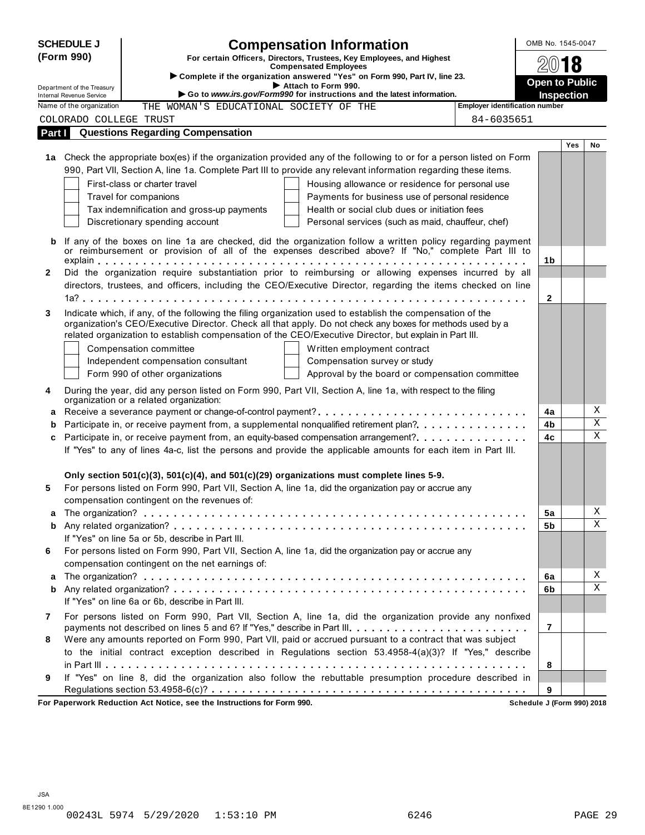|              | <b>SCHEDULE J</b>                                    | <b>Compensation Information</b>                                                                                                                                                                                     | OMB No. 1545-0047     |     |        |
|--------------|------------------------------------------------------|---------------------------------------------------------------------------------------------------------------------------------------------------------------------------------------------------------------------|-----------------------|-----|--------|
|              | (Form 990)                                           | For certain Officers, Directors, Trustees, Key Employees, and Highest                                                                                                                                               | 2018                  |     |        |
|              |                                                      | <b>Compensated Employees</b><br>Complete if the organization answered "Yes" on Form 990, Part IV, line 23.                                                                                                          |                       |     |        |
|              | Department of the Treasury                           | Attach to Form 990.                                                                                                                                                                                                 | <b>Open to Public</b> |     |        |
|              | Internal Revenue Service<br>Name of the organization | Go to www.irs.gov/Form990 for instructions and the latest information.<br><b>Employer identification number</b><br>THE WOMAN'S EDUCATIONAL SOCIETY OF THE                                                           | <b>Inspection</b>     |     |        |
|              | COLORADO COLLEGE TRUST                               | 84-6035651                                                                                                                                                                                                          |                       |     |        |
| Part I       |                                                      | <b>Questions Regarding Compensation</b>                                                                                                                                                                             |                       |     |        |
|              |                                                      |                                                                                                                                                                                                                     |                       | Yes | No     |
|              |                                                      | 1a Check the appropriate box(es) if the organization provided any of the following to or for a person listed on Form                                                                                                |                       |     |        |
|              |                                                      | 990, Part VII, Section A, line 1a. Complete Part III to provide any relevant information regarding these items.                                                                                                     |                       |     |        |
|              |                                                      | First-class or charter travel<br>Housing allowance or residence for personal use                                                                                                                                    |                       |     |        |
|              |                                                      | Travel for companions<br>Payments for business use of personal residence                                                                                                                                            |                       |     |        |
|              |                                                      | Health or social club dues or initiation fees<br>Tax indemnification and gross-up payments                                                                                                                          |                       |     |        |
|              |                                                      | Discretionary spending account<br>Personal services (such as maid, chauffeur, chef)                                                                                                                                 |                       |     |        |
| b            |                                                      | If any of the boxes on line 1a are checked, did the organization follow a written policy regarding payment                                                                                                          |                       |     |        |
|              |                                                      | or reimbursement or provision of all of the expenses described above? If "No," complete Part III to                                                                                                                 |                       |     |        |
|              |                                                      |                                                                                                                                                                                                                     | 1b                    |     |        |
| $\mathbf{2}$ |                                                      | Did the organization require substantiation prior to reimbursing or allowing expenses incurred by all                                                                                                               |                       |     |        |
|              |                                                      | directors, trustees, and officers, including the CEO/Executive Director, regarding the items checked on line                                                                                                        |                       |     |        |
|              |                                                      |                                                                                                                                                                                                                     | $\mathbf{2}$          |     |        |
| 3            |                                                      | Indicate which, if any, of the following the filing organization used to establish the compensation of the                                                                                                          |                       |     |        |
|              |                                                      | organization's CEO/Executive Director. Check all that apply. Do not check any boxes for methods used by a<br>related organization to establish compensation of the CEO/Executive Director, but explain in Part III. |                       |     |        |
|              |                                                      | Compensation committee<br>Written employment contract                                                                                                                                                               |                       |     |        |
|              |                                                      | Independent compensation consultant<br>Compensation survey or study                                                                                                                                                 |                       |     |        |
|              |                                                      | Approval by the board or compensation committee<br>Form 990 of other organizations                                                                                                                                  |                       |     |        |
|              |                                                      |                                                                                                                                                                                                                     |                       |     |        |
| 4            |                                                      | During the year, did any person listed on Form 990, Part VII, Section A, line 1a, with respect to the filing<br>organization or a related organization:                                                             |                       |     |        |
| a            |                                                      | Receive a severance payment or change-of-control payment?                                                                                                                                                           | 4a                    |     | Χ      |
| b            |                                                      | Participate in, or receive payment from, a supplemental nonqualified retirement plan?                                                                                                                               | 4b                    |     | Χ      |
| c            |                                                      | Participate in, or receive payment from, an equity-based compensation arrangement?                                                                                                                                  | 4c                    |     | X      |
|              |                                                      | If "Yes" to any of lines 4a-c, list the persons and provide the applicable amounts for each item in Part III.                                                                                                       |                       |     |        |
|              |                                                      |                                                                                                                                                                                                                     |                       |     |        |
|              |                                                      | Only section $501(c)(3)$ , $501(c)(4)$ , and $501(c)(29)$ organizations must complete lines 5-9.                                                                                                                    |                       |     |        |
| 5            |                                                      | For persons listed on Form 990, Part VII, Section A, line 1a, did the organization pay or accrue any                                                                                                                |                       |     |        |
|              |                                                      | compensation contingent on the revenues of:                                                                                                                                                                         |                       |     |        |
| a            |                                                      |                                                                                                                                                                                                                     | 5a                    |     | Χ<br>Χ |
| b            |                                                      | If "Yes" on line 5a or 5b, describe in Part III.                                                                                                                                                                    | 5b                    |     |        |
| 6            |                                                      | For persons listed on Form 990, Part VII, Section A, line 1a, did the organization pay or accrue any                                                                                                                |                       |     |        |
|              |                                                      | compensation contingent on the net earnings of:                                                                                                                                                                     |                       |     |        |
| a            |                                                      |                                                                                                                                                                                                                     | 6a                    |     | Χ      |
| b            |                                                      |                                                                                                                                                                                                                     | 6b                    |     | Χ      |
|              |                                                      | If "Yes" on line 6a or 6b, describe in Part III.                                                                                                                                                                    |                       |     |        |
| 7            |                                                      | For persons listed on Form 990, Part VII, Section A, line 1a, did the organization provide any nonfixed                                                                                                             |                       |     |        |
|              |                                                      | payments not described on lines 5 and 6? If "Yes," describe in Part III.                                                                                                                                            | $\overline{7}$        |     |        |
| 8            |                                                      | Were any amounts reported on Form 990, Part VII, paid or accrued pursuant to a contract that was subject                                                                                                            |                       |     |        |
|              |                                                      | to the initial contract exception described in Regulations section 53.4958-4(a)(3)? If "Yes," describe                                                                                                              |                       |     |        |
|              |                                                      |                                                                                                                                                                                                                     | 8                     |     |        |
| 9            |                                                      | If "Yes" on line 8, did the organization also follow the rebuttable presumption procedure described in                                                                                                              |                       |     |        |
|              |                                                      |                                                                                                                                                                                                                     | 9                     |     |        |

**For Paperwork Reduction Act Notice, see the Instructions for Form 990. Schedule J (Form 990) 2018**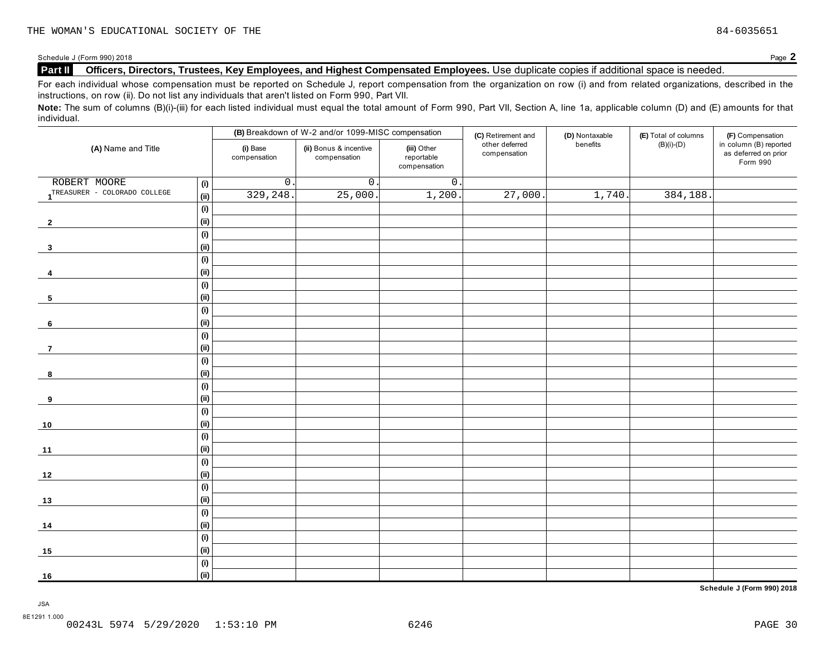# **Part II Officers, Directors, Trustees, Key Employees, and Highest Compensated Employees.** Use duplicate copies ifadditional space is needed.

For each individual whose compensation must be reported on Schedule J, report compensation from the organization on row (i) and from related organizations, described in the instructions, on row (ii). Do not list any individuals that aren't listed on Form 990, Part VII.

Note: The sum of columns (B)(i)-(iii) for each listed individual must equal the total amount of Form 990, Part VII, Section A, line 1a, applicable column (D) and (E) amounts for that individual.

|                              |                              |                          | (B) Breakdown of W-2 and/or 1099-MISC compensation |                                           | (C) Retirement and             | (D) Nontaxable | (E) Total of columns | (F) Compensation                                           |
|------------------------------|------------------------------|--------------------------|----------------------------------------------------|-------------------------------------------|--------------------------------|----------------|----------------------|------------------------------------------------------------|
| (A) Name and Title           |                              | (i) Base<br>compensation | (ii) Bonus & incentive<br>compensation             | (iii) Other<br>reportable<br>compensation | other deferred<br>compensation | benefits       | $(B)(i)-(D)$         | in column (B) reported<br>as deferred on prior<br>Form 990 |
| ROBERT MOORE                 | (i)                          | $\overline{0}$ .         | $\overline{0}$ .                                   | $\overline{0}$ .                          |                                |                |                      |                                                            |
| TREASURER - COLORADO COLLEGE | (ii)                         | 329,248                  | 25,000.                                            | 1,200.                                    | 27,000.                        | 1,740.         | 384,188.             |                                                            |
|                              | (i)                          |                          |                                                    |                                           |                                |                |                      |                                                            |
| $\overline{2}$               | (ii)                         |                          |                                                    |                                           |                                |                |                      |                                                            |
|                              | (i)                          |                          |                                                    |                                           |                                |                |                      |                                                            |
| $\mathbf{3}$                 | (ii)                         |                          |                                                    |                                           |                                |                |                      |                                                            |
|                              | (i)                          |                          |                                                    |                                           |                                |                |                      |                                                            |
| 4                            | (ii)                         |                          |                                                    |                                           |                                |                |                      |                                                            |
|                              | (i)                          |                          |                                                    |                                           |                                |                |                      |                                                            |
| $\sqrt{5}$                   | (ii)                         |                          |                                                    |                                           |                                |                |                      |                                                            |
|                              | (i)                          |                          |                                                    |                                           |                                |                |                      |                                                            |
| 6                            | (ii)                         |                          |                                                    |                                           |                                |                |                      |                                                            |
|                              | (i)                          |                          |                                                    |                                           |                                |                |                      |                                                            |
| $\overline{7}$               | (ii)                         |                          |                                                    |                                           |                                |                |                      |                                                            |
|                              | (i)                          |                          |                                                    |                                           |                                |                |                      |                                                            |
| 8                            | (ii)                         |                          |                                                    |                                           |                                |                |                      |                                                            |
|                              | (i)                          |                          |                                                    |                                           |                                |                |                      |                                                            |
| 9                            | (ii)                         |                          |                                                    |                                           |                                |                |                      |                                                            |
|                              | (i)                          |                          |                                                    |                                           |                                |                |                      |                                                            |
| 10                           | (ii)                         |                          |                                                    |                                           |                                |                |                      |                                                            |
|                              | $\qquad \qquad \textbf{(i)}$ |                          |                                                    |                                           |                                |                |                      |                                                            |
| $11$                         | (ii)                         |                          |                                                    |                                           |                                |                |                      |                                                            |
|                              | (i)                          |                          |                                                    |                                           |                                |                |                      |                                                            |
| $12$                         | (ii)                         |                          |                                                    |                                           |                                |                |                      |                                                            |
|                              | (i)                          |                          |                                                    |                                           |                                |                |                      |                                                            |
| 13                           | (ii)                         |                          |                                                    |                                           |                                |                |                      |                                                            |
|                              | (i)                          |                          |                                                    |                                           |                                |                |                      |                                                            |
| 14                           | (ii)                         |                          |                                                    |                                           |                                |                |                      |                                                            |
|                              | (i)                          |                          |                                                    |                                           |                                |                |                      |                                                            |
| 15                           | (ii)                         |                          |                                                    |                                           |                                |                |                      |                                                            |
|                              | (i)                          |                          |                                                    |                                           |                                |                |                      |                                                            |
| 16                           | (ii)                         |                          |                                                    |                                           |                                |                |                      |                                                            |

**Schedule J (Form 990) 2018**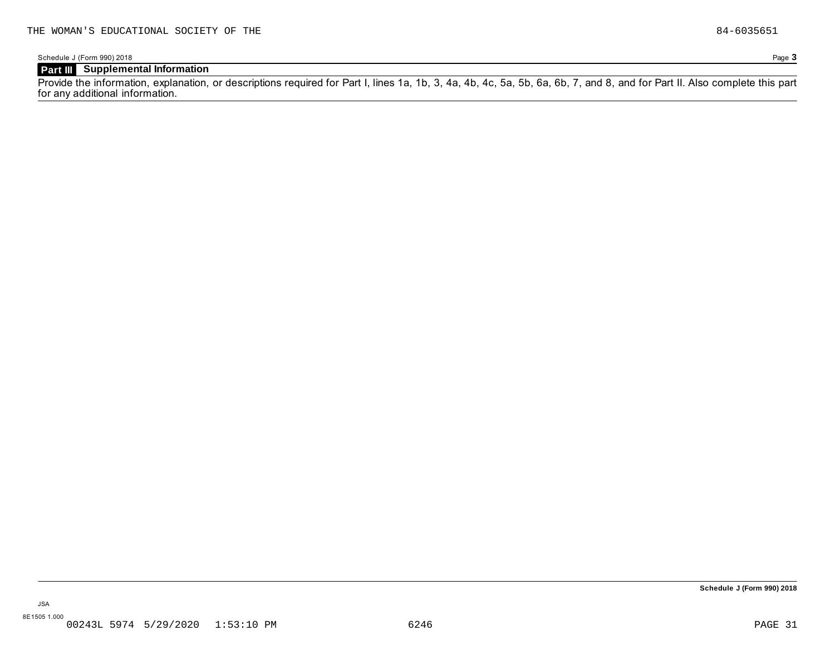Schedule J (Form 990) 2018 Page **3**

# **Part III Supplemental Information**

Provide the information, explanation, or descriptions required for Part I, lines 1a, 1b, 3, 4a, 4b, 4c, 5a, 5b, 6a, 6b, 7, and 8, and for Part II. Also complete this part for any additional information.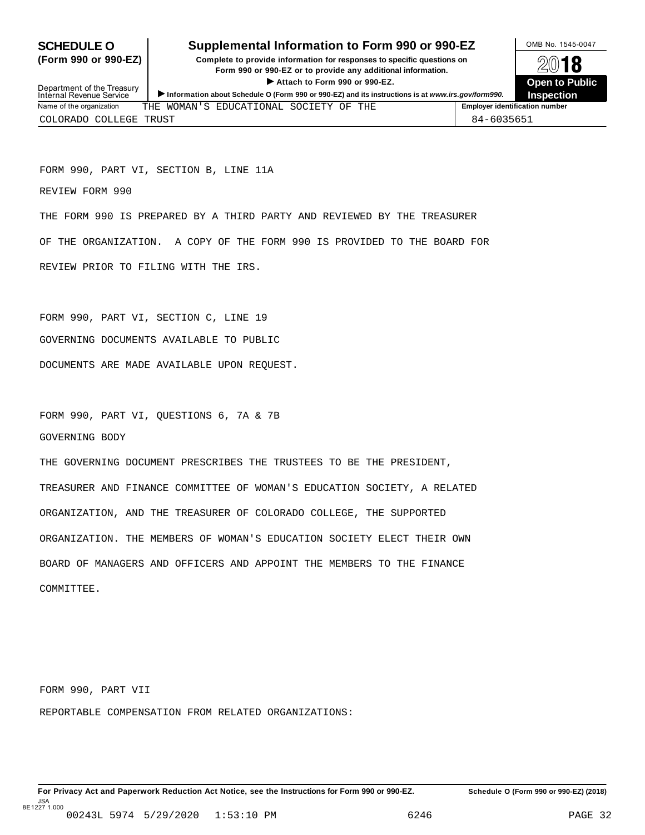# **SCHEDULE O** Supplemental Information to Form 990 or 990-EZ DAMB No. 1545-0047

**(Form 990 or 990-EZ) Complete to provide information for responses to specific questions on** plete to provide information for responses to specific questions on  $\mathbb{Z}^{0}$  **18 EV I O**<br>
■ Attach to Form 990 or 990-EZ. Depen to Public<br>
■ Public Corporation of the Security of the Security of the Security of the Security of the Security of the Security of the Security of the Security of the Securi



Department of the Treasury<br>Internal Revenue Service Department of the Treasury<br>
Information about Schedule 0 (Form 990 or 990-EZ) and its instructions is at www.irs.gov/form990.<br>
Name of the organization THE WOMAN'S EDUCATIONAL SOCIETY OF THE **FRIME** Fundler and instruction THE WOMAN'S EDUCATIONAL SOCIETY OF THE COLORADO COLLEGE TRUST 84-6035651

FORM 990, PART VI, SECTION B, LINE 11A

REVIEW FORM 990

THE FORM 990 IS PREPARED BY A THIRD PARTY AND REVIEWED BY THE TREASURER OF THE ORGANIZATION. A COPY OF THE FORM 990 IS PROVIDED TO THE BOARD FOR REVIEW PRIOR TO FILING WITH THE IRS.

FORM 990, PART VI, SECTION C, LINE 19 GOVERNING DOCUMENTS AVAILABLE TO PUBLIC DOCUMENTS ARE MADE AVAILABLE UPON REQUEST.

FORM 990, PART VI, QUESTIONS 6, 7A & 7B GOVERNING BODY

THE GOVERNING DOCUMENT PRESCRIBES THE TRUSTEES TO BE THE PRESIDENT, TREASURER AND FINANCE COMMITTEE OF WOMAN'S EDUCATION SOCIETY, A RELATED ORGANIZATION, AND THE TREASURER OF COLORADO COLLEGE, THE SUPPORTED ORGANIZATION. THE MEMBERS OF WOMAN'S EDUCATION SOCIETY ELECT THEIR OWN BOARD OF MANAGERS AND OFFICERS AND APPOINT THE MEMBERS TO THE FINANCE COMMITTEE.

FORM 990, PART VII

REPORTABLE COMPENSATION FROM RELATED ORGANIZATIONS: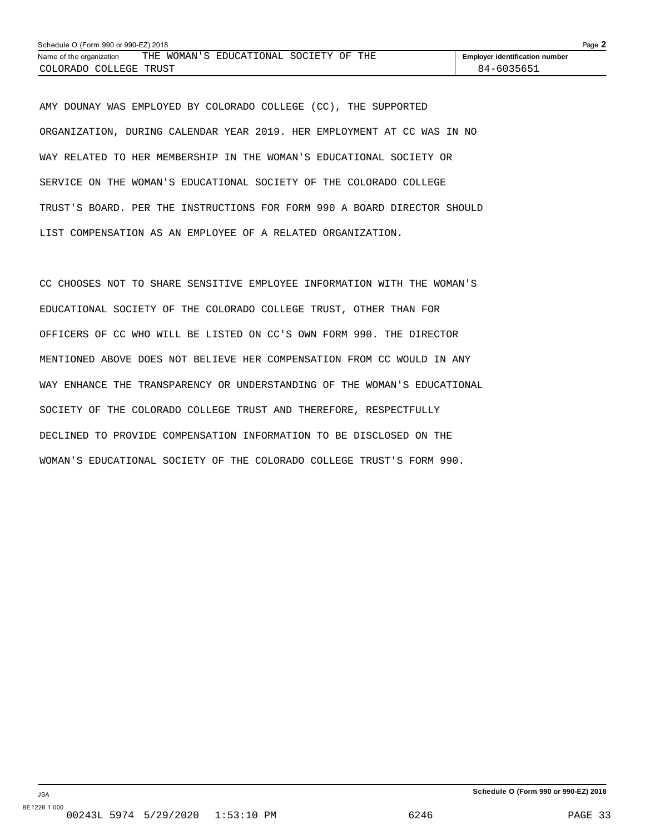| Schedule O (Form 990 or 990-EZ) 2018 |  |                                        |  |  |                                       | Page $\blacktriangle$ |
|--------------------------------------|--|----------------------------------------|--|--|---------------------------------------|-----------------------|
| Name of the organization             |  | THE WOMAN'S EDUCATIONAL SOCIETY OF THE |  |  | <b>Employer identification number</b> |                       |
| COLORADO COLLEGE TRUST               |  |                                        |  |  | 84-6035651                            |                       |

AMY DOUNAY WAS EMPLOYED BY COLORADO COLLEGE (CC), THE SUPPORTED ORGANIZATION, DURING CALENDAR YEAR 2019. HER EMPLOYMENT AT CC WAS IN NO WAY RELATED TO HER MEMBERSHIP IN THE WOMAN'S EDUCATIONAL SOCIETY OR SERVICE ON THE WOMAN'S EDUCATIONAL SOCIETY OF THE COLORADO COLLEGE TRUST'S BOARD. PER THE INSTRUCTIONS FOR FORM 990 A BOARD DIRECTOR SHOULD LIST COMPENSATION AS AN EMPLOYEE OF A RELATED ORGANIZATION.

CC CHOOSES NOT TO SHARE SENSITIVE EMPLOYEE INFORMATION WITH THE WOMAN'S EDUCATIONAL SOCIETY OF THE COLORADO COLLEGE TRUST, OTHER THAN FOR OFFICERS OF CC WHO WILL BE LISTED ON CC'S OWN FORM 990. THE DIRECTOR MENTIONED ABOVE DOES NOT BELIEVE HER COMPENSATION FROM CC WOULD IN ANY WAY ENHANCE THE TRANSPARENCY OR UNDERSTANDING OF THE WOMAN'S EDUCATIONAL SOCIETY OF THE COLORADO COLLEGE TRUST AND THEREFORE, RESPECTFULLY DECLINED TO PROVIDE COMPENSATION INFORMATION TO BE DISCLOSED ON THE WOMAN'S EDUCATIONAL SOCIETY OF THE COLORADO COLLEGE TRUST'S FORM 990.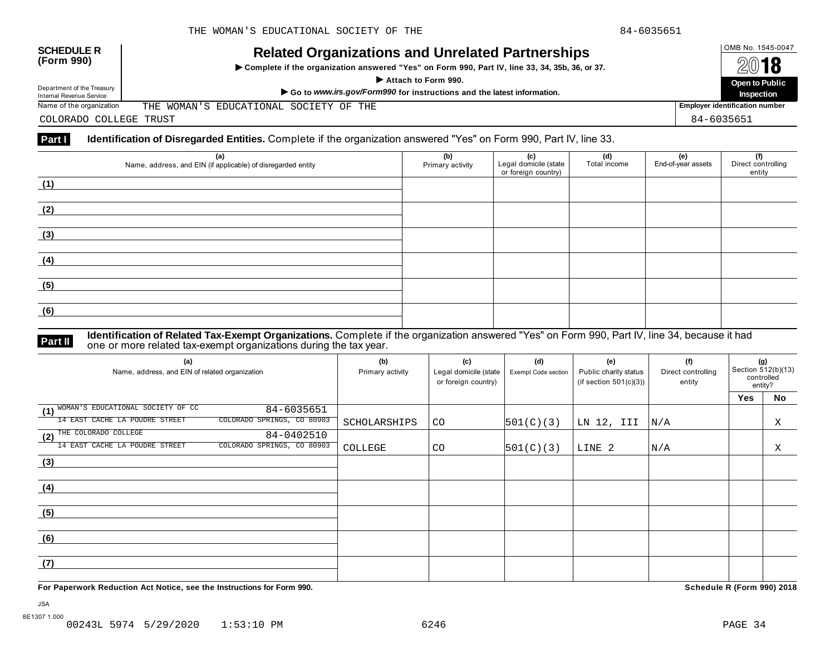# OMB No. 1545-0047 **SCHEDULE R (Form 990) Related Organizations and Unrelated Partnerships**

 $\triangleright$  Complete if the organization answered "Yes" on Form 990, Part IV, line 33, 34, 35b, 36, or 37.



Department of the Treasury

Department of the Treasury<br>
Internal Revenue Service<br>
Name of the organization THE WOMAN'S EDUCATIONAL SOCIETY OF THE THE WOMAN'S EDUCATIONAL SOCIETY OF THE

COLORADO COLLEGE TRUST 84-6035651

# **Part I Identification of Disregarded Entities.** Complete if the organization answered "Yes" on Form 990, Part IV, line 33.

| (a)<br>Name, address, and EIN (if applicable) of disregarded entity | (b)<br>Primary activity | (c)<br>Legal domicile (state<br>or foreign country) | (d)<br>Total income | <b>(e)</b><br>End-of-year assets | (f)<br>Direct controlling<br>entity |
|---------------------------------------------------------------------|-------------------------|-----------------------------------------------------|---------------------|----------------------------------|-------------------------------------|
| (1)                                                                 |                         |                                                     |                     |                                  |                                     |
| (2)                                                                 |                         |                                                     |                     |                                  |                                     |
| (3)                                                                 |                         |                                                     |                     |                                  |                                     |
| (4)                                                                 |                         |                                                     |                     |                                  |                                     |
| (5)                                                                 |                         |                                                     |                     |                                  |                                     |
| (6)                                                                 |                         |                                                     |                     |                                  |                                     |
|                                                                     |                         |                                                     |                     |                                  |                                     |

### **Identification of Related Tax-Exempt Organizations.** Complete if the organization answered "Yes" on Form 990, Part IV, line 34, because it had **Part II** one or more related tax-exempt organizations during the tax year.

| (a)<br>Name, address, and EIN of related organization        | (b)<br>Primary activity | (c)<br>Legal domicile (state<br>or foreign country) | (d)<br>Exempt Code section | (e)<br>Public charity status<br>(if section $501(c)(3)$ ) | (f)<br>Direct controlling<br>entity | (g)<br>Section 512(b)(13)<br>controlled<br>entity? |    |
|--------------------------------------------------------------|-------------------------|-----------------------------------------------------|----------------------------|-----------------------------------------------------------|-------------------------------------|----------------------------------------------------|----|
|                                                              |                         |                                                     |                            |                                                           |                                     | <b>Yes</b>                                         | No |
| WOMAN'S EDUCATIONAL SOCIETY OF CC<br>84-6035651<br>(1)       |                         |                                                     |                            |                                                           |                                     |                                                    |    |
| 14 EAST CACHE LA POUDRE STREET<br>COLORADO SPRINGS, CO 80903 | SCHOLARSHIPS            | CO                                                  | 501(C)(3)                  | LN 12, III                                                | N/A                                 |                                                    | Χ  |
| (2) THE COLORADO COLLEGE<br>84-0402510                       |                         |                                                     |                            |                                                           |                                     |                                                    |    |
| COLORADO SPRINGS, CO 80903<br>14 EAST CACHE LA POUDRE STREET | COLLEGE                 | CO.                                                 | 501(C)(3)                  | LINE 2                                                    | N/A                                 |                                                    | Χ  |
| (3)                                                          |                         |                                                     |                            |                                                           |                                     |                                                    |    |
|                                                              |                         |                                                     |                            |                                                           |                                     |                                                    |    |
| (4)                                                          |                         |                                                     |                            |                                                           |                                     |                                                    |    |
|                                                              |                         |                                                     |                            |                                                           |                                     |                                                    |    |
| (5)                                                          |                         |                                                     |                            |                                                           |                                     |                                                    |    |
|                                                              |                         |                                                     |                            |                                                           |                                     |                                                    |    |
| (6)                                                          |                         |                                                     |                            |                                                           |                                     |                                                    |    |
|                                                              |                         |                                                     |                            |                                                           |                                     |                                                    |    |
| (7)                                                          |                         |                                                     |                            |                                                           |                                     |                                                    |    |
|                                                              |                         |                                                     |                            |                                                           |                                     |                                                    |    |

**For Paperwork Reduction Act Notice, see the Instructions for Form 990. Schedule R (Form 990) 2018**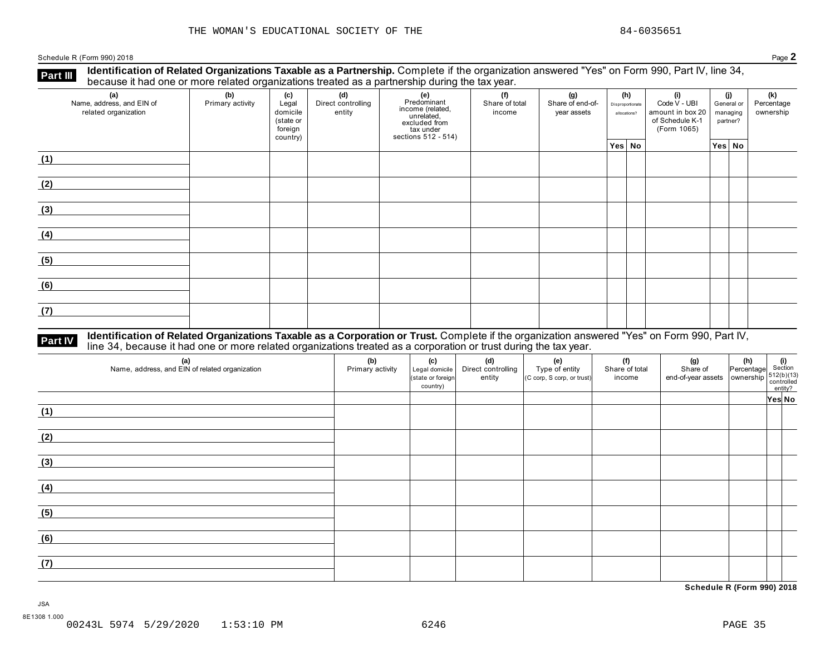Schedule <sup>R</sup> (Form 990) <sup>2018</sup> Page **2**

**Identification of Related Organizations Taxable as a Partnership.** Complete if the organization answered "Yes" on Form 990, Part IV, line 34, **because it had one or more related organizations Taxable as a Partnership.** Complete it the organization of Related organizations treated as a partnership during the tax year.

| (a)<br>Name, address, and EIN of<br>related organization | (b)<br>Primary activity | (c)<br>Legal<br>domicile<br>(state or<br>foreign<br>country) | (d)<br>Direct controlling<br>entity | (e)<br>Predominant<br>income (related,<br>unrelated,<br>excluded from<br>tax under<br>sections 512 - 514) | (f)<br>Share of total<br>income | (g)<br>Share of end-of-<br>year assets | (h)<br>Disproportionate<br>allocations? | (i)<br>Code V - UBI<br>amount in box 20<br>of Schedule K-1<br>(Form 1065) | (j)<br>General or<br>managing<br>partner? | (k)<br>Percentage<br>ownership |
|----------------------------------------------------------|-------------------------|--------------------------------------------------------------|-------------------------------------|-----------------------------------------------------------------------------------------------------------|---------------------------------|----------------------------------------|-----------------------------------------|---------------------------------------------------------------------------|-------------------------------------------|--------------------------------|
|                                                          |                         |                                                              |                                     |                                                                                                           |                                 |                                        | Yes No                                  |                                                                           | Yes No                                    |                                |
| (1)                                                      |                         |                                                              |                                     |                                                                                                           |                                 |                                        |                                         |                                                                           |                                           |                                |
| (2)                                                      |                         |                                                              |                                     |                                                                                                           |                                 |                                        |                                         |                                                                           |                                           |                                |
| (3)                                                      |                         |                                                              |                                     |                                                                                                           |                                 |                                        |                                         |                                                                           |                                           |                                |
| (4)                                                      |                         |                                                              |                                     |                                                                                                           |                                 |                                        |                                         |                                                                           |                                           |                                |
| (5)                                                      |                         |                                                              |                                     |                                                                                                           |                                 |                                        |                                         |                                                                           |                                           |                                |
| (6)                                                      |                         |                                                              |                                     |                                                                                                           |                                 |                                        |                                         |                                                                           |                                           |                                |
| (7)                                                      |                         |                                                              |                                     |                                                                                                           |                                 |                                        |                                         |                                                                           |                                           |                                |

# Part IV Identification of Related Organizations Taxable as a Corporation or Trust. Complete if the organization answered "Yes" on Form 990, Part IV,<br>line 34, because it had one or more related organizations treated as a co

| (a)<br>Name, address, and EIN of related organization | (b)<br>Primary activity | (c)<br>Legal domicile<br>(state or foreign<br>country) | (d)<br>Direct controlling<br>entity | (e)<br>Type of entity<br>(C corp, S corp, or trust) | (f)<br>Share of total<br>income | (g)<br>Share of<br>$end-of-year assets \overline{\bigcirc} \overline{\bigcirc} \overline{\bigcirc} \overline{\bigcirc} \overline{\bigcirc} \overline{\bigcirc} \overline{\bigcirc} \overline{\bigcirc} \overline{\bigcirc} \overline{\bigcirc} \overline{\bigcirc} \overline{\bigcirc} \overline{\bigcirc} \overline{\bigcirc} \overline{\bigcirc} \overline{\bigcirc} \overline{\bigcirc} \overline{\bigcirc} \overline{\bigcirc} \overline{\bigcirc} \overline{\bigcirc} \overline{\bigcirc} \overline{\bigcirc} \overline{\bigcirc} \overline{\bigcirc} \overline{\bigcirc} \overline{\bigcirc} \overline{\bigcirc} \overline{\bigcirc} \overline{\bigcirc} \overline{\bigcirc$ | $\begin{vmatrix} \n\textbf{(h)} \\ \n\text{Percentage} \n\end{vmatrix}$ Section | entity? |  |
|-------------------------------------------------------|-------------------------|--------------------------------------------------------|-------------------------------------|-----------------------------------------------------|---------------------------------|------------------------------------------------------------------------------------------------------------------------------------------------------------------------------------------------------------------------------------------------------------------------------------------------------------------------------------------------------------------------------------------------------------------------------------------------------------------------------------------------------------------------------------------------------------------------------------------------------------------------------------------------------------------------------------|---------------------------------------------------------------------------------|---------|--|
|                                                       |                         |                                                        |                                     |                                                     |                                 |                                                                                                                                                                                                                                                                                                                                                                                                                                                                                                                                                                                                                                                                                    |                                                                                 | Yes No  |  |
| (1)                                                   |                         |                                                        |                                     |                                                     |                                 |                                                                                                                                                                                                                                                                                                                                                                                                                                                                                                                                                                                                                                                                                    |                                                                                 |         |  |
| (2)                                                   |                         |                                                        |                                     |                                                     |                                 |                                                                                                                                                                                                                                                                                                                                                                                                                                                                                                                                                                                                                                                                                    |                                                                                 |         |  |
| (3)                                                   |                         |                                                        |                                     |                                                     |                                 |                                                                                                                                                                                                                                                                                                                                                                                                                                                                                                                                                                                                                                                                                    |                                                                                 |         |  |
| (4)                                                   |                         |                                                        |                                     |                                                     |                                 |                                                                                                                                                                                                                                                                                                                                                                                                                                                                                                                                                                                                                                                                                    |                                                                                 |         |  |
| (5)                                                   |                         |                                                        |                                     |                                                     |                                 |                                                                                                                                                                                                                                                                                                                                                                                                                                                                                                                                                                                                                                                                                    |                                                                                 |         |  |
| (6)                                                   |                         |                                                        |                                     |                                                     |                                 |                                                                                                                                                                                                                                                                                                                                                                                                                                                                                                                                                                                                                                                                                    |                                                                                 |         |  |
| (7)                                                   |                         |                                                        |                                     |                                                     |                                 |                                                                                                                                                                                                                                                                                                                                                                                                                                                                                                                                                                                                                                                                                    |                                                                                 |         |  |

**Schedule R (Form 990) 2018**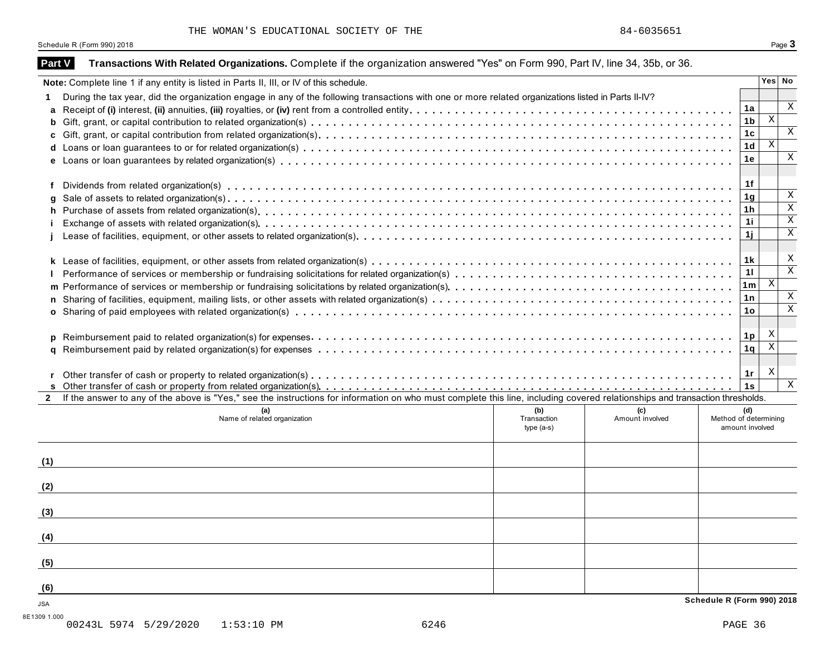Schedule R (Form 990) 2018 **Page 3** 

|                                          | Note: Complete line 1 if any entity is listed in Parts II, III, or IV of this schedule.                                                                                      |             |                 |                       |                | Yes No                    |
|------------------------------------------|------------------------------------------------------------------------------------------------------------------------------------------------------------------------------|-------------|-----------------|-----------------------|----------------|---------------------------|
|                                          | During the tax year, did the organization engage in any of the following transactions with one or more related organizations listed in Parts II-IV?                          |             |                 |                       |                |                           |
|                                          |                                                                                                                                                                              |             |                 |                       | 1a             | X                         |
|                                          |                                                                                                                                                                              |             |                 |                       | 1 <sub>b</sub> | $\overline{X}$            |
|                                          |                                                                                                                                                                              |             |                 |                       | 1 <sub>c</sub> |                           |
|                                          |                                                                                                                                                                              |             |                 |                       | 1 <sub>d</sub> | X                         |
|                                          |                                                                                                                                                                              |             |                 |                       | 1е             |                           |
|                                          |                                                                                                                                                                              |             |                 |                       |                |                           |
|                                          |                                                                                                                                                                              |             |                 |                       | 1f             |                           |
|                                          |                                                                                                                                                                              |             |                 |                       | 1 <sub>g</sub> | $\boldsymbol{\mathrm{X}}$ |
|                                          |                                                                                                                                                                              |             |                 |                       | 1 <sub>h</sub> |                           |
|                                          |                                                                                                                                                                              |             |                 |                       | 1i             |                           |
|                                          |                                                                                                                                                                              |             |                 |                       | 1j             |                           |
|                                          |                                                                                                                                                                              |             |                 |                       |                |                           |
|                                          |                                                                                                                                                                              |             |                 |                       |                |                           |
|                                          |                                                                                                                                                                              |             |                 |                       | 1 k            |                           |
|                                          |                                                                                                                                                                              |             |                 |                       | 11             | $\mathbf{X}$              |
|                                          |                                                                                                                                                                              |             |                 |                       | 1m             |                           |
|                                          |                                                                                                                                                                              |             |                 |                       | 1n             |                           |
|                                          |                                                                                                                                                                              |             |                 |                       |                |                           |
|                                          |                                                                                                                                                                              |             |                 |                       | 1o             |                           |
|                                          |                                                                                                                                                                              |             |                 |                       |                |                           |
|                                          |                                                                                                                                                                              |             |                 |                       | 1p             | X                         |
|                                          |                                                                                                                                                                              |             |                 |                       | 1q             | X                         |
|                                          |                                                                                                                                                                              |             |                 |                       |                |                           |
|                                          |                                                                                                                                                                              |             |                 |                       | 1r             | X                         |
|                                          |                                                                                                                                                                              |             |                 |                       | 1s             |                           |
|                                          | If the answer to any of the above is "Yes," see the instructions for information on who must complete this line, including covered relationships and transaction thresholds. |             |                 |                       |                |                           |
|                                          |                                                                                                                                                                              | (b)         | (c)             |                       | (d)            |                           |
|                                          | (a)<br>Name of related organization                                                                                                                                          | Transaction | Amount involved | Method of determining |                |                           |
|                                          |                                                                                                                                                                              | $type(a-s)$ |                 | amount involved       |                |                           |
|                                          |                                                                                                                                                                              |             |                 |                       |                |                           |
|                                          |                                                                                                                                                                              |             |                 |                       |                |                           |
|                                          |                                                                                                                                                                              |             |                 |                       |                |                           |
|                                          |                                                                                                                                                                              |             |                 |                       |                |                           |
|                                          |                                                                                                                                                                              |             |                 |                       |                |                           |
|                                          |                                                                                                                                                                              |             |                 |                       |                |                           |
|                                          |                                                                                                                                                                              |             |                 |                       |                |                           |
|                                          |                                                                                                                                                                              |             |                 |                       |                |                           |
|                                          |                                                                                                                                                                              |             |                 |                       |                | $\mathbf{X}$              |
| $\mathbf{2}$<br>(1)<br>(2)<br>(3)<br>(4) |                                                                                                                                                                              |             |                 |                       |                |                           |
|                                          |                                                                                                                                                                              |             |                 |                       |                |                           |
| (5)<br>(6)                               |                                                                                                                                                                              |             |                 |                       |                |                           |

00243L 5974 5/29/2020 1:53:10 PM 6246 PAGE 36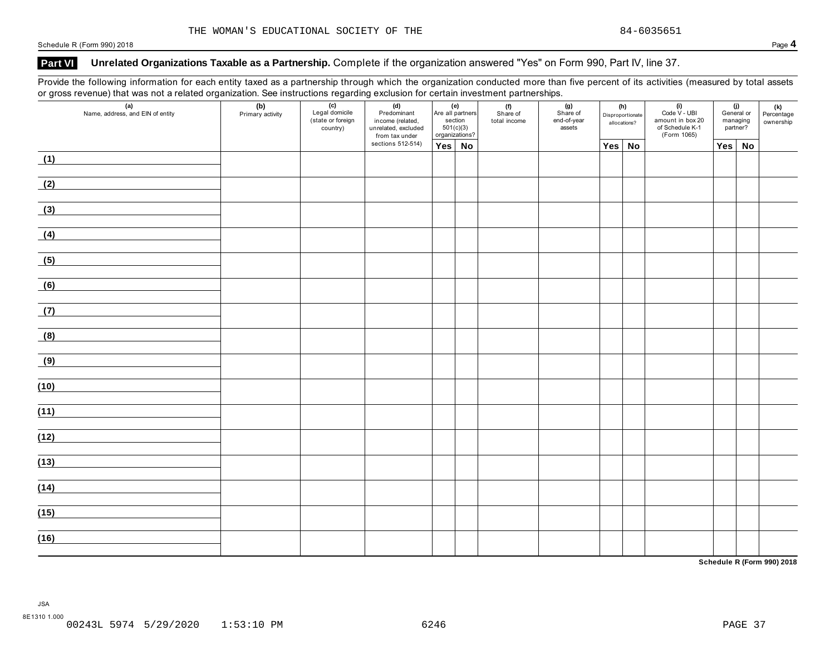Schedule <sup>R</sup> (Form 990) <sup>2018</sup> Page **4**

# **Part VI Unrelated Organizations Taxable as a Partnership.** Complete if the organization answered "Yes" on Form 990, Part IV, line 37.

Provide the following information for each entity taxed as a partnership through which the organization conducted more than five percent of its activities (measured by total assets or gross revenue) that was not a related organization. See instructions regarding exclusion for certain investment partnerships.

| $\overline{\phantom{a}}$ | $\mathbf{z}$<br>ັ<br>(a)<br>Name, address, and EIN of entity | (b)<br>Primary activity | ັ<br>$\overline{(c)}$<br>Legal domicile<br>state or foreign<br>country) | ັ<br>(d)<br>Predominant<br>income (related,<br>unrelated, excluded<br>from tax under | (e)<br>Are all partners<br>section<br>501(c)(3)<br>organizations? |  | (f)<br>(g)<br>Share of<br>total income | Share of<br>end-of-year<br>assets | (h)<br>Disproportionate<br>allocations? |  | $(i)$<br>Code V - UBI<br>amount in box 20<br>of Schedule K-1<br>(Form 1065) | (j)<br>General or<br>managing<br>partner? |           | <b>(k)</b><br>Percentage<br>ownership |
|--------------------------|--------------------------------------------------------------|-------------------------|-------------------------------------------------------------------------|--------------------------------------------------------------------------------------|-------------------------------------------------------------------|--|----------------------------------------|-----------------------------------|-----------------------------------------|--|-----------------------------------------------------------------------------|-------------------------------------------|-----------|---------------------------------------|
|                          |                                                              |                         |                                                                         | sections 512-514)                                                                    | Yes No                                                            |  |                                        |                                   | Yes No                                  |  |                                                                             | Yes                                       | <b>No</b> |                                       |
| (1)                      |                                                              |                         |                                                                         |                                                                                      |                                                                   |  |                                        |                                   |                                         |  |                                                                             |                                           |           |                                       |
| (2)                      |                                                              |                         |                                                                         |                                                                                      |                                                                   |  |                                        |                                   |                                         |  |                                                                             |                                           |           |                                       |
| (3)                      |                                                              |                         |                                                                         |                                                                                      |                                                                   |  |                                        |                                   |                                         |  |                                                                             |                                           |           |                                       |
| (4)                      |                                                              |                         |                                                                         |                                                                                      |                                                                   |  |                                        |                                   |                                         |  |                                                                             |                                           |           |                                       |
| (5)                      |                                                              |                         |                                                                         |                                                                                      |                                                                   |  |                                        |                                   |                                         |  |                                                                             |                                           |           |                                       |
| (6)                      |                                                              |                         |                                                                         |                                                                                      |                                                                   |  |                                        |                                   |                                         |  |                                                                             |                                           |           |                                       |
| (7)                      |                                                              |                         |                                                                         |                                                                                      |                                                                   |  |                                        |                                   |                                         |  |                                                                             |                                           |           |                                       |
| (8)                      |                                                              |                         |                                                                         |                                                                                      |                                                                   |  |                                        |                                   |                                         |  |                                                                             |                                           |           |                                       |
| (9)                      |                                                              |                         |                                                                         |                                                                                      |                                                                   |  |                                        |                                   |                                         |  |                                                                             |                                           |           |                                       |
| (10)                     |                                                              |                         |                                                                         |                                                                                      |                                                                   |  |                                        |                                   |                                         |  |                                                                             |                                           |           |                                       |
| (11)                     |                                                              |                         |                                                                         |                                                                                      |                                                                   |  |                                        |                                   |                                         |  |                                                                             |                                           |           |                                       |
| (12)                     |                                                              |                         |                                                                         |                                                                                      |                                                                   |  |                                        |                                   |                                         |  |                                                                             |                                           |           |                                       |
| (13)                     |                                                              |                         |                                                                         |                                                                                      |                                                                   |  |                                        |                                   |                                         |  |                                                                             |                                           |           |                                       |
| (14)                     |                                                              |                         |                                                                         |                                                                                      |                                                                   |  |                                        |                                   |                                         |  |                                                                             |                                           |           |                                       |
| (15)                     |                                                              |                         |                                                                         |                                                                                      |                                                                   |  |                                        |                                   |                                         |  |                                                                             |                                           |           |                                       |
| (16)                     |                                                              |                         |                                                                         |                                                                                      |                                                                   |  |                                        |                                   |                                         |  |                                                                             |                                           |           |                                       |
|                          |                                                              |                         |                                                                         |                                                                                      |                                                                   |  |                                        |                                   |                                         |  |                                                                             |                                           |           |                                       |

**Schedule R (Form 990) 2018**